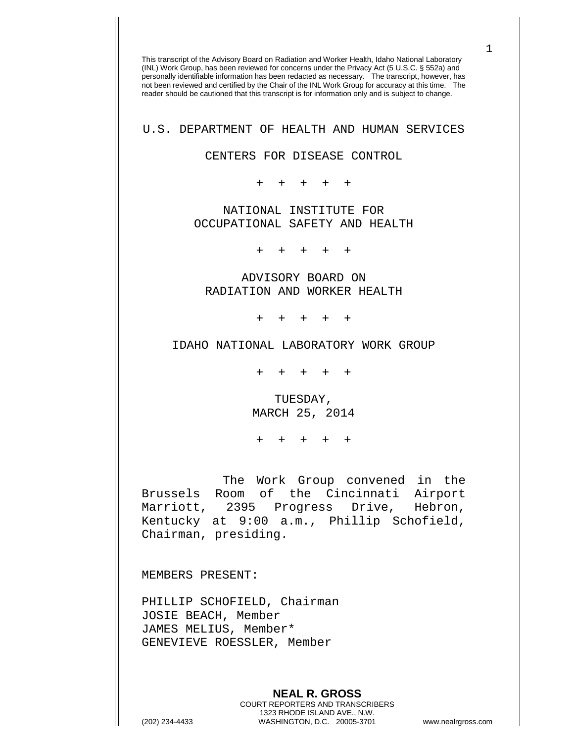This transcript of the Advisory Board on Radiation and Worker Health, Idaho National Laboratory (INL) Work Group, has been reviewed for concerns under the Privacy Act (5 U.S.C. § 552a) and personally identifiable information has been redacted as necessary. The transcript, however, has not been reviewed and certified by the Chair of the INL Work Group for accuracy at this time. The reader should be cautioned that this transcript is for information only and is subject to change. U.S. DEPARTMENT OF HEALTH AND HUMAN SERVICES CENTERS FOR DISEASE CONTROL + + + + + NATIONAL INSTITUTE FOR OCCUPATIONAL SAFETY AND HEALTH + + + + + ADVISORY BOARD ON RADIATION AND WORKER HEALTH + + + + + IDAHO NATIONAL LABORATORY WORK GROUP + + + + + TUESDAY, MARCH 25, 2014 + + + + + The Work Group convened in the Brussels Room of the Cincinnati Airport Marriott, 2395 Progress Drive, Hebron, Kentucky at 9:00 a.m., Phillip Schofield, Chairman, presiding. MEMBERS PRESENT: PHILLIP SCHOFIELD, Chairman JOSIE BEACH, Member JAMES MELIUS, Member\* GENEVIEVE ROESSLER, Member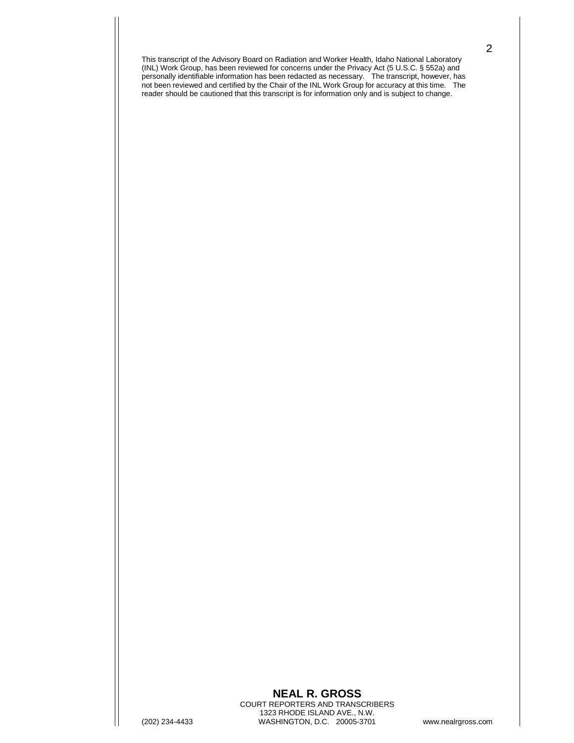## **NEAL R. GROSS** COURT REPORTERS AND TRANSCRIBERS 1323 RHODE ISLAND AVE., N.W. (202) 234-4433 WASHINGTON, D.C. 20005-3701 www.nealrgross.com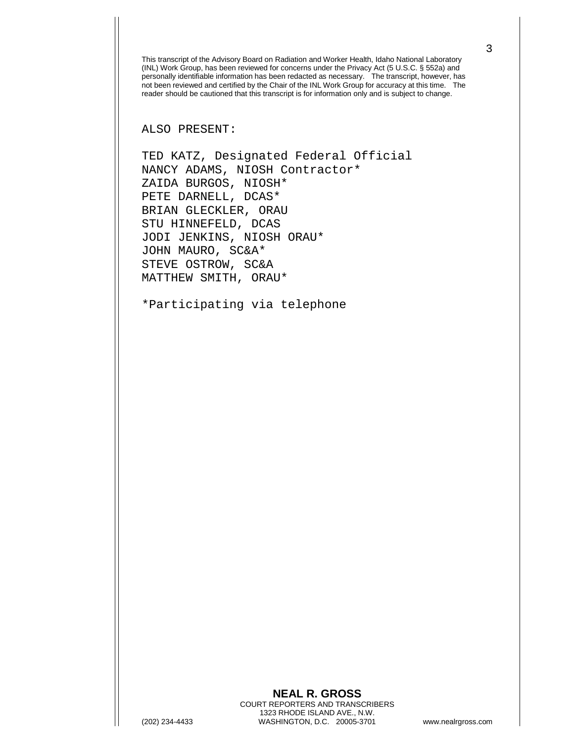ALSO PRESENT:

TED KATZ, Designated Federal Official NANCY ADAMS, NIOSH Contractor\* ZAIDA BURGOS, NIOSH\* PETE DARNELL, DCAS\* BRIAN GLECKLER, ORAU STU HINNEFELD, DCAS JODI JENKINS, NIOSH ORAU\* JOHN MAURO, SC&A\* STEVE OSTROW, SC&A MATTHEW SMITH, ORAU\*

\*Participating via telephone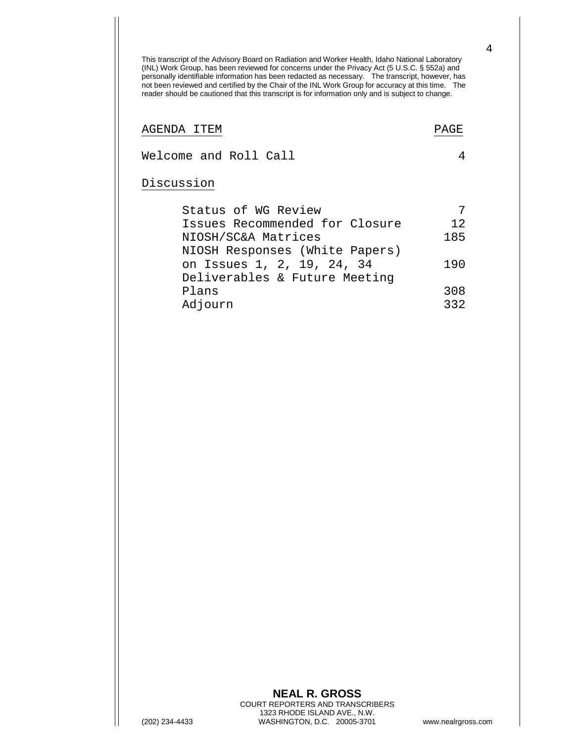AGENDA ITEM PAGE

Welcome and Roll Call 4

## Discussion

| Status of WG Review            |     |
|--------------------------------|-----|
| Issues Recommended for Closure | 12  |
| NIOSH/SC&A Matrices            | 185 |
| NIOSH Responses (White Papers) |     |
| on Issues 1, 2, 19, 24, 34     | 190 |
| Deliverables & Future Meeting  |     |
| Plans                          | 308 |
| Adjourn                        | 332 |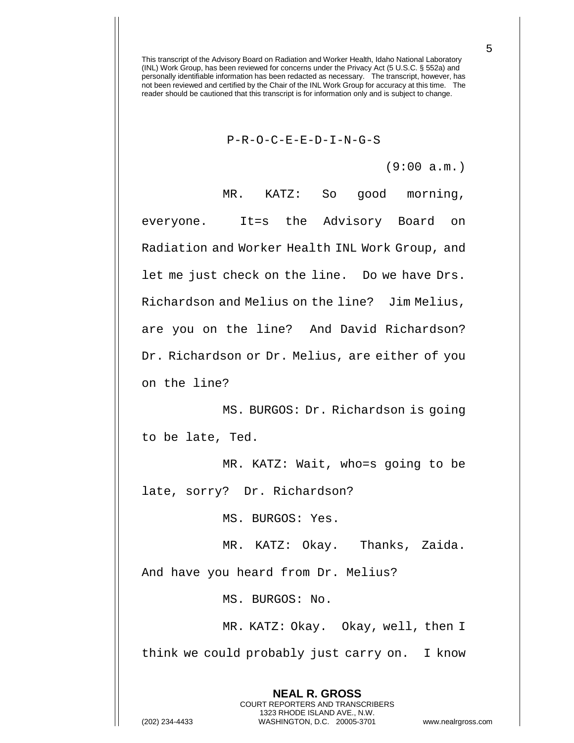## P-R-O-C-E-E-D-I-N-G-S

(9:00 a.m.)

MR. KATZ: So good morning, everyone. It=s the Advisory Board on Radiation and Worker Health INL Work Group, and let me just check on the line. Do we have Drs. Richardson and Melius on the line? Jim Melius, are you on the line? And David Richardson? Dr. Richardson or Dr. Melius, are either of you on the line?

MS. BURGOS: Dr. Richardson is going to be late, Ted.

MR. KATZ: Wait, who=s going to be late, sorry? Dr. Richardson?

MS. BURGOS: Yes.

MR. KATZ: Okay. Thanks, Zaida.

And have you heard from Dr. Melius?

MS. BURGOS: No.

MR. KATZ: Okay. Okay, well, then I think we could probably just carry on. I know

> **NEAL R. GROSS** COURT REPORTERS AND TRANSCRIBERS 1323 RHODE ISLAND AVE., N.W.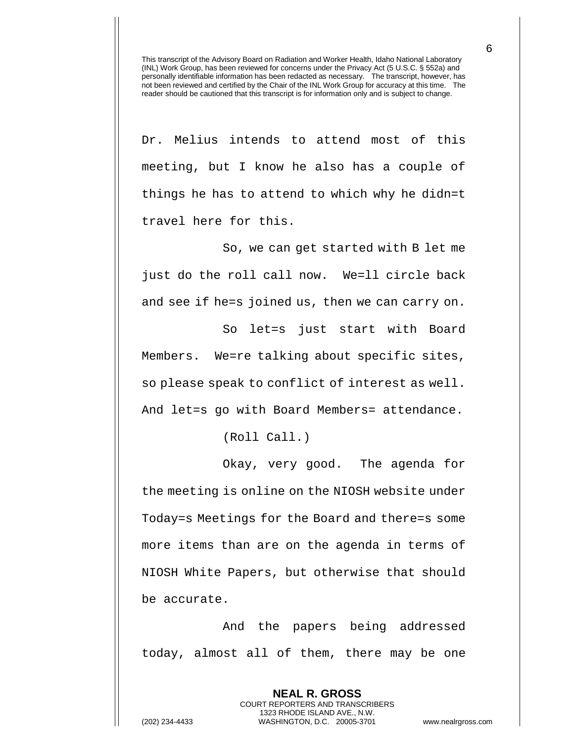Dr. Melius intends to attend most of this meeting, but I know he also has a couple of things he has to attend to which why he didn=t travel here for this.

So, we can get started with B let me just do the roll call now. We=ll circle back and see if he=s joined us, then we can carry on.

So let=s just start with Board Members. We=re talking about specific sites, so please speak to conflict of interest as well. And let=s go with Board Members= attendance.

(Roll Call.)

Okay, very good. The agenda for the meeting is online on the NIOSH website under Today=s Meetings for the Board and there=s some more items than are on the agenda in terms of NIOSH White Papers, but otherwise that should be accurate.

And the papers being addressed today, almost all of them, there may be one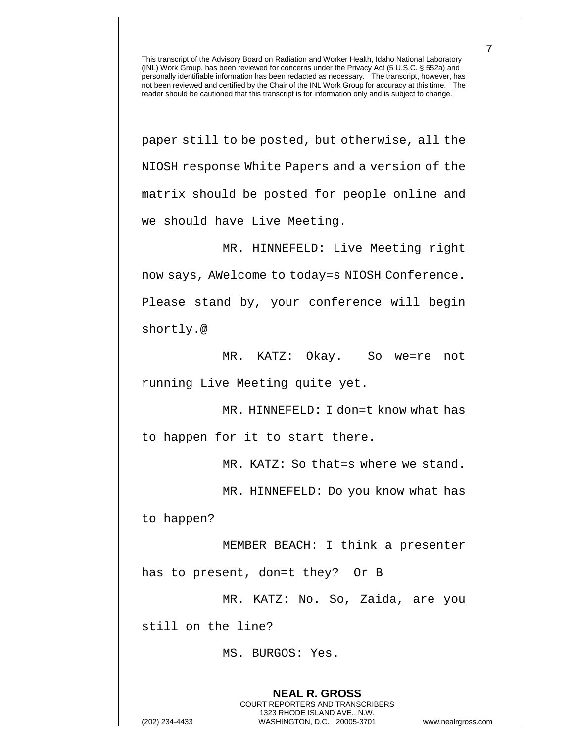paper still to be posted, but otherwise, all the NIOSH response White Papers and a version of the matrix should be posted for people online and we should have Live Meeting.

MR. HINNEFELD: Live Meeting right now says, AWelcome to today=s NIOSH Conference. Please stand by, your conference will begin shortly.@

MR. KATZ: Okay. So we=re not running Live Meeting quite yet.

MR. HINNEFELD: I don=t know what has to happen for it to start there.

MR. KATZ: So that=s where we stand.

MR. HINNEFELD: Do you know what has

to happen?

MEMBER BEACH: I think a presenter has to present, don=t they? Or B

MR. KATZ: No. So, Zaida, are you

**NEAL R. GROSS** COURT REPORTERS AND TRANSCRIBERS 1323 RHODE ISLAND AVE., N.W.

still on the line?

MS. BURGOS: Yes.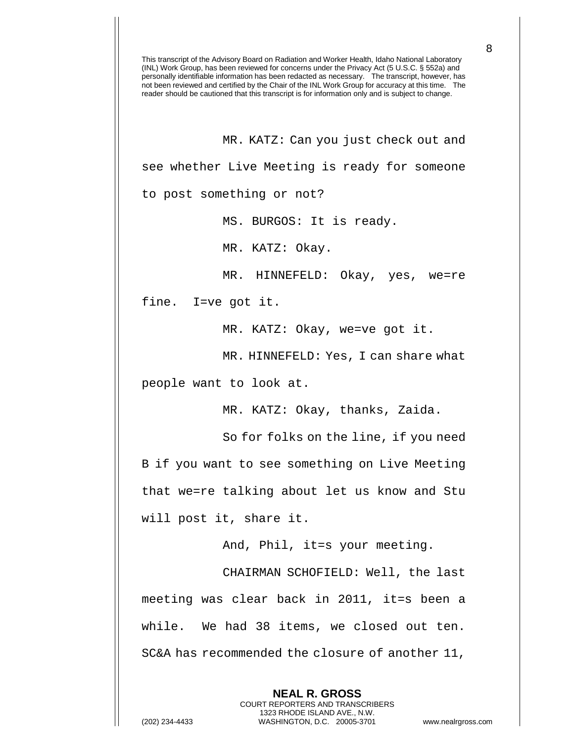MR. KATZ: Can you just check out and see whether Live Meeting is ready for someone to post something or not?

MS. BURGOS: It is ready.

MR. KATZ: Okay.

MR. HINNEFELD: Okay, yes, we=re

fine. I=ve got it.

MR. KATZ: Okay, we=ve got it.

MR. HINNEFELD: Yes, I can share what

people want to look at.

MR. KATZ: Okay, thanks, Zaida.

So for folks on the line, if you need B if you want to see something on Live Meeting that we=re talking about let us know and Stu will post it, share it.

And, Phil, it=s your meeting.

CHAIRMAN SCHOFIELD: Well, the last meeting was clear back in 2011, it=s been a while. We had 38 items, we closed out ten. SC&A has recommended the closure of another 11,

**NEAL R. GROSS** COURT REPORTERS AND TRANSCRIBERS 1323 RHODE ISLAND AVE., N.W. (202) 234-4433 WASHINGTON, D.C. 20005-3701 www.nealrgross.com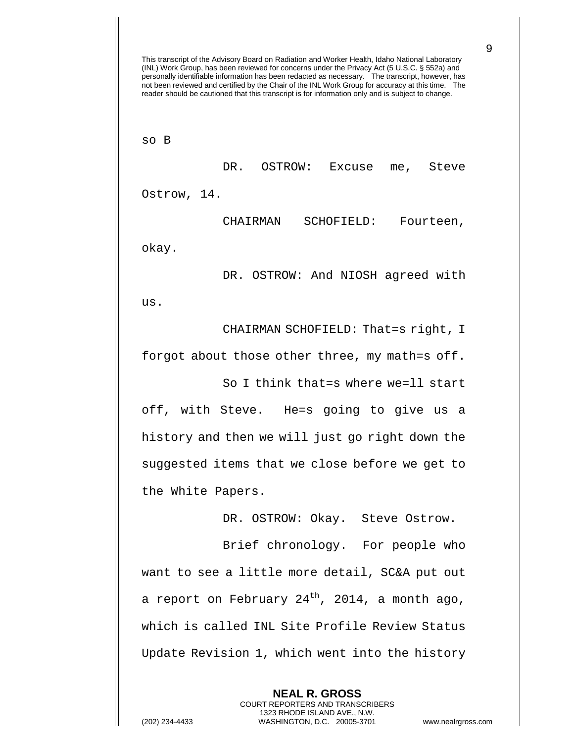This transcript of the Advisory Board on Radiation and Worker Health, Idaho National Laboratory (INL) Work Group, has been reviewed for concerns under the Privacy Act (5 U.S.C. § 552a) and personally identifiable information has been redacted as necessary. The transcript, however, has not been reviewed and certified by the Chair of the INL Work Group for accuracy at this time. The reader should be cautioned that this transcript is for information only and is subject to change. so B DR. OSTROW: Excuse me, Steve Ostrow, 14. CHAIRMAN SCHOFIELD: Fourteen, okay. DR. OSTROW: And NIOSH agreed with us. CHAIRMAN SCHOFIELD: That=s right, I forgot about those other three, my math=s off. So I think that=s where we=ll start off, with Steve. He=s going to give us a history and then we will just go right down the suggested items that we close before we get to the White Papers. DR. OSTROW: Okay. Steve Ostrow.

Brief chronology. For people who want to see a little more detail, SC&A put out a report on February  $24<sup>th</sup>$ , 2014, a month ago, which is called INL Site Profile Review Status Update Revision 1, which went into the history

> **NEAL R. GROSS** COURT REPORTERS AND TRANSCRIBERS 1323 RHODE ISLAND AVE., N.W.

(202) 234-4433 WASHINGTON, D.C. 20005-3701 www.nealrgross.com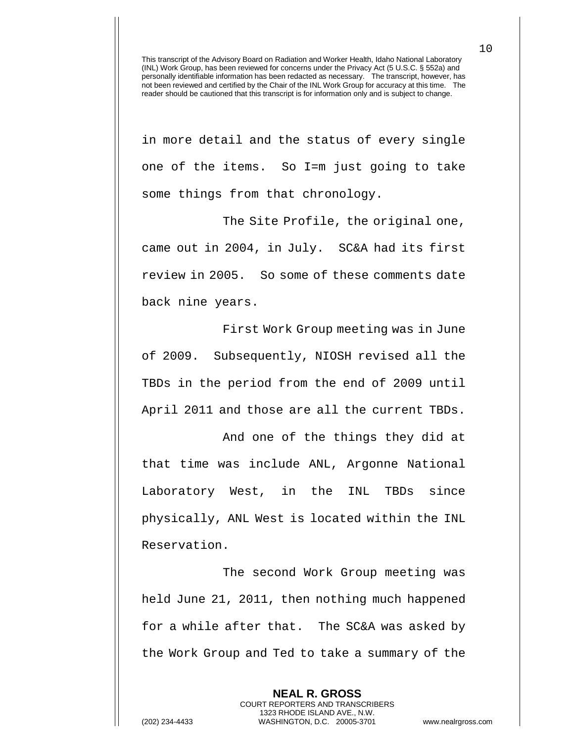in more detail and the status of every single one of the items. So I=m just going to take some things from that chronology.

The Site Profile, the original one, came out in 2004, in July. SC&A had its first review in 2005. So some of these comments date back nine years.

First Work Group meeting was in June of 2009. Subsequently, NIOSH revised all the TBDs in the period from the end of 2009 until April 2011 and those are all the current TBDs.

And one of the things they did at that time was include ANL, Argonne National Laboratory West, in the INL TBDs since physically, ANL West is located within the INL Reservation.

The second Work Group meeting was held June 21, 2011, then nothing much happened for a while after that. The SC&A was asked by the Work Group and Ted to take a summary of the

**NEAL R. GROSS** COURT REPORTERS AND TRANSCRIBERS 1323 RHODE ISLAND AVE., N.W. (202) 234-4433 WASHINGTON, D.C. 20005-3701 www.nealrgross.com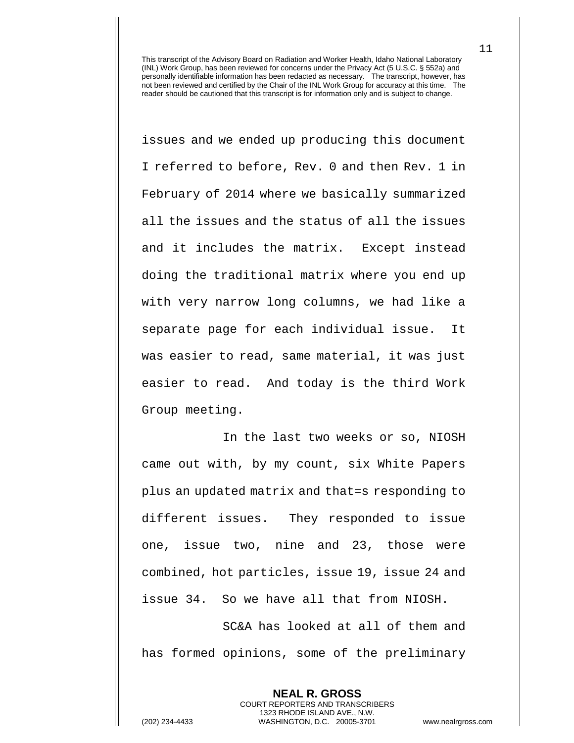issues and we ended up producing this document I referred to before, Rev. 0 and then Rev. 1 in February of 2014 where we basically summarized all the issues and the status of all the issues and it includes the matrix. Except instead doing the traditional matrix where you end up with very narrow long columns, we had like a separate page for each individual issue. It was easier to read, same material, it was just easier to read. And today is the third Work Group meeting.

In the last two weeks or so, NIOSH came out with, by my count, six White Papers plus an updated matrix and that=s responding to different issues. They responded to issue one, issue two, nine and 23, those were combined, hot particles, issue 19, issue 24 and issue 34. So we have all that from NIOSH.

SC&A has looked at all of them and has formed opinions, some of the preliminary

> **NEAL R. GROSS** COURT REPORTERS AND TRANSCRIBERS 1323 RHODE ISLAND AVE., N.W.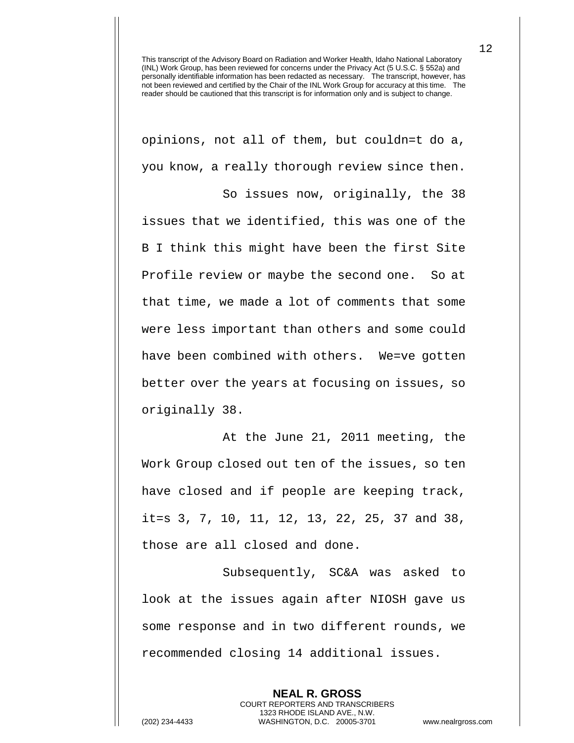opinions, not all of them, but couldn=t do a, you know, a really thorough review since then.

So issues now, originally, the 38 issues that we identified, this was one of the B I think this might have been the first Site Profile review or maybe the second one. So at that time, we made a lot of comments that some were less important than others and some could have been combined with others. We=ve gotten better over the years at focusing on issues, so originally 38.

At the June 21, 2011 meeting, the Work Group closed out ten of the issues, so ten have closed and if people are keeping track, it=s 3, 7, 10, 11, 12, 13, 22, 25, 37 and 38, those are all closed and done.

Subsequently, SC&A was asked to look at the issues again after NIOSH gave us some response and in two different rounds, we recommended closing 14 additional issues.

**NEAL R. GROSS** COURT REPORTERS AND TRANSCRIBERS 1323 RHODE ISLAND AVE., N.W. (202) 234-4433 WASHINGTON, D.C. 20005-3701 www.nealrgross.com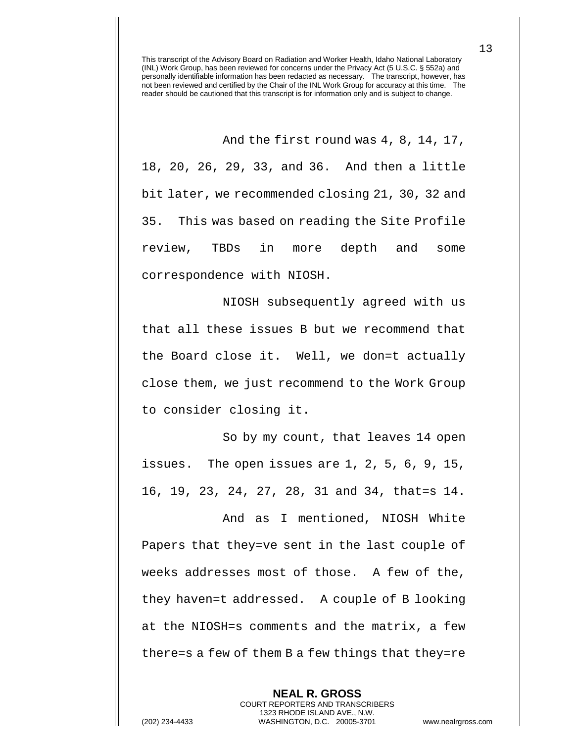And the first round was 4, 8, 14, 17,

18, 20, 26, 29, 33, and 36. And then a little bit later, we recommended closing 21, 30, 32 and 35. This was based on reading the Site Profile review, TBDs in more depth and some correspondence with NIOSH.

NIOSH subsequently agreed with us that all these issues B but we recommend that the Board close it. Well, we don=t actually close them, we just recommend to the Work Group to consider closing it.

So by my count, that leaves 14 open issues. The open issues are 1, 2, 5, 6, 9, 15, 16, 19, 23, 24, 27, 28, 31 and 34, that=s 14.

And as I mentioned, NIOSH White Papers that they=ve sent in the last couple of weeks addresses most of those. A few of the, they haven=t addressed. A couple of B looking at the NIOSH=s comments and the matrix, a few there=s a few of them B a few things that they=re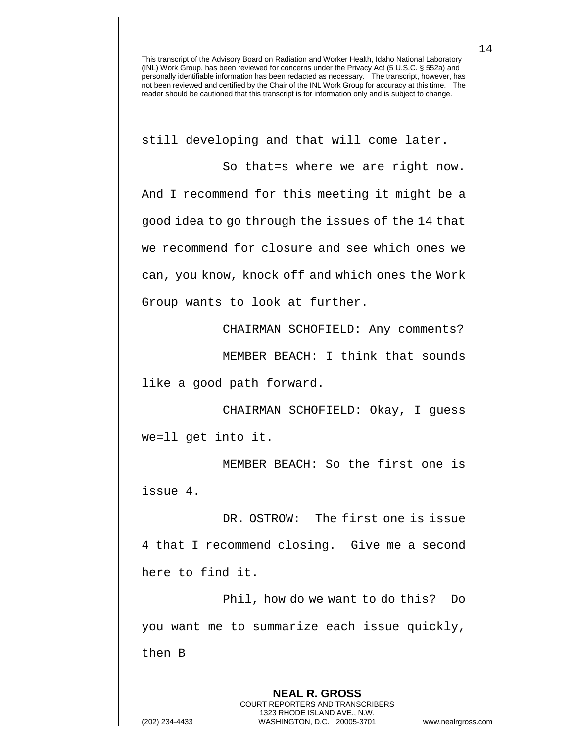still developing and that will come later.

So that=s where we are right now. And I recommend for this meeting it might be a good idea to go through the issues of the 14 that we recommend for closure and see which ones we can, you know, knock off and which ones the Work Group wants to look at further.

CHAIRMAN SCHOFIELD: Any comments?

MEMBER BEACH: I think that sounds

like a good path forward.

CHAIRMAN SCHOFIELD: Okay, I guess we=ll get into it.

MEMBER BEACH: So the first one is issue 4.

DR. OSTROW: The first one is issue 4 that I recommend closing. Give me a second here to find it.

Phil, how do we want to do this? Do you want me to summarize each issue quickly, then B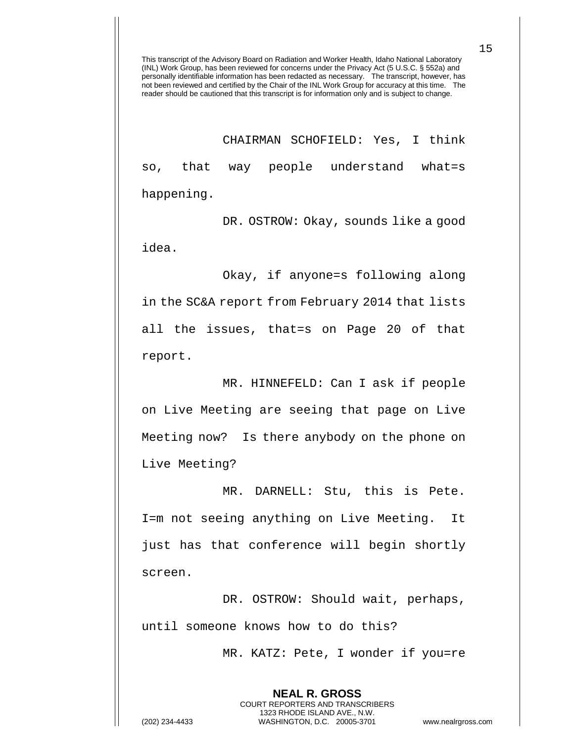CHAIRMAN SCHOFIELD: Yes, I think so, that way people understand what=s happening.

DR. OSTROW: Okay, sounds like a good idea.

Okay, if anyone=s following along

in the SC&A report from February 2014 that lists all the issues, that=s on Page 20 of that report.

MR. HINNEFELD: Can I ask if people on Live Meeting are seeing that page on Live Meeting now? Is there anybody on the phone on Live Meeting?

MR. DARNELL: Stu, this is Pete. I=m not seeing anything on Live Meeting. It just has that conference will begin shortly screen.

DR. OSTROW: Should wait, perhaps, until someone knows how to do this?

> **NEAL R. GROSS** COURT REPORTERS AND TRANSCRIBERS 1323 RHODE ISLAND AVE., N.W.

MR. KATZ: Pete, I wonder if you=re

(202) 234-4433 WASHINGTON, D.C. 20005-3701 www.nealrgross.com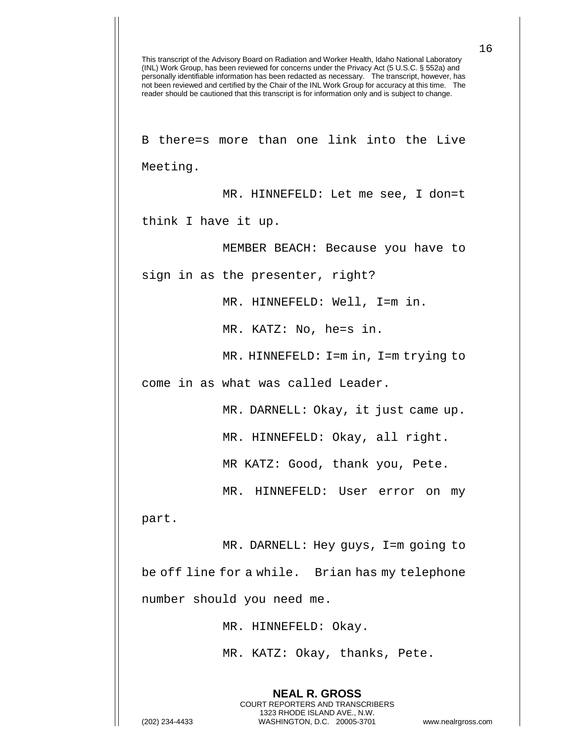This transcript of the Advisory Board on Radiation and Worker Health, Idaho National Laboratory (INL) Work Group, has been reviewed for concerns under the Privacy Act (5 U.S.C. § 552a) and personally identifiable information has been redacted as necessary. The transcript, however, has not been reviewed and certified by the Chair of the INL Work Group for accuracy at this time. The reader should be cautioned that this transcript is for information only and is subject to change. **NEAL R. GROSS** COURT REPORTERS AND TRANSCRIBERS 1323 RHODE ISLAND AVE., N.W. (202) 234-4433 WASHINGTON, D.C. 20005-3701 www.nealrgross.com B there=s more than one link into the Live Meeting. MR. HINNEFELD: Let me see, I don=t think I have it up. MEMBER BEACH: Because you have to sign in as the presenter, right? MR. HINNEFELD: Well, I=m in. MR. KATZ: No, he=s in. MR. HINNEFELD: I=m in, I=m trying to come in as what was called Leader. MR. DARNELL: Okay, it just came up. MR. HINNEFELD: Okay, all right. MR KATZ: Good, thank you, Pete. MR. HINNEFELD: User error on my part. MR. DARNELL: Hey guys, I=m going to be off line for a while. Brian has my telephone number should you need me. MR. HINNEFELD: Okay. MR. KATZ: Okay, thanks, Pete.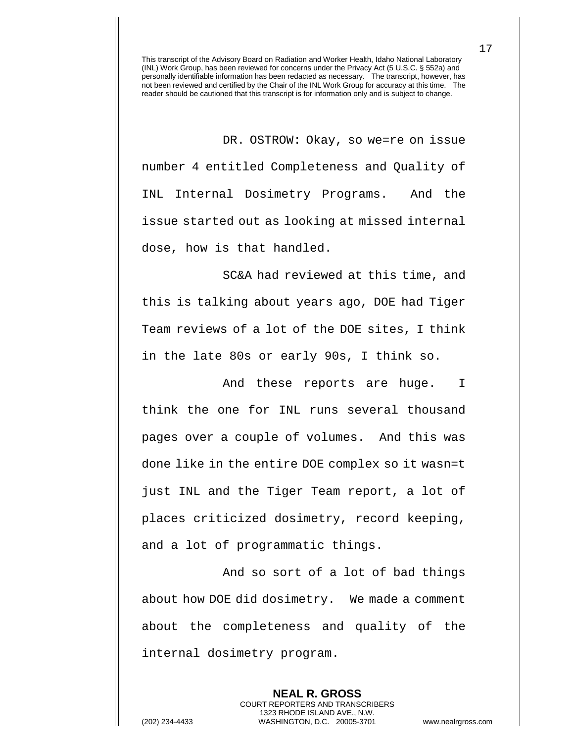DR. OSTROW: Okay, so we=re on issue number 4 entitled Completeness and Quality of INL Internal Dosimetry Programs. And the issue started out as looking at missed internal dose, how is that handled.

SC&A had reviewed at this time, and this is talking about years ago, DOE had Tiger Team reviews of a lot of the DOE sites, I think in the late 80s or early 90s, I think so.

And these reports are huge. I think the one for INL runs several thousand pages over a couple of volumes. And this was done like in the entire DOE complex so it wasn=t just INL and the Tiger Team report, a lot of places criticized dosimetry, record keeping, and a lot of programmatic things.

And so sort of a lot of bad things about how DOE did dosimetry. We made a comment about the completeness and quality of the internal dosimetry program.

**NEAL R. GROSS** COURT REPORTERS AND TRANSCRIBERS 1323 RHODE ISLAND AVE., N.W. (202) 234-4433 WASHINGTON, D.C. 20005-3701 www.nealrgross.com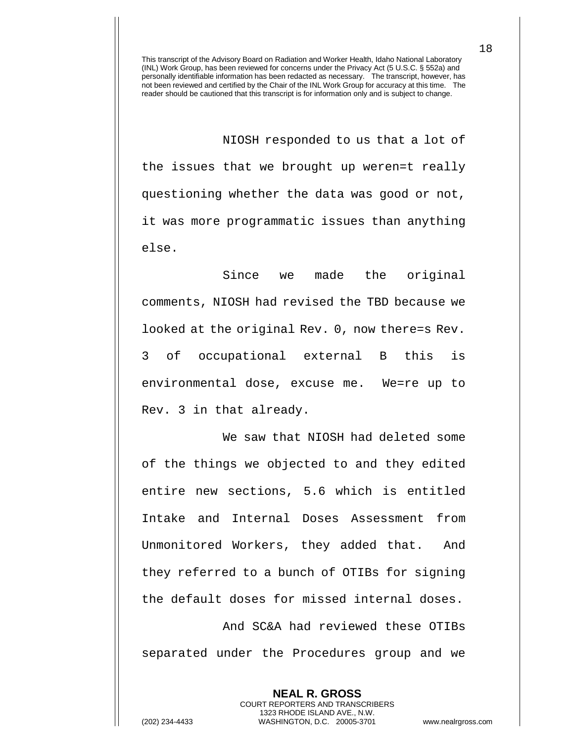NIOSH responded to us that a lot of the issues that we brought up weren=t really questioning whether the data was good or not, it was more programmatic issues than anything else.

Since we made the original comments, NIOSH had revised the TBD because we looked at the original Rev. 0, now there=s Rev. 3 of occupational external B this is environmental dose, excuse me. We=re up to Rev. 3 in that already.

We saw that NIOSH had deleted some of the things we objected to and they edited entire new sections, 5.6 which is entitled Intake and Internal Doses Assessment from Unmonitored Workers, they added that. And they referred to a bunch of OTIBs for signing the default doses for missed internal doses.

And SC&A had reviewed these OTIBs separated under the Procedures group and we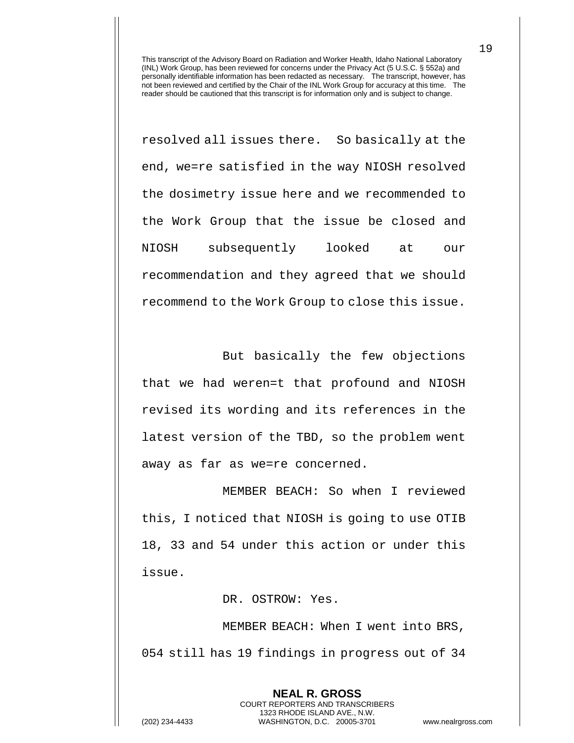resolved all issues there. So basically at the end, we=re satisfied in the way NIOSH resolved the dosimetry issue here and we recommended to the Work Group that the issue be closed and NIOSH subsequently looked at our recommendation and they agreed that we should recommend to the Work Group to close this issue.

But basically the few objections that we had weren=t that profound and NIOSH revised its wording and its references in the latest version of the TBD, so the problem went away as far as we=re concerned.

MEMBER BEACH: So when I reviewed this, I noticed that NIOSH is going to use OTIB 18, 33 and 54 under this action or under this issue.

DR. OSTROW: Yes.

MEMBER BEACH: When I went into BRS, 054 still has 19 findings in progress out of 34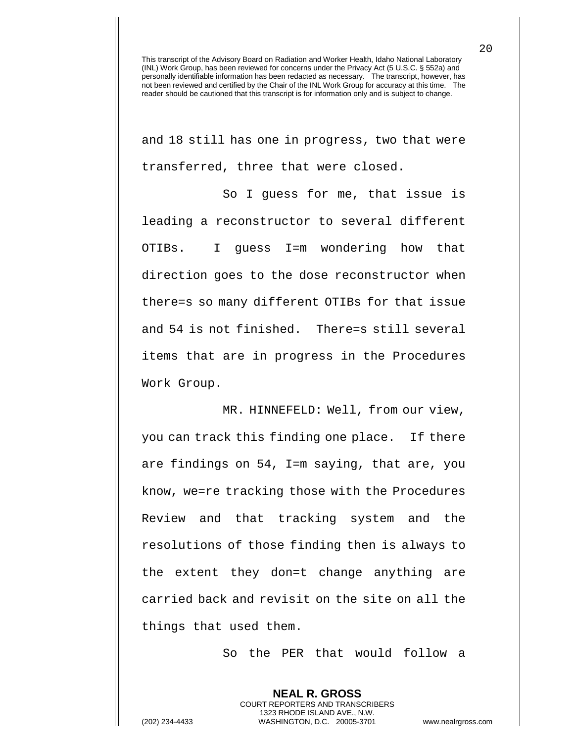and 18 still has one in progress, two that were transferred, three that were closed.

So I guess for me, that issue is leading a reconstructor to several different OTIBs. I guess I=m wondering how that direction goes to the dose reconstructor when there=s so many different OTIBs for that issue and 54 is not finished. There=s still several items that are in progress in the Procedures Work Group.

MR. HINNEFELD: Well, from our view, you can track this finding one place. If there are findings on 54, I=m saying, that are, you know, we=re tracking those with the Procedures Review and that tracking system and the resolutions of those finding then is always to the extent they don=t change anything are carried back and revisit on the site on all the things that used them.

So the PER that would follow a

**NEAL R. GROSS** COURT REPORTERS AND TRANSCRIBERS 1323 RHODE ISLAND AVE., N.W. (202) 234-4433 WASHINGTON, D.C. 20005-3701 www.nealrgross.com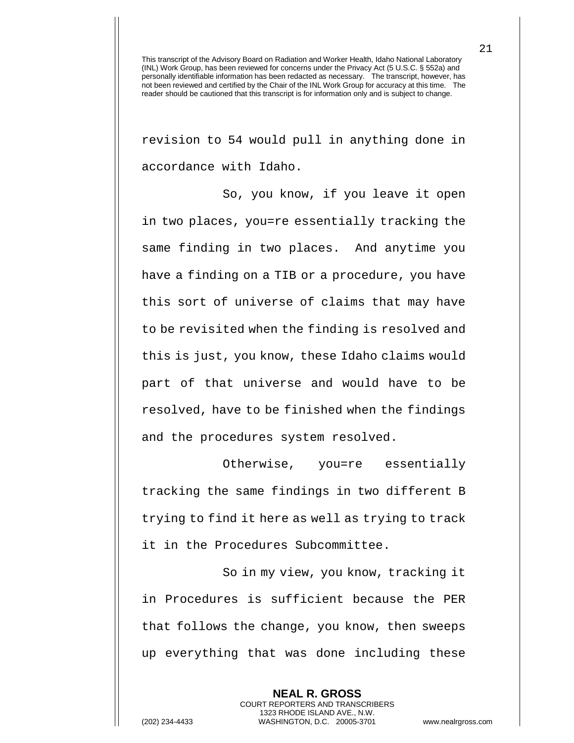revision to 54 would pull in anything done in accordance with Idaho.

So, you know, if you leave it open in two places, you=re essentially tracking the same finding in two places. And anytime you have a finding on a TIB or a procedure, you have this sort of universe of claims that may have to be revisited when the finding is resolved and this is just, you know, these Idaho claims would part of that universe and would have to be resolved, have to be finished when the findings and the procedures system resolved.

Otherwise, you=re essentially tracking the same findings in two different B trying to find it here as well as trying to track it in the Procedures Subcommittee.

So in my view, you know, tracking it in Procedures is sufficient because the PER that follows the change, you know, then sweeps up everything that was done including these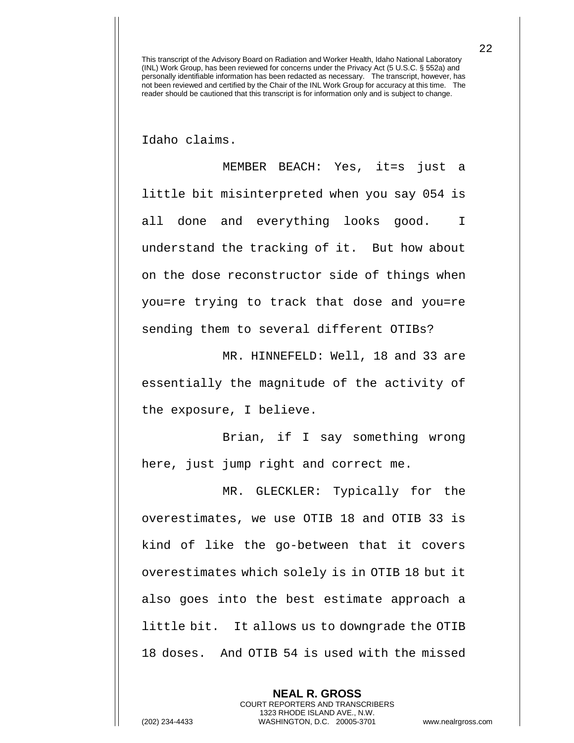Idaho claims.

MEMBER BEACH: Yes, it=s just a little bit misinterpreted when you say 054 is all done and everything looks good. I understand the tracking of it. But how about on the dose reconstructor side of things when you=re trying to track that dose and you=re sending them to several different OTIBs?

MR. HINNEFELD: Well, 18 and 33 are essentially the magnitude of the activity of the exposure, I believe.

Brian, if I say something wrong here, just jump right and correct me.

MR. GLECKLER: Typically for the overestimates, we use OTIB 18 and OTIB 33 is kind of like the go-between that it covers overestimates which solely is in OTIB 18 but it also goes into the best estimate approach a little bit. It allows us to downgrade the OTIB 18 doses. And OTIB 54 is used with the missed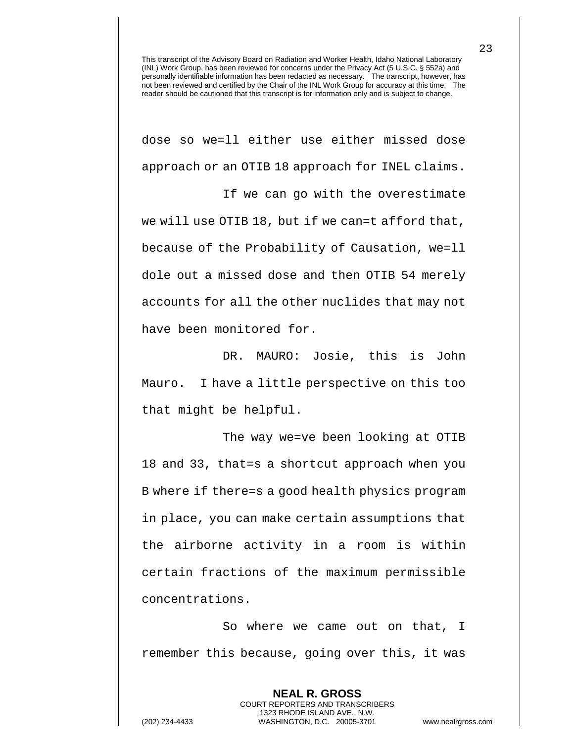dose so we=ll either use either missed dose approach or an OTIB 18 approach for INEL claims.

If we can go with the overestimate we will use OTIB 18, but if we can=t afford that, because of the Probability of Causation, we=ll dole out a missed dose and then OTIB 54 merely accounts for all the other nuclides that may not have been monitored for.

DR. MAURO: Josie, this is John Mauro. I have a little perspective on this too that might be helpful.

The way we=ve been looking at OTIB 18 and 33, that=s a shortcut approach when you B where if there=s a good health physics program in place, you can make certain assumptions that the airborne activity in a room is within certain fractions of the maximum permissible concentrations.

So where we came out on that, I remember this because, going over this, it was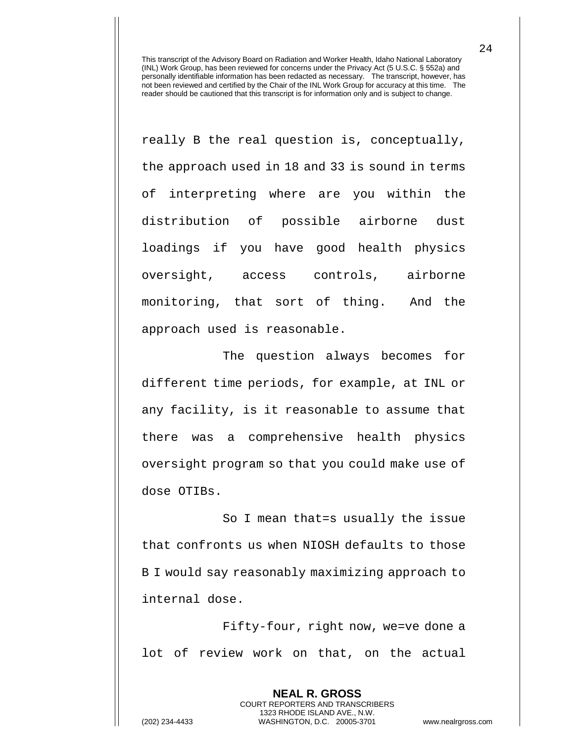really B the real question is, conceptually, the approach used in 18 and 33 is sound in terms of interpreting where are you within the distribution of possible airborne dust loadings if you have good health physics oversight, access controls, airborne monitoring, that sort of thing. And the approach used is reasonable.

The question always becomes for different time periods, for example, at INL or any facility, is it reasonable to assume that there was a comprehensive health physics oversight program so that you could make use of dose OTIBs.

So I mean that=s usually the issue that confronts us when NIOSH defaults to those B I would say reasonably maximizing approach to internal dose.

Fifty-four, right now, we=ve done a lot of review work on that, on the actual

> **NEAL R. GROSS** COURT REPORTERS AND TRANSCRIBERS 1323 RHODE ISLAND AVE., N.W.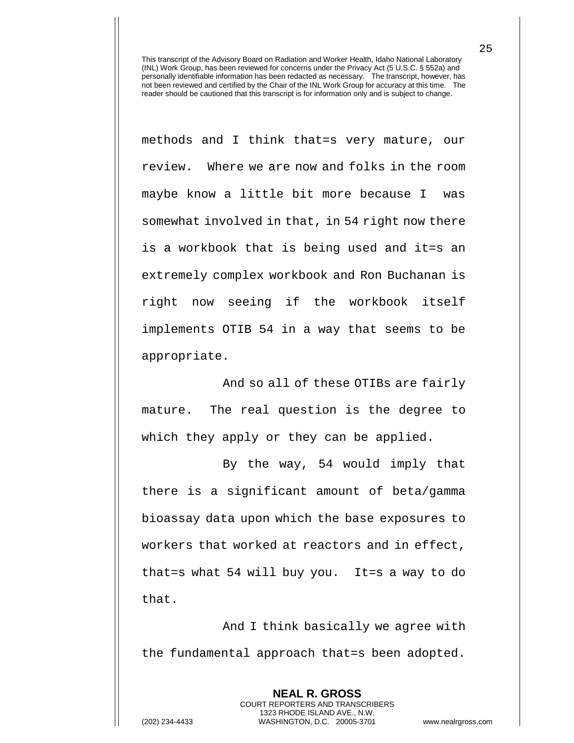methods and I think that=s very mature, our review. Where we are now and folks in the room maybe know a little bit more because I was somewhat involved in that, in 54 right now there is a workbook that is being used and it=s an extremely complex workbook and Ron Buchanan is right now seeing if the workbook itself implements OTIB 54 in a way that seems to be appropriate.

And so all of these OTIBs are fairly mature. The real question is the degree to which they apply or they can be applied.

By the way, 54 would imply that there is a significant amount of beta/gamma bioassay data upon which the base exposures to workers that worked at reactors and in effect, that=s what 54 will buy you. It=s a way to do that.

And I think basically we agree with the fundamental approach that=s been adopted.

> **NEAL R. GROSS** COURT REPORTERS AND TRANSCRIBERS 1323 RHODE ISLAND AVE., N.W.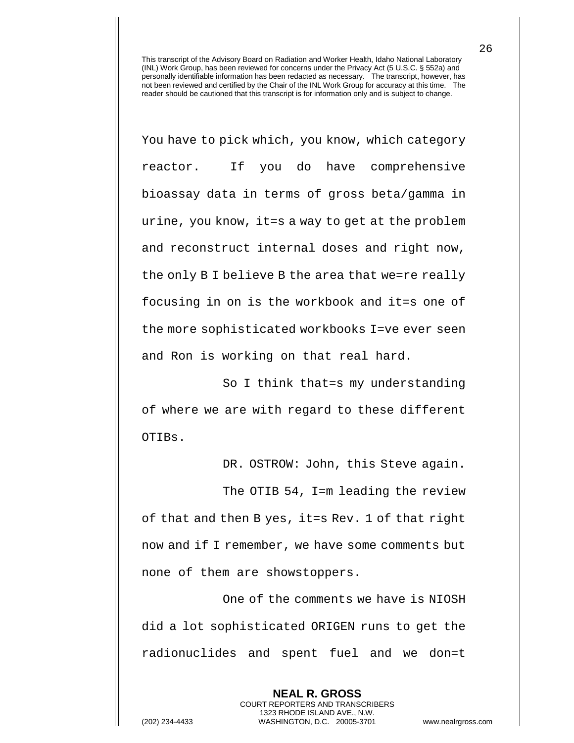You have to pick which, you know, which category reactor. If you do have comprehensive bioassay data in terms of gross beta/gamma in urine, you know, it=s a way to get at the problem and reconstruct internal doses and right now, the only B I believe B the area that we=re really focusing in on is the workbook and it=s one of the more sophisticated workbooks I=ve ever seen and Ron is working on that real hard.

So I think that=s my understanding of where we are with regard to these different OTIBs.

DR. OSTROW: John, this Steve again.

The OTIB 54, I=m leading the review of that and then B yes, it=s Rev. 1 of that right now and if I remember, we have some comments but none of them are showstoppers.

One of the comments we have is NIOSH did a lot sophisticated ORIGEN runs to get the radionuclides and spent fuel and we don=t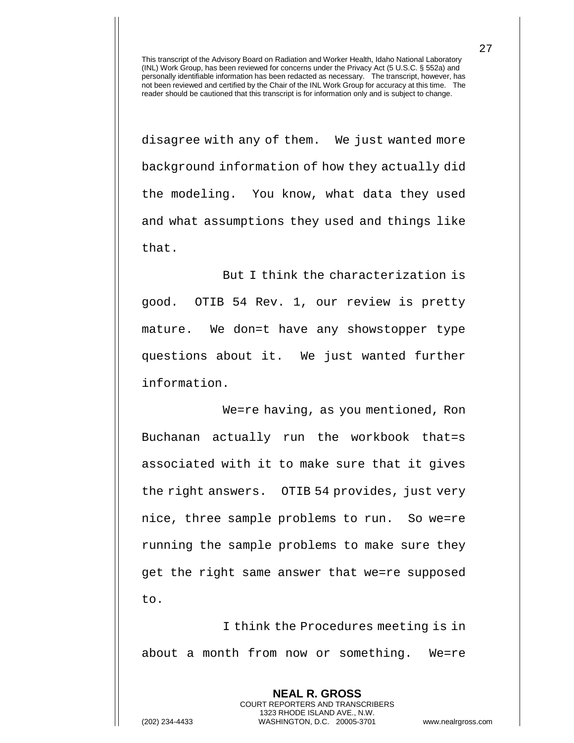disagree with any of them. We just wanted more background information of how they actually did the modeling. You know, what data they used and what assumptions they used and things like that.

But I think the characterization is good. OTIB 54 Rev. 1, our review is pretty mature. We don=t have any showstopper type questions about it. We just wanted further information.

We=re having, as you mentioned, Ron Buchanan actually run the workbook that=s associated with it to make sure that it gives the right answers. OTIB 54 provides, just very nice, three sample problems to run. So we=re running the sample problems to make sure they get the right same answer that we=re supposed to.

I think the Procedures meeting is in about a month from now or something. We=re

> **NEAL R. GROSS** COURT REPORTERS AND TRANSCRIBERS 1323 RHODE ISLAND AVE., N.W.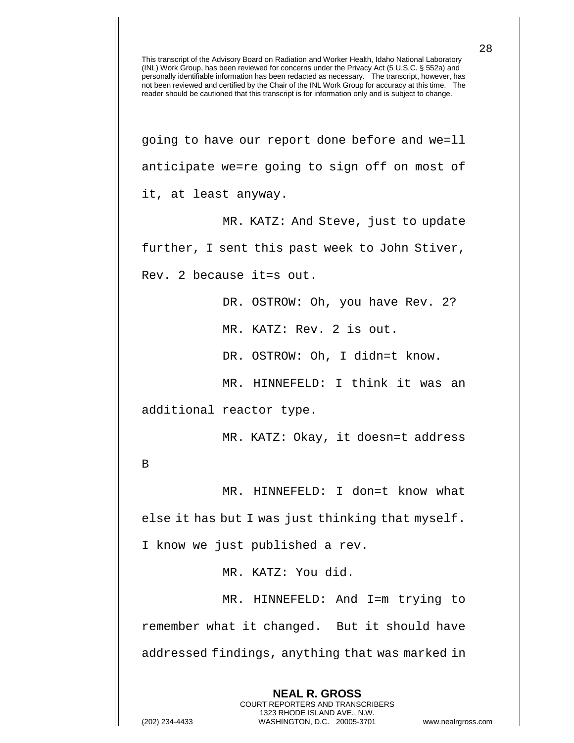This transcript of the Advisory Board on Radiation and Worker Health, Idaho National Laboratory (INL) Work Group, has been reviewed for concerns under the Privacy Act (5 U.S.C. § 552a) and personally identifiable information has been redacted as necessary. The transcript, however, has not been reviewed and certified by the Chair of the INL Work Group for accuracy at this time. The reader should be cautioned that this transcript is for information only and is subject to change. going to have our report done before and we=ll anticipate we=re going to sign off on most of it, at least anyway. MR. KATZ: And Steve, just to update further, I sent this past week to John Stiver, Rev. 2 because it=s out. DR. OSTROW: Oh, you have Rev. 2? MR. KATZ: Rev. 2 is out. DR. OSTROW: Oh, I didn=t know. MR. HINNEFELD: I think it was an additional reactor type. MR. KATZ: Okay, it doesn=t address B MR. HINNEFELD: I don=t know what else it has but I was just thinking that myself. I know we just published a rev. MR. KATZ: You did. MR. HINNEFELD: And I=m trying to remember what it changed. But it should have addressed findings, anything that was marked in

> **NEAL R. GROSS** COURT REPORTERS AND TRANSCRIBERS 1323 RHODE ISLAND AVE., N.W.

(202) 234-4433 WASHINGTON, D.C. 20005-3701 www.nealrgross.com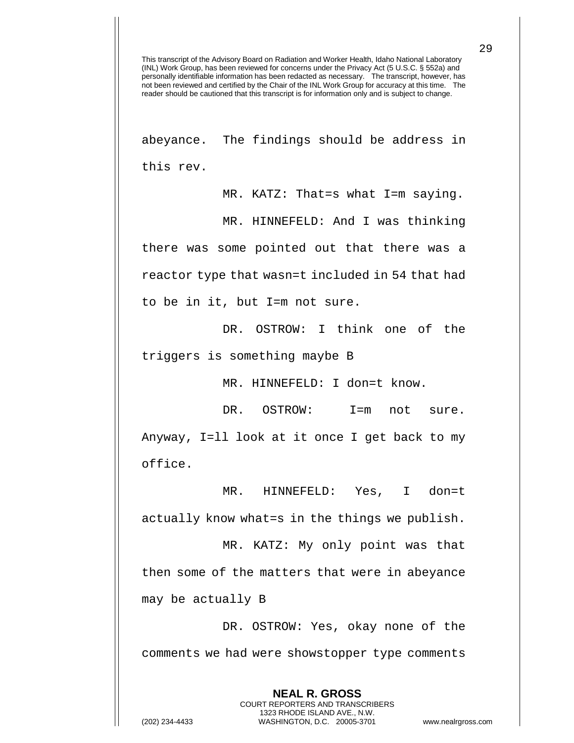abeyance. The findings should be address in this rev.

MR. KATZ: That=s what I=m saying. MR. HINNEFELD: And I was thinking there was some pointed out that there was a reactor type that wasn=t included in 54 that had to be in it, but I=m not sure.

DR. OSTROW: I think one of the triggers is something maybe B

MR. HINNEFELD: I don=t know.

DR. OSTROW: I=m not sure. Anyway, I=ll look at it once I get back to my office.

MR. HINNEFELD: Yes, I don=t actually know what=s in the things we publish. MR. KATZ: My only point was that

then some of the matters that were in abeyance may be actually B

DR. OSTROW: Yes, okay none of the comments we had were showstopper type comments

> **NEAL R. GROSS** COURT REPORTERS AND TRANSCRIBERS 1323 RHODE ISLAND AVE., N.W.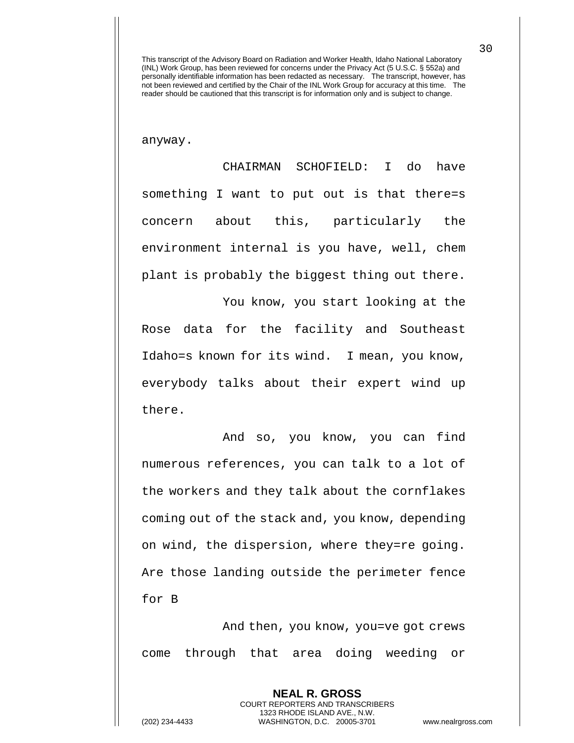anyway.

CHAIRMAN SCHOFIELD: I do have something I want to put out is that there=s concern about this, particularly the environment internal is you have, well, chem plant is probably the biggest thing out there.

You know, you start looking at the Rose data for the facility and Southeast Idaho=s known for its wind. I mean, you know, everybody talks about their expert wind up there.

And so, you know, you can find numerous references, you can talk to a lot of the workers and they talk about the cornflakes coming out of the stack and, you know, depending on wind, the dispersion, where they=re going. Are those landing outside the perimeter fence for B

And then, you know, you=ve got crews come through that area doing weeding or

> **NEAL R. GROSS** COURT REPORTERS AND TRANSCRIBERS 1323 RHODE ISLAND AVE., N.W.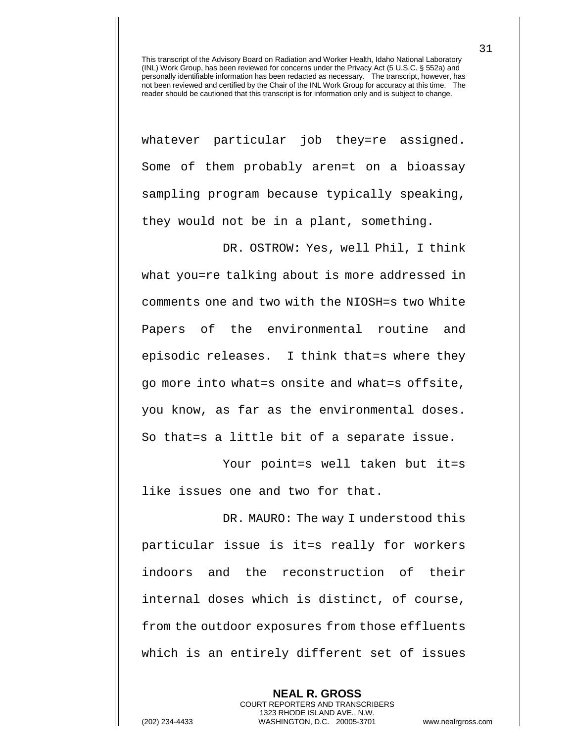whatever particular job they=re assigned. Some of them probably aren=t on a bioassay sampling program because typically speaking, they would not be in a plant, something.

DR. OSTROW: Yes, well Phil, I think what you=re talking about is more addressed in comments one and two with the NIOSH=s two White Papers of the environmental routine and episodic releases. I think that=s where they go more into what=s onsite and what=s offsite, you know, as far as the environmental doses. So that=s a little bit of a separate issue.

Your point=s well taken but it=s like issues one and two for that.

DR. MAURO: The way I understood this particular issue is it=s really for workers indoors and the reconstruction of their internal doses which is distinct, of course, from the outdoor exposures from those effluents which is an entirely different set of issues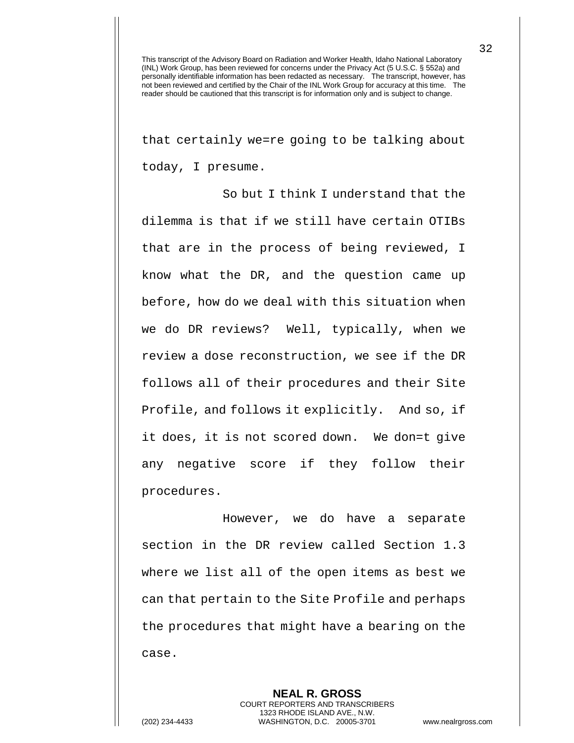that certainly we=re going to be talking about today, I presume.

So but I think I understand that the dilemma is that if we still have certain OTIBs that are in the process of being reviewed, I know what the DR, and the question came up before, how do we deal with this situation when we do DR reviews? Well, typically, when we review a dose reconstruction, we see if the DR follows all of their procedures and their Site Profile, and follows it explicitly. And so, if it does, it is not scored down. We don=t give any negative score if they follow their procedures.

However, we do have a separate section in the DR review called Section 1.3 where we list all of the open items as best we can that pertain to the Site Profile and perhaps the procedures that might have a bearing on the case.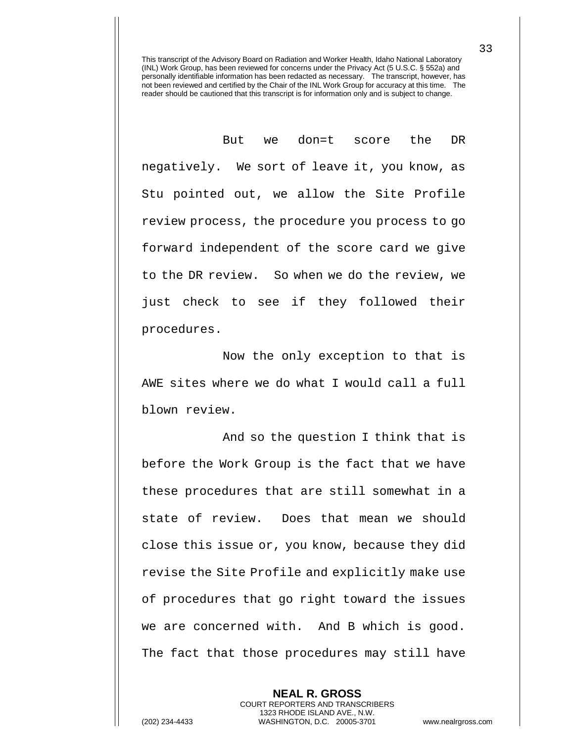But we don=t score the DR negatively. We sort of leave it, you know, as Stu pointed out, we allow the Site Profile review process, the procedure you process to go forward independent of the score card we give to the DR review. So when we do the review, we just check to see if they followed their procedures.

Now the only exception to that is AWE sites where we do what I would call a full blown review.

And so the question I think that is before the Work Group is the fact that we have these procedures that are still somewhat in a state of review. Does that mean we should close this issue or, you know, because they did revise the Site Profile and explicitly make use of procedures that go right toward the issues we are concerned with. And B which is good. The fact that those procedures may still have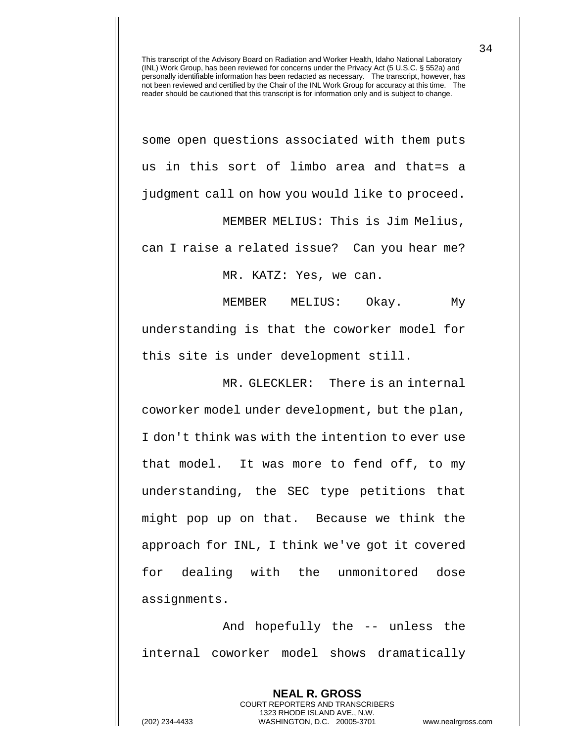some open questions associated with them puts us in this sort of limbo area and that=s a judgment call on how you would like to proceed.

MEMBER MELIUS: This is Jim Melius, can I raise a related issue? Can you hear me?

MR. KATZ: Yes, we can.

MEMBER MELIUS: Okay. My understanding is that the coworker model for this site is under development still.

MR. GLECKLER: There is an internal coworker model under development, but the plan, I don't think was with the intention to ever use that model. It was more to fend off, to my understanding, the SEC type petitions that might pop up on that. Because we think the approach for INL, I think we've got it covered for dealing with the unmonitored dose assignments.

And hopefully the -- unless the internal coworker model shows dramatically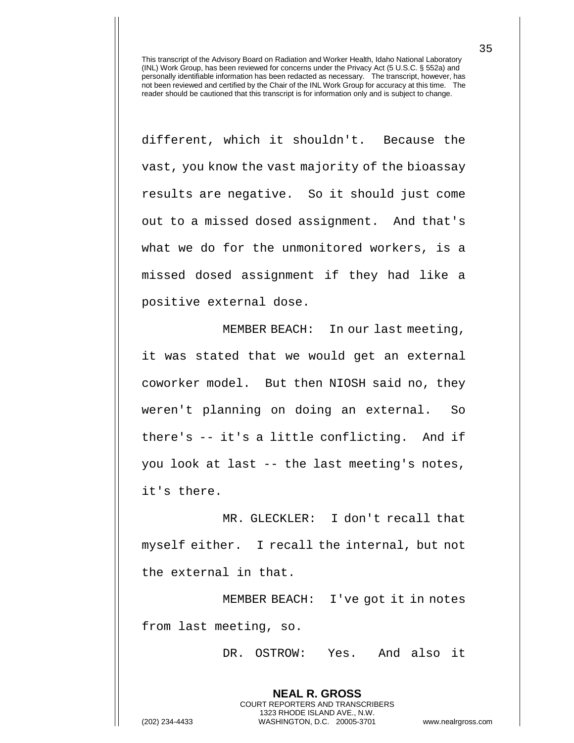different, which it shouldn't. Because the vast, you know the vast majority of the bioassay results are negative. So it should just come out to a missed dosed assignment. And that's what we do for the unmonitored workers, is a missed dosed assignment if they had like a positive external dose.

MEMBER BEACH: In our last meeting, it was stated that we would get an external coworker model. But then NIOSH said no, they weren't planning on doing an external. So there's -- it's a little conflicting. And if you look at last -- the last meeting's notes, it's there.

MR. GLECKLER: I don't recall that myself either. I recall the internal, but not the external in that.

MEMBER BEACH: I've got it in notes from last meeting, so.

> **NEAL R. GROSS** COURT REPORTERS AND TRANSCRIBERS 1323 RHODE ISLAND AVE., N.W.

DR. OSTROW: Yes. And also it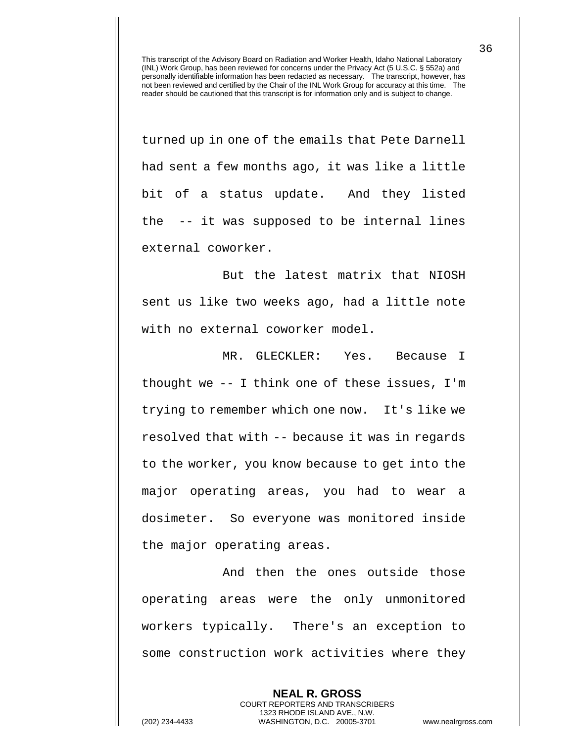turned up in one of the emails that Pete Darnell had sent a few months ago, it was like a little bit of a status update. And they listed the -- it was supposed to be internal lines external coworker.

But the latest matrix that NIOSH sent us like two weeks ago, had a little note with no external coworker model.

MR. GLECKLER: Yes. Because I thought we -- I think one of these issues, I'm trying to remember which one now. It's like we resolved that with -- because it was in regards to the worker, you know because to get into the major operating areas, you had to wear a dosimeter. So everyone was monitored inside the major operating areas.

And then the ones outside those operating areas were the only unmonitored workers typically. There's an exception to some construction work activities where they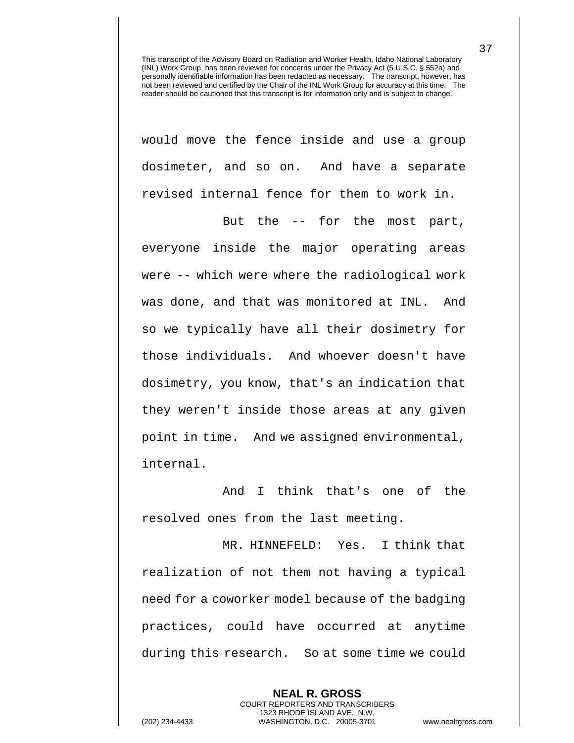would move the fence inside and use a group dosimeter, and so on. And have a separate revised internal fence for them to work in.

But the -- for the most part, everyone inside the major operating areas were -- which were where the radiological work was done, and that was monitored at INL. And so we typically have all their dosimetry for those individuals. And whoever doesn't have dosimetry, you know, that's an indication that they weren't inside those areas at any given point in time. And we assigned environmental, internal.

And I think that's one of the resolved ones from the last meeting.

MR. HINNEFELD: Yes. I think that realization of not them not having a typical need for a coworker model because of the badging practices, could have occurred at anytime during this research. So at some time we could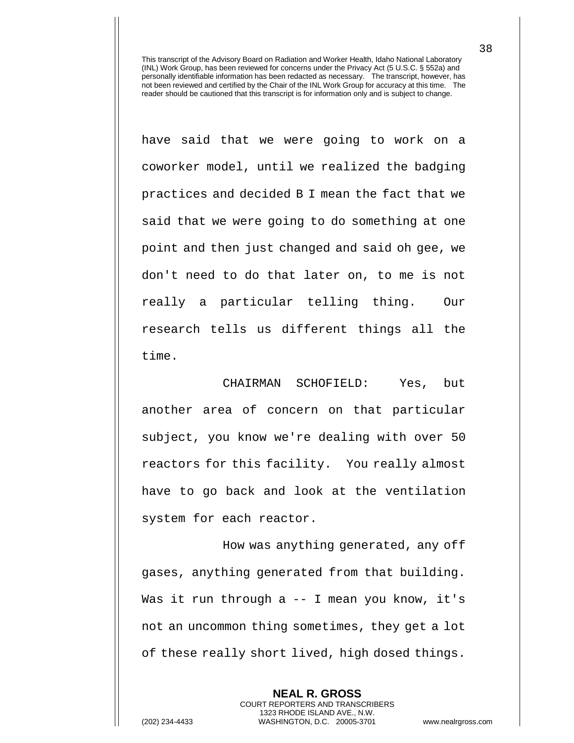have said that we were going to work on a coworker model, until we realized the badging practices and decided B I mean the fact that we said that we were going to do something at one point and then just changed and said oh gee, we don't need to do that later on, to me is not really a particular telling thing. Our research tells us different things all the time.

CHAIRMAN SCHOFIELD: Yes, but another area of concern on that particular subject, you know we're dealing with over 50 reactors for this facility. You really almost have to go back and look at the ventilation system for each reactor.

How was anything generated, any off gases, anything generated from that building. Was it run through a -- I mean you know, it's not an uncommon thing sometimes, they get a lot of these really short lived, high dosed things.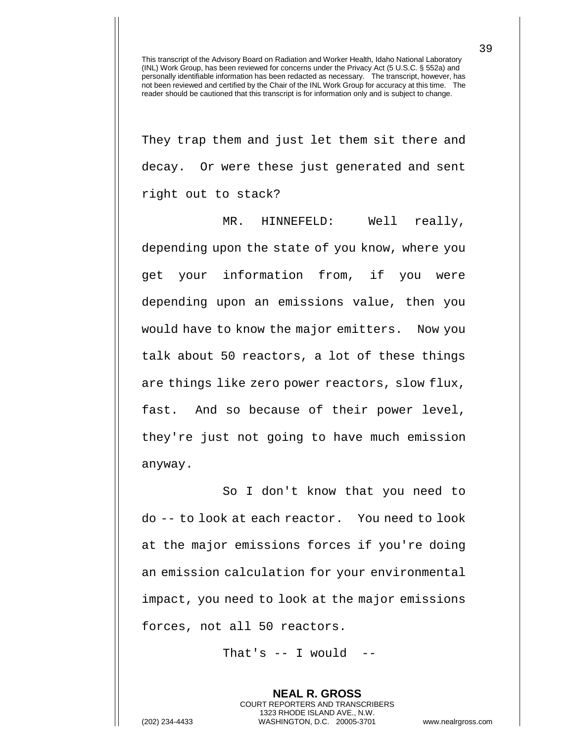They trap them and just let them sit there and decay. Or were these just generated and sent right out to stack?

MR. HINNEFELD: Well really, depending upon the state of you know, where you get your information from, if you were depending upon an emissions value, then you would have to know the major emitters. Now you talk about 50 reactors, a lot of these things are things like zero power reactors, slow flux, fast. And so because of their power level, they're just not going to have much emission anyway.

So I don't know that you need to do -- to look at each reactor. You need to look at the major emissions forces if you're doing an emission calculation for your environmental impact, you need to look at the major emissions forces, not all 50 reactors.

That's  $--$  I would  $--$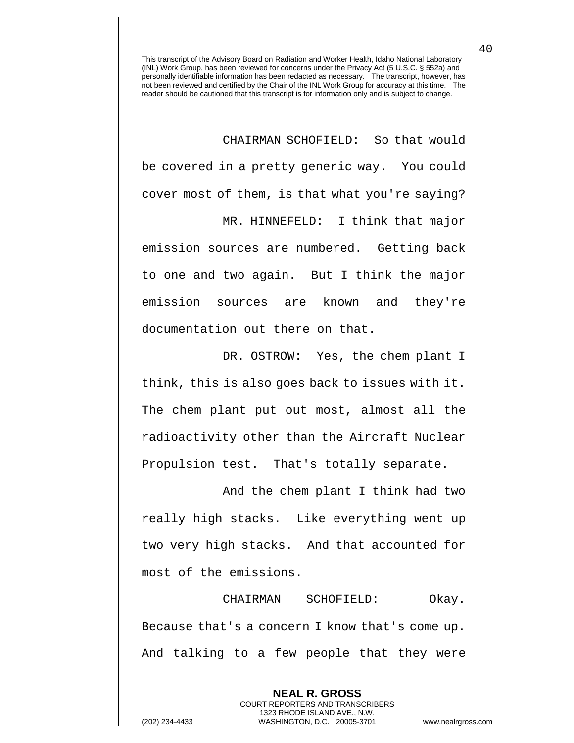CHAIRMAN SCHOFIELD: So that would be covered in a pretty generic way. You could cover most of them, is that what you're saying? MR. HINNEFELD: I think that major

emission sources are numbered. Getting back to one and two again. But I think the major emission sources are known and they're documentation out there on that.

DR. OSTROW: Yes, the chem plant I think, this is also goes back to issues with it. The chem plant put out most, almost all the radioactivity other than the Aircraft Nuclear Propulsion test. That's totally separate.

And the chem plant I think had two really high stacks. Like everything went up two very high stacks. And that accounted for most of the emissions.

CHAIRMAN SCHOFIELD: Okay. Because that's a concern I know that's come up. And talking to a few people that they were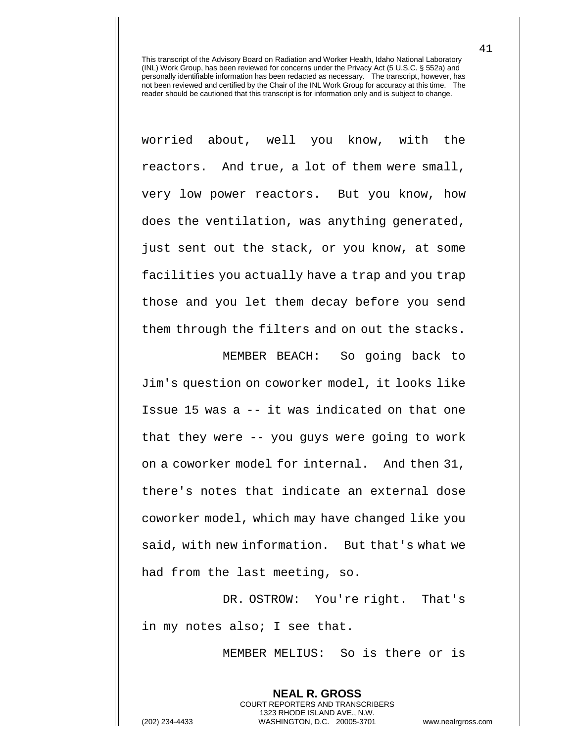worried about, well you know, with the reactors. And true, a lot of them were small, very low power reactors. But you know, how does the ventilation, was anything generated, just sent out the stack, or you know, at some facilities you actually have a trap and you trap those and you let them decay before you send them through the filters and on out the stacks.

MEMBER BEACH: So going back to Jim's question on coworker model, it looks like Issue 15 was a -- it was indicated on that one that they were -- you guys were going to work on a coworker model for internal. And then 31, there's notes that indicate an external dose coworker model, which may have changed like you said, with new information. But that's what we had from the last meeting, so.

DR. OSTROW: You're right. That's in my notes also; I see that.

> **NEAL R. GROSS** COURT REPORTERS AND TRANSCRIBERS 1323 RHODE ISLAND AVE., N.W.

MEMBER MELIUS: So is there or is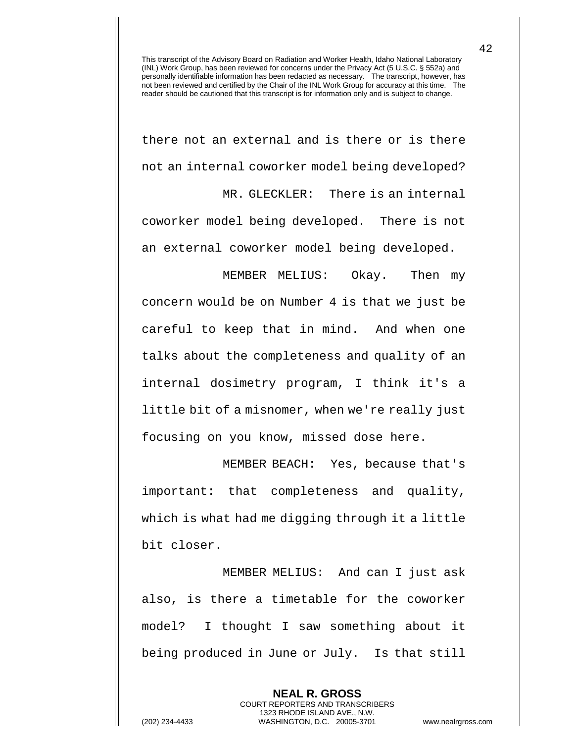there not an external and is there or is there not an internal coworker model being developed? MR. GLECKLER: There is an internal coworker model being developed. There is not an external coworker model being developed.

MEMBER MELIUS: Okay. Then my concern would be on Number 4 is that we just be careful to keep that in mind. And when one talks about the completeness and quality of an internal dosimetry program, I think it's a little bit of a misnomer, when we're really just focusing on you know, missed dose here.

MEMBER BEACH: Yes, because that's important: that completeness and quality, which is what had me digging through it a little bit closer.

MEMBER MELIUS: And can I just ask also, is there a timetable for the coworker model? I thought I saw something about it being produced in June or July. Is that still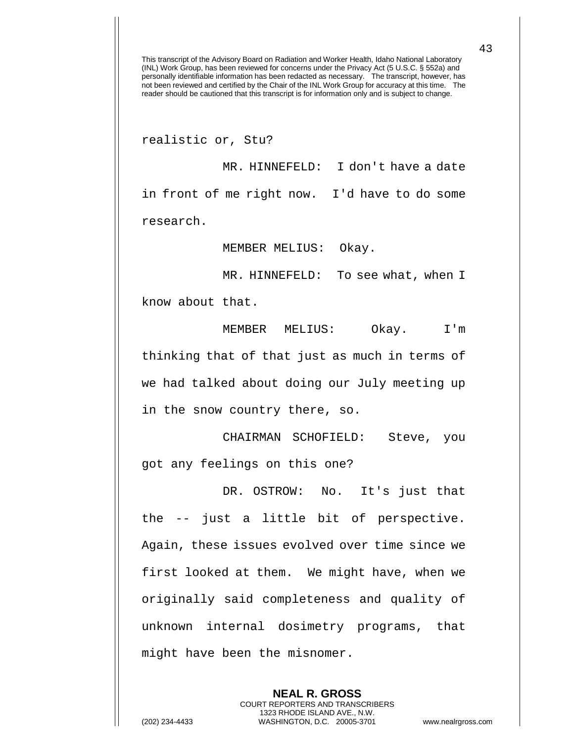realistic or, Stu?

MR. HINNEFELD: I don't have a date in front of me right now. I'd have to do some research.

MEMBER MELIUS: Okay.

MR. HINNEFELD: To see what, when I

know about that.

MEMBER MELIUS: Okay. I'm thinking that of that just as much in terms of we had talked about doing our July meeting up in the snow country there, so.

CHAIRMAN SCHOFIELD: Steve, you got any feelings on this one?

DR. OSTROW: No. It's just that the -- just a little bit of perspective. Again, these issues evolved over time since we first looked at them. We might have, when we originally said completeness and quality of unknown internal dosimetry programs, that might have been the misnomer.

> **NEAL R. GROSS** COURT REPORTERS AND TRANSCRIBERS 1323 RHODE ISLAND AVE., N.W.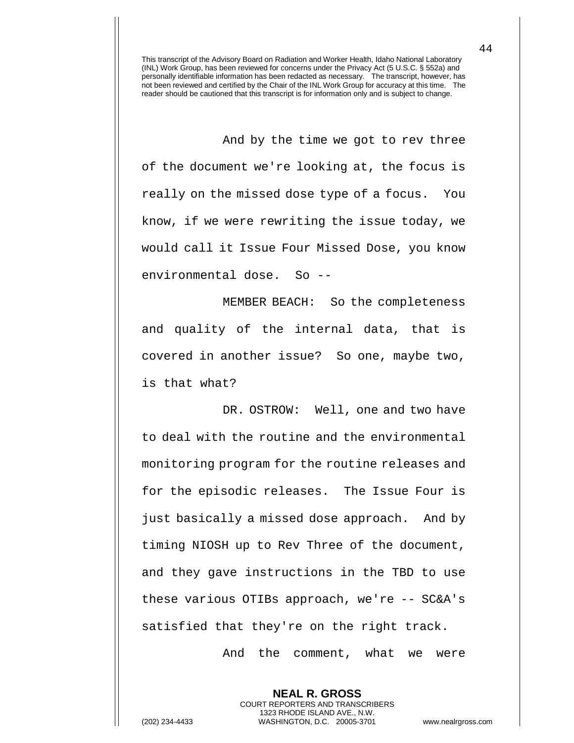And by the time we got to rev three of the document we're looking at, the focus is really on the missed dose type of a focus. You know, if we were rewriting the issue today, we would call it Issue Four Missed Dose, you know environmental dose. So --

MEMBER BEACH: So the completeness and quality of the internal data, that is covered in another issue? So one, maybe two, is that what?

DR. OSTROW: Well, one and two have to deal with the routine and the environmental monitoring program for the routine releases and for the episodic releases. The Issue Four is just basically a missed dose approach. And by timing NIOSH up to Rev Three of the document, and they gave instructions in the TBD to use these various OTIBs approach, we're -- SC&A's satisfied that they're on the right track.

And the comment, what we were

**NEAL R. GROSS** COURT REPORTERS AND TRANSCRIBERS 1323 RHODE ISLAND AVE., N.W.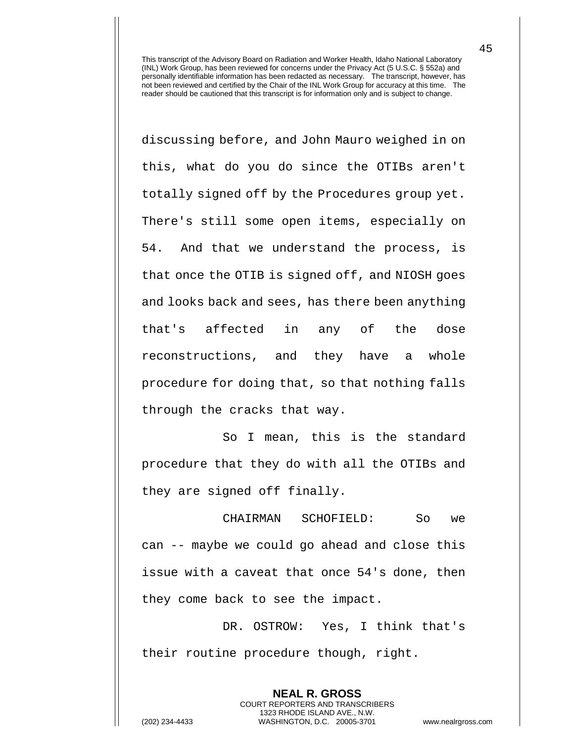discussing before, and John Mauro weighed in on this, what do you do since the OTIBs aren't totally signed off by the Procedures group yet. There's still some open items, especially on 54. And that we understand the process, is that once the OTIB is signed off, and NIOSH goes and looks back and sees, has there been anything that's affected in any of the dose reconstructions, and they have a whole procedure for doing that, so that nothing falls through the cracks that way.

So I mean, this is the standard procedure that they do with all the OTIBs and they are signed off finally.

CHAIRMAN SCHOFIELD: So we can -- maybe we could go ahead and close this issue with a caveat that once 54's done, then they come back to see the impact.

DR. OSTROW: Yes, I think that's their routine procedure though, right.

> **NEAL R. GROSS** COURT REPORTERS AND TRANSCRIBERS 1323 RHODE ISLAND AVE., N.W.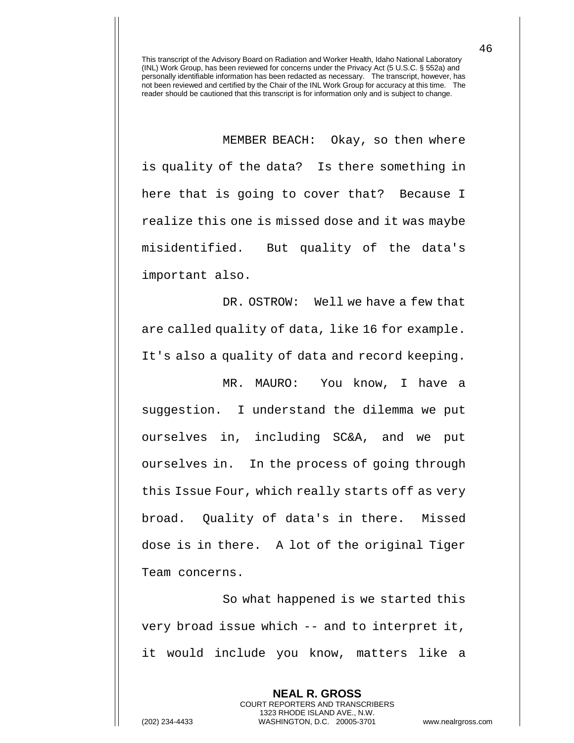MEMBER BEACH: Okay, so then where is quality of the data? Is there something in here that is going to cover that? Because I realize this one is missed dose and it was maybe misidentified. But quality of the data's important also.

DR. OSTROW: Well we have a few that are called quality of data, like 16 for example. It's also a quality of data and record keeping.

MR. MAURO: You know, I have a suggestion. I understand the dilemma we put ourselves in, including SC&A, and we put ourselves in. In the process of going through this Issue Four, which really starts off as very broad. Quality of data's in there. Missed dose is in there. A lot of the original Tiger Team concerns.

So what happened is we started this very broad issue which -- and to interpret it, it would include you know, matters like a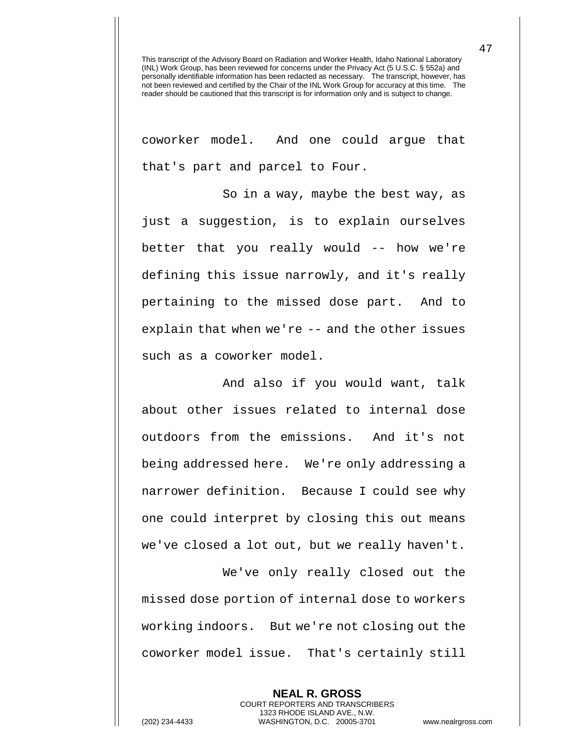coworker model. And one could argue that that's part and parcel to Four.

So in a way, maybe the best way, as just a suggestion, is to explain ourselves better that you really would -- how we're defining this issue narrowly, and it's really pertaining to the missed dose part. And to explain that when we're -- and the other issues such as a coworker model.

And also if you would want, talk about other issues related to internal dose outdoors from the emissions. And it's not being addressed here. We're only addressing a narrower definition. Because I could see why one could interpret by closing this out means we've closed a lot out, but we really haven't.

We've only really closed out the missed dose portion of internal dose to workers working indoors. But we're not closing out the coworker model issue. That's certainly still

**NEAL R. GROSS**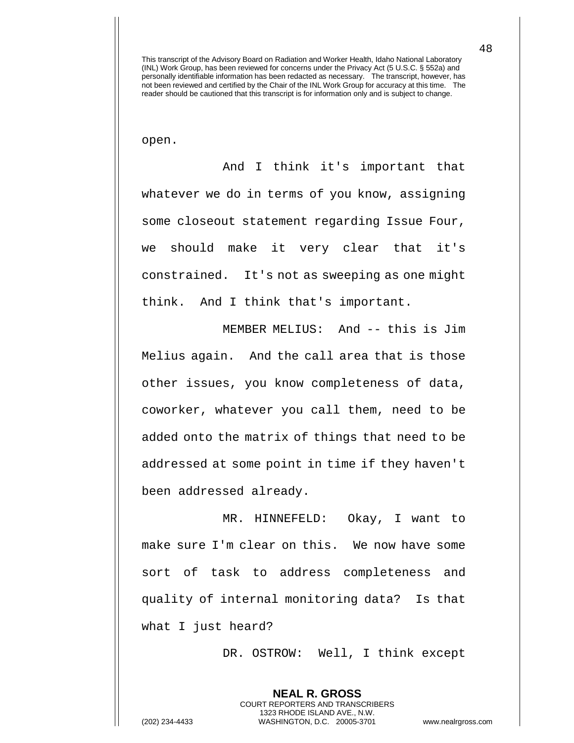open.

And I think it's important that whatever we do in terms of you know, assigning some closeout statement regarding Issue Four, we should make it very clear that it's constrained. It's not as sweeping as one might think. And I think that's important.

MEMBER MELIUS: And -- this is Jim Melius again. And the call area that is those other issues, you know completeness of data, coworker, whatever you call them, need to be added onto the matrix of things that need to be addressed at some point in time if they haven't been addressed already.

MR. HINNEFELD: Okay, I want to make sure I'm clear on this. We now have some sort of task to address completeness and quality of internal monitoring data? Is that what I just heard?

DR. OSTROW: Well, I think except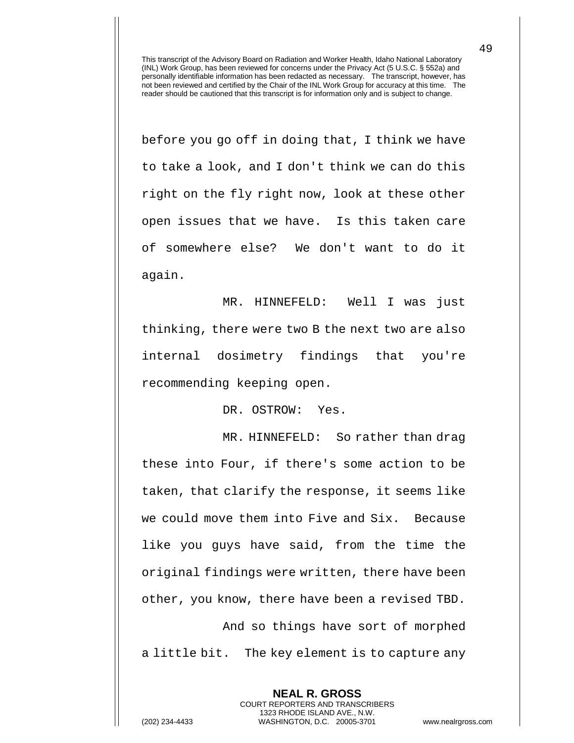before you go off in doing that, I think we have to take a look, and I don't think we can do this right on the fly right now, look at these other open issues that we have. Is this taken care of somewhere else? We don't want to do it again.

MR. HINNEFELD: Well I was just thinking, there were two B the next two are also internal dosimetry findings that you're recommending keeping open.

DR. OSTROW: Yes.

MR. HINNEFELD: So rather than drag these into Four, if there's some action to be taken, that clarify the response, it seems like we could move them into Five and Six. Because like you guys have said, from the time the original findings were written, there have been other, you know, there have been a revised TBD. And so things have sort of morphed

a little bit. The key element is to capture any

**NEAL R. GROSS** COURT REPORTERS AND TRANSCRIBERS 1323 RHODE ISLAND AVE., N.W.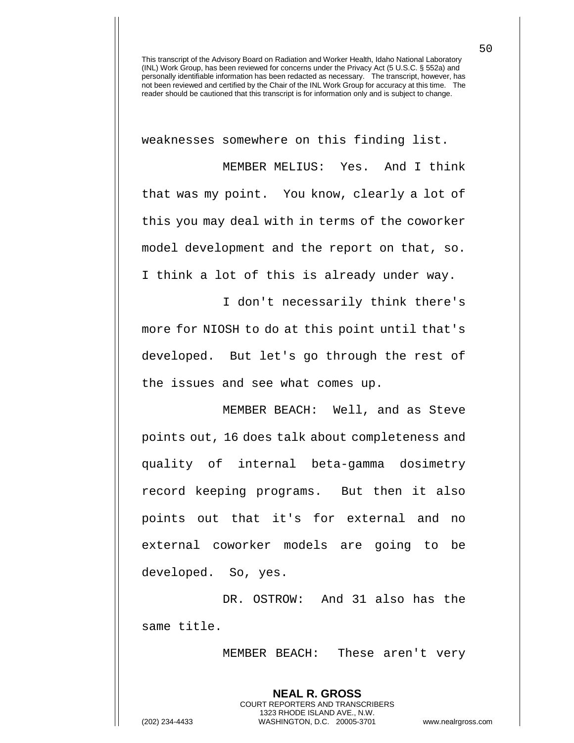weaknesses somewhere on this finding list.

MEMBER MELIUS: Yes. And I think that was my point. You know, clearly a lot of this you may deal with in terms of the coworker model development and the report on that, so. I think a lot of this is already under way.

I don't necessarily think there's more for NIOSH to do at this point until that's developed. But let's go through the rest of the issues and see what comes up.

MEMBER BEACH: Well, and as Steve points out, 16 does talk about completeness and quality of internal beta-gamma dosimetry record keeping programs. But then it also points out that it's for external and no external coworker models are going to be developed. So, yes.

DR. OSTROW: And 31 also has the same title.

> **NEAL R. GROSS** COURT REPORTERS AND TRANSCRIBERS 1323 RHODE ISLAND AVE., N.W.

MEMBER BEACH: These aren't very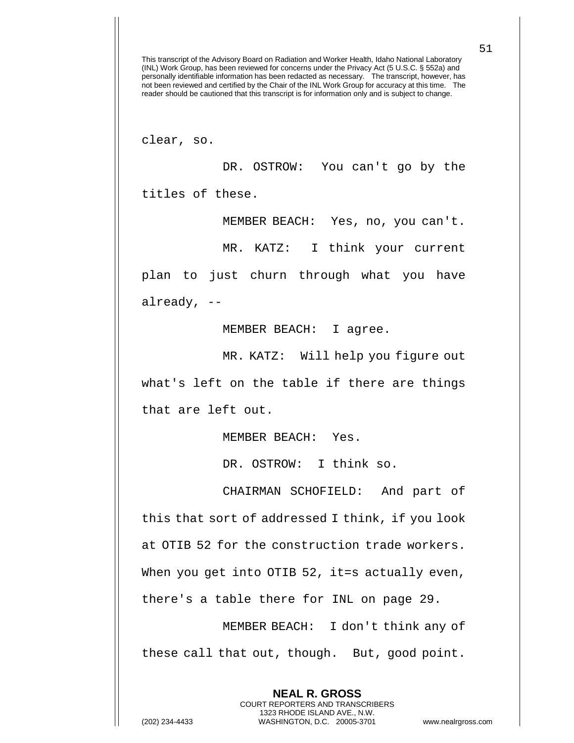clear, so.

DR. OSTROW: You can't go by the titles of these.

MEMBER BEACH: Yes, no, you can't.

MR. KATZ: I think your current

plan to just churn through what you have already, --

MEMBER BEACH: I agree.

MR. KATZ: Will help you figure out what's left on the table if there are things that are left out.

MEMBER BEACH: Yes.

DR. OSTROW: I think so.

CHAIRMAN SCHOFIELD: And part of this that sort of addressed I think, if you look at OTIB 52 for the construction trade workers. When you get into OTIB 52, it=s actually even, there's a table there for INL on page 29.

MEMBER BEACH: I don't think any of these call that out, though. But, good point.

> **NEAL R. GROSS** COURT REPORTERS AND TRANSCRIBERS 1323 RHODE ISLAND AVE., N.W.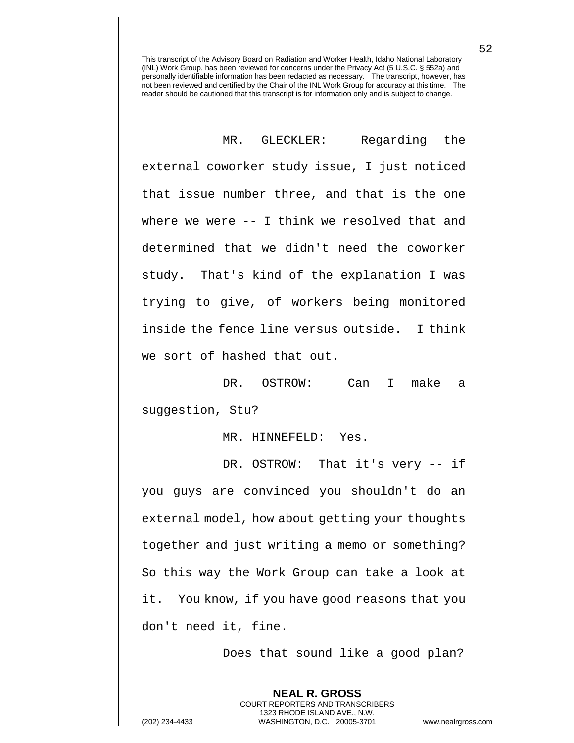MR. GLECKLER: Regarding the external coworker study issue, I just noticed that issue number three, and that is the one where we were -- I think we resolved that and determined that we didn't need the coworker study. That's kind of the explanation I was trying to give, of workers being monitored inside the fence line versus outside. I think we sort of hashed that out.

DR. OSTROW: Can I make a suggestion, Stu?

MR. HINNEFELD: Yes.

DR. OSTROW: That it's very -- if you guys are convinced you shouldn't do an external model, how about getting your thoughts together and just writing a memo or something? So this way the Work Group can take a look at it. You know, if you have good reasons that you don't need it, fine.

Does that sound like a good plan?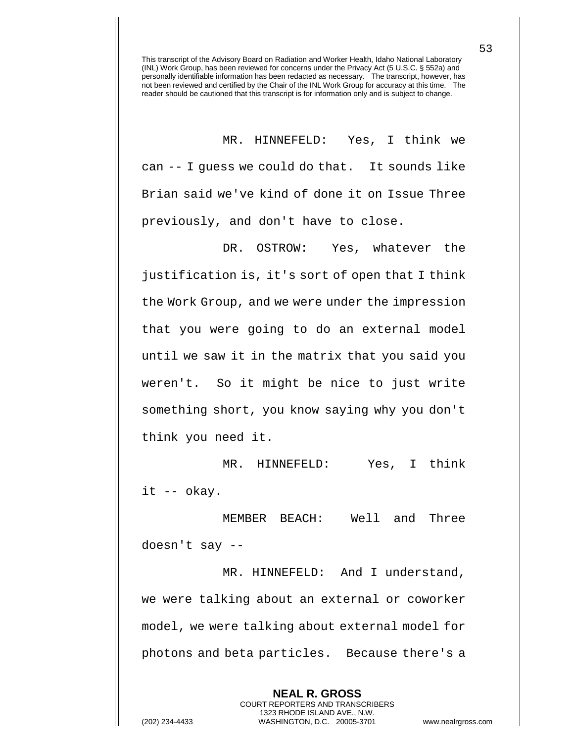MR. HINNEFELD: Yes, I think we can -- I guess we could do that. It sounds like Brian said we've kind of done it on Issue Three previously, and don't have to close.

DR. OSTROW: Yes, whatever the justification is, it's sort of open that I think the Work Group, and we were under the impression that you were going to do an external model until we saw it in the matrix that you said you weren't. So it might be nice to just write something short, you know saying why you don't think you need it.

MR. HINNEFELD: Yes, I think it -- okay.

MEMBER BEACH: Well and Three doesn't say --

MR. HINNEFELD: And I understand, we were talking about an external or coworker model, we were talking about external model for photons and beta particles. Because there's a

> **NEAL R. GROSS** COURT REPORTERS AND TRANSCRIBERS 1323 RHODE ISLAND AVE., N.W.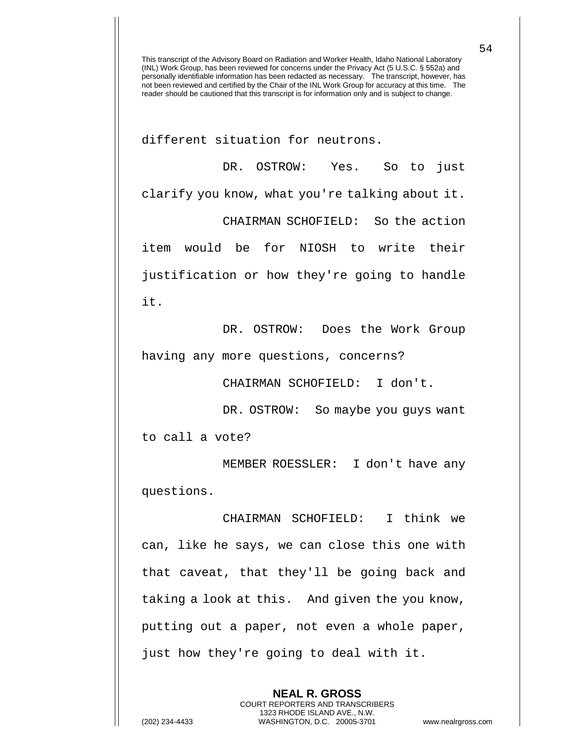different situation for neutrons.

DR. OSTROW: Yes. So to just clarify you know, what you're talking about it. CHAIRMAN SCHOFIELD: So the action item would be for NIOSH to write their justification or how they're going to handle it.

DR. OSTROW: Does the Work Group having any more questions, concerns?

CHAIRMAN SCHOFIELD: I don't.

DR. OSTROW: So maybe you quys want

to call a vote?

MEMBER ROESSLER: I don't have any questions.

CHAIRMAN SCHOFIELD: I think we can, like he says, we can close this one with that caveat, that they'll be going back and taking a look at this. And given the you know, putting out a paper, not even a whole paper, just how they're going to deal with it.

> **NEAL R. GROSS** COURT REPORTERS AND TRANSCRIBERS 1323 RHODE ISLAND AVE., N.W.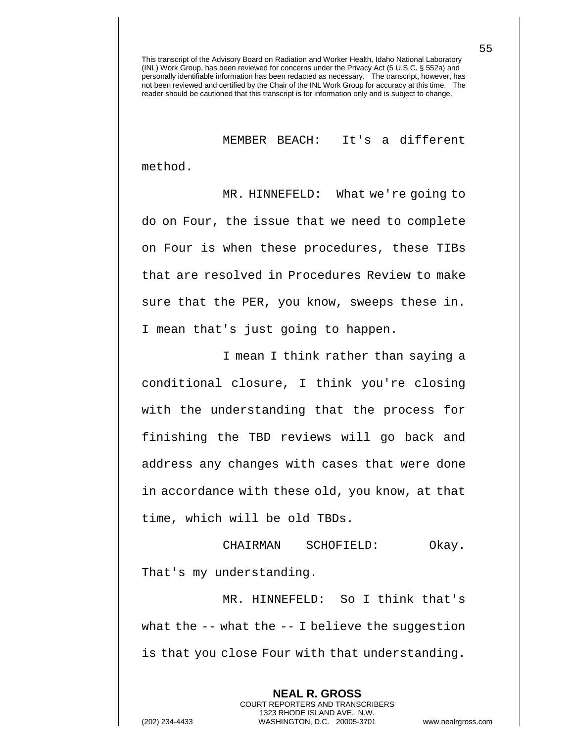MEMBER BEACH: It's a different

method.

MR. HINNEFELD: What we're going to do on Four, the issue that we need to complete on Four is when these procedures, these TIBs that are resolved in Procedures Review to make sure that the PER, you know, sweeps these in. I mean that's just going to happen.

I mean I think rather than saying a conditional closure, I think you're closing with the understanding that the process for finishing the TBD reviews will go back and address any changes with cases that were done in accordance with these old, you know, at that time, which will be old TBDs.

CHAIRMAN SCHOFIELD: Okay. That's my understanding.

MR. HINNEFELD: So I think that's what the  $-$ - what the  $-$ - I believe the suggestion is that you close Four with that understanding.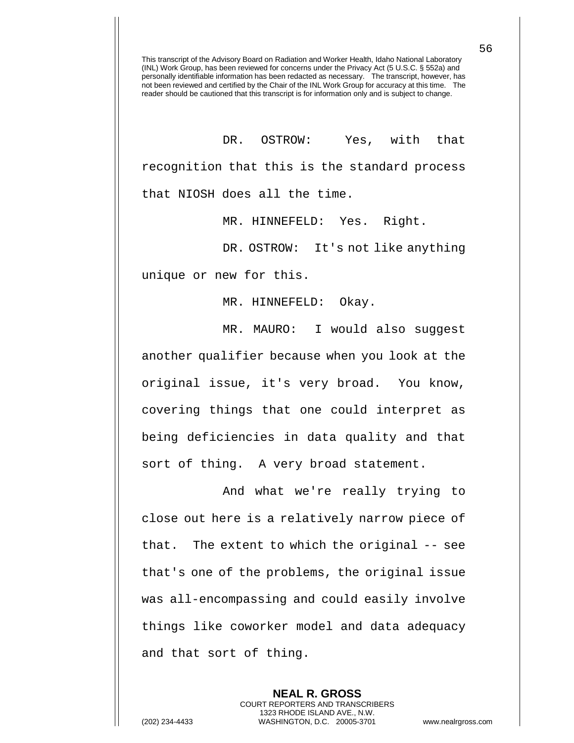DR. OSTROW: Yes, with that recognition that this is the standard process that NIOSH does all the time.

MR. HINNEFELD: Yes. Right.

DR. OSTROW: It's not like anything unique or new for this.

MR. HINNEFELD: Okay.

MR. MAURO: I would also suggest another qualifier because when you look at the original issue, it's very broad. You know, covering things that one could interpret as being deficiencies in data quality and that sort of thing. A very broad statement.

And what we're really trying to close out here is a relatively narrow piece of that. The extent to which the original -- see that's one of the problems, the original issue was all-encompassing and could easily involve things like coworker model and data adequacy and that sort of thing.

**NEAL R. GROSS** COURT REPORTERS AND TRANSCRIBERS 1323 RHODE ISLAND AVE., N.W. (202) 234-4433 WASHINGTON, D.C. 20005-3701 www.nealrgross.com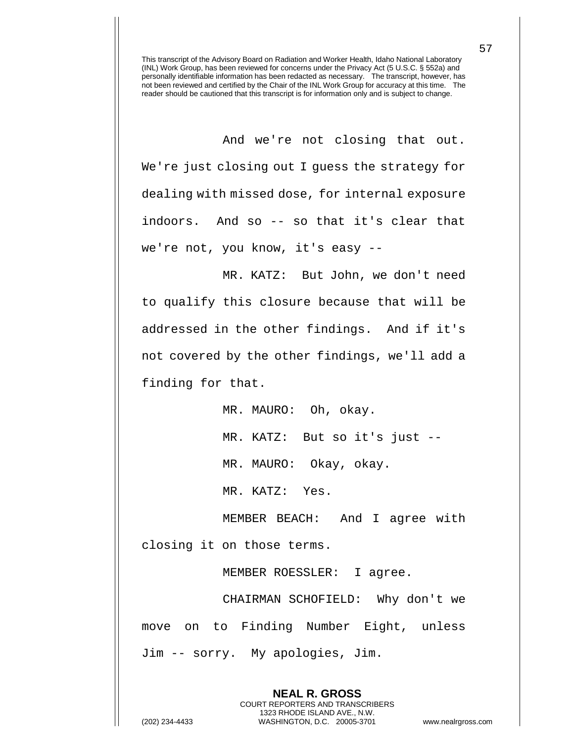And we're not closing that out. We're just closing out I guess the strategy for dealing with missed dose, for internal exposure indoors. And so -- so that it's clear that we're not, you know, it's easy --

MR. KATZ: But John, we don't need to qualify this closure because that will be addressed in the other findings. And if it's not covered by the other findings, we'll add a finding for that.

MR. MAURO: Oh, okay.

MR. KATZ: But so it's just --

MR. MAURO: Okay, okay.

MR. KATZ: Yes.

MEMBER BEACH: And I agree with closing it on those terms.

MEMBER ROESSLER: I agree.

**NEAL R. GROSS** COURT REPORTERS AND TRANSCRIBERS 1323 RHODE ISLAND AVE., N.W.

CHAIRMAN SCHOFIELD: Why don't we move on to Finding Number Eight, unless Jim -- sorry. My apologies, Jim.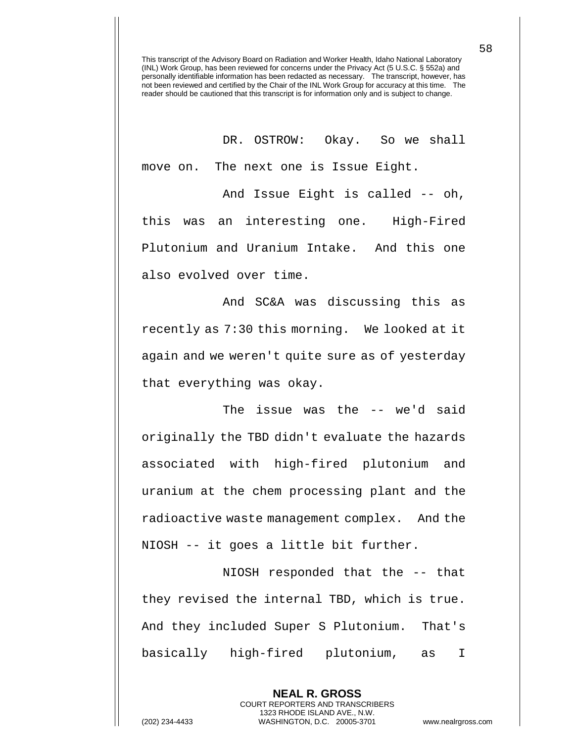DR. OSTROW: Okay. So we shall move on. The next one is Issue Eight. And Issue Eight is called -- oh,

this was an interesting one. High-Fired Plutonium and Uranium Intake. And this one also evolved over time.

And SC&A was discussing this as recently as 7:30 this morning. We looked at it again and we weren't quite sure as of yesterday that everything was okay.

The issue was the -- we'd said originally the TBD didn't evaluate the hazards associated with high-fired plutonium and uranium at the chem processing plant and the radioactive waste management complex. And the NIOSH -- it goes a little bit further.

NIOSH responded that the -- that they revised the internal TBD, which is true. And they included Super S Plutonium. That's basically high-fired plutonium, as I

> **NEAL R. GROSS** COURT REPORTERS AND TRANSCRIBERS 1323 RHODE ISLAND AVE., N.W.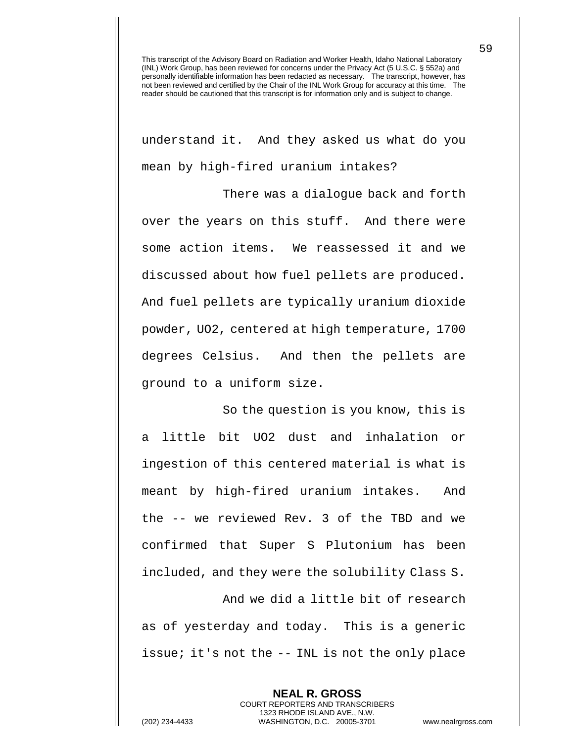understand it. And they asked us what do you mean by high-fired uranium intakes?

There was a dialogue back and forth over the years on this stuff. And there were some action items. We reassessed it and we discussed about how fuel pellets are produced. And fuel pellets are typically uranium dioxide powder, UO2, centered at high temperature, 1700 degrees Celsius. And then the pellets are ground to a uniform size.

So the question is you know, this is a little bit UO2 dust and inhalation or ingestion of this centered material is what is meant by high-fired uranium intakes. And the -- we reviewed Rev. 3 of the TBD and we confirmed that Super S Plutonium has been included, and they were the solubility Class S.

And we did a little bit of research as of yesterday and today. This is a generic issue; it's not the -- INL is not the only place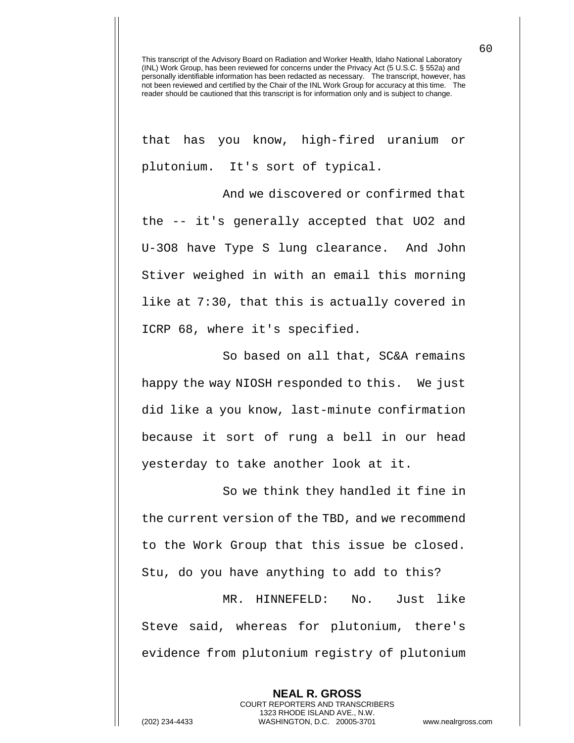that has you know, high-fired uranium or plutonium. It's sort of typical.

And we discovered or confirmed that the -- it's generally accepted that UO2 and U-3O8 have Type S lung clearance. And John Stiver weighed in with an email this morning like at 7:30, that this is actually covered in ICRP 68, where it's specified.

So based on all that, SC&A remains happy the way NIOSH responded to this. We just did like a you know, last-minute confirmation because it sort of rung a bell in our head yesterday to take another look at it.

So we think they handled it fine in the current version of the TBD, and we recommend to the Work Group that this issue be closed. Stu, do you have anything to add to this?

MR. HINNEFELD: No. Just like Steve said, whereas for plutonium, there's evidence from plutonium registry of plutonium

> **NEAL R. GROSS** COURT REPORTERS AND TRANSCRIBERS 1323 RHODE ISLAND AVE., N.W.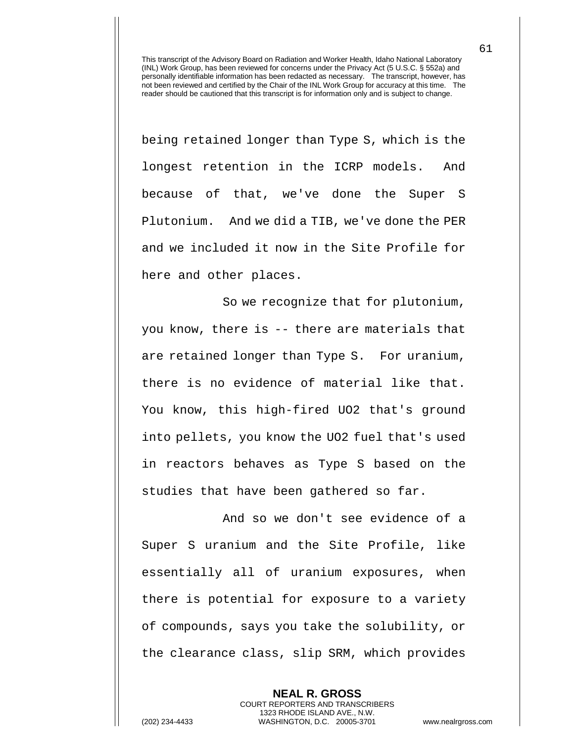being retained longer than Type S, which is the longest retention in the ICRP models. And because of that, we've done the Super S Plutonium. And we did a TIB, we've done the PER and we included it now in the Site Profile for here and other places.

So we recognize that for plutonium, you know, there is -- there are materials that are retained longer than Type S. For uranium, there is no evidence of material like that. You know, this high-fired UO2 that's ground into pellets, you know the UO2 fuel that's used in reactors behaves as Type S based on the studies that have been gathered so far.

And so we don't see evidence of a Super S uranium and the Site Profile, like essentially all of uranium exposures, when there is potential for exposure to a variety of compounds, says you take the solubility, or the clearance class, slip SRM, which provides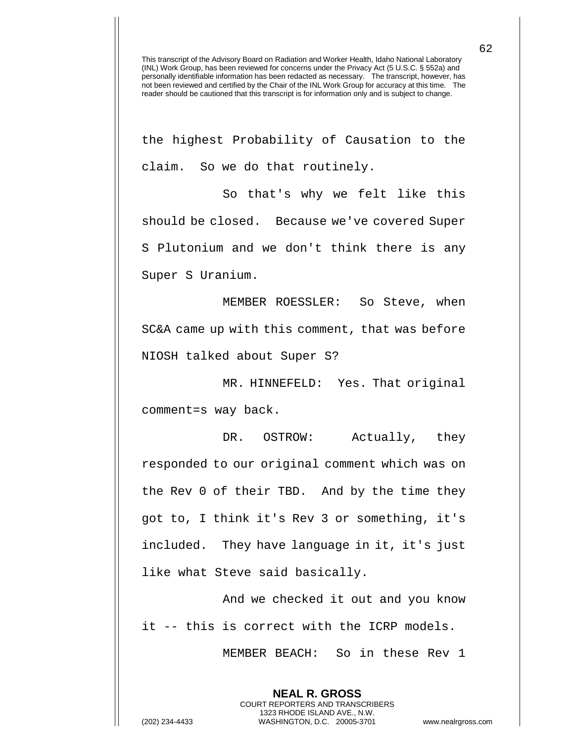the highest Probability of Causation to the claim. So we do that routinely.

So that's why we felt like this should be closed. Because we've covered Super S Plutonium and we don't think there is any Super S Uranium.

MEMBER ROESSLER: So Steve, when SC&A came up with this comment, that was before NIOSH talked about Super S?

MR. HINNEFELD: Yes. That original comment=s way back.

DR. OSTROW: Actually, they responded to our original comment which was on the Rev 0 of their TBD. And by the time they got to, I think it's Rev 3 or something, it's included. They have language in it, it's just like what Steve said basically.

And we checked it out and you know it -- this is correct with the ICRP models.

> **NEAL R. GROSS** COURT REPORTERS AND TRANSCRIBERS 1323 RHODE ISLAND AVE., N.W.

MEMBER BEACH: So in these Rev 1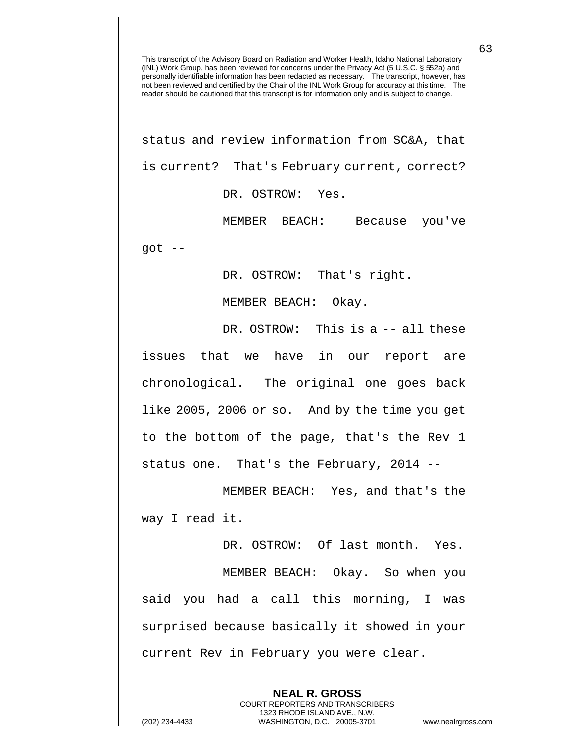status and review information from SC&A, that is current? That's February current, correct? DR. OSTROW: Yes.

MEMBER BEACH: Because you've  $qot$  --

DR. OSTROW: That's right.

MEMBER BEACH: Okay.

DR. OSTROW: This is a -- all these issues that we have in our report are chronological. The original one goes back like 2005, 2006 or so. And by the time you get to the bottom of the page, that's the Rev 1 status one. That's the February, 2014 --

MEMBER BEACH: Yes, and that's the way I read it.

DR. OSTROW: Of last month. Yes. MEMBER BEACH: Okay. So when you said you had a call this morning, I was surprised because basically it showed in your current Rev in February you were clear.

> **NEAL R. GROSS** COURT REPORTERS AND TRANSCRIBERS 1323 RHODE ISLAND AVE., N.W.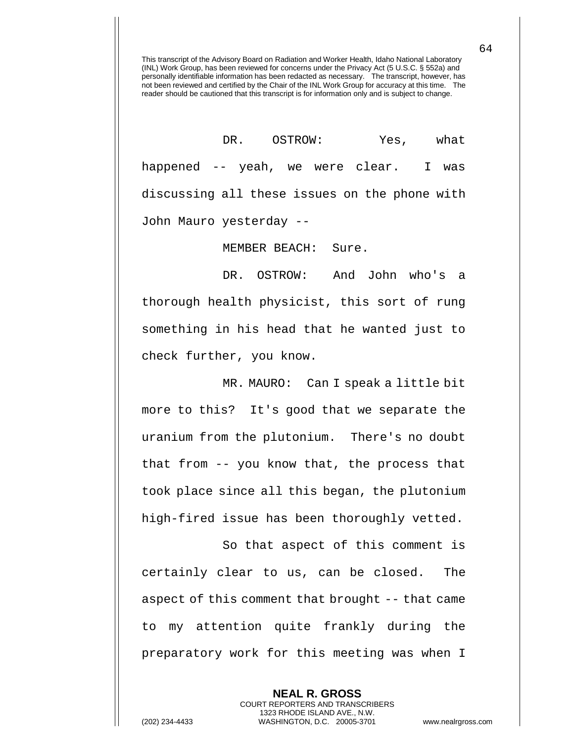DR. OSTROW: Yes, what happened -- yeah, we were clear. I was discussing all these issues on the phone with John Mauro yesterday --

MEMBER BEACH: Sure.

DR. OSTROW: And John who's a thorough health physicist, this sort of rung something in his head that he wanted just to check further, you know.

MR. MAURO: Can I speak a little bit more to this? It's good that we separate the uranium from the plutonium. There's no doubt that from -- you know that, the process that took place since all this began, the plutonium high-fired issue has been thoroughly vetted.

So that aspect of this comment is certainly clear to us, can be closed. The aspect of this comment that brought -- that came to my attention quite frankly during the preparatory work for this meeting was when I

> **NEAL R. GROSS** COURT REPORTERS AND TRANSCRIBERS 1323 RHODE ISLAND AVE., N.W.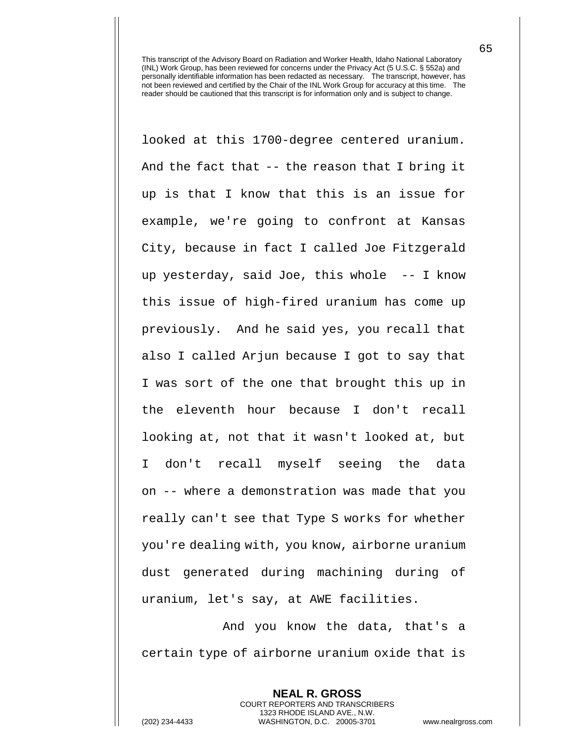looked at this 1700-degree centered uranium. And the fact that -- the reason that I bring it up is that I know that this is an issue for example, we're going to confront at Kansas City, because in fact I called Joe Fitzgerald up yesterday, said Joe, this whole -- I know this issue of high-fired uranium has come up previously. And he said yes, you recall that also I called Arjun because I got to say that I was sort of the one that brought this up in the eleventh hour because I don't recall looking at, not that it wasn't looked at, but I don't recall myself seeing the data on -- where a demonstration was made that you really can't see that Type S works for whether you're dealing with, you know, airborne uranium dust generated during machining during of uranium, let's say, at AWE facilities.

And you know the data, that's a certain type of airborne uranium oxide that is

> **NEAL R. GROSS** COURT REPORTERS AND TRANSCRIBERS 1323 RHODE ISLAND AVE., N.W.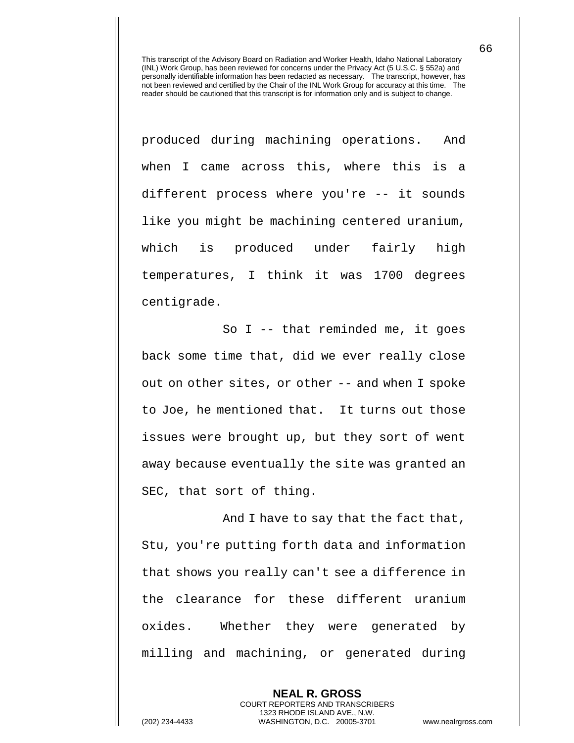produced during machining operations. And when I came across this, where this is a different process where you're -- it sounds like you might be machining centered uranium, which is produced under fairly high temperatures, I think it was 1700 degrees centigrade.

So I -- that reminded me, it goes back some time that, did we ever really close out on other sites, or other -- and when I spoke to Joe, he mentioned that. It turns out those issues were brought up, but they sort of went away because eventually the site was granted an SEC, that sort of thing.

And I have to say that the fact that, Stu, you're putting forth data and information that shows you really can't see a difference in the clearance for these different uranium oxides. Whether they were generated by milling and machining, or generated during

> **NEAL R. GROSS** COURT REPORTERS AND TRANSCRIBERS 1323 RHODE ISLAND AVE., N.W.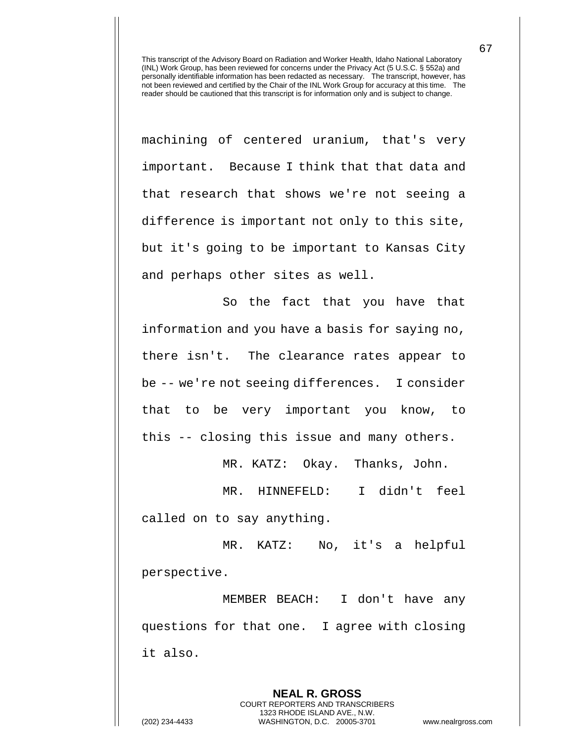machining of centered uranium, that's very important. Because I think that that data and that research that shows we're not seeing a difference is important not only to this site, but it's going to be important to Kansas City and perhaps other sites as well.

So the fact that you have that information and you have a basis for saying no, there isn't. The clearance rates appear to be -- we're not seeing differences. I consider that to be very important you know, to this -- closing this issue and many others.

MR. KATZ: Okay. Thanks, John.

MR. HINNEFELD: I didn't feel called on to say anything.

MR. KATZ: No, it's a helpful perspective.

MEMBER BEACH: I don't have any questions for that one. I agree with closing it also.

**NEAL R. GROSS** COURT REPORTERS AND TRANSCRIBERS 1323 RHODE ISLAND AVE., N.W. (202) 234-4433 WASHINGTON, D.C. 20005-3701 www.nealrgross.com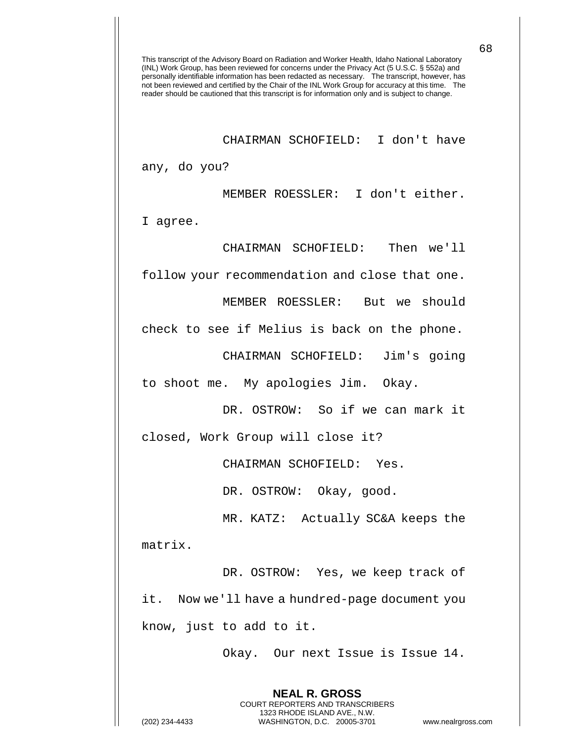CHAIRMAN SCHOFIELD: I don't have

any, do you?

MEMBER ROESSLER: I don't either.

I agree.

CHAIRMAN SCHOFIELD: Then we'll

follow your recommendation and close that one.

MEMBER ROESSLER: But we should

check to see if Melius is back on the phone.

CHAIRMAN SCHOFIELD: Jim's going

to shoot me. My apologies Jim. Okay.

DR. OSTROW: So if we can mark it

closed, Work Group will close it?

CHAIRMAN SCHOFIELD: Yes.

DR. OSTROW: Okay, good.

MR. KATZ: Actually SC&A keeps the matrix.

DR. OSTROW: Yes, we keep track of it. Now we'll have a hundred-page document you know, just to add to it.

> **NEAL R. GROSS** COURT REPORTERS AND TRANSCRIBERS 1323 RHODE ISLAND AVE., N.W.

Okay. Our next Issue is Issue 14.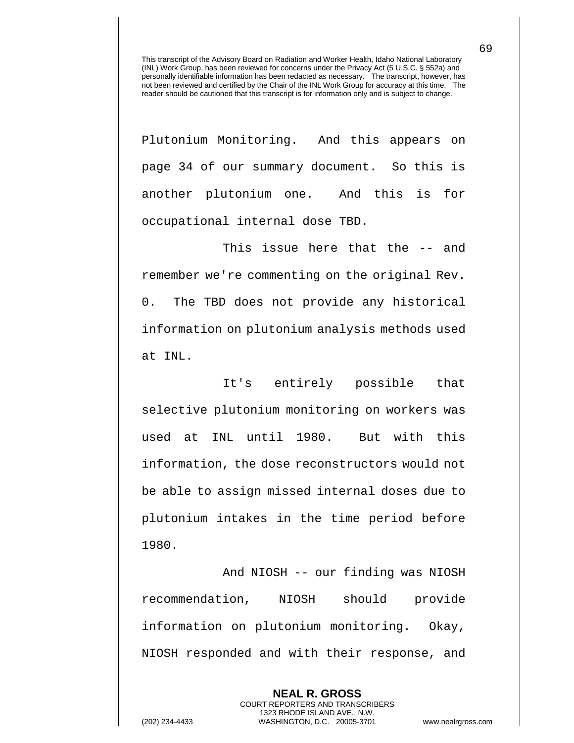Plutonium Monitoring. And this appears on page 34 of our summary document. So this is another plutonium one. And this is for occupational internal dose TBD.

This issue here that the -- and remember we're commenting on the original Rev. 0. The TBD does not provide any historical information on plutonium analysis methods used at INL.

It's entirely possible that selective plutonium monitoring on workers was used at INL until 1980. But with this information, the dose reconstructors would not be able to assign missed internal doses due to plutonium intakes in the time period before 1980.

And NIOSH -- our finding was NIOSH recommendation, NIOSH should provide information on plutonium monitoring. Okay, NIOSH responded and with their response, and

> **NEAL R. GROSS** COURT REPORTERS AND TRANSCRIBERS 1323 RHODE ISLAND AVE., N.W.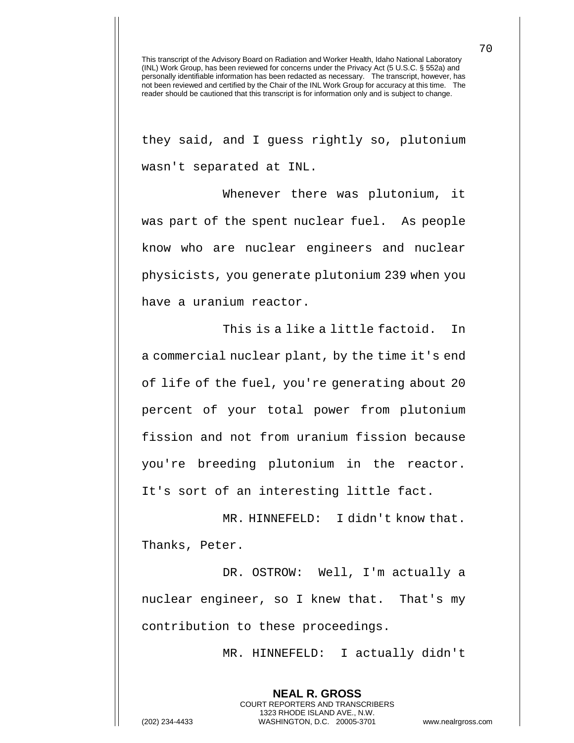they said, and I guess rightly so, plutonium wasn't separated at INL.

Whenever there was plutonium, it was part of the spent nuclear fuel. As people know who are nuclear engineers and nuclear physicists, you generate plutonium 239 when you have a uranium reactor.

This is a like a little factoid. In a commercial nuclear plant, by the time it's end of life of the fuel, you're generating about 20 percent of your total power from plutonium fission and not from uranium fission because you're breeding plutonium in the reactor. It's sort of an interesting little fact.

MR. HINNEFELD: I didn't know that. Thanks, Peter.

DR. OSTROW: Well, I'm actually a nuclear engineer, so I knew that. That's my contribution to these proceedings.

> **NEAL R. GROSS** COURT REPORTERS AND TRANSCRIBERS 1323 RHODE ISLAND AVE., N.W.

MR. HINNEFELD: I actually didn't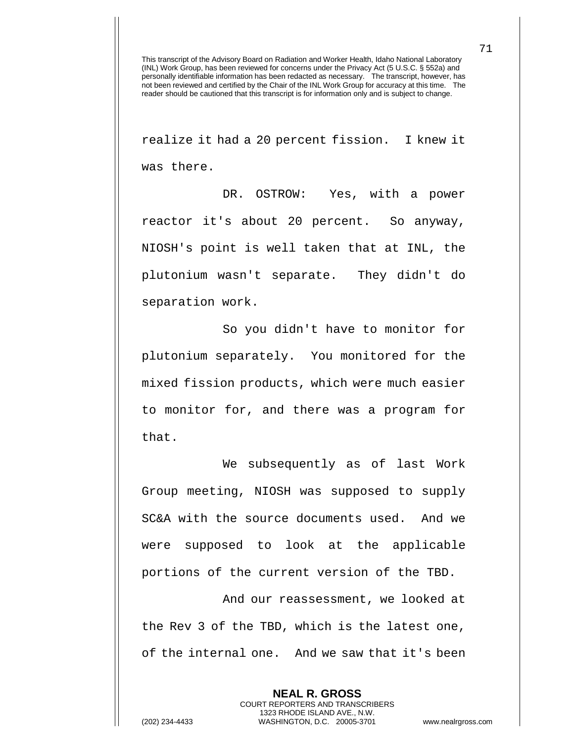realize it had a 20 percent fission. I knew it was there.

DR. OSTROW: Yes, with a power reactor it's about 20 percent. So anyway, NIOSH's point is well taken that at INL, the plutonium wasn't separate. They didn't do separation work.

So you didn't have to monitor for plutonium separately. You monitored for the mixed fission products, which were much easier to monitor for, and there was a program for that.

We subsequently as of last Work Group meeting, NIOSH was supposed to supply SC&A with the source documents used. And we were supposed to look at the applicable portions of the current version of the TBD.

And our reassessment, we looked at the Rev 3 of the TBD, which is the latest one, of the internal one. And we saw that it's been

> **NEAL R. GROSS** COURT REPORTERS AND TRANSCRIBERS 1323 RHODE ISLAND AVE., N.W.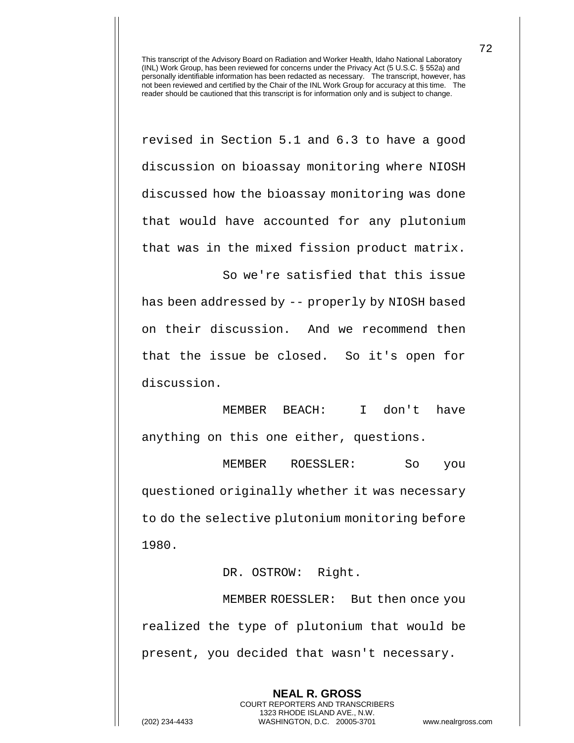revised in Section 5.1 and 6.3 to have a good discussion on bioassay monitoring where NIOSH discussed how the bioassay monitoring was done that would have accounted for any plutonium that was in the mixed fission product matrix. So we're satisfied that this issue

has been addressed by -- properly by NIOSH based on their discussion. And we recommend then that the issue be closed. So it's open for discussion.

MEMBER BEACH: I don't have anything on this one either, questions.

MEMBER ROESSLER: So you questioned originally whether it was necessary to do the selective plutonium monitoring before 1980.

DR. OSTROW: Right.

MEMBER ROESSLER: But then once you realized the type of plutonium that would be present, you decided that wasn't necessary.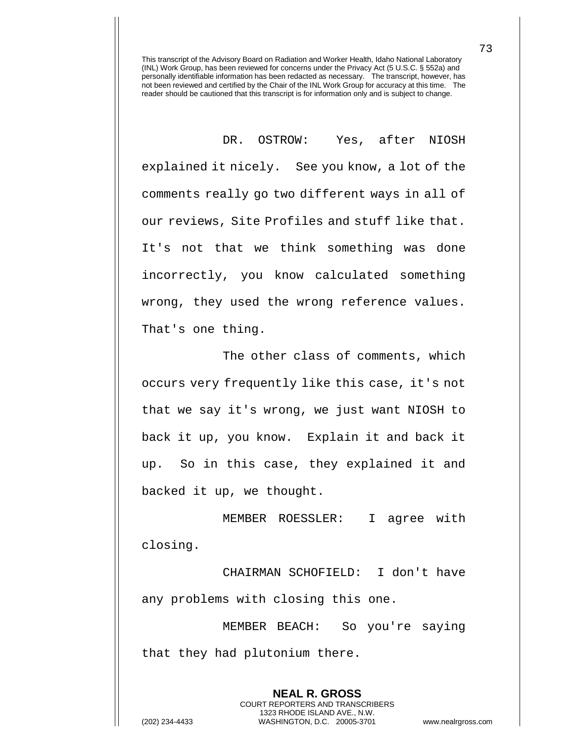DR. OSTROW: Yes, after NIOSH explained it nicely. See you know, a lot of the comments really go two different ways in all of our reviews, Site Profiles and stuff like that. It's not that we think something was done incorrectly, you know calculated something wrong, they used the wrong reference values. That's one thing.

The other class of comments, which occurs very frequently like this case, it's not that we say it's wrong, we just want NIOSH to back it up, you know. Explain it and back it up. So in this case, they explained it and backed it up, we thought.

MEMBER ROESSLER: I agree with closing.

CHAIRMAN SCHOFIELD: I don't have any problems with closing this one.

MEMBER BEACH: So you're saying that they had plutonium there.

**NEAL R. GROSS** COURT REPORTERS AND TRANSCRIBERS 1323 RHODE ISLAND AVE., N.W. (202) 234-4433 WASHINGTON, D.C. 20005-3701 www.nealrgross.com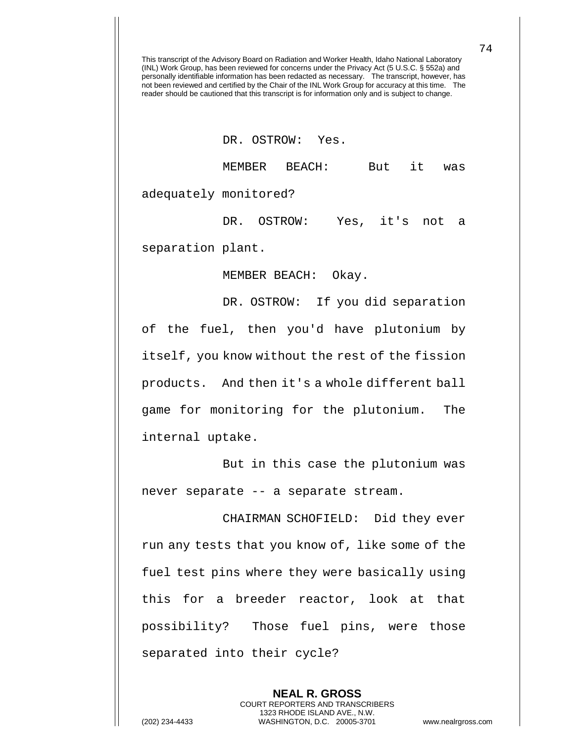## DR. OSTROW: Yes.

MEMBER BEACH: But it was adequately monitored?

DR. OSTROW: Yes, it's not a separation plant.

MEMBER BEACH: Okay.

DR. OSTROW: If you did separation of the fuel, then you'd have plutonium by itself, you know without the rest of the fission products. And then it's a whole different ball game for monitoring for the plutonium. The internal uptake.

But in this case the plutonium was never separate -- a separate stream.

CHAIRMAN SCHOFIELD: Did they ever run any tests that you know of, like some of the fuel test pins where they were basically using this for a breeder reactor, look at that possibility? Those fuel pins, were those separated into their cycle?

**NEAL R. GROSS** COURT REPORTERS AND TRANSCRIBERS 1323 RHODE ISLAND AVE., N.W. (202) 234-4433 WASHINGTON, D.C. 20005-3701 www.nealrgross.com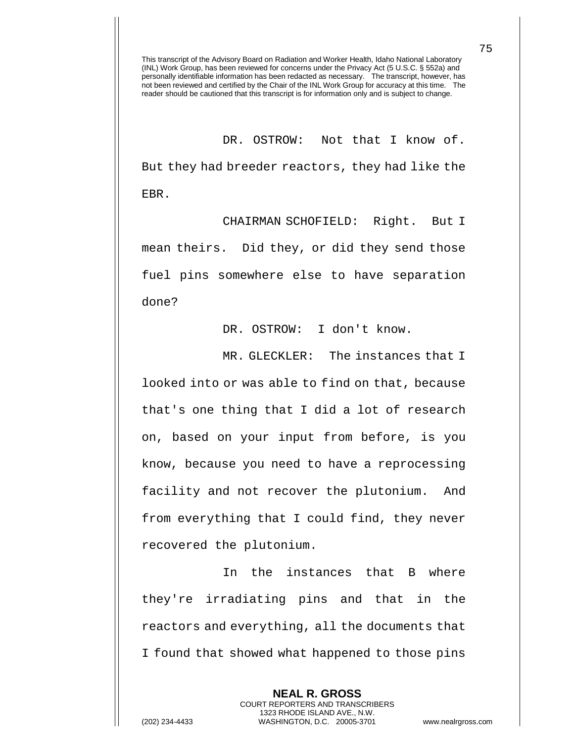DR. OSTROW: Not that I know of. But they had breeder reactors, they had like the EBR.

CHAIRMAN SCHOFIELD: Right. But I mean theirs. Did they, or did they send those fuel pins somewhere else to have separation done?

DR. OSTROW: I don't know.

MR. GLECKLER: The instances that I looked into or was able to find on that, because that's one thing that I did a lot of research on, based on your input from before, is you know, because you need to have a reprocessing facility and not recover the plutonium. And from everything that I could find, they never recovered the plutonium.

In the instances that B where they're irradiating pins and that in the reactors and everything, all the documents that I found that showed what happened to those pins

> **NEAL R. GROSS** COURT REPORTERS AND TRANSCRIBERS 1323 RHODE ISLAND AVE., N.W.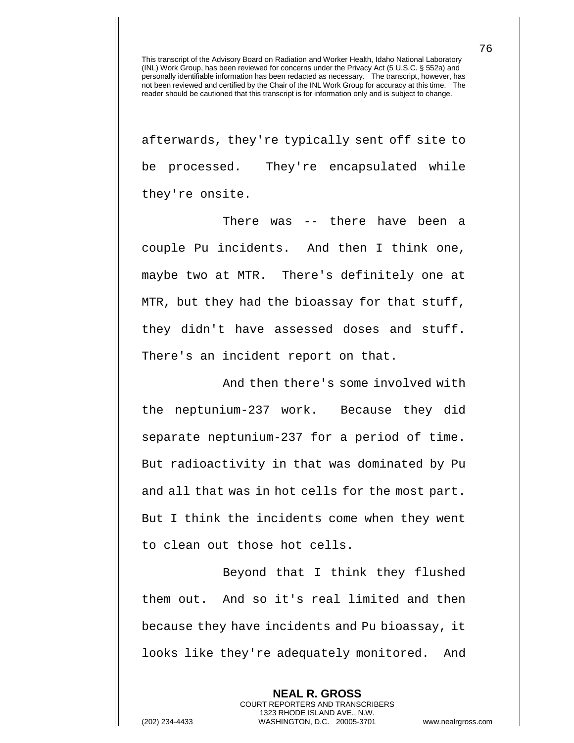afterwards, they're typically sent off site to be processed. They're encapsulated while they're onsite.

There was -- there have been a couple Pu incidents. And then I think one, maybe two at MTR. There's definitely one at MTR, but they had the bioassay for that stuff, they didn't have assessed doses and stuff. There's an incident report on that.

And then there's some involved with the neptunium-237 work. Because they did separate neptunium-237 for a period of time. But radioactivity in that was dominated by Pu and all that was in hot cells for the most part. But I think the incidents come when they went to clean out those hot cells.

Beyond that I think they flushed them out. And so it's real limited and then because they have incidents and Pu bioassay, it looks like they're adequately monitored. And

> **NEAL R. GROSS** COURT REPORTERS AND TRANSCRIBERS 1323 RHODE ISLAND AVE., N.W.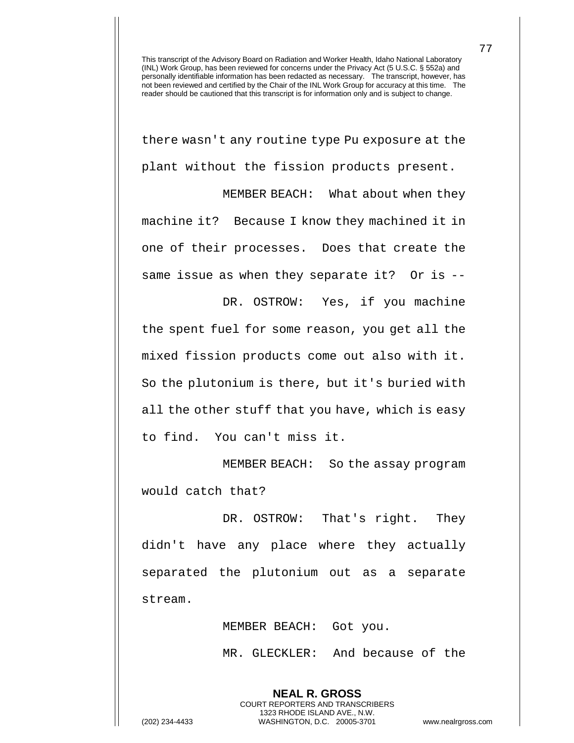there wasn't any routine type Pu exposure at the plant without the fission products present.

MEMBER BEACH: What about when they machine it? Because I know they machined it in one of their processes. Does that create the same issue as when they separate it? Or is --

DR. OSTROW: Yes, if you machine the spent fuel for some reason, you get all the mixed fission products come out also with it. So the plutonium is there, but it's buried with all the other stuff that you have, which is easy to find. You can't miss it.

MEMBER BEACH: So the assay program would catch that?

DR. OSTROW: That's right. They didn't have any place where they actually separated the plutonium out as a separate stream.

MEMBER BEACH: Got you.

**NEAL R. GROSS** COURT REPORTERS AND TRANSCRIBERS 1323 RHODE ISLAND AVE., N.W.

MR. GLECKLER: And because of the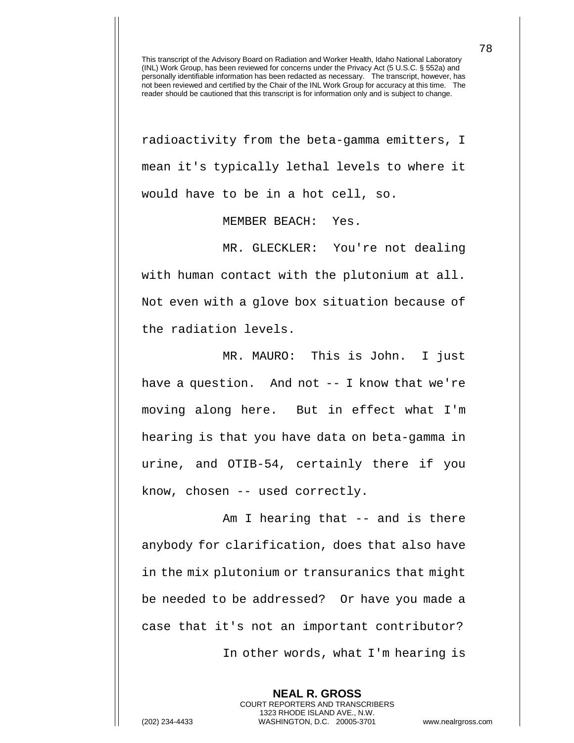radioactivity from the beta-gamma emitters, I mean it's typically lethal levels to where it would have to be in a hot cell, so.

MEMBER BEACH: Yes.

MR. GLECKLER: You're not dealing with human contact with the plutonium at all. Not even with a glove box situation because of the radiation levels.

MR. MAURO: This is John. I just have a question. And not -- I know that we're moving along here. But in effect what I'm hearing is that you have data on beta-gamma in urine, and OTIB-54, certainly there if you know, chosen -- used correctly.

Am I hearing that -- and is there anybody for clarification, does that also have in the mix plutonium or transuranics that might be needed to be addressed? Or have you made a case that it's not an important contributor? In other words, what I'm hearing is

**NEAL R. GROSS** COURT REPORTERS AND TRANSCRIBERS 1323 RHODE ISLAND AVE., N.W. (202) 234-4433 WASHINGTON, D.C. 20005-3701 www.nealrgross.com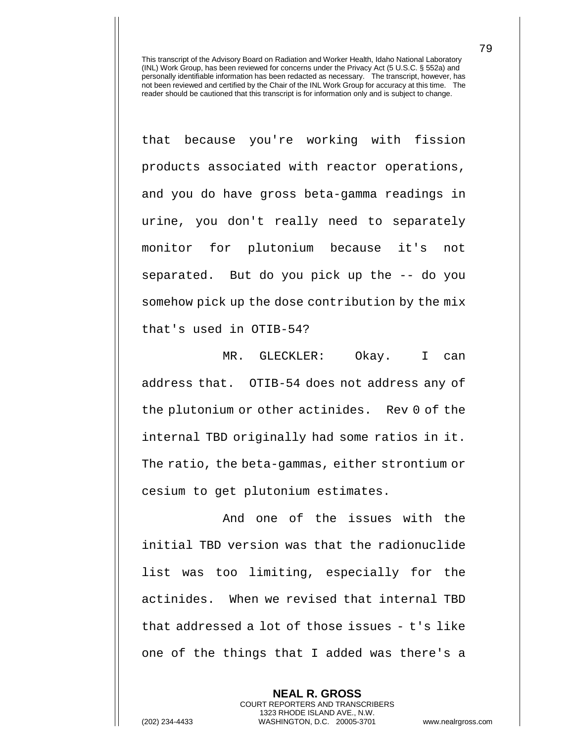that because you're working with fission products associated with reactor operations, and you do have gross beta-gamma readings in urine, you don't really need to separately monitor for plutonium because it's not separated. But do you pick up the -- do you somehow pick up the dose contribution by the mix that's used in OTIB-54?

MR. GLECKLER: Okay. I can address that. OTIB-54 does not address any of the plutonium or other actinides. Rev 0 of the internal TBD originally had some ratios in it. The ratio, the beta-gammas, either strontium or cesium to get plutonium estimates.

And one of the issues with the initial TBD version was that the radionuclide list was too limiting, especially for the actinides. When we revised that internal TBD that addressed a lot of those issues - t's like one of the things that I added was there's a

> **NEAL R. GROSS** COURT REPORTERS AND TRANSCRIBERS 1323 RHODE ISLAND AVE., N.W.

(202) 234-4433 WASHINGTON, D.C. 20005-3701 www.nealrgross.com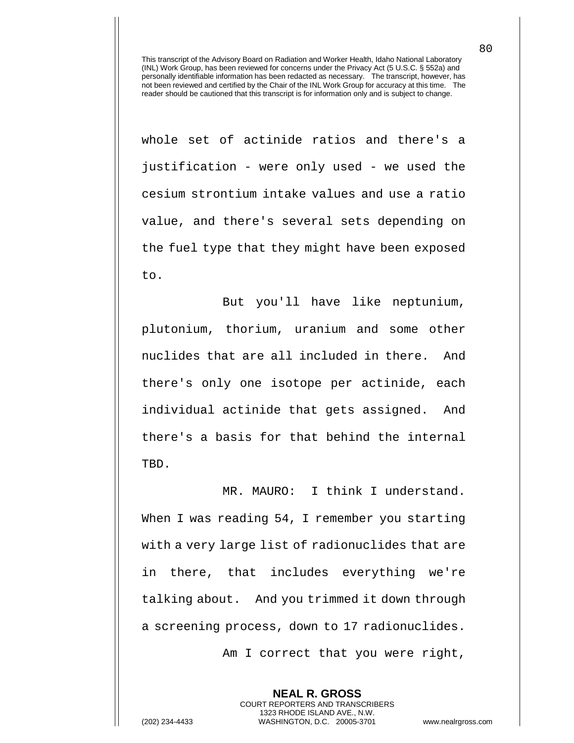whole set of actinide ratios and there's a justification - were only used - we used the cesium strontium intake values and use a ratio value, and there's several sets depending on the fuel type that they might have been exposed to.

But you'll have like neptunium, plutonium, thorium, uranium and some other nuclides that are all included in there. And there's only one isotope per actinide, each individual actinide that gets assigned. And there's a basis for that behind the internal TBD.

MR. MAURO: I think I understand. When I was reading 54, I remember you starting with a very large list of radionuclides that are in there, that includes everything we're talking about. And you trimmed it down through a screening process, down to 17 radionuclides.

Am I correct that you were right,

**NEAL R. GROSS**

COURT REPORTERS AND TRANSCRIBERS 1323 RHODE ISLAND AVE., N.W. (202) 234-4433 WASHINGTON, D.C. 20005-3701 www.nealrgross.com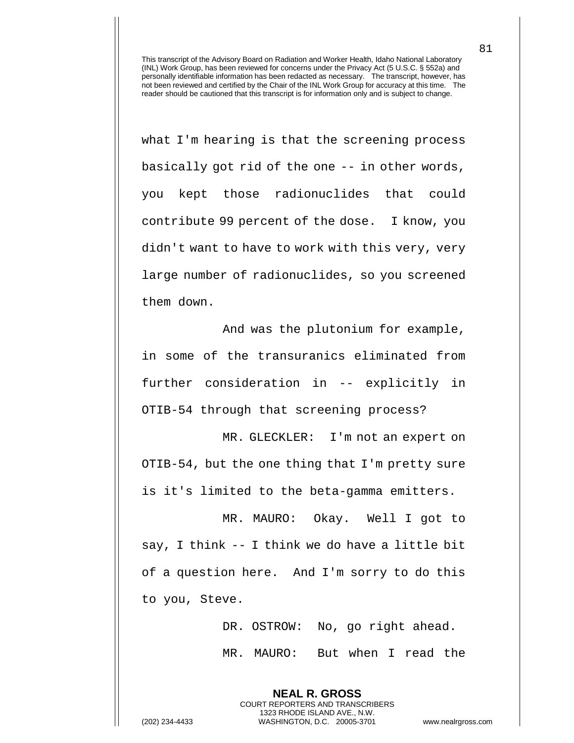what I'm hearing is that the screening process basically got rid of the one -- in other words, you kept those radionuclides that could contribute 99 percent of the dose. I know, you didn't want to have to work with this very, very large number of radionuclides, so you screened them down.

And was the plutonium for example, in some of the transuranics eliminated from further consideration in -- explicitly in OTIB-54 through that screening process?

MR. GLECKLER: I'm not an expert on OTIB-54, but the one thing that I'm pretty sure is it's limited to the beta-gamma emitters.

MR. MAURO: Okay. Well I got to say, I think -- I think we do have a little bit of a question here. And I'm sorry to do this to you, Steve.

> DR. OSTROW: No, go right ahead. MR. MAURO: But when I read the

**NEAL R. GROSS** COURT REPORTERS AND TRANSCRIBERS 1323 RHODE ISLAND AVE., N.W.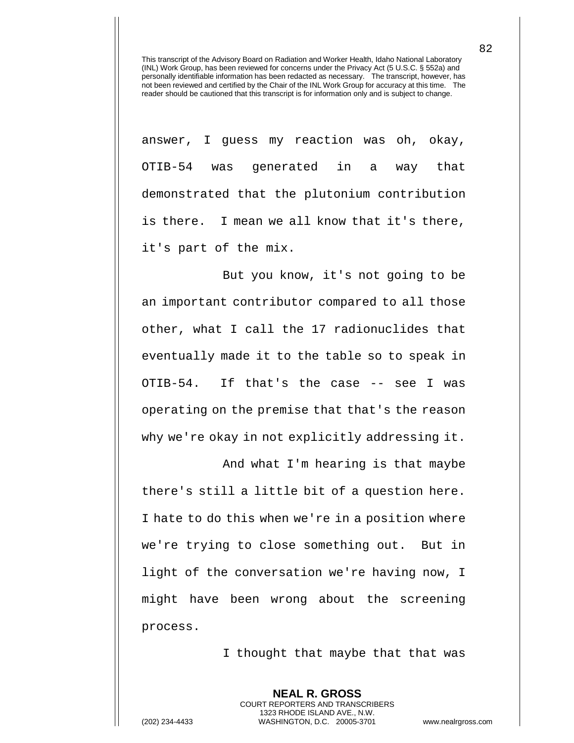answer, I guess my reaction was oh, okay, OTIB-54 was generated in a way that demonstrated that the plutonium contribution is there. I mean we all know that it's there, it's part of the mix.

But you know, it's not going to be an important contributor compared to all those other, what I call the 17 radionuclides that eventually made it to the table so to speak in OTIB-54. If that's the case -- see I was operating on the premise that that's the reason why we're okay in not explicitly addressing it.

And what I'm hearing is that maybe there's still a little bit of a question here. I hate to do this when we're in a position where we're trying to close something out. But in light of the conversation we're having now, I might have been wrong about the screening process.

I thought that maybe that that was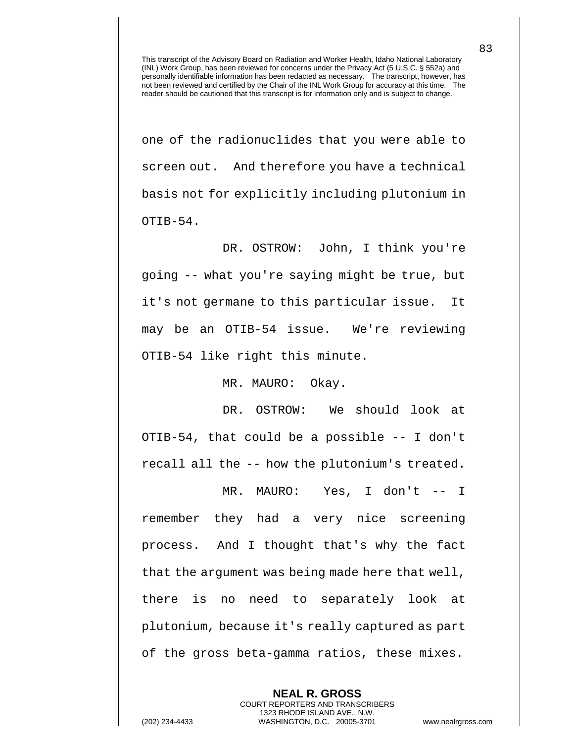one of the radionuclides that you were able to screen out. And therefore you have a technical basis not for explicitly including plutonium in OTIB-54.

DR. OSTROW: John, I think you're going -- what you're saying might be true, but it's not germane to this particular issue. It may be an OTIB-54 issue. We're reviewing OTIB-54 like right this minute.

MR. MAURO: Okay.

DR. OSTROW: We should look at OTIB-54, that could be a possible -- I don't recall all the -- how the plutonium's treated.

MR. MAURO: Yes, I don't -- I remember they had a very nice screening process. And I thought that's why the fact that the argument was being made here that well, there is no need to separately look at plutonium, because it's really captured as part of the gross beta-gamma ratios, these mixes.

> **NEAL R. GROSS** COURT REPORTERS AND TRANSCRIBERS 1323 RHODE ISLAND AVE., N.W.

(202) 234-4433 WASHINGTON, D.C. 20005-3701 www.nealrgross.com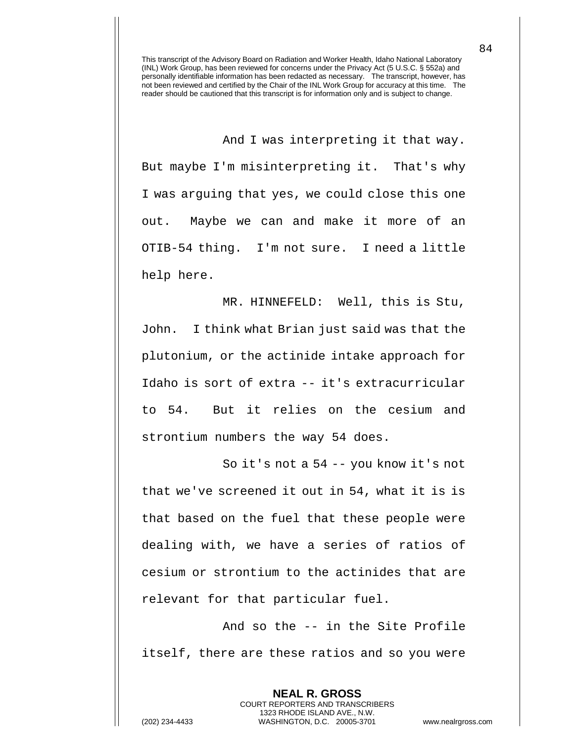And I was interpreting it that way. But maybe I'm misinterpreting it. That's why I was arguing that yes, we could close this one out. Maybe we can and make it more of an OTIB-54 thing. I'm not sure. I need a little help here.

MR. HINNEFELD: Well, this is Stu, John. I think what Brian just said was that the plutonium, or the actinide intake approach for Idaho is sort of extra -- it's extracurricular to 54. But it relies on the cesium and strontium numbers the way 54 does.

So it's not a 54 -- you know it's not that we've screened it out in 54, what it is is that based on the fuel that these people were dealing with, we have a series of ratios of cesium or strontium to the actinides that are relevant for that particular fuel.

And so the -- in the Site Profile itself, there are these ratios and so you were

> **NEAL R. GROSS** COURT REPORTERS AND TRANSCRIBERS 1323 RHODE ISLAND AVE., N.W.

(202) 234-4433 WASHINGTON, D.C. 20005-3701 www.nealrgross.com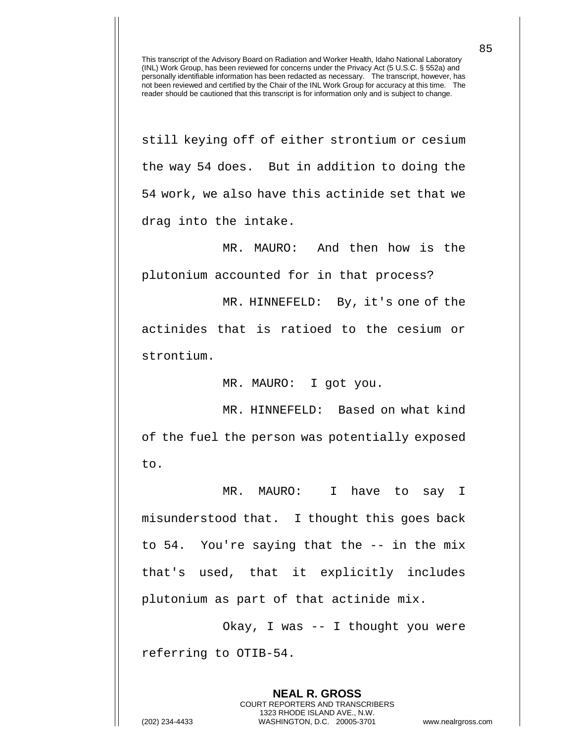still keying off of either strontium or cesium the way 54 does. But in addition to doing the 54 work, we also have this actinide set that we drag into the intake.

MR. MAURO: And then how is the plutonium accounted for in that process?

MR. HINNEFELD: By, it's one of the actinides that is ratioed to the cesium or strontium.

MR. MAURO: I got you.

MR. HINNEFELD: Based on what kind of the fuel the person was potentially exposed to.

MR. MAURO: I have to say I misunderstood that. I thought this goes back to 54. You're saying that the -- in the mix that's used, that it explicitly includes plutonium as part of that actinide mix.

Okay, I was -- I thought you were referring to OTIB-54.

> **NEAL R. GROSS** COURT REPORTERS AND TRANSCRIBERS 1323 RHODE ISLAND AVE., N.W.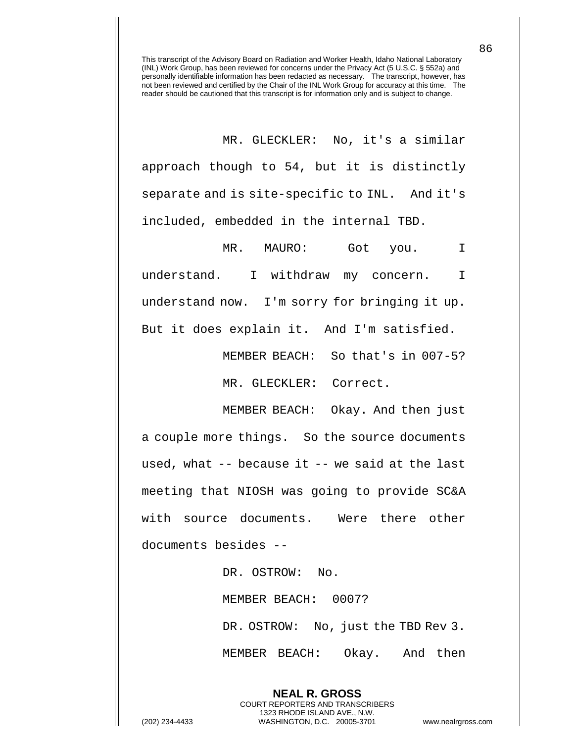MR. GLECKLER: No, it's a similar approach though to 54, but it is distinctly separate and is site-specific to INL. And it's included, embedded in the internal TBD.

MR. MAURO: Got you. I understand. I withdraw my concern. I understand now. I'm sorry for bringing it up. But it does explain it. And I'm satisfied.

MEMBER BEACH: So that's in 007-5?

MR. GLECKLER: Correct.

MEMBER BEACH: Okay. And then just a couple more things. So the source documents used, what -- because it -- we said at the last meeting that NIOSH was going to provide SC&A with source documents. Were there other documents besides --

> DR. OSTROW: No. MEMBER BEACH: 0007? DR. OSTROW: No, just the TBD Rev 3. MEMBER BEACH: Okay. And then

> > **NEAL R. GROSS** COURT REPORTERS AND TRANSCRIBERS 1323 RHODE ISLAND AVE., N.W.

(202) 234-4433 WASHINGTON, D.C. 20005-3701 www.nealrgross.com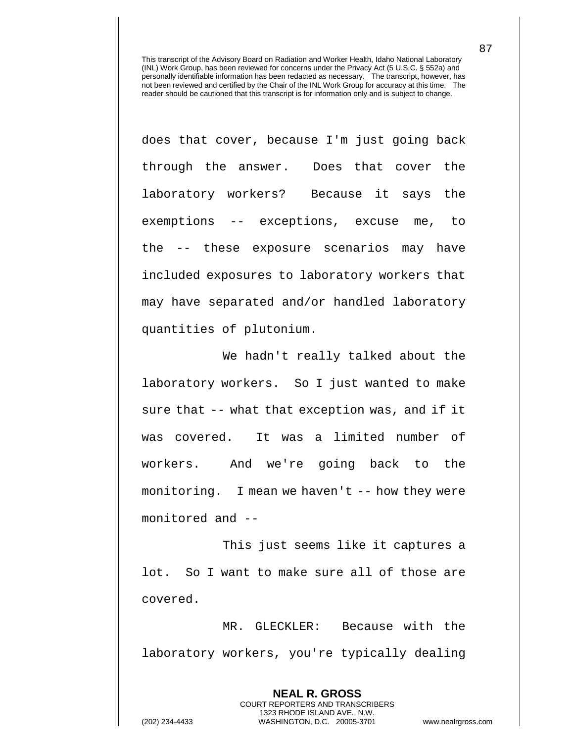does that cover, because I'm just going back through the answer. Does that cover the laboratory workers? Because it says the exemptions -- exceptions, excuse me, to the -- these exposure scenarios may have included exposures to laboratory workers that may have separated and/or handled laboratory quantities of plutonium.

We hadn't really talked about the laboratory workers. So I just wanted to make sure that -- what that exception was, and if it was covered. It was a limited number of workers. And we're going back to the monitoring. I mean we haven't -- how they were monitored and --

This just seems like it captures a lot. So I want to make sure all of those are covered.

MR. GLECKLER: Because with the laboratory workers, you're typically dealing

> **NEAL R. GROSS** COURT REPORTERS AND TRANSCRIBERS 1323 RHODE ISLAND AVE., N.W.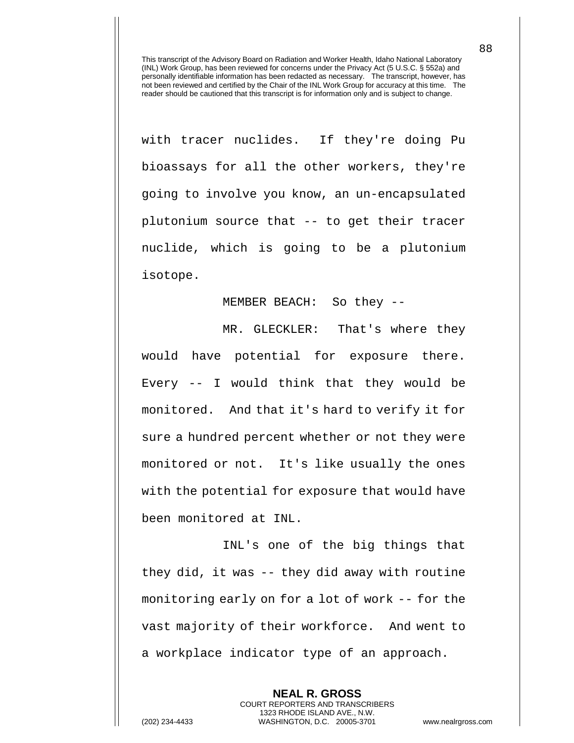with tracer nuclides. If they're doing Pu bioassays for all the other workers, they're going to involve you know, an un-encapsulated plutonium source that -- to get their tracer nuclide, which is going to be a plutonium isotope.

MEMBER BEACH: So they --

MR. GLECKLER: That's where they would have potential for exposure there. Every -- I would think that they would be monitored. And that it's hard to verify it for sure a hundred percent whether or not they were monitored or not. It's like usually the ones with the potential for exposure that would have been monitored at INL.

INL's one of the big things that they did, it was -- they did away with routine monitoring early on for a lot of work -- for the vast majority of their workforce. And went to a workplace indicator type of an approach.

> **NEAL R. GROSS** COURT REPORTERS AND TRANSCRIBERS 1323 RHODE ISLAND AVE., N.W.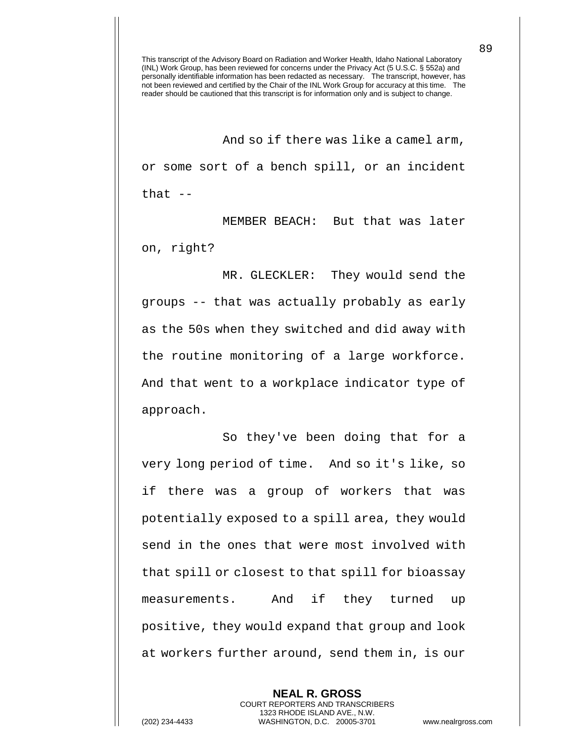And so if there was like a camel arm, or some sort of a bench spill, or an incident that  $-$ 

MEMBER BEACH: But that was later on, right?

MR. GLECKLER: They would send the groups -- that was actually probably as early as the 50s when they switched and did away with the routine monitoring of a large workforce. And that went to a workplace indicator type of approach.

So they've been doing that for a very long period of time. And so it's like, so if there was a group of workers that was potentially exposed to a spill area, they would send in the ones that were most involved with that spill or closest to that spill for bioassay measurements. And if they turned up positive, they would expand that group and look at workers further around, send them in, is our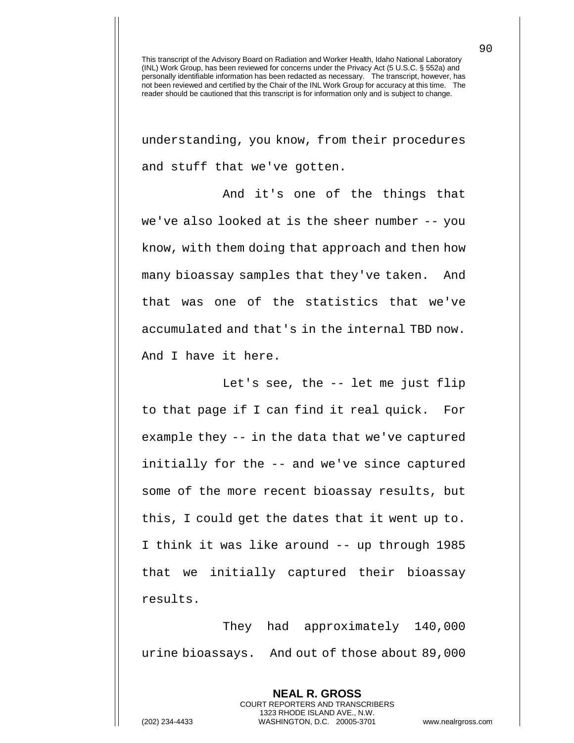understanding, you know, from their procedures and stuff that we've gotten.

And it's one of the things that we've also looked at is the sheer number -- you know, with them doing that approach and then how many bioassay samples that they've taken. And that was one of the statistics that we've accumulated and that's in the internal TBD now. And I have it here.

Let's see, the -- let me just flip to that page if I can find it real quick. For example they -- in the data that we've captured initially for the -- and we've since captured some of the more recent bioassay results, but this, I could get the dates that it went up to. I think it was like around -- up through 1985 that we initially captured their bioassay results.

They had approximately 140,000 urine bioassays. And out of those about 89,000

> **NEAL R. GROSS** COURT REPORTERS AND TRANSCRIBERS 1323 RHODE ISLAND AVE., N.W.

(202) 234-4433 WASHINGTON, D.C. 20005-3701 www.nealrgross.com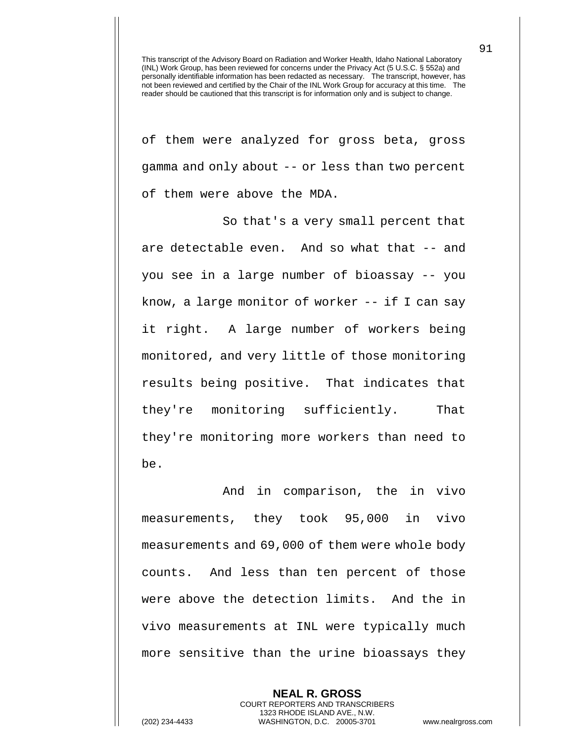of them were analyzed for gross beta, gross gamma and only about -- or less than two percent of them were above the MDA.

So that's a very small percent that are detectable even. And so what that -- and you see in a large number of bioassay -- you know, a large monitor of worker -- if I can say it right. A large number of workers being monitored, and very little of those monitoring results being positive. That indicates that they're monitoring sufficiently. That they're monitoring more workers than need to be.

And in comparison, the in vivo measurements, they took 95,000 in vivo measurements and 69,000 of them were whole body counts. And less than ten percent of those were above the detection limits. And the in vivo measurements at INL were typically much more sensitive than the urine bioassays they

> **NEAL R. GROSS** COURT REPORTERS AND TRANSCRIBERS 1323 RHODE ISLAND AVE., N.W.

(202) 234-4433 WASHINGTON, D.C. 20005-3701 www.nealrgross.com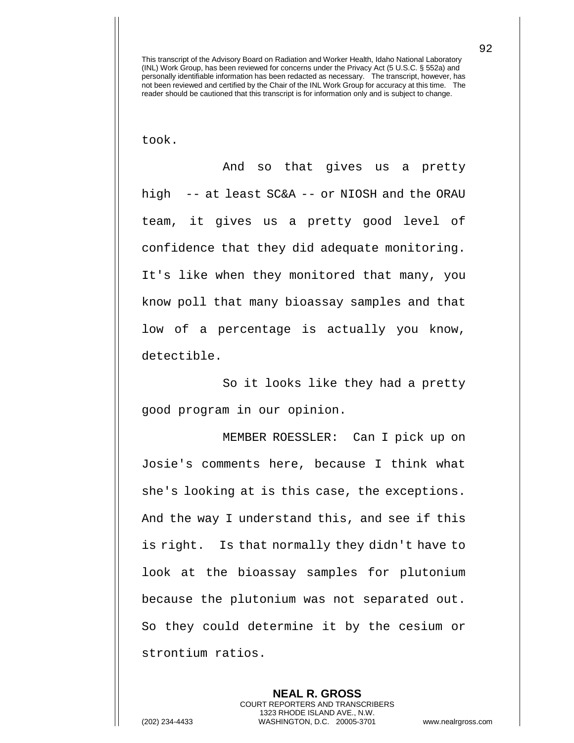took.

And so that gives us a pretty high -- at least SC&A -- or NIOSH and the ORAU team, it gives us a pretty good level of confidence that they did adequate monitoring. It's like when they monitored that many, you know poll that many bioassay samples and that low of a percentage is actually you know, detectible.

So it looks like they had a pretty good program in our opinion.

MEMBER ROESSLER: Can I pick up on Josie's comments here, because I think what she's looking at is this case, the exceptions. And the way I understand this, and see if this is right. Is that normally they didn't have to look at the bioassay samples for plutonium because the plutonium was not separated out. So they could determine it by the cesium or strontium ratios.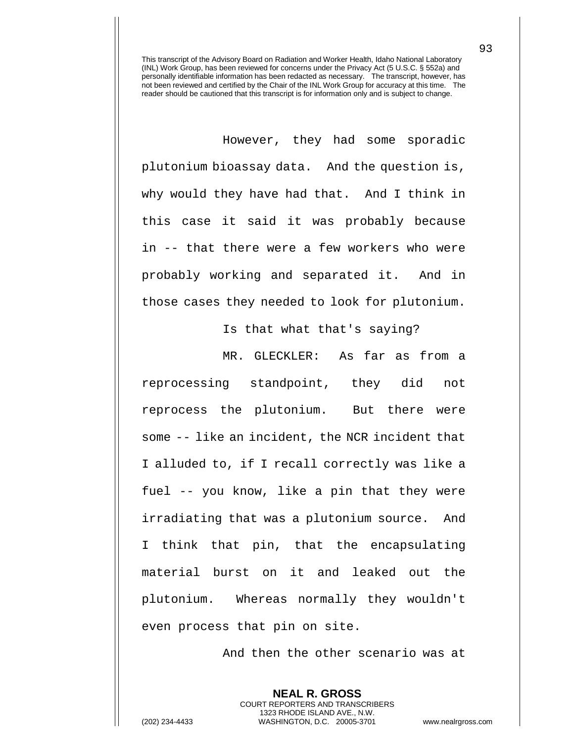However, they had some sporadic plutonium bioassay data. And the question is, why would they have had that. And I think in this case it said it was probably because in -- that there were a few workers who were probably working and separated it. And in those cases they needed to look for plutonium.

Is that what that's saying?

MR. GLECKLER: As far as from a reprocessing standpoint, they did not reprocess the plutonium. But there were some -- like an incident, the NCR incident that I alluded to, if I recall correctly was like a fuel -- you know, like a pin that they were irradiating that was a plutonium source. And I think that pin, that the encapsulating material burst on it and leaked out the plutonium. Whereas normally they wouldn't even process that pin on site.

And then the other scenario was at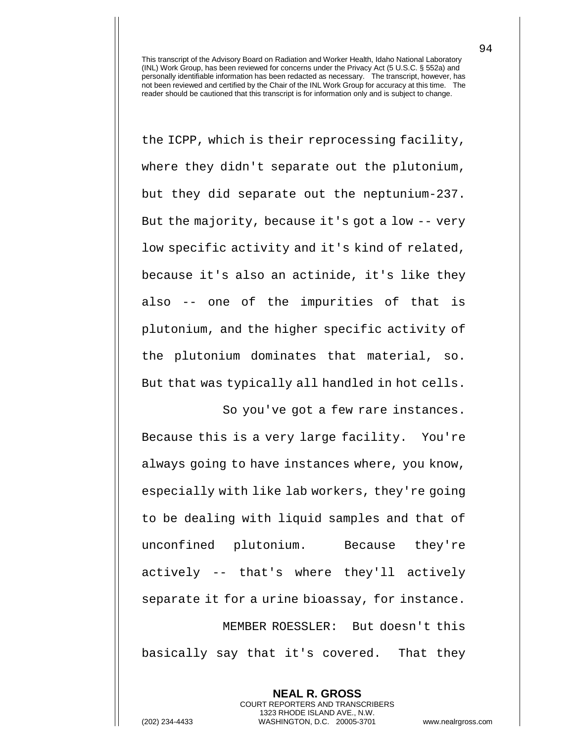the ICPP, which is their reprocessing facility, where they didn't separate out the plutonium, but they did separate out the neptunium-237. But the majority, because it's got a low -- very low specific activity and it's kind of related, because it's also an actinide, it's like they also -- one of the impurities of that is plutonium, and the higher specific activity of the plutonium dominates that material, so. But that was typically all handled in hot cells.

So you've got a few rare instances. Because this is a very large facility. You're always going to have instances where, you know, especially with like lab workers, they're going to be dealing with liquid samples and that of unconfined plutonium. Because they're actively -- that's where they'll actively separate it for a urine bioassay, for instance. MEMBER ROESSLER: But doesn't this basically say that it's covered. That they

**NEAL R. GROSS** COURT REPORTERS AND TRANSCRIBERS 1323 RHODE ISLAND AVE., N.W. (202) 234-4433 WASHINGTON, D.C. 20005-3701 www.nealrgross.com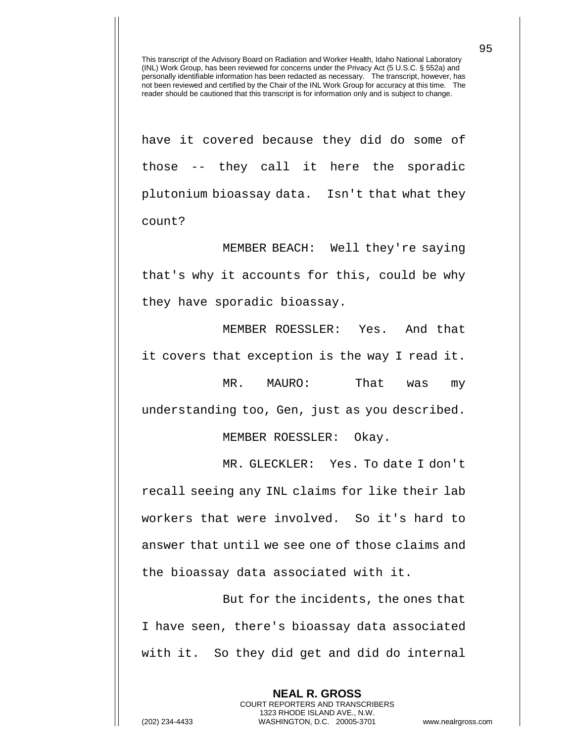have it covered because they did do some of those -- they call it here the sporadic plutonium bioassay data. Isn't that what they count?

MEMBER BEACH: Well they're saying that's why it accounts for this, could be why they have sporadic bioassay.

MEMBER ROESSLER: Yes. And that it covers that exception is the way I read it.

MR. MAURO: That was my understanding too, Gen, just as you described.

MEMBER ROESSLER: Okay.

MR. GLECKLER: Yes. To date I don't recall seeing any INL claims for like their lab workers that were involved. So it's hard to answer that until we see one of those claims and the bioassay data associated with it.

But for the incidents, the ones that I have seen, there's bioassay data associated with it. So they did get and did do internal

> **NEAL R. GROSS** COURT REPORTERS AND TRANSCRIBERS 1323 RHODE ISLAND AVE., N.W.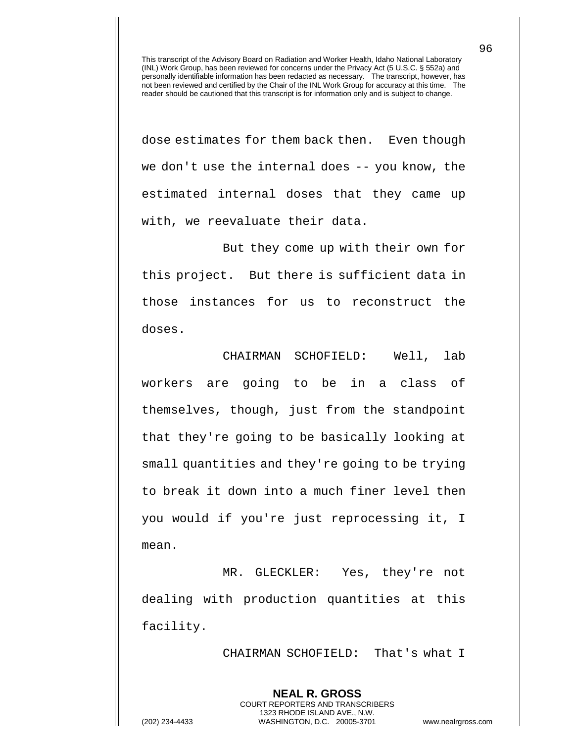dose estimates for them back then. Even though we don't use the internal does -- you know, the estimated internal doses that they came up with, we reevaluate their data.

But they come up with their own for this project. But there is sufficient data in those instances for us to reconstruct the doses.

CHAIRMAN SCHOFIELD: Well, lab workers are going to be in a class of themselves, though, just from the standpoint that they're going to be basically looking at small quantities and they're going to be trying to break it down into a much finer level then you would if you're just reprocessing it, I mean.

MR. GLECKLER: Yes, they're not dealing with production quantities at this facility.

> **NEAL R. GROSS** COURT REPORTERS AND TRANSCRIBERS 1323 RHODE ISLAND AVE., N.W.

CHAIRMAN SCHOFIELD: That's what I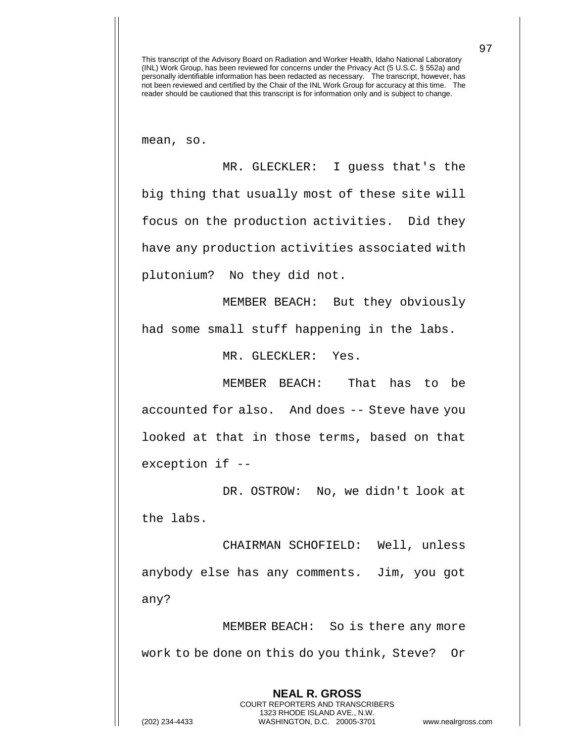mean, so.

MR. GLECKLER: I guess that's the big thing that usually most of these site will focus on the production activities. Did they have any production activities associated with plutonium? No they did not.

MEMBER BEACH: But they obviously had some small stuff happening in the labs.

MR. GLECKLER: Yes.

MEMBER BEACH: That has to be accounted for also. And does -- Steve have you looked at that in those terms, based on that exception if --

DR. OSTROW: No, we didn't look at the labs.

CHAIRMAN SCHOFIELD: Well, unless anybody else has any comments. Jim, you got any?

MEMBER BEACH: So is there any more work to be done on this do you think, Steve? Or

> **NEAL R. GROSS** COURT REPORTERS AND TRANSCRIBERS 1323 RHODE ISLAND AVE., N.W.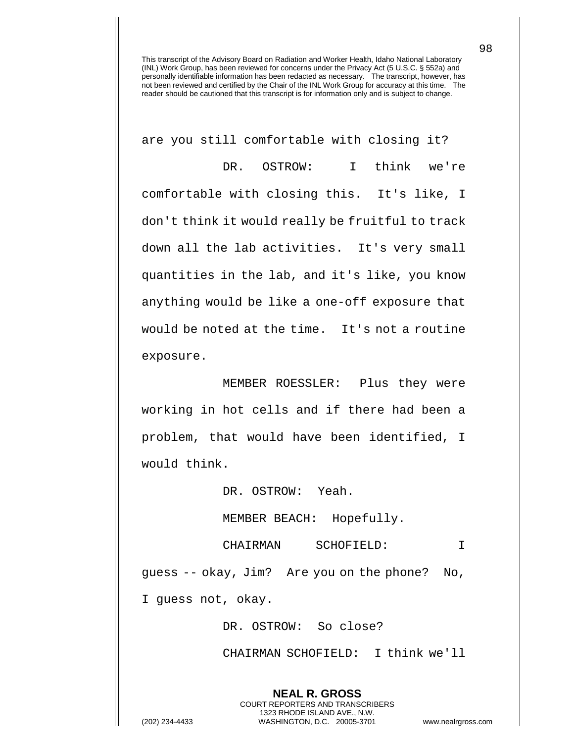are you still comfortable with closing it?

DR. OSTROW: I think we're comfortable with closing this. It's like, I don't think it would really be fruitful to track down all the lab activities. It's very small quantities in the lab, and it's like, you know anything would be like a one-off exposure that would be noted at the time. It's not a routine exposure.

MEMBER ROESSLER: Plus they were working in hot cells and if there had been a problem, that would have been identified, I would think.

DR. OSTROW: Yeah.

MEMBER BEACH: Hopefully.

CHAIRMAN SCHOFIELD: I guess -- okay, Jim? Are you on the phone? No, I guess not, okay.

DR. OSTROW: So close?

**NEAL R. GROSS** COURT REPORTERS AND TRANSCRIBERS 1323 RHODE ISLAND AVE., N.W.

CHAIRMAN SCHOFIELD: I think we'll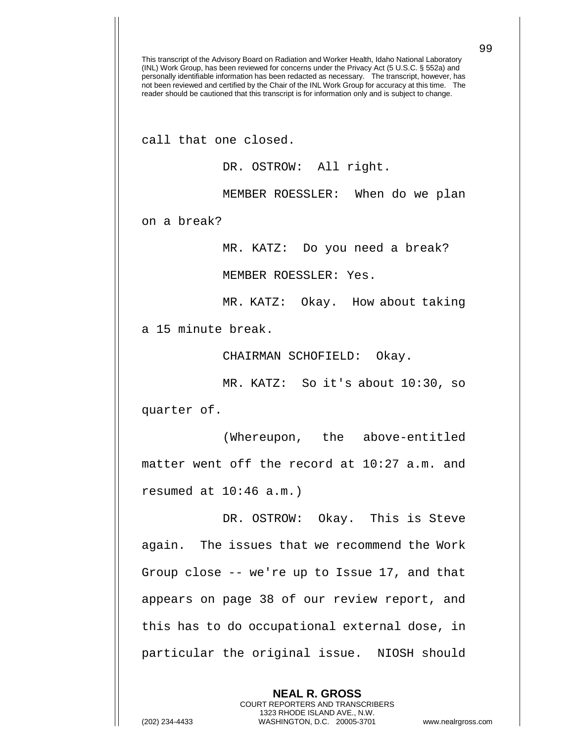This transcript of the Advisory Board on Radiation and Worker Health, Idaho National Laboratory (INL) Work Group, has been reviewed for concerns under the Privacy Act (5 U.S.C. § 552a) and personally identifiable information has been redacted as necessary. The transcript, however, has not been reviewed and certified by the Chair of the INL Work Group for accuracy at this time. The reader should be cautioned that this transcript is for information only and is subject to change. call that one closed. DR. OSTROW: All right. MEMBER ROESSLER: When do we plan on a break? MR. KATZ: Do you need a break? MEMBER ROESSLER: Yes. MR. KATZ: Okay. How about taking a 15 minute break. CHAIRMAN SCHOFIELD: Okay. MR. KATZ: So it's about 10:30, so quarter of. (Whereupon, the above-entitled matter went off the record at 10:27 a.m. and resumed at 10:46 a.m.) DR. OSTROW: Okay. This is Steve again. The issues that we recommend the Work Group close -- we're up to Issue 17, and that appears on page 38 of our review report, and this has to do occupational external dose, in particular the original issue. NIOSH should

> **NEAL R. GROSS** COURT REPORTERS AND TRANSCRIBERS 1323 RHODE ISLAND AVE., N.W.

(202) 234-4433 WASHINGTON, D.C. 20005-3701 www.nealrgross.com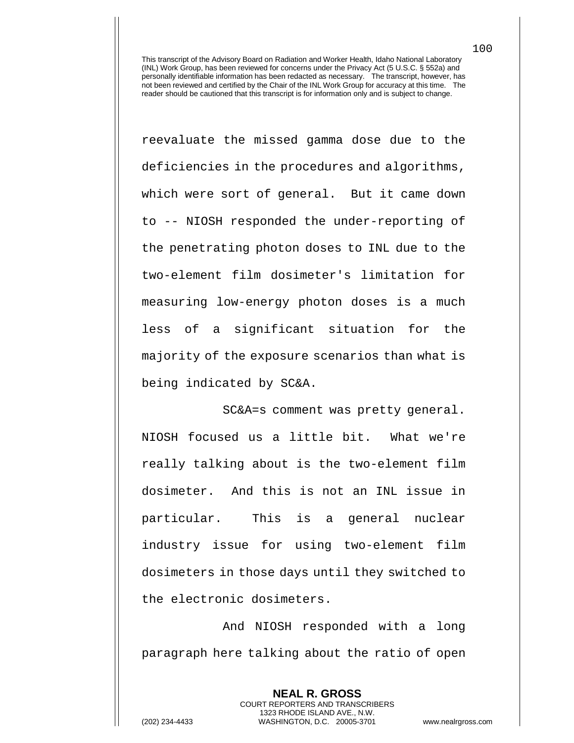reevaluate the missed gamma dose due to the deficiencies in the procedures and algorithms, which were sort of general. But it came down to -- NIOSH responded the under-reporting of the penetrating photon doses to INL due to the two-element film dosimeter's limitation for measuring low-energy photon doses is a much less of a significant situation for the majority of the exposure scenarios than what is being indicated by SC&A.

SC&A=s comment was pretty general. NIOSH focused us a little bit. What we're really talking about is the two-element film dosimeter. And this is not an INL issue in particular. This is a general nuclear industry issue for using two-element film dosimeters in those days until they switched to the electronic dosimeters.

And NIOSH responded with a long paragraph here talking about the ratio of open

**NEAL R. GROSS**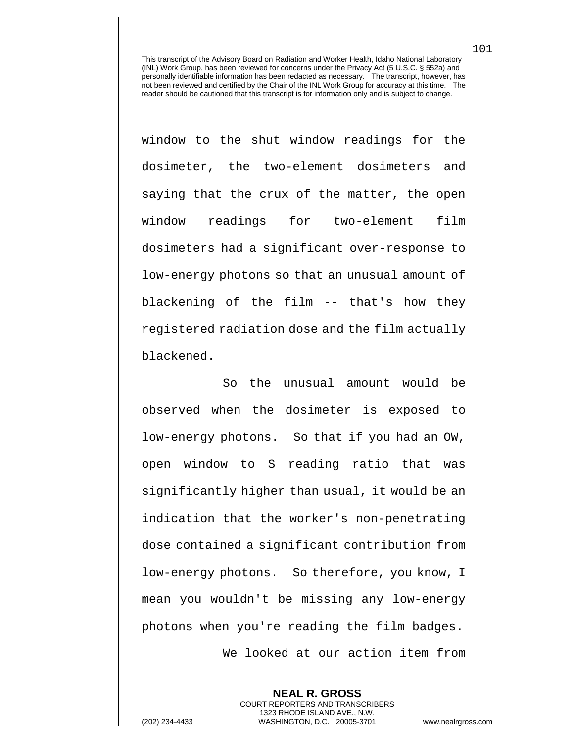window to the shut window readings for the dosimeter, the two-element dosimeters and saying that the crux of the matter, the open window readings for two-element film dosimeters had a significant over-response to low-energy photons so that an unusual amount of blackening of the film -- that's how they registered radiation dose and the film actually blackened.

So the unusual amount would be observed when the dosimeter is exposed to low-energy photons. So that if you had an OW, open window to S reading ratio that was significantly higher than usual, it would be an indication that the worker's non-penetrating dose contained a significant contribution from low-energy photons. So therefore, you know, I mean you wouldn't be missing any low-energy photons when you're reading the film badges. We looked at our action item from

**NEAL R. GROSS** COURT REPORTERS AND TRANSCRIBERS 1323 RHODE ISLAND AVE., N.W. (202) 234-4433 WASHINGTON, D.C. 20005-3701 www.nealrgross.com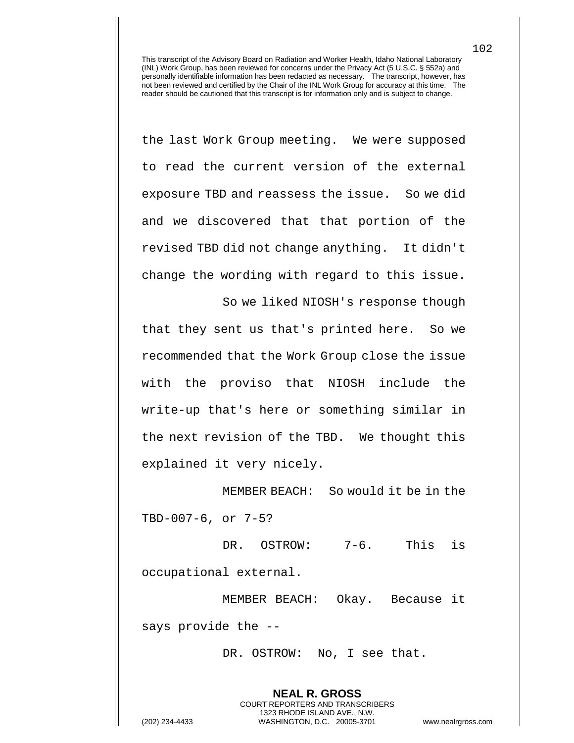the last Work Group meeting. We were supposed to read the current version of the external exposure TBD and reassess the issue. So we did and we discovered that that portion of the revised TBD did not change anything. It didn't change the wording with regard to this issue.

So we liked NIOSH's response though that they sent us that's printed here. So we recommended that the Work Group close the issue with the proviso that NIOSH include the write-up that's here or something similar in the next revision of the TBD. We thought this explained it very nicely.

MEMBER BEACH: So would it be in the TBD-007-6, or 7-5?

DR. OSTROW: 7-6. This is occupational external.

MEMBER BEACH: Okay. Because it says provide the --

DR. OSTROW: No, I see that.

**NEAL R. GROSS**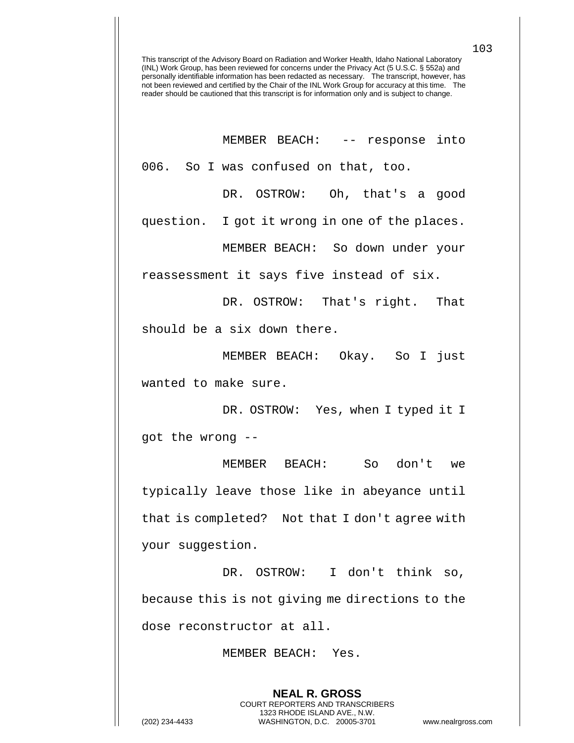| MEMBER BEACH: -- response into                 |
|------------------------------------------------|
| 006. So I was confused on that, too.           |
| DR. OSTROW: Oh, that's a good                  |
| question. I got it wrong in one of the places. |
| MEMBER BEACH: So down under your               |
| reassessment it says five instead of six.      |
| DR. OSTROW: That's right. That                 |
| should be a six down there.                    |
| MEMBER BEACH: Okay. So I just                  |
| wanted to make sure.                           |
| DR. OSTROW: Yes, when I typed it I             |
| got the wrong --                               |
| MEMBER BEACH: So don't we                      |
| typically leave those like in abeyance until   |
| that is completed? Not that I don't agree with |

your suggestion.

DR. OSTROW: I don't think so, because this is not giving me directions to the dose reconstructor at all.

> **NEAL R. GROSS** COURT REPORTERS AND TRANSCRIBERS 1323 RHODE ISLAND AVE., N.W.

MEMBER BEACH: Yes.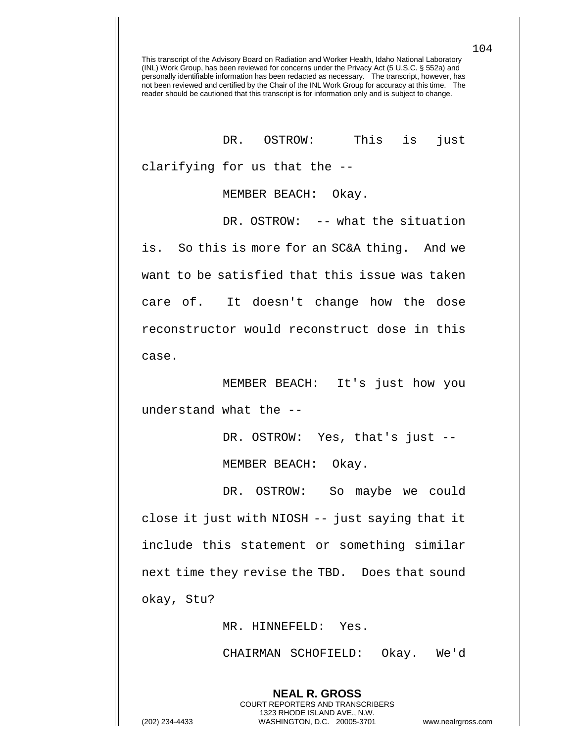DR. OSTROW: This is just clarifying for us that the --

MEMBER BEACH: Okay.

DR. OSTROW: -- what the situation is. So this is more for an SC&A thing. And we want to be satisfied that this issue was taken care of. It doesn't change how the dose reconstructor would reconstruct dose in this case.

MEMBER BEACH: It's just how you understand what the --

> DR. OSTROW: Yes, that's just -- MEMBER BEACH: Okay.

DR. OSTROW: So maybe we could close it just with NIOSH -- just saying that it include this statement or something similar next time they revise the TBD. Does that sound okay, Stu?

MR. HINNEFELD: Yes.

**NEAL R. GROSS** COURT REPORTERS AND TRANSCRIBERS 1323 RHODE ISLAND AVE., N.W.

CHAIRMAN SCHOFIELD: Okay. We'd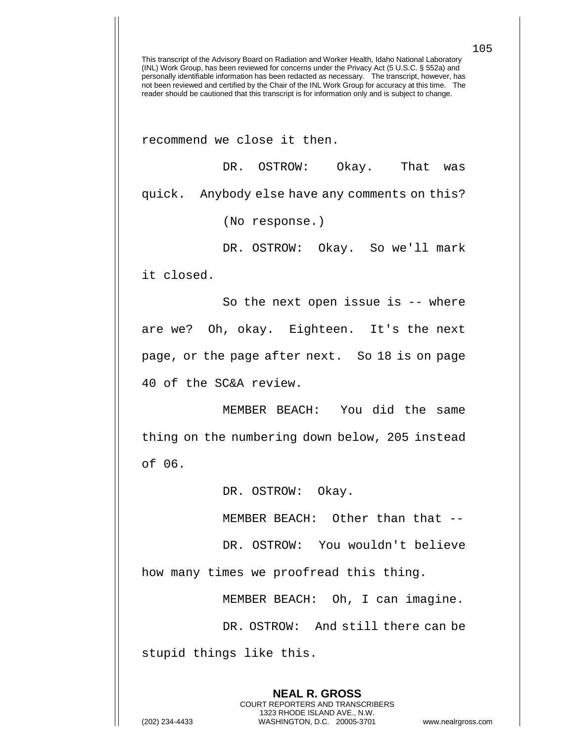recommend we close it then.

DR. OSTROW: Okay. That was quick. Anybody else have any comments on this?

(No response.)

DR. OSTROW: Okay. So we'll mark

it closed.

So the next open issue is -- where are we? Oh, okay. Eighteen. It's the next page, or the page after next. So 18 is on page 40 of the SC&A review.

MEMBER BEACH: You did the same thing on the numbering down below, 205 instead of 06.

DR. OSTROW: Okay.

MEMBER BEACH: Other than that --

DR. OSTROW: You wouldn't believe

how many times we proofread this thing.

MEMBER BEACH: Oh, I can imagine.

DR. OSTROW: And still there can be stupid things like this.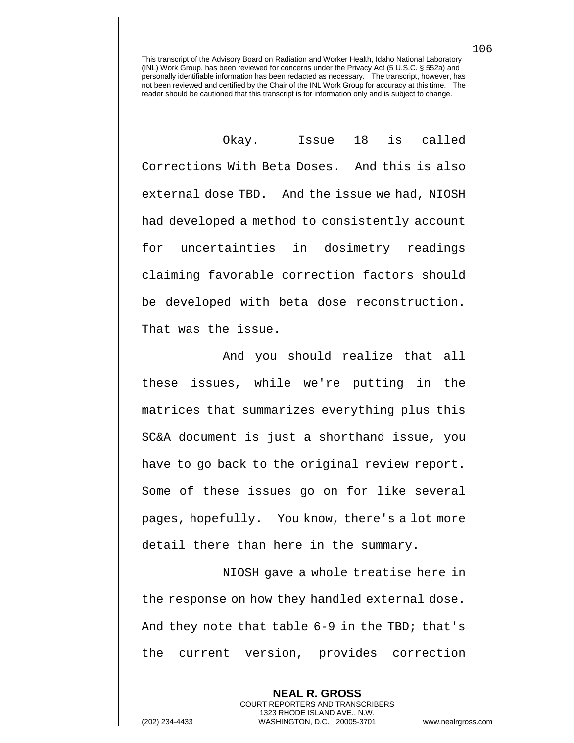Okay. Issue 18 is called Corrections With Beta Doses. And this is also external dose TBD. And the issue we had, NIOSH had developed a method to consistently account for uncertainties in dosimetry readings claiming favorable correction factors should be developed with beta dose reconstruction. That was the issue.

And you should realize that all these issues, while we're putting in the matrices that summarizes everything plus this SC&A document is just a shorthand issue, you have to go back to the original review report. Some of these issues go on for like several pages, hopefully. You know, there's a lot more detail there than here in the summary.

NIOSH gave a whole treatise here in the response on how they handled external dose. And they note that table 6-9 in the TBD; that's the current version, provides correction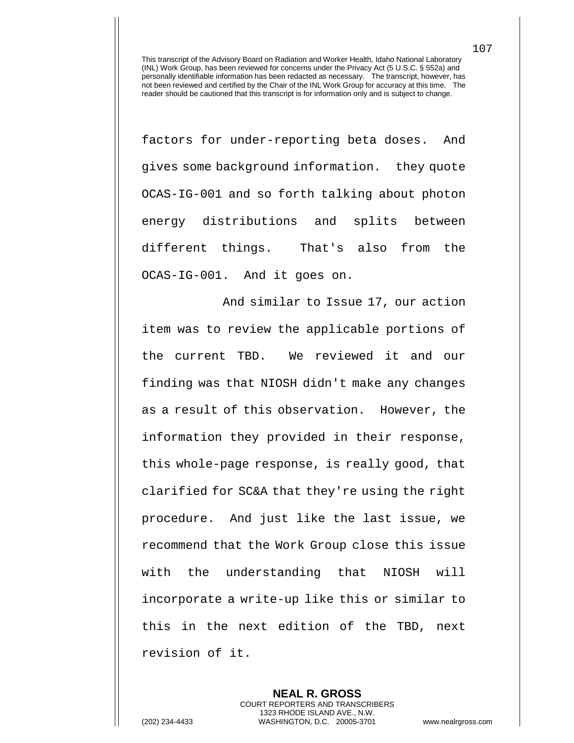factors for under-reporting beta doses. And gives some background information. they quote OCAS-IG-001 and so forth talking about photon energy distributions and splits between different things. That's also from the OCAS-IG-001. And it goes on.

And similar to Issue 17, our action item was to review the applicable portions of the current TBD. We reviewed it and our finding was that NIOSH didn't make any changes as a result of this observation. However, the information they provided in their response, this whole-page response, is really good, that clarified for SC&A that they're using the right procedure. And just like the last issue, we recommend that the Work Group close this issue with the understanding that NIOSH will incorporate a write-up like this or similar to this in the next edition of the TBD, next revision of it.

**NEAL R. GROSS** COURT REPORTERS AND TRANSCRIBERS 1323 RHODE ISLAND AVE., N.W. (202) 234-4433 WASHINGTON, D.C. 20005-3701 www.nealrgross.com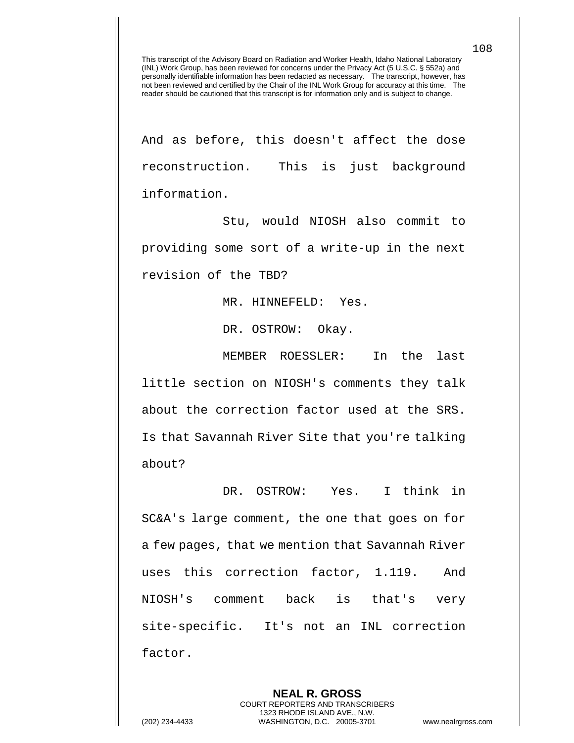And as before, this doesn't affect the dose reconstruction. This is just background information.

Stu, would NIOSH also commit to providing some sort of a write-up in the next revision of the TBD?

MR. HINNEFELD: Yes.

DR. OSTROW: Okay.

MEMBER ROESSLER: In the last little section on NIOSH's comments they talk about the correction factor used at the SRS. Is that Savannah River Site that you're talking about?

DR. OSTROW: Yes. I think in SC&A's large comment, the one that goes on for a few pages, that we mention that Savannah River uses this correction factor, 1.119. And NIOSH's comment back is that's very site-specific. It's not an INL correction factor.

> **NEAL R. GROSS** COURT REPORTERS AND TRANSCRIBERS 1323 RHODE ISLAND AVE., N.W.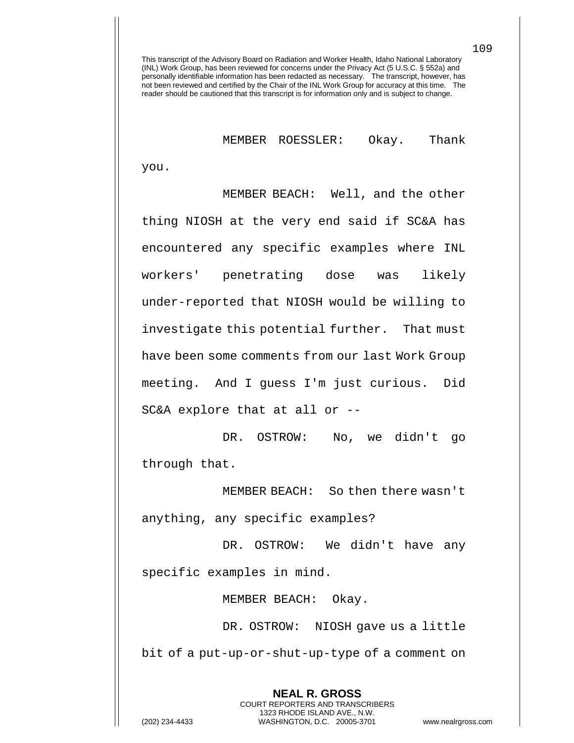MEMBER ROESSLER: Okay. Thank

you.

MEMBER BEACH: Well, and the other thing NIOSH at the very end said if SC&A has encountered any specific examples where INL workers' penetrating dose was likely under-reported that NIOSH would be willing to investigate this potential further. That must have been some comments from our last Work Group meeting. And I guess I'm just curious. Did SC&A explore that at all or --

DR. OSTROW: No, we didn't go through that.

MEMBER BEACH: So then there wasn't anything, any specific examples?

DR. OSTROW: We didn't have any specific examples in mind.

MEMBER BEACH: Okay.

DR. OSTROW: NIOSH gave us a little bit of a put-up-or-shut-up-type of a comment on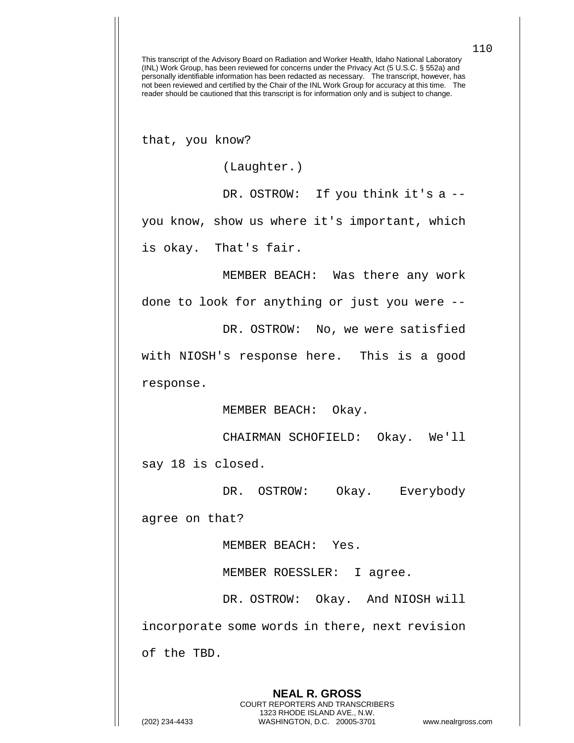that, you know?

(Laughter.)

DR. OSTROW: If you think it's a -you know, show us where it's important, which is okay. That's fair.

MEMBER BEACH: Was there any work

done to look for anything or just you were --

DR. OSTROW: No, we were satisfied

with NIOSH's response here. This is a good response.

MEMBER BEACH: Okay.

CHAIRMAN SCHOFIELD: Okay. We'll say 18 is closed.

DR. OSTROW: Okay. Everybody

agree on that?

MEMBER BEACH: Yes.

MEMBER ROESSLER: I agree.

DR. OSTROW: Okay. And NIOSH will incorporate some words in there, next revision of the TBD.

**NEAL R. GROSS** COURT REPORTERS AND TRANSCRIBERS 1323 RHODE ISLAND AVE., N.W. (202) 234-4433 WASHINGTON, D.C. 20005-3701 www.nealrgross.com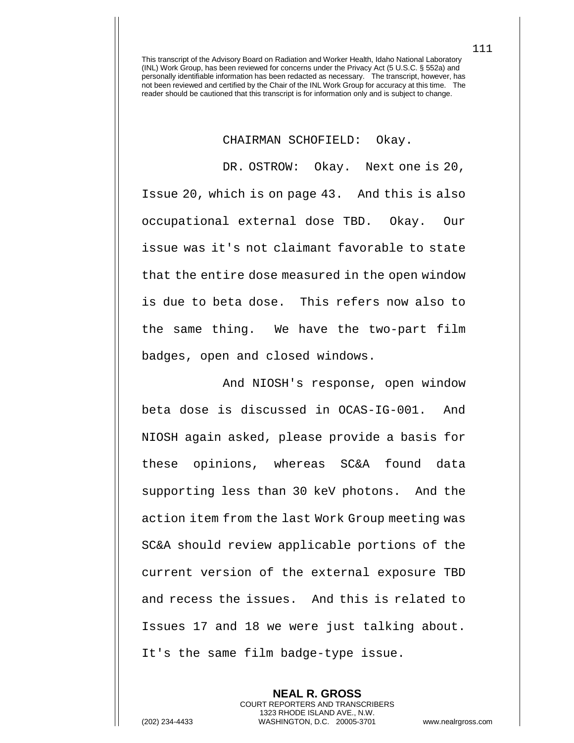CHAIRMAN SCHOFIELD: Okay.

DR. OSTROW: Okay. Next one is 20, Issue 20, which is on page 43. And this is also occupational external dose TBD. Okay. Our issue was it's not claimant favorable to state that the entire dose measured in the open window is due to beta dose. This refers now also to the same thing. We have the two-part film badges, open and closed windows.

And NIOSH's response, open window beta dose is discussed in OCAS-IG-001. And NIOSH again asked, please provide a basis for these opinions, whereas SC&A found data supporting less than 30 keV photons. And the action item from the last Work Group meeting was SC&A should review applicable portions of the current version of the external exposure TBD and recess the issues. And this is related to Issues 17 and 18 we were just talking about. It's the same film badge-type issue.

**NEAL R. GROSS** COURT REPORTERS AND TRANSCRIBERS 1323 RHODE ISLAND AVE., N.W. (202) 234-4433 WASHINGTON, D.C. 20005-3701 www.nealrgross.com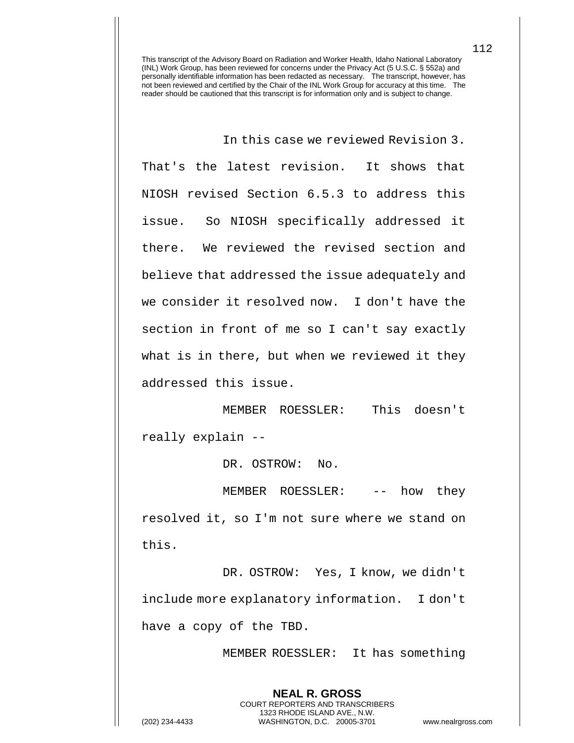In this case we reviewed Revision 3.

That's the latest revision. It shows that NIOSH revised Section 6.5.3 to address this issue. So NIOSH specifically addressed it there. We reviewed the revised section and believe that addressed the issue adequately and we consider it resolved now. I don't have the section in front of me so I can't say exactly what is in there, but when we reviewed it they addressed this issue.

MEMBER ROESSLER: This doesn't really explain --

DR. OSTROW: No.

MEMBER ROESSLER: -- how they resolved it, so I'm not sure where we stand on this.

DR. OSTROW: Yes, I know, we didn't include more explanatory information. I don't have a copy of the TBD.

> **NEAL R. GROSS** COURT REPORTERS AND TRANSCRIBERS 1323 RHODE ISLAND AVE., N.W.

MEMBER ROESSLER: It has something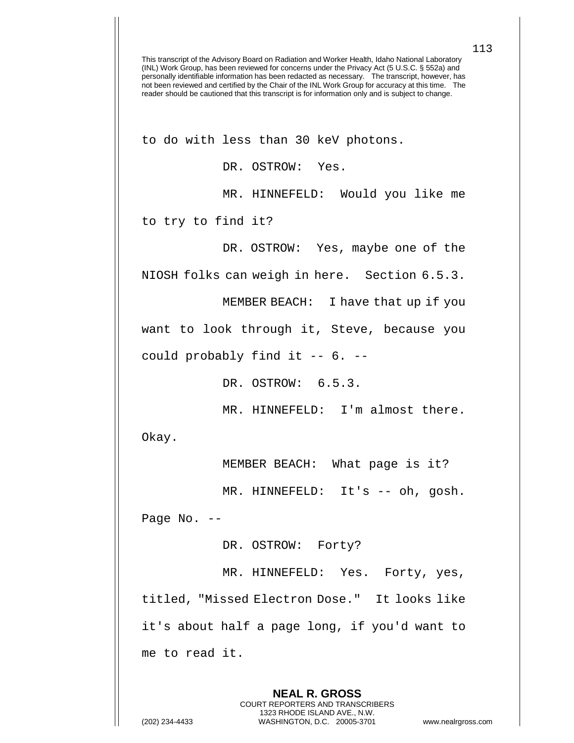to do with less than 30 keV photons.

DR. OSTROW: Yes.

MR. HINNEFELD: Would you like me

to try to find it?

DR. OSTROW: Yes, maybe one of the

NIOSH folks can weigh in here. Section 6.5.3.

MEMBER BEACH: I have that up if you

want to look through it, Steve, because you

could probably find it -- 6. --

DR. OSTROW: 6.5.3.

MR. HINNEFELD: I'm almost there.

Okay.

MEMBER BEACH: What page is it?

MR. HINNEFELD: It's -- oh, gosh.

Page No. --

DR. OSTROW: Forty?

MR. HINNEFELD: Yes. Forty, yes, titled, "Missed Electron Dose." It looks like it's about half a page long, if you'd want to me to read it.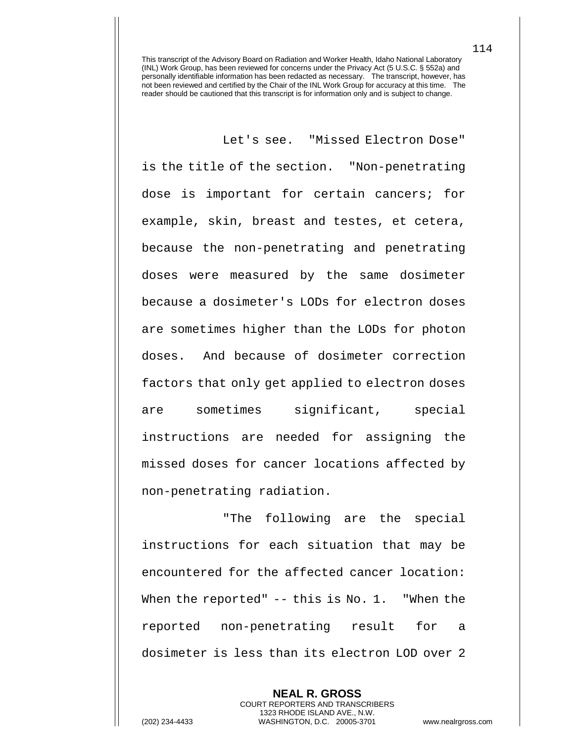Let's see. "Missed Electron Dose" is the title of the section. "Non-penetrating dose is important for certain cancers; for example, skin, breast and testes, et cetera, because the non-penetrating and penetrating doses were measured by the same dosimeter because a dosimeter's LODs for electron doses are sometimes higher than the LODs for photon doses. And because of dosimeter correction factors that only get applied to electron doses are sometimes significant, special instructions are needed for assigning the missed doses for cancer locations affected by non-penetrating radiation.

"The following are the special instructions for each situation that may be encountered for the affected cancer location: When the reported" -- this is No. 1. "When the reported non-penetrating result for a dosimeter is less than its electron LOD over 2

**NEAL R. GROSS** COURT REPORTERS AND TRANSCRIBERS 1323 RHODE ISLAND AVE., N.W. (202) 234-4433 WASHINGTON, D.C. 20005-3701 www.nealrgross.com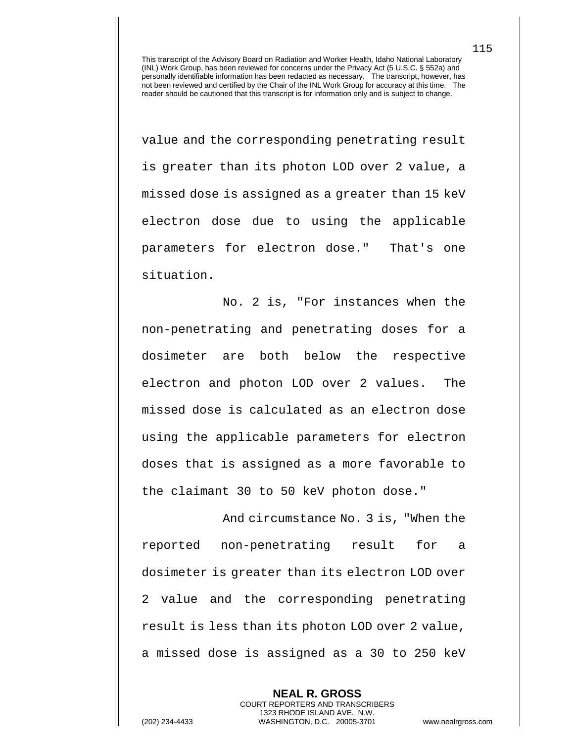value and the corresponding penetrating result is greater than its photon LOD over 2 value, a missed dose is assigned as a greater than 15 keV electron dose due to using the applicable parameters for electron dose." That's one situation.

No. 2 is, "For instances when the non-penetrating and penetrating doses for a dosimeter are both below the respective electron and photon LOD over 2 values. The missed dose is calculated as an electron dose using the applicable parameters for electron doses that is assigned as a more favorable to the claimant 30 to 50 keV photon dose."

And circumstance No. 3 is, "When the reported non-penetrating result for a dosimeter is greater than its electron LOD over 2 value and the corresponding penetrating result is less than its photon LOD over 2 value, a missed dose is assigned as a 30 to 250 keV

> **NEAL R. GROSS** COURT REPORTERS AND TRANSCRIBERS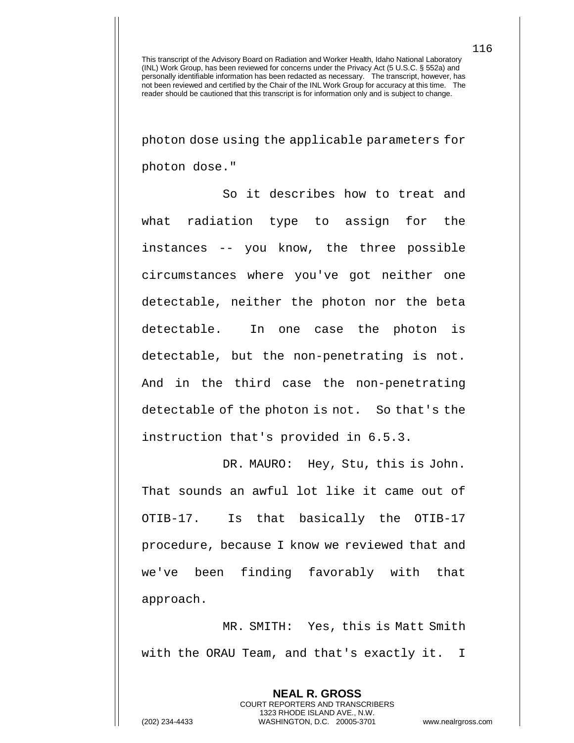photon dose using the applicable parameters for photon dose."

So it describes how to treat and what radiation type to assign for the instances -- you know, the three possible circumstances where you've got neither one detectable, neither the photon nor the beta detectable. In one case the photon is detectable, but the non-penetrating is not. And in the third case the non-penetrating detectable of the photon is not. So that's the instruction that's provided in 6.5.3.

DR. MAURO: Hey, Stu, this is John. That sounds an awful lot like it came out of OTIB-17. Is that basically the OTIB-17 procedure, because I know we reviewed that and we've been finding favorably with that approach.

MR. SMITH: Yes, this is Matt Smith with the ORAU Team, and that's exactly it. I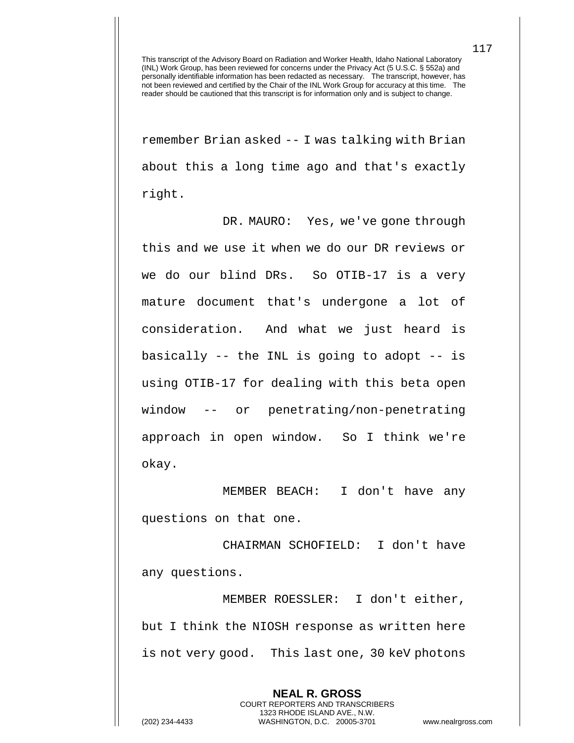remember Brian asked -- I was talking with Brian about this a long time ago and that's exactly right.

DR. MAURO: Yes, we've gone through this and we use it when we do our DR reviews or we do our blind DRs. So OTIB-17 is a very mature document that's undergone a lot of consideration. And what we just heard is basically -- the INL is going to adopt -- is using OTIB-17 for dealing with this beta open window -- or penetrating/non-penetrating approach in open window. So I think we're okay.

MEMBER BEACH: I don't have any questions on that one.

CHAIRMAN SCHOFIELD: I don't have any questions.

MEMBER ROESSLER: I don't either, but I think the NIOSH response as written here is not very good. This last one, 30 keV photons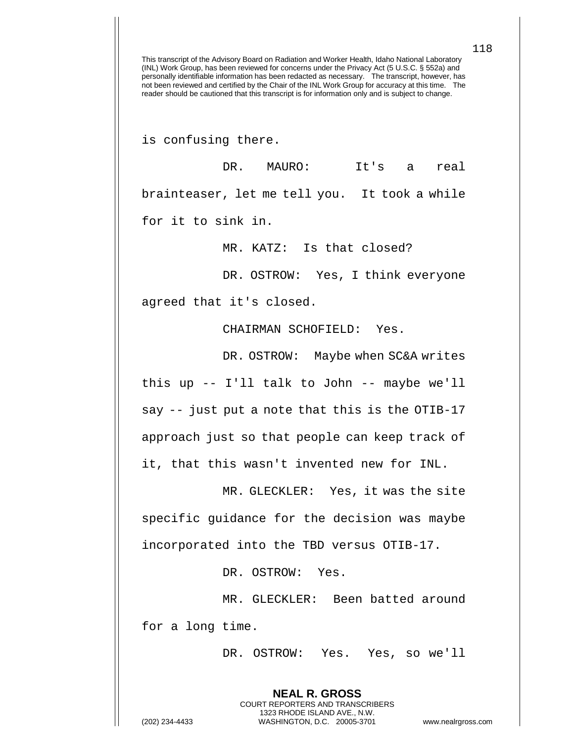is confusing there.

DR. MAURO: It's a real brainteaser, let me tell you. It took a while for it to sink in.

MR. KATZ: Is that closed?

DR. OSTROW: Yes, I think everyone

agreed that it's closed.

CHAIRMAN SCHOFIELD: Yes.

DR. OSTROW: Maybe when SC&A writes this up -- I'll talk to John -- maybe we'll say -- just put a note that this is the OTIB-17 approach just so that people can keep track of it, that this wasn't invented new for INL.

MR. GLECKLER: Yes, it was the site specific guidance for the decision was maybe incorporated into the TBD versus OTIB-17.

DR. OSTROW: Yes.

MR. GLECKLER: Been batted around for a long time.

> **NEAL R. GROSS** COURT REPORTERS AND TRANSCRIBERS 1323 RHODE ISLAND AVE., N.W.

DR. OSTROW: Yes. Yes, so we'll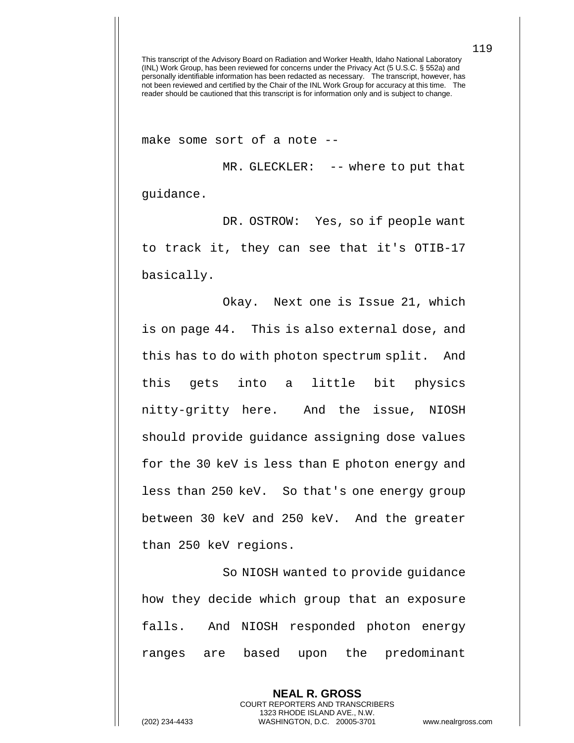make some sort of a note --

MR. GLECKLER: -- where to put that guidance.

DR. OSTROW: Yes, so if people want to track it, they can see that it's OTIB-17 basically.

Okay. Next one is Issue 21, which is on page 44. This is also external dose, and this has to do with photon spectrum split. And this gets into a little bit physics nitty-gritty here. And the issue, NIOSH should provide guidance assigning dose values for the 30 keV is less than E photon energy and less than 250 keV. So that's one energy group between 30 keV and 250 keV. And the greater than 250 keV regions.

So NIOSH wanted to provide guidance how they decide which group that an exposure falls. And NIOSH responded photon energy ranges are based upon the predominant

> **NEAL R. GROSS** COURT REPORTERS AND TRANSCRIBERS 1323 RHODE ISLAND AVE., N.W.

(202) 234-4433 WASHINGTON, D.C. 20005-3701 www.nealrgross.com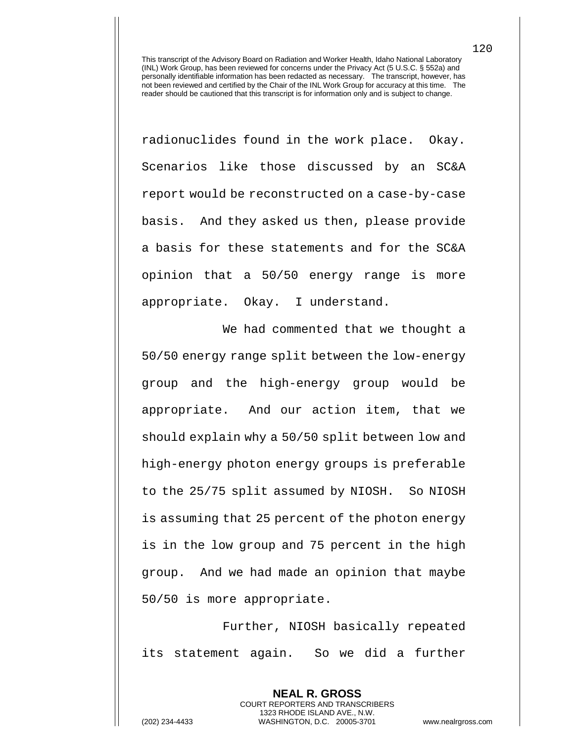radionuclides found in the work place. Okay. Scenarios like those discussed by an SC&A report would be reconstructed on a case-by-case basis. And they asked us then, please provide a basis for these statements and for the SC&A opinion that a 50/50 energy range is more appropriate. Okay. I understand.

We had commented that we thought a 50/50 energy range split between the low-energy group and the high-energy group would be appropriate. And our action item, that we should explain why a 50/50 split between low and high-energy photon energy groups is preferable to the 25/75 split assumed by NIOSH. So NIOSH is assuming that 25 percent of the photon energy is in the low group and 75 percent in the high group. And we had made an opinion that maybe 50/50 is more appropriate.

Further, NIOSH basically repeated its statement again. So we did a further

> **NEAL R. GROSS** COURT REPORTERS AND TRANSCRIBERS 1323 RHODE ISLAND AVE., N.W.

120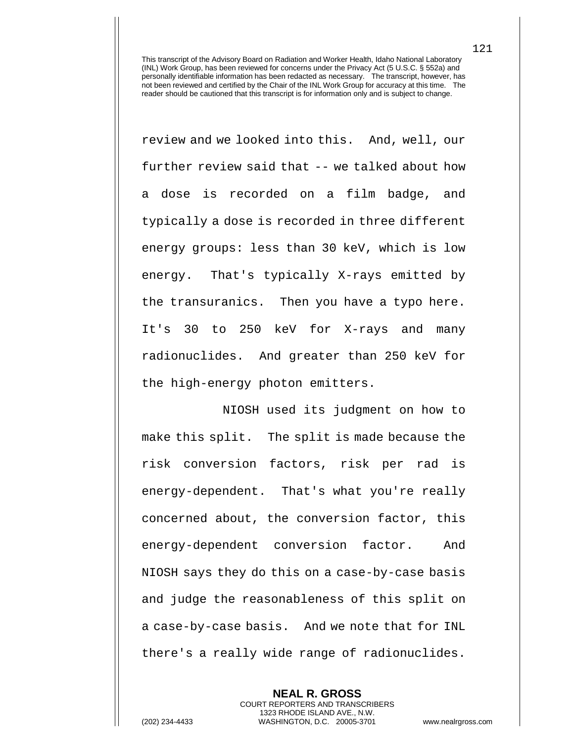review and we looked into this. And, well, our further review said that -- we talked about how a dose is recorded on a film badge, and typically a dose is recorded in three different energy groups: less than 30 keV, which is low energy. That's typically X-rays emitted by the transuranics. Then you have a typo here. It's 30 to 250 keV for X-rays and many radionuclides. And greater than 250 keV for the high-energy photon emitters.

NIOSH used its judgment on how to make this split. The split is made because the risk conversion factors, risk per rad is energy-dependent. That's what you're really concerned about, the conversion factor, this energy-dependent conversion factor. And NIOSH says they do this on a case-by-case basis and judge the reasonableness of this split on a case-by-case basis. And we note that for INL there's a really wide range of radionuclides.

**NEAL R. GROSS** COURT REPORTERS AND TRANSCRIBERS 1323 RHODE ISLAND AVE., N.W. (202) 234-4433 WASHINGTON, D.C. 20005-3701 www.nealrgross.com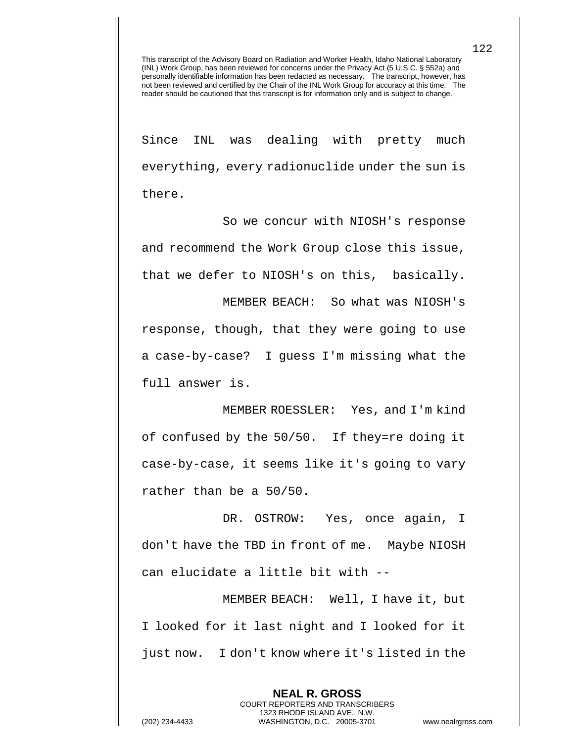Since INL was dealing with pretty much everything, every radionuclide under the sun is there.

So we concur with NIOSH's response and recommend the Work Group close this issue, that we defer to NIOSH's on this, basically.

MEMBER BEACH: So what was NIOSH's response, though, that they were going to use a case-by-case? I guess I'm missing what the full answer is.

MEMBER ROESSLER: Yes, and I'm kind of confused by the 50/50. If they=re doing it case-by-case, it seems like it's going to vary rather than be a 50/50.

DR. OSTROW: Yes, once again, I don't have the TBD in front of me. Maybe NIOSH can elucidate a little bit with --

MEMBER BEACH: Well, I have it, but I looked for it last night and I looked for it just now. I don't know where it's listed in the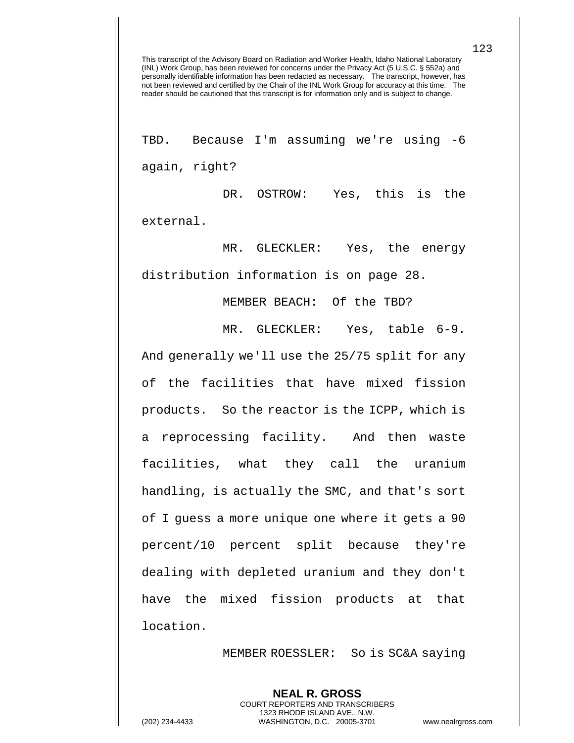TBD. Because I'm assuming we're using -6 again, right?

DR. OSTROW: Yes, this is the external.

MR. GLECKLER: Yes, the energy distribution information is on page 28.

MEMBER BEACH: Of the TBD?

MR. GLECKLER: Yes, table 6-9.

And generally we'll use the 25/75 split for any of the facilities that have mixed fission products. So the reactor is the ICPP, which is a reprocessing facility. And then waste facilities, what they call the uranium handling, is actually the SMC, and that's sort of I guess a more unique one where it gets a 90 percent/10 percent split because they're dealing with depleted uranium and they don't have the mixed fission products at that location.

MEMBER ROESSLER: So is SC&A saying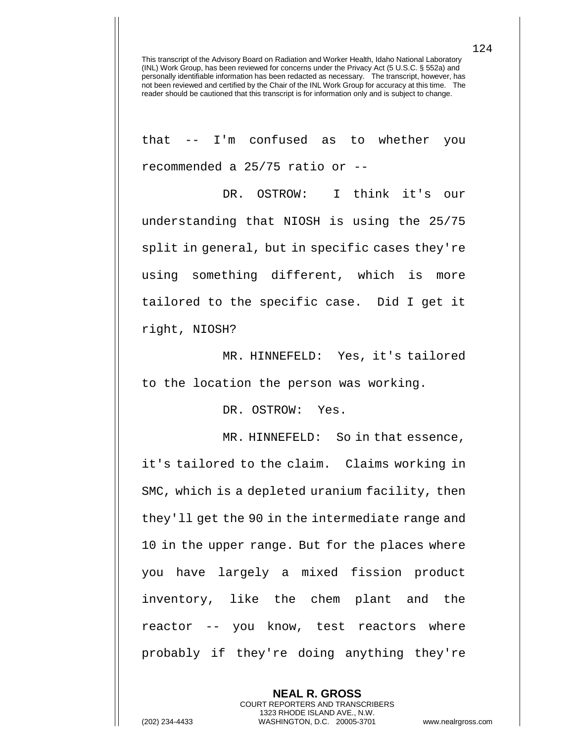that -- I'm confused as to whether you recommended a 25/75 ratio or --

DR. OSTROW: I think it's our understanding that NIOSH is using the 25/75 split in general, but in specific cases they're using something different, which is more tailored to the specific case. Did I get it right, NIOSH?

MR. HINNEFELD: Yes, it's tailored to the location the person was working.

DR. OSTROW: Yes.

MR. HINNEFELD: So in that essence, it's tailored to the claim. Claims working in SMC, which is a depleted uranium facility, then they'll get the 90 in the intermediate range and 10 in the upper range. But for the places where you have largely a mixed fission product inventory, like the chem plant and the reactor -- you know, test reactors where probably if they're doing anything they're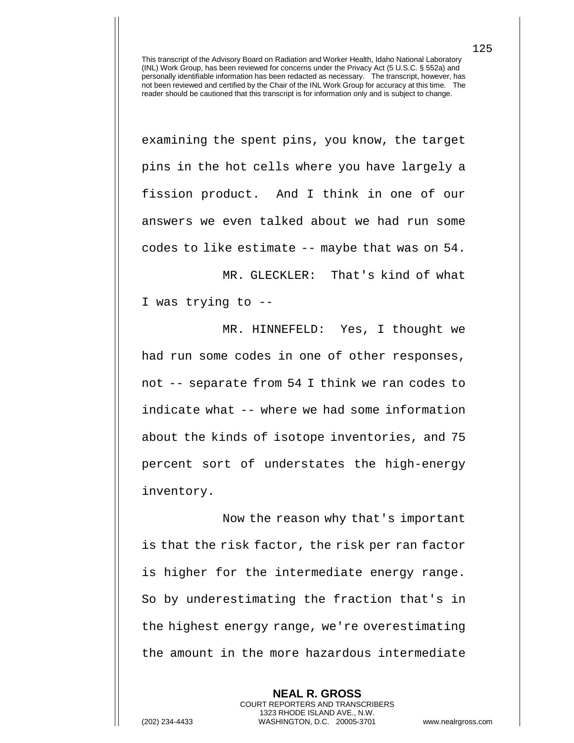examining the spent pins, you know, the target pins in the hot cells where you have largely a fission product. And I think in one of our answers we even talked about we had run some codes to like estimate -- maybe that was on 54.

MR. GLECKLER: That's kind of what I was trying to --

MR. HINNEFELD: Yes, I thought we had run some codes in one of other responses, not -- separate from 54 I think we ran codes to indicate what -- where we had some information about the kinds of isotope inventories, and 75 percent sort of understates the high-energy inventory.

Now the reason why that's important is that the risk factor, the risk per ran factor is higher for the intermediate energy range. So by underestimating the fraction that's in the highest energy range, we're overestimating the amount in the more hazardous intermediate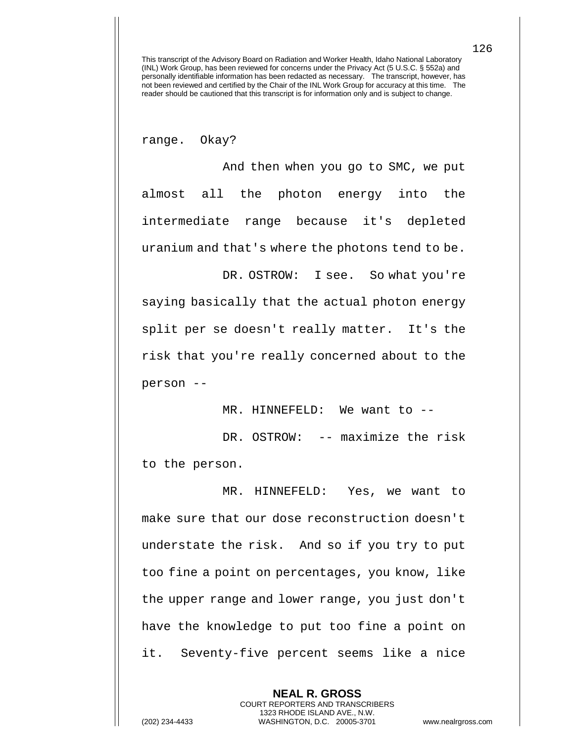range. Okay?

And then when you go to SMC, we put almost all the photon energy into the intermediate range because it's depleted uranium and that's where the photons tend to be.

saying basically that the actual photon energy split per se doesn't really matter. It's the risk that you're really concerned about to the person --

MR. HINNEFELD: We want to --

DR. OSTROW: I see. So what you're

DR. OSTROW: -- maximize the risk to the person.

MR. HINNEFELD: Yes, we want to make sure that our dose reconstruction doesn't understate the risk. And so if you try to put too fine a point on percentages, you know, like the upper range and lower range, you just don't have the knowledge to put too fine a point on it. Seventy-five percent seems like a nice

> **NEAL R. GROSS** COURT REPORTERS AND TRANSCRIBERS 1323 RHODE ISLAND AVE., N.W.

126

(202) 234-4433 WASHINGTON, D.C. 20005-3701 www.nealrgross.com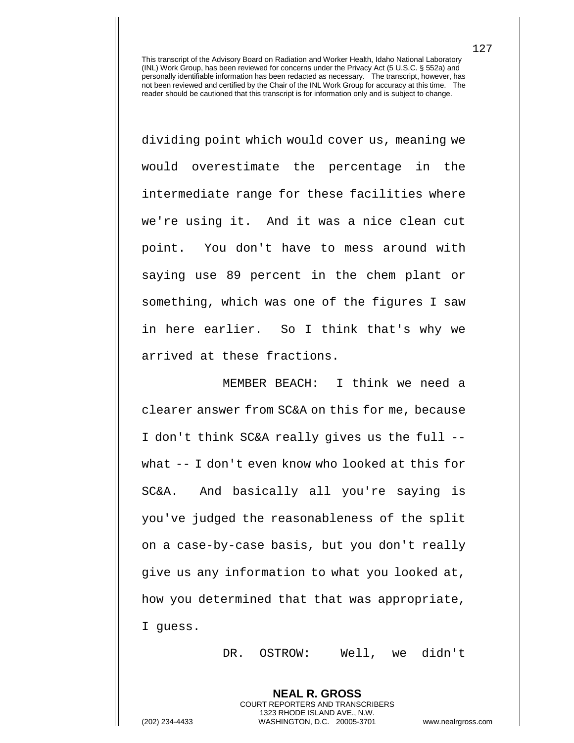dividing point which would cover us, meaning we would overestimate the percentage in the intermediate range for these facilities where we're using it. And it was a nice clean cut point. You don't have to mess around with saying use 89 percent in the chem plant or something, which was one of the figures I saw in here earlier. So I think that's why we arrived at these fractions.

MEMBER BEACH: I think we need a clearer answer from SC&A on this for me, because I don't think SC&A really gives us the full - what -- I don't even know who looked at this for SC&A. And basically all you're saying is you've judged the reasonableness of the split on a case-by-case basis, but you don't really give us any information to what you looked at, how you determined that that was appropriate, I guess.

DR. OSTROW: Well, we didn't

(202) 234-4433 WASHINGTON, D.C. 20005-3701 www.nealrgross.com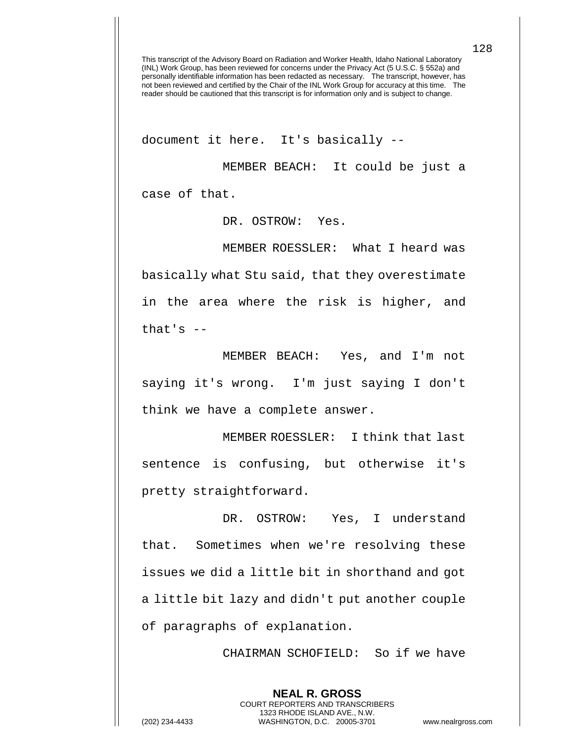document it here. It's basically --

MEMBER BEACH: It could be just a case of that.

DR. OSTROW: Yes.

MEMBER ROESSLER: What I heard was basically what Stu said, that they overestimate in the area where the risk is higher, and that's  $-$ 

MEMBER BEACH: Yes, and I'm not saying it's wrong. I'm just saying I don't think we have a complete answer.

MEMBER ROESSLER: I think that last sentence is confusing, but otherwise it's pretty straightforward.

DR. OSTROW: Yes, I understand that. Sometimes when we're resolving these issues we did a little bit in shorthand and got a little bit lazy and didn't put another couple of paragraphs of explanation.

CHAIRMAN SCHOFIELD: So if we have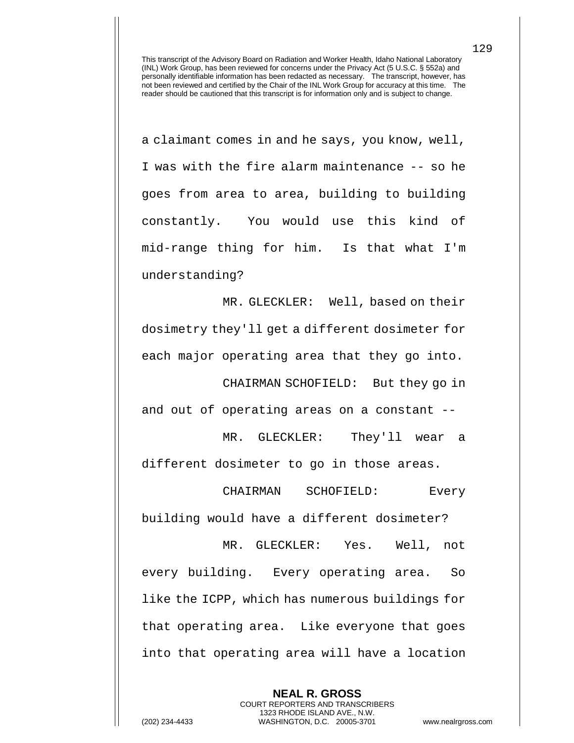a claimant comes in and he says, you know, well, I was with the fire alarm maintenance -- so he goes from area to area, building to building constantly. You would use this kind of mid-range thing for him. Is that what I'm understanding?

MR. GLECKLER: Well, based on their dosimetry they'll get a different dosimeter for each major operating area that they go into.

CHAIRMAN SCHOFIELD: But they go in and out of operating areas on a constant --

MR. GLECKLER: They'll wear a different dosimeter to go in those areas.

CHAIRMAN SCHOFIELD: Every building would have a different dosimeter?

MR. GLECKLER: Yes. Well, not every building. Every operating area. So like the ICPP, which has numerous buildings for that operating area. Like everyone that goes into that operating area will have a location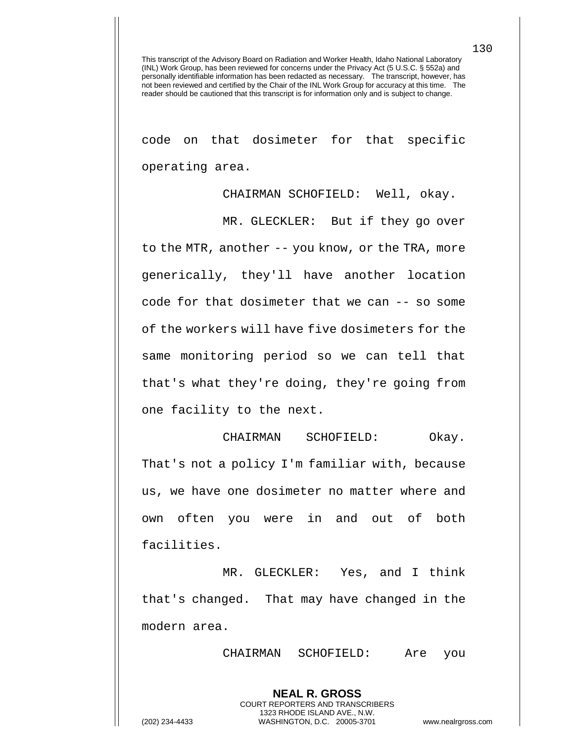code on that dosimeter for that specific operating area.

CHAIRMAN SCHOFIELD: Well, okay.

MR. GLECKLER: But if they go over to the MTR, another -- you know, or the TRA, more generically, they'll have another location code for that dosimeter that we can -- so some of the workers will have five dosimeters for the same monitoring period so we can tell that that's what they're doing, they're going from one facility to the next.

CHAIRMAN SCHOFIELD: Okay. That's not a policy I'm familiar with, because us, we have one dosimeter no matter where and own often you were in and out of both facilities.

MR. GLECKLER: Yes, and I think that's changed. That may have changed in the modern area.

> **NEAL R. GROSS** COURT REPORTERS AND TRANSCRIBERS 1323 RHODE ISLAND AVE., N.W.

CHAIRMAN SCHOFIELD: Are you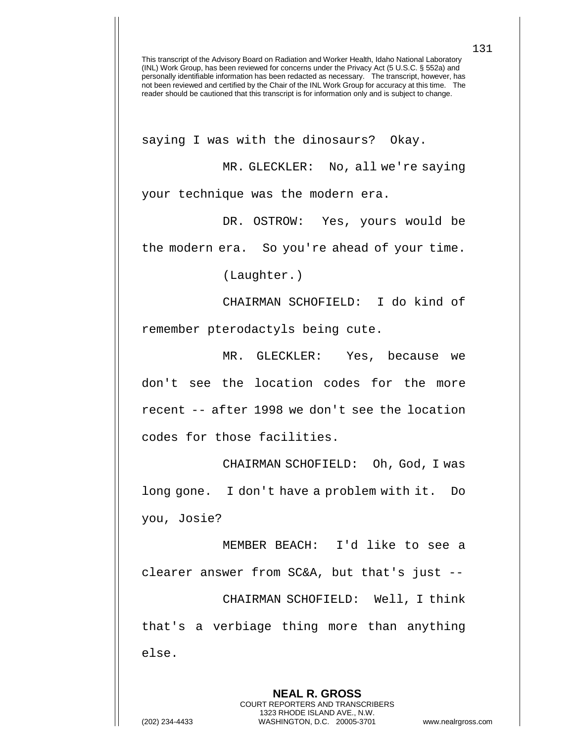saying I was with the dinosaurs? Okay.

MR. GLECKLER: No, all we're saying your technique was the modern era.

DR. OSTROW: Yes, yours would be the modern era. So you're ahead of your time.

(Laughter.)

CHAIRMAN SCHOFIELD: I do kind of remember pterodactyls being cute.

MR. GLECKLER: Yes, because we don't see the location codes for the more recent -- after 1998 we don't see the location codes for those facilities.

CHAIRMAN SCHOFIELD: Oh, God, I was long gone. I don't have a problem with it. Do you, Josie?

MEMBER BEACH: I'd like to see a clearer answer from SC&A, but that's just -- CHAIRMAN SCHOFIELD: Well, I think that's a verbiage thing more than anything else.

**NEAL R. GROSS** COURT REPORTERS AND TRANSCRIBERS 1323 RHODE ISLAND AVE., N.W. (202) 234-4433 WASHINGTON, D.C. 20005-3701 www.nealrgross.com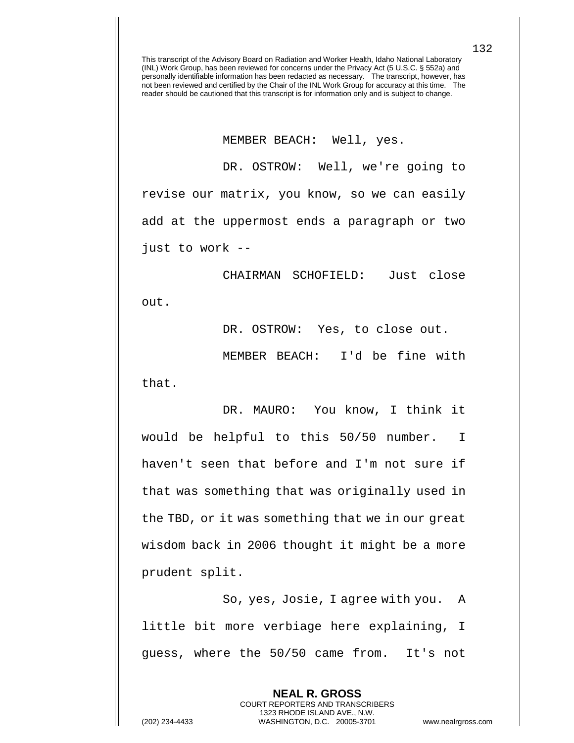MEMBER BEACH: Well, yes.

DR. OSTROW: Well, we're going to revise our matrix, you know, so we can easily add at the uppermost ends a paragraph or two just to work --

CHAIRMAN SCHOFIELD: Just close out.

DR. OSTROW: Yes, to close out.

MEMBER BEACH: I'd be fine with that.

DR. MAURO: You know, I think it would be helpful to this 50/50 number. I haven't seen that before and I'm not sure if that was something that was originally used in the TBD, or it was something that we in our great wisdom back in 2006 thought it might be a more prudent split.

So, yes, Josie, I agree with you. A little bit more verbiage here explaining, I guess, where the 50/50 came from. It's not

> **NEAL R. GROSS** COURT REPORTERS AND TRANSCRIBERS 1323 RHODE ISLAND AVE., N.W.

132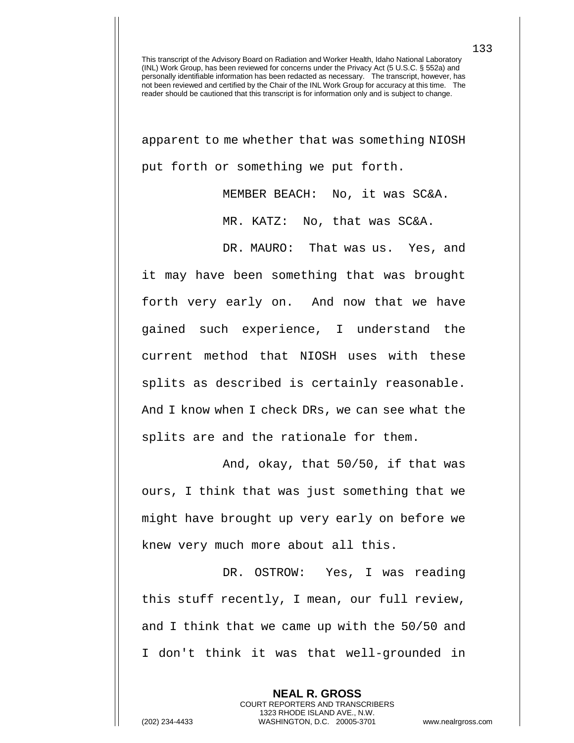apparent to me whether that was something NIOSH put forth or something we put forth.

MEMBER BEACH: No, it was SC&A.

MR. KATZ: No, that was SC&A.

DR. MAURO: That was us. Yes, and it may have been something that was brought forth very early on. And now that we have gained such experience, I understand the current method that NIOSH uses with these splits as described is certainly reasonable. And I know when I check DRs, we can see what the splits are and the rationale for them.

And, okay, that 50/50, if that was ours, I think that was just something that we might have brought up very early on before we knew very much more about all this.

DR. OSTROW: Yes, I was reading this stuff recently, I mean, our full review, and I think that we came up with the 50/50 and I don't think it was that well-grounded in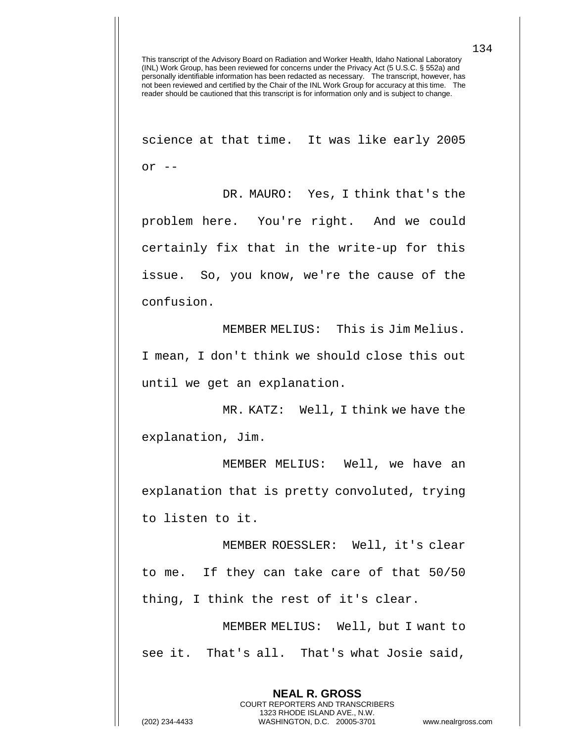science at that time. It was like early 2005 or  $--$ 

DR. MAURO: Yes, I think that's the problem here. You're right. And we could certainly fix that in the write-up for this issue. So, you know, we're the cause of the confusion.

MEMBER MELIUS: This is Jim Melius. I mean, I don't think we should close this out until we get an explanation.

MR. KATZ: Well, I think we have the explanation, Jim.

MEMBER MELIUS: Well, we have an explanation that is pretty convoluted, trying to listen to it.

MEMBER ROESSLER: Well, it's clear to me. If they can take care of that 50/50 thing, I think the rest of it's clear.

MEMBER MELIUS: Well, but I want to see it. That's all. That's what Josie said,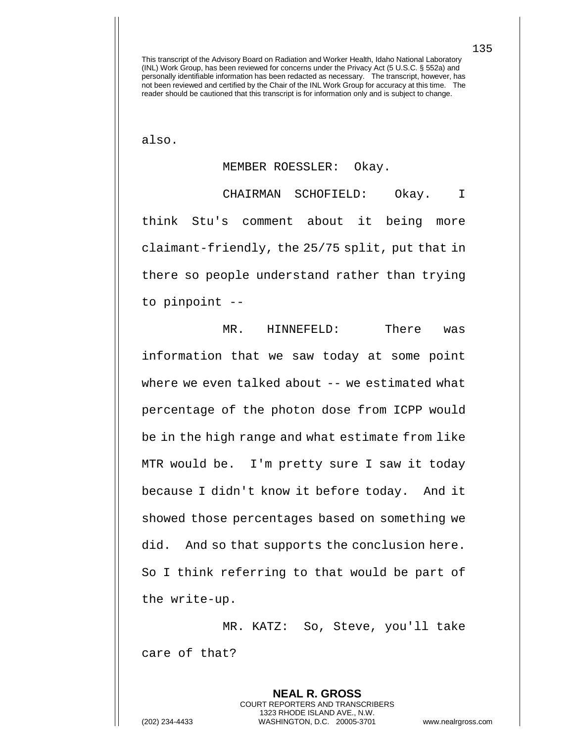also.

## MEMBER ROESSLER: Okay.

CHAIRMAN SCHOFIELD: Okay. I think Stu's comment about it being more claimant-friendly, the 25/75 split, put that in there so people understand rather than trying to pinpoint --

MR. HINNEFELD: There was information that we saw today at some point where we even talked about -- we estimated what percentage of the photon dose from ICPP would be in the high range and what estimate from like MTR would be. I'm pretty sure I saw it today because I didn't know it before today. And it showed those percentages based on something we did. And so that supports the conclusion here. So I think referring to that would be part of the write-up.

MR. KATZ: So, Steve, you'll take care of that?

(202) 234-4433 WASHINGTON, D.C. 20005-3701 www.nealrgross.com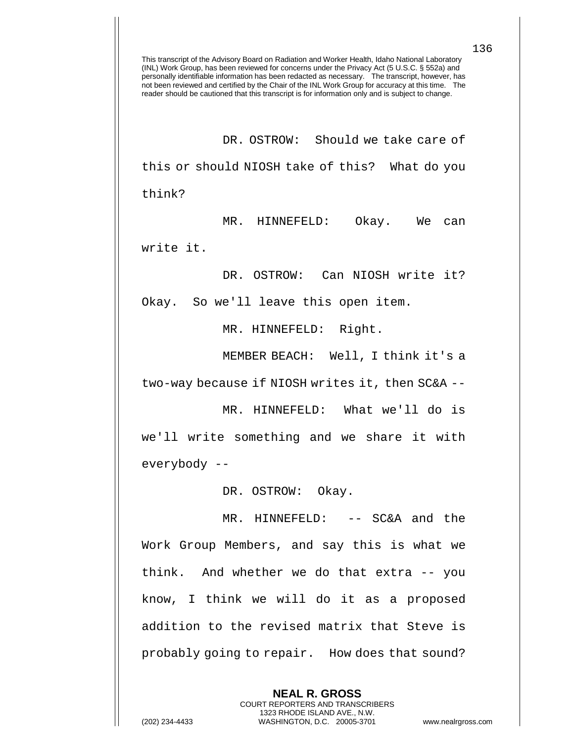DR. OSTROW: Should we take care of this or should NIOSH take of this? What do you think?

MR. HINNEFELD: Okay. We can write it.

DR. OSTROW: Can NIOSH write it?

Okay. So we'll leave this open item.

MR. HINNEFELD: Right.

MEMBER BEACH: Well, I think it's a two-way because if NIOSH writes it, then SC&A --

MR. HINNEFELD: What we'll do is we'll write something and we share it with everybody --

DR. OSTROW: Okay.

MR. HINNEFELD: -- SC&A and the Work Group Members, and say this is what we think. And whether we do that extra -- you know, I think we will do it as a proposed addition to the revised matrix that Steve is probably going to repair. How does that sound?

> **NEAL R. GROSS** COURT REPORTERS AND TRANSCRIBERS 1323 RHODE ISLAND AVE., N.W.

(202) 234-4433 WASHINGTON, D.C. 20005-3701 www.nealrgross.com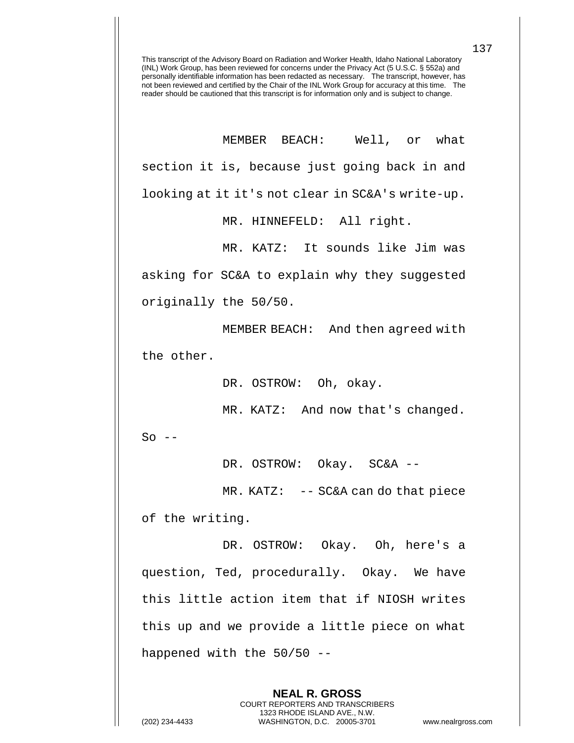MEMBER BEACH: Well, or what section it is, because just going back in and looking at it it's not clear in SC&A's write-up.

MR. HINNEFELD: All right.

MR. KATZ: It sounds like Jim was asking for SC&A to explain why they suggested originally the 50/50.

MEMBER BEACH: And then agreed with the other.

DR. OSTROW: Oh, okay.

MR. KATZ: And now that's changed.

 $So$   $--$ 

DR. OSTROW: Okay. SC&A --

MR. KATZ: -- SC&A can do that piece of the writing.

DR. OSTROW: Okay. Oh, here's a question, Ted, procedurally. Okay. We have this little action item that if NIOSH writes this up and we provide a little piece on what happened with the 50/50 --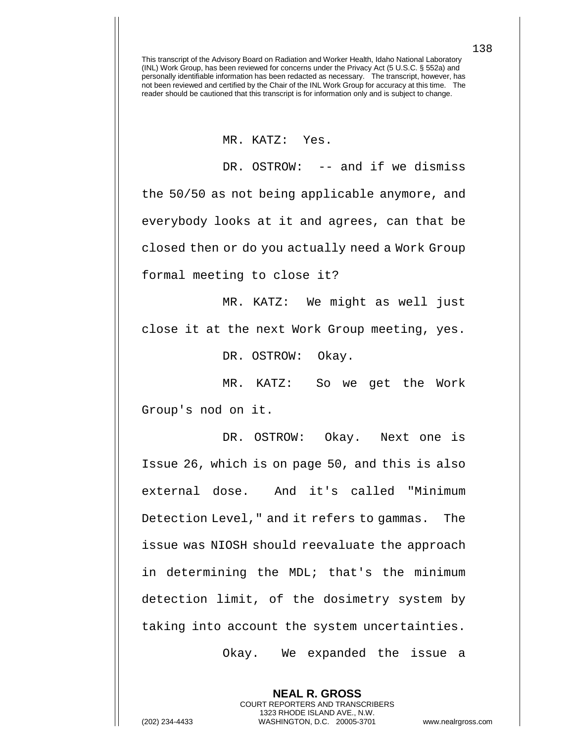MR. KATZ: Yes.

DR. OSTROW: -- and if we dismiss the 50/50 as not being applicable anymore, and everybody looks at it and agrees, can that be closed then or do you actually need a Work Group formal meeting to close it?

MR. KATZ: We might as well just close it at the next Work Group meeting, yes.

DR. OSTROW: Okay.

MR. KATZ: So we get the Work Group's nod on it.

DR. OSTROW: Okay. Next one is Issue 26, which is on page 50, and this is also external dose. And it's called "Minimum Detection Level," and it refers to gammas. The issue was NIOSH should reevaluate the approach in determining the MDL; that's the minimum detection limit, of the dosimetry system by taking into account the system uncertainties.

Okay. We expanded the issue a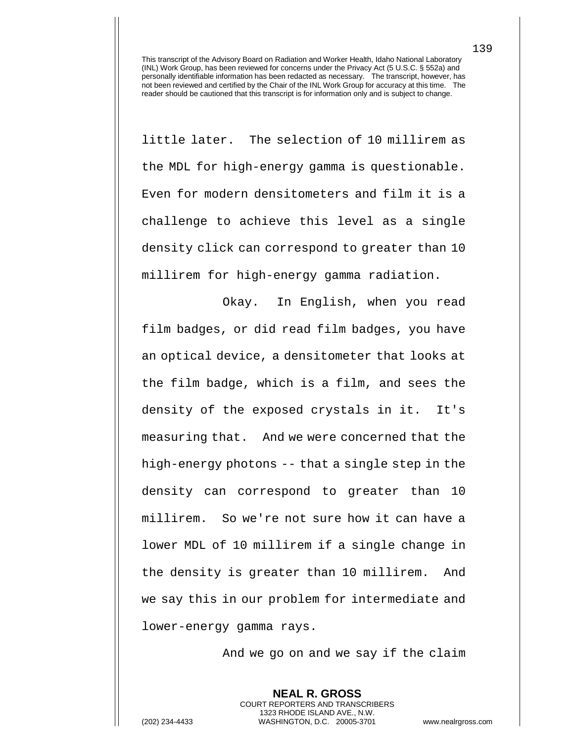little later. The selection of 10 millirem as the MDL for high-energy gamma is questionable. Even for modern densitometers and film it is a challenge to achieve this level as a single density click can correspond to greater than 10 millirem for high-energy gamma radiation.

Okay. In English, when you read film badges, or did read film badges, you have an optical device, a densitometer that looks at the film badge, which is a film, and sees the density of the exposed crystals in it. It's measuring that. And we were concerned that the high-energy photons -- that a single step in the density can correspond to greater than 10 millirem. So we're not sure how it can have a lower MDL of 10 millirem if a single change in the density is greater than 10 millirem. And we say this in our problem for intermediate and lower-energy gamma rays.

And we go on and we say if the claim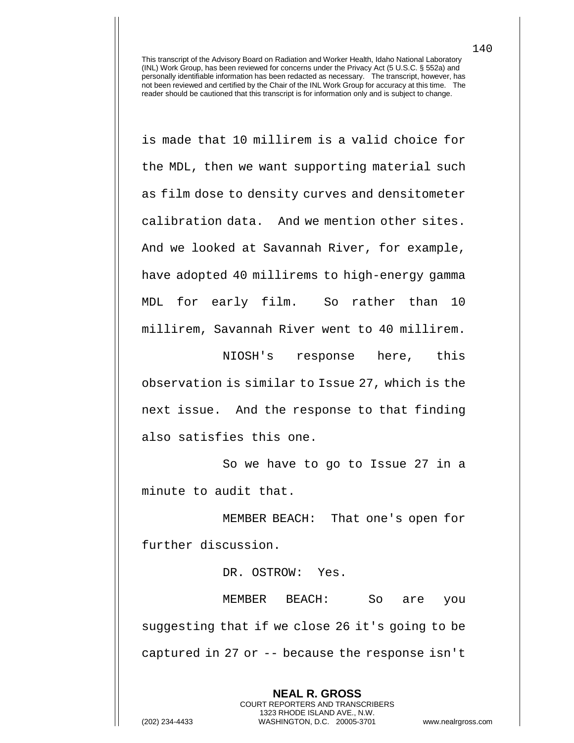is made that 10 millirem is a valid choice for the MDL, then we want supporting material such as film dose to density curves and densitometer calibration data. And we mention other sites. And we looked at Savannah River, for example, have adopted 40 millirems to high-energy gamma MDL for early film. So rather than 10 millirem, Savannah River went to 40 millirem.

NIOSH's response here, this observation is similar to Issue 27, which is the next issue. And the response to that finding also satisfies this one.

So we have to go to Issue 27 in a minute to audit that.

MEMBER BEACH: That one's open for further discussion.

DR. OSTROW: Yes.

MEMBER BEACH: So are you suggesting that if we close 26 it's going to be captured in 27 or -- because the response isn't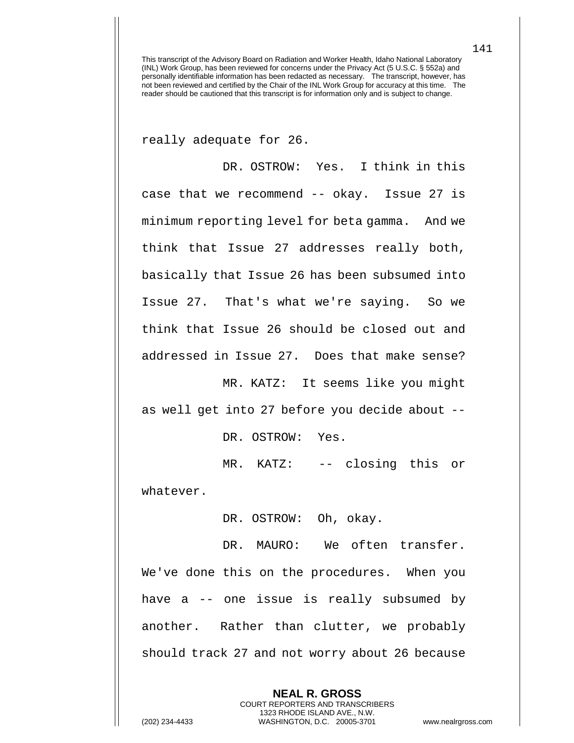really adequate for 26.

DR. OSTROW: Yes. I think in this case that we recommend -- okay. Issue 27 is minimum reporting level for beta gamma. And we think that Issue 27 addresses really both, basically that Issue 26 has been subsumed into Issue 27. That's what we're saying. So we think that Issue 26 should be closed out and addressed in Issue 27. Does that make sense?

MR. KATZ: It seems like you might as well get into 27 before you decide about --

DR. OSTROW: Yes.

MR. KATZ: -- closing this or whatever.

DR. OSTROW: Oh, okay.

DR. MAURO: We often transfer. We've done this on the procedures. When you have a -- one issue is really subsumed by another. Rather than clutter, we probably should track 27 and not worry about 26 because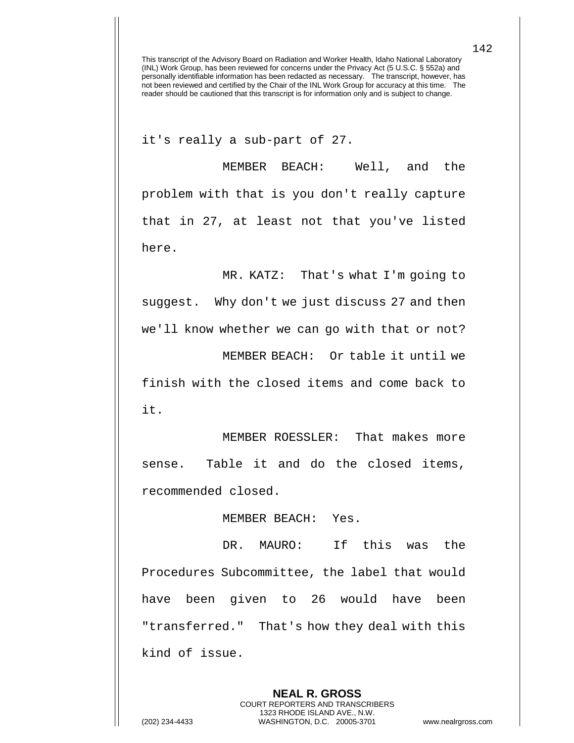it's really a sub-part of 27.

MEMBER BEACH: Well, and the problem with that is you don't really capture that in 27, at least not that you've listed here.

MR. KATZ: That's what I'm going to suggest. Why don't we just discuss 27 and then we'll know whether we can go with that or not? MEMBER BEACH: Or table it until we finish with the closed items and come back to it.

MEMBER ROESSLER: That makes more sense. Table it and do the closed items, recommended closed.

MEMBER BEACH: Yes.

DR. MAURO: If this was the Procedures Subcommittee, the label that would have been given to 26 would have been "transferred." That's how they deal with this kind of issue.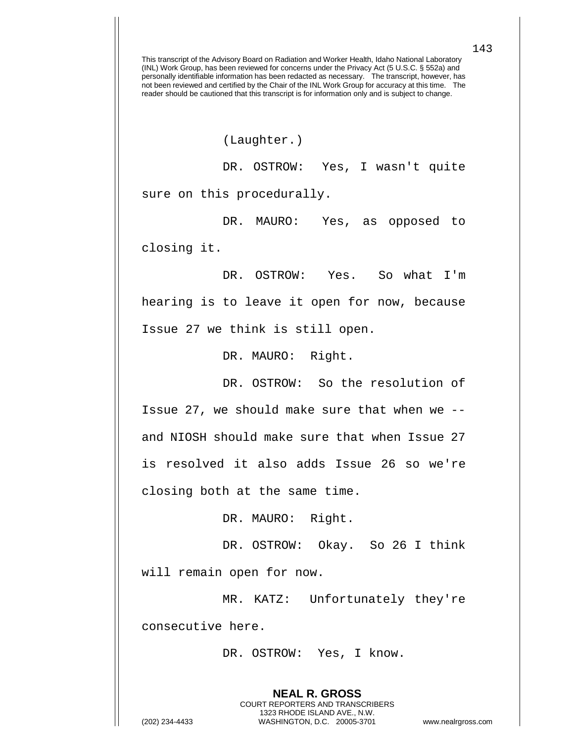(Laughter.)

DR. OSTROW: Yes, I wasn't quite sure on this procedurally.

DR. MAURO: Yes, as opposed to closing it.

DR. OSTROW: Yes. So what I'm hearing is to leave it open for now, because Issue 27 we think is still open.

DR. MAURO: Right.

DR. OSTROW: So the resolution of Issue 27, we should make sure that when we - and NIOSH should make sure that when Issue 27 is resolved it also adds Issue 26 so we're closing both at the same time.

DR. MAURO: Right.

DR. OSTROW: Okay. So 26 I think

will remain open for now.

MR. KATZ: Unfortunately they're consecutive here.

DR. OSTROW: Yes, I know.

**NEAL R. GROSS** COURT REPORTERS AND TRANSCRIBERS 1323 RHODE ISLAND AVE., N.W.

143

(202) 234-4433 WASHINGTON, D.C. 20005-3701 www.nealrgross.com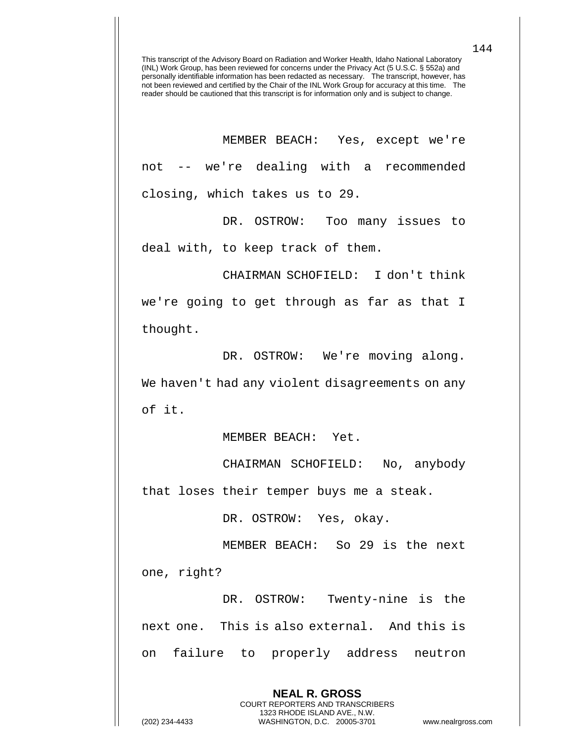MEMBER BEACH: Yes, except we're not -- we're dealing with a recommended closing, which takes us to 29.

DR. OSTROW: Too many issues to deal with, to keep track of them.

CHAIRMAN SCHOFIELD: I don't think we're going to get through as far as that I thought.

DR. OSTROW: We're moving along. We haven't had any violent disagreements on any of it.

MEMBER BEACH: Yet.

CHAIRMAN SCHOFIELD: No, anybody that loses their temper buys me a steak.

DR. OSTROW: Yes, okay.

MEMBER BEACH: So 29 is the next

one, right?

DR. OSTROW: Twenty-nine is the next one. This is also external. And this is on failure to properly address neutron

> **NEAL R. GROSS** COURT REPORTERS AND TRANSCRIBERS 1323 RHODE ISLAND AVE., N.W.

(202) 234-4433 WASHINGTON, D.C. 20005-3701 www.nealrgross.com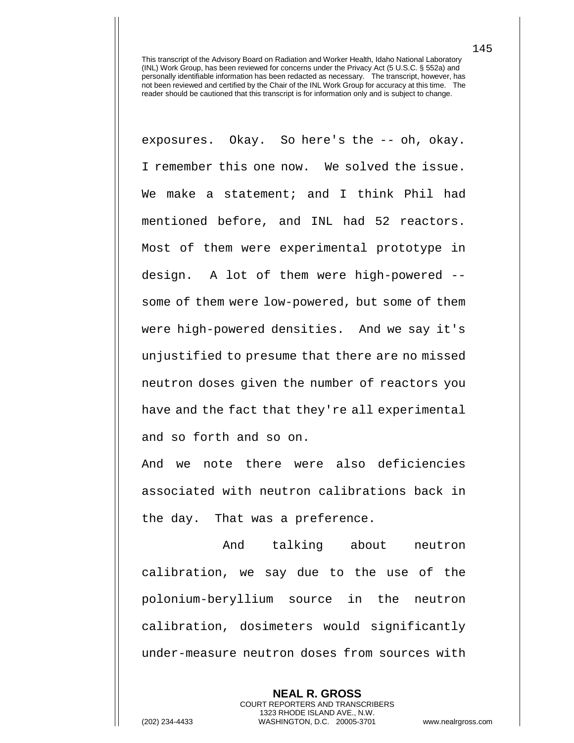exposures. Okay. So here's the -- oh, okay. I remember this one now. We solved the issue. We make a statement; and I think Phil had mentioned before, and INL had 52 reactors. Most of them were experimental prototype in design. A lot of them were high-powered - some of them were low-powered, but some of them were high-powered densities. And we say it's unjustified to presume that there are no missed neutron doses given the number of reactors you have and the fact that they're all experimental and so forth and so on.

And we note there were also deficiencies associated with neutron calibrations back in the day. That was a preference.

And talking about neutron calibration, we say due to the use of the polonium-beryllium source in the neutron calibration, dosimeters would significantly under-measure neutron doses from sources with

> **NEAL R. GROSS** COURT REPORTERS AND TRANSCRIBERS 1323 RHODE ISLAND AVE., N.W.

145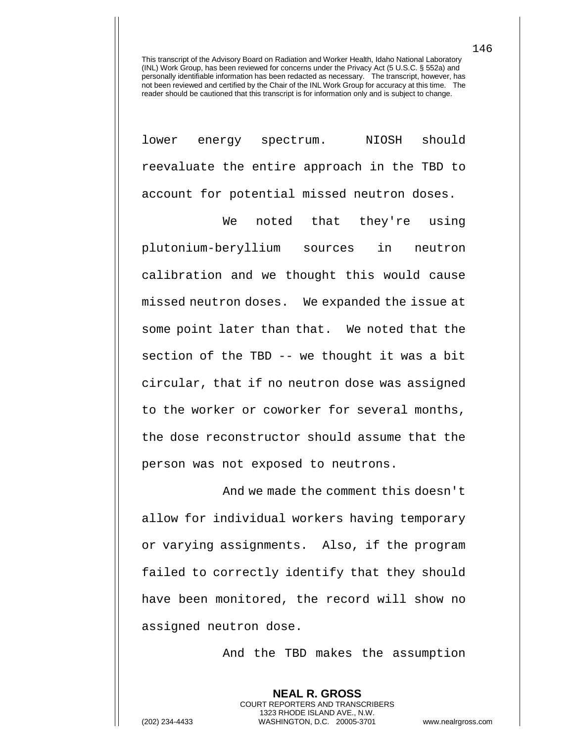lower energy spectrum. NIOSH should reevaluate the entire approach in the TBD to account for potential missed neutron doses.

We noted that they're using plutonium-beryllium sources in neutron calibration and we thought this would cause missed neutron doses. We expanded the issue at some point later than that. We noted that the section of the TBD -- we thought it was a bit circular, that if no neutron dose was assigned to the worker or coworker for several months, the dose reconstructor should assume that the person was not exposed to neutrons.

And we made the comment this doesn't allow for individual workers having temporary or varying assignments. Also, if the program failed to correctly identify that they should have been monitored, the record will show no assigned neutron dose.

And the TBD makes the assumption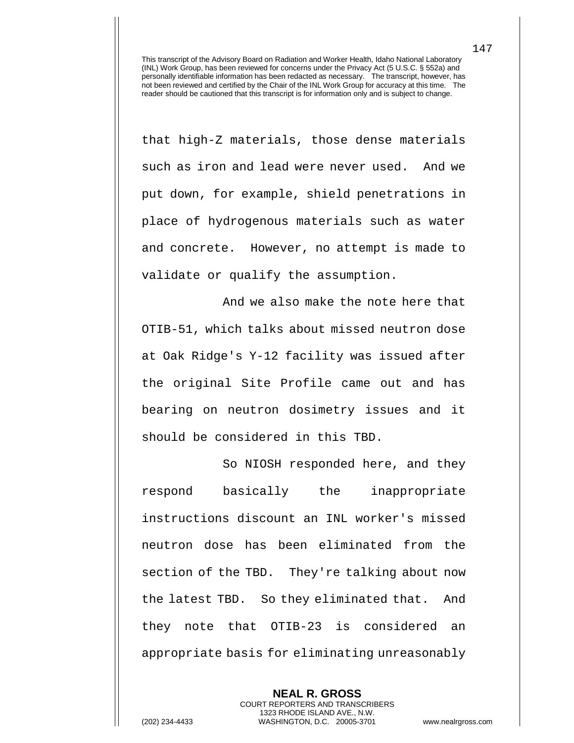that high-Z materials, those dense materials such as iron and lead were never used. And we put down, for example, shield penetrations in place of hydrogenous materials such as water and concrete. However, no attempt is made to validate or qualify the assumption.

And we also make the note here that OTIB-51, which talks about missed neutron dose at Oak Ridge's Y-12 facility was issued after the original Site Profile came out and has bearing on neutron dosimetry issues and it should be considered in this TBD.

So NIOSH responded here, and they respond basically the inappropriate instructions discount an INL worker's missed neutron dose has been eliminated from the section of the TBD. They're talking about now the latest TBD. So they eliminated that. And they note that OTIB-23 is considered an appropriate basis for eliminating unreasonably

**NEAL R. GROSS** COURT REPORTERS AND TRANSCRIBERS 1323 RHODE ISLAND AVE., N.W. (202) 234-4433 WASHINGTON, D.C. 20005-3701 www.nealrgross.com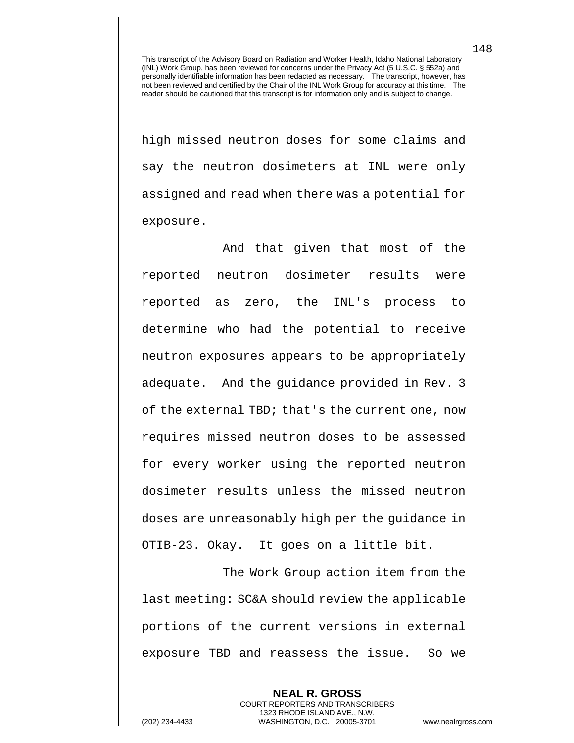high missed neutron doses for some claims and say the neutron dosimeters at INL were only assigned and read when there was a potential for exposure.

And that given that most of the reported neutron dosimeter results were reported as zero, the INL's process to determine who had the potential to receive neutron exposures appears to be appropriately adequate. And the guidance provided in Rev. 3 of the external TBD; that's the current one, now requires missed neutron doses to be assessed for every worker using the reported neutron dosimeter results unless the missed neutron doses are unreasonably high per the guidance in OTIB-23. Okay. It goes on a little bit.

The Work Group action item from the last meeting: SC&A should review the applicable portions of the current versions in external exposure TBD and reassess the issue. So we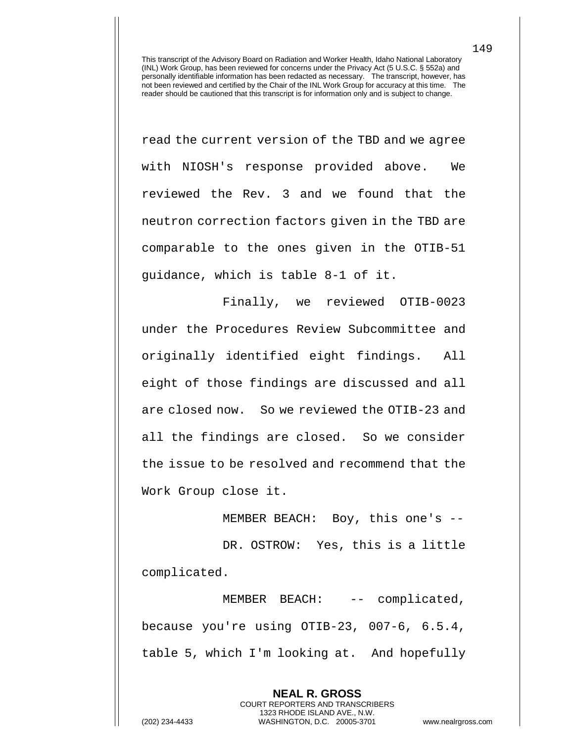read the current version of the TBD and we agree with NIOSH's response provided above. We reviewed the Rev. 3 and we found that the neutron correction factors given in the TBD are comparable to the ones given in the OTIB-51 guidance, which is table 8-1 of it.

Finally, we reviewed OTIB-0023 under the Procedures Review Subcommittee and originally identified eight findings. All eight of those findings are discussed and all are closed now. So we reviewed the OTIB-23 and all the findings are closed. So we consider the issue to be resolved and recommend that the Work Group close it.

MEMBER BEACH: Boy, this one's -- DR. OSTROW: Yes, this is a little complicated.

MEMBER BEACH: -- complicated, because you're using OTIB-23, 007-6, 6.5.4, table 5, which I'm looking at. And hopefully

> **NEAL R. GROSS** COURT REPORTERS AND TRANSCRIBERS 1323 RHODE ISLAND AVE., N.W.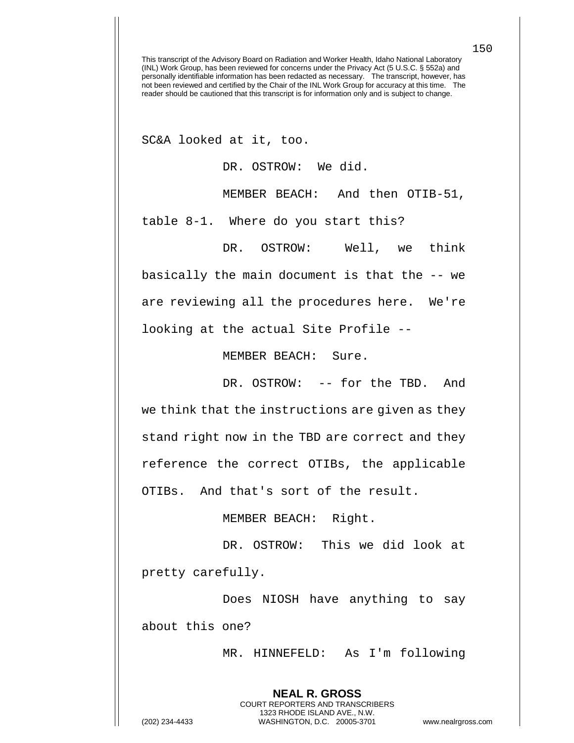SC&A looked at it, too.

DR. OSTROW: We did.

MEMBER BEACH: And then OTIB-51,

table 8-1. Where do you start this?

DR. OSTROW: Well, we think basically the main document is that the -- we are reviewing all the procedures here. We're looking at the actual Site Profile --

MEMBER BEACH: Sure.

DR. OSTROW: -- for the TBD. And we think that the instructions are given as they stand right now in the TBD are correct and they reference the correct OTIBs, the applicable OTIBs. And that's sort of the result.

MEMBER BEACH: Right.

DR. OSTROW: This we did look at pretty carefully.

Does NIOSH have anything to say about this one?

> **NEAL R. GROSS** COURT REPORTERS AND TRANSCRIBERS 1323 RHODE ISLAND AVE., N.W.

MR. HINNEFELD: As I'm following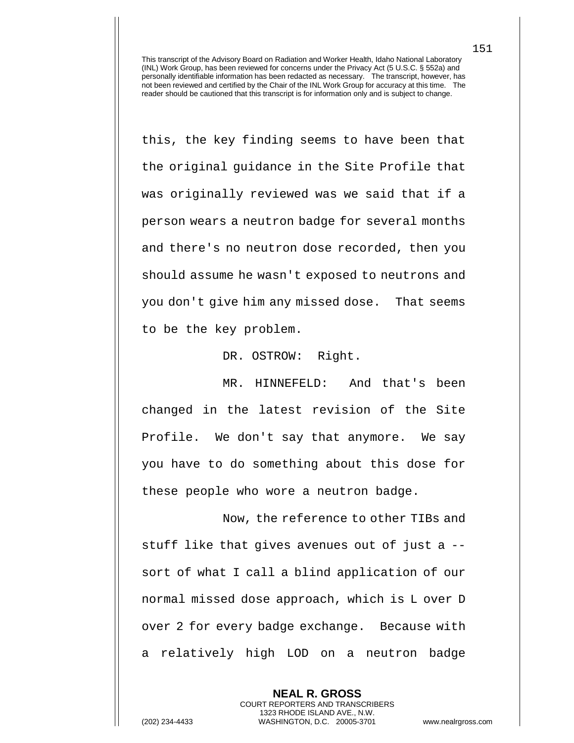this, the key finding seems to have been that the original guidance in the Site Profile that was originally reviewed was we said that if a person wears a neutron badge for several months and there's no neutron dose recorded, then you should assume he wasn't exposed to neutrons and you don't give him any missed dose. That seems to be the key problem.

DR. OSTROW: Right.

MR. HINNEFELD: And that's been changed in the latest revision of the Site Profile. We don't say that anymore. We say you have to do something about this dose for these people who wore a neutron badge.

Now, the reference to other TIBs and stuff like that gives avenues out of just a - sort of what I call a blind application of our normal missed dose approach, which is L over D over 2 for every badge exchange. Because with a relatively high LOD on a neutron badge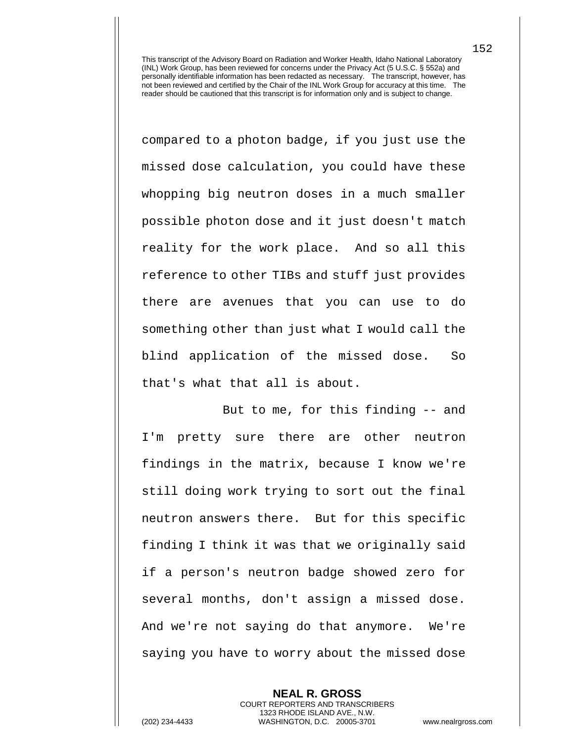compared to a photon badge, if you just use the missed dose calculation, you could have these whopping big neutron doses in a much smaller possible photon dose and it just doesn't match reality for the work place. And so all this reference to other TIBs and stuff just provides there are avenues that you can use to do something other than just what I would call the blind application of the missed dose. So that's what that all is about.

But to me, for this finding -- and I'm pretty sure there are other neutron findings in the matrix, because I know we're still doing work trying to sort out the final neutron answers there. But for this specific finding I think it was that we originally said if a person's neutron badge showed zero for several months, don't assign a missed dose. And we're not saying do that anymore. We're saying you have to worry about the missed dose

**NEAL R. GROSS** COURT REPORTERS AND TRANSCRIBERS 1323 RHODE ISLAND AVE., N.W. (202) 234-4433 WASHINGTON, D.C. 20005-3701 www.nealrgross.com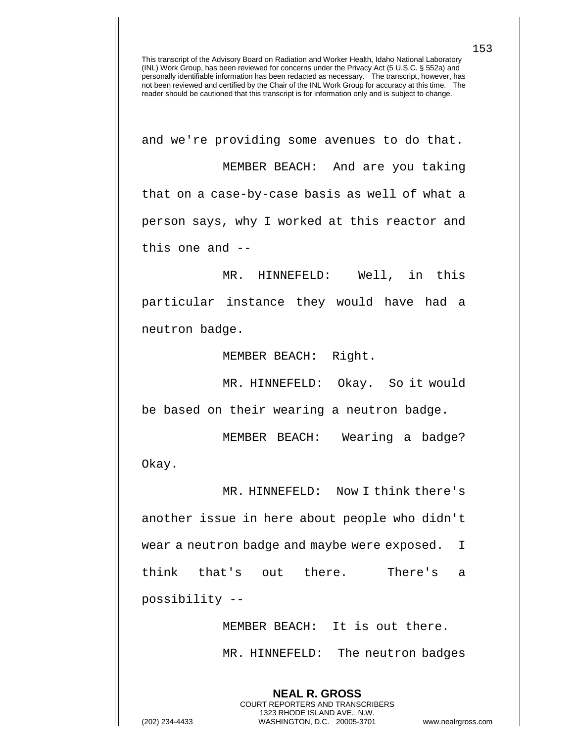and we're providing some avenues to do that. MEMBER BEACH: And are you taking that on a case-by-case basis as well of what a person says, why I worked at this reactor and this one and --

MR. HINNEFELD: Well, in this particular instance they would have had a neutron badge.

MEMBER BEACH: Right.

MR. HINNEFELD: Okay. So it would be based on their wearing a neutron badge.

MEMBER BEACH: Wearing a badge? Okay.

MR. HINNEFELD: Now I think there's another issue in here about people who didn't wear a neutron badge and maybe were exposed. I think that's out there. There's a possibility --

> MEMBER BEACH: It is out there. MR. HINNEFELD: The neutron badges

**NEAL R. GROSS** COURT REPORTERS AND TRANSCRIBERS 1323 RHODE ISLAND AVE., N.W.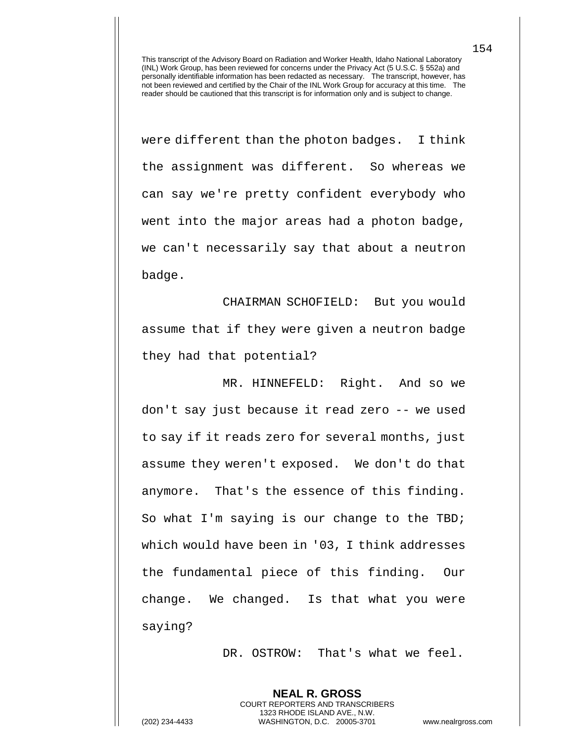were different than the photon badges. I think the assignment was different. So whereas we can say we're pretty confident everybody who went into the major areas had a photon badge, we can't necessarily say that about a neutron badge.

CHAIRMAN SCHOFIELD: But you would assume that if they were given a neutron badge they had that potential?

MR. HINNEFELD: Right. And so we don't say just because it read zero -- we used to say if it reads zero for several months, just assume they weren't exposed. We don't do that anymore. That's the essence of this finding. So what I'm saying is our change to the TBD; which would have been in '03, I think addresses the fundamental piece of this finding. Our change. We changed. Is that what you were saying?

DR. OSTROW: That's what we feel.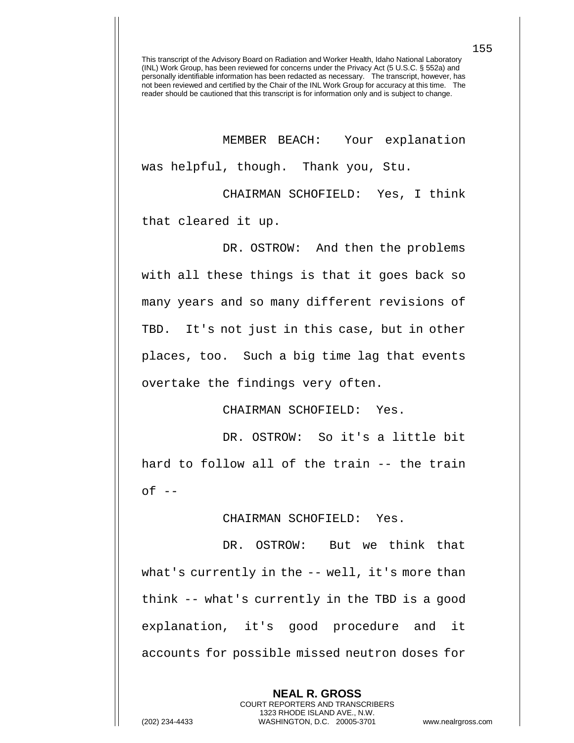MEMBER BEACH: Your explanation was helpful, though. Thank you, Stu.

CHAIRMAN SCHOFIELD: Yes, I think that cleared it up.

DR. OSTROW: And then the problems with all these things is that it goes back so many years and so many different revisions of TBD. It's not just in this case, but in other places, too. Such a big time lag that events overtake the findings very often.

CHAIRMAN SCHOFIELD: Yes.

DR. OSTROW: So it's a little bit hard to follow all of the train -- the train  $of$   $-$ 

CHAIRMAN SCHOFIELD: Yes.

DR. OSTROW: But we think that what's currently in the -- well, it's more than think -- what's currently in the TBD is a good explanation, it's good procedure and it accounts for possible missed neutron doses for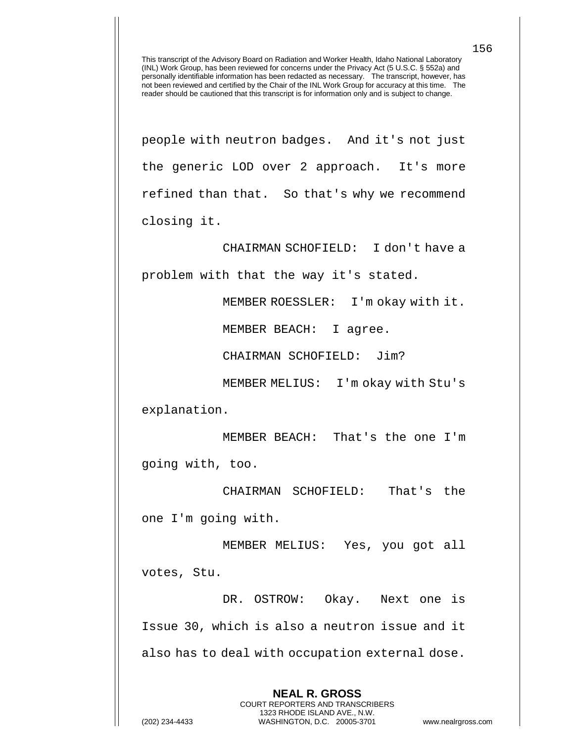people with neutron badges. And it's not just the generic LOD over 2 approach. It's more refined than that. So that's why we recommend closing it.

CHAIRMAN SCHOFIELD: I don't have a problem with that the way it's stated.

MEMBER ROESSLER: I'm okay with it.

MEMBER BEACH: I agree.

CHAIRMAN SCHOFIELD: Jim?

MEMBER MELIUS: I'm okay with Stu's explanation.

MEMBER BEACH: That's the one I'm going with, too.

CHAIRMAN SCHOFIELD: That's the one I'm going with.

MEMBER MELIUS: Yes, you got all votes, Stu.

DR. OSTROW: Okay. Next one is Issue 30, which is also a neutron issue and it also has to deal with occupation external dose.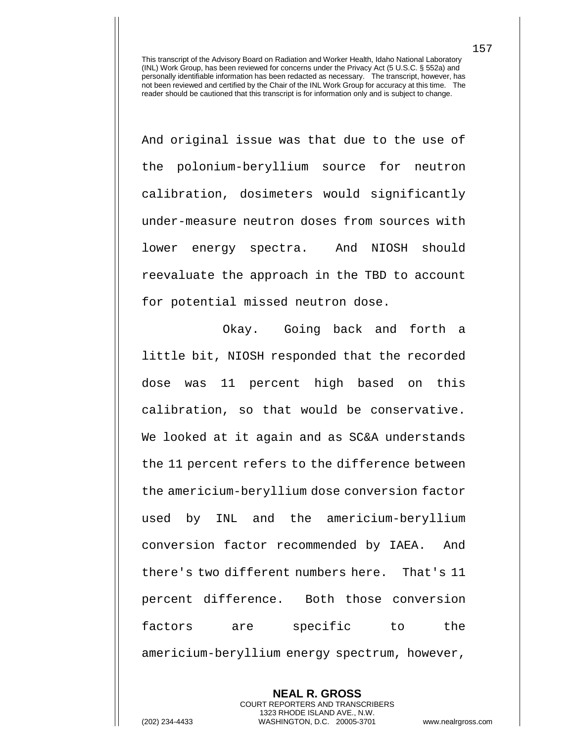And original issue was that due to the use of the polonium-beryllium source for neutron calibration, dosimeters would significantly under-measure neutron doses from sources with lower energy spectra. And NIOSH should reevaluate the approach in the TBD to account for potential missed neutron dose.

Okay. Going back and forth a little bit, NIOSH responded that the recorded dose was 11 percent high based on this calibration, so that would be conservative. We looked at it again and as SC&A understands the 11 percent refers to the difference between the americium-beryllium dose conversion factor used by INL and the americium-beryllium conversion factor recommended by IAEA. And there's two different numbers here. That's 11 percent difference. Both those conversion factors are specific to the americium-beryllium energy spectrum, however,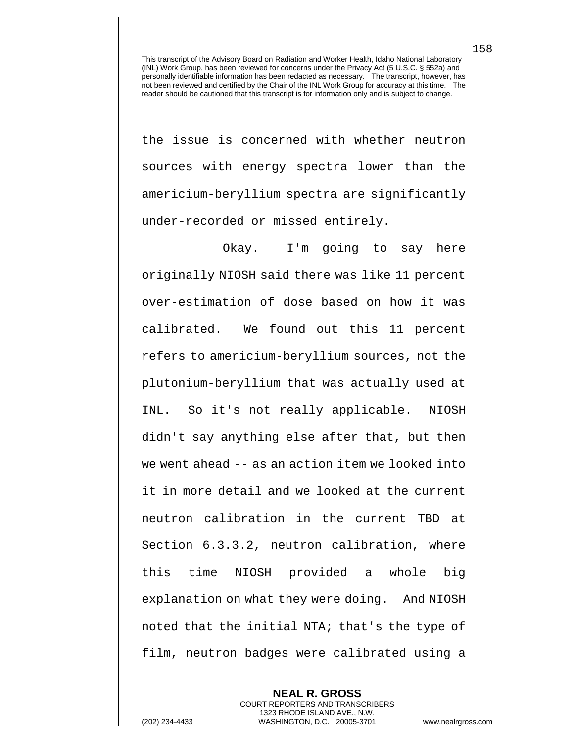the issue is concerned with whether neutron sources with energy spectra lower than the americium-beryllium spectra are significantly under-recorded or missed entirely.

Okay. I'm going to say here originally NIOSH said there was like 11 percent over-estimation of dose based on how it was calibrated. We found out this 11 percent refers to americium-beryllium sources, not the plutonium-beryllium that was actually used at INL. So it's not really applicable. NIOSH didn't say anything else after that, but then we went ahead -- as an action item we looked into it in more detail and we looked at the current neutron calibration in the current TBD at Section 6.3.3.2, neutron calibration, where this time NIOSH provided a whole big explanation on what they were doing. And NIOSH noted that the initial NTA; that's the type of film, neutron badges were calibrated using a

**NEAL R. GROSS** COURT REPORTERS AND TRANSCRIBERS 1323 RHODE ISLAND AVE., N.W. (202) 234-4433 WASHINGTON, D.C. 20005-3701 www.nealrgross.com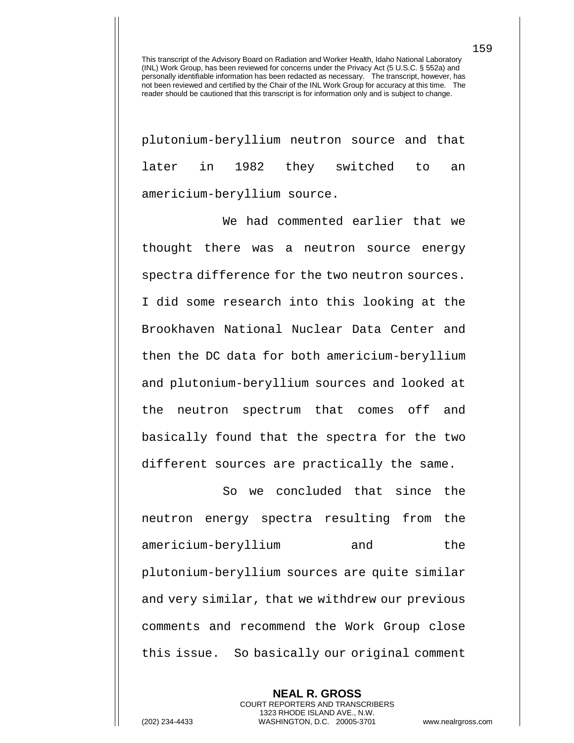plutonium-beryllium neutron source and that later in 1982 they switched to an americium-beryllium source.

We had commented earlier that we thought there was a neutron source energy spectra difference for the two neutron sources. I did some research into this looking at the Brookhaven National Nuclear Data Center and then the DC data for both americium-beryllium and plutonium-beryllium sources and looked at the neutron spectrum that comes off and basically found that the spectra for the two different sources are practically the same.

So we concluded that since the neutron energy spectra resulting from the americium-beryllium and the plutonium-beryllium sources are quite similar and very similar, that we withdrew our previous comments and recommend the Work Group close this issue. So basically our original comment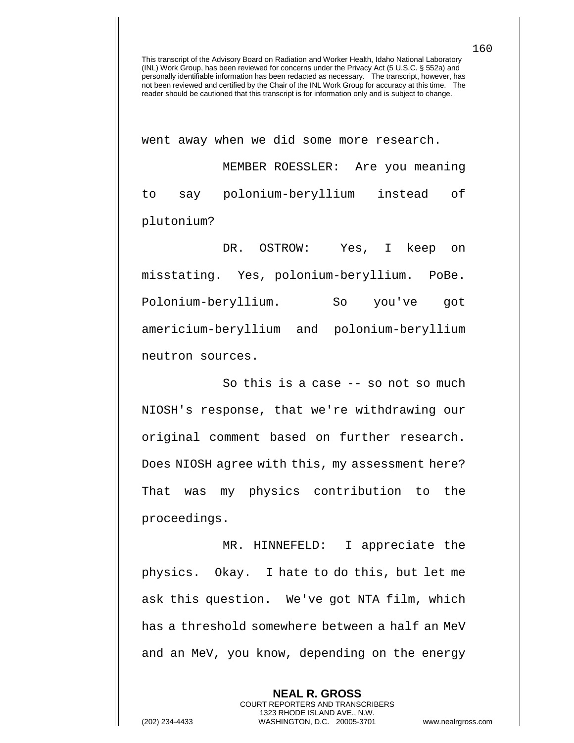went away when we did some more research. MEMBER ROESSLER: Are you meaning to say polonium-beryllium instead of plutonium?

DR. OSTROW: Yes, I keep on misstating. Yes, polonium-beryllium. PoBe. Polonium-beryllium. So you've got americium-beryllium and polonium-beryllium neutron sources.

So this is a case -- so not so much NIOSH's response, that we're withdrawing our original comment based on further research. Does NIOSH agree with this, my assessment here? That was my physics contribution to the proceedings.

MR. HINNEFELD: I appreciate the physics. Okay. I hate to do this, but let me ask this question. We've got NTA film, which has a threshold somewhere between a half an MeV and an MeV, you know, depending on the energy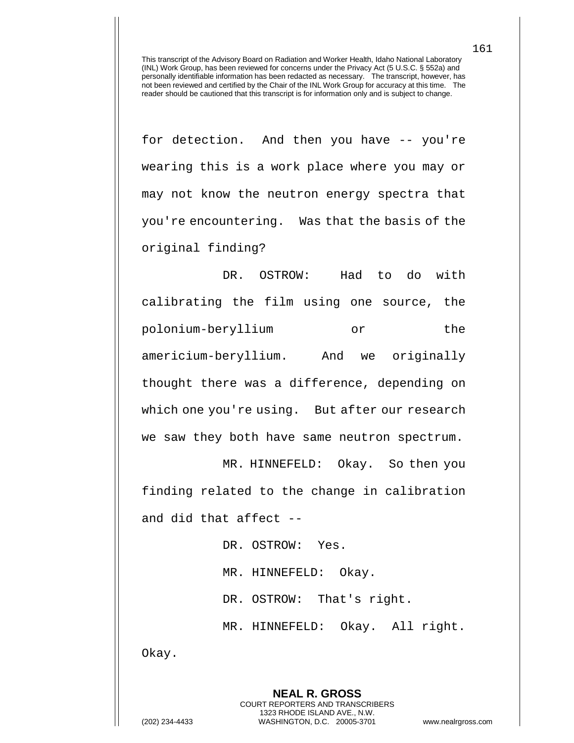for detection. And then you have -- you're wearing this is a work place where you may or may not know the neutron energy spectra that you're encountering. Was that the basis of the original finding?

DR. OSTROW: Had to do with calibrating the film using one source, the polonium-beryllium or the americium-beryllium. And we originally thought there was a difference, depending on which one you're using. But after our research we saw they both have same neutron spectrum.

MR. HINNEFELD: Okay. So then you finding related to the change in calibration and did that affect --

> DR. OSTROW: Yes. MR. HINNEFELD: Okay. DR. OSTROW: That's right. MR. HINNEFELD: Okay. All right.

> > **NEAL R. GROSS** COURT REPORTERS AND TRANSCRIBERS 1323 RHODE ISLAND AVE., N.W.

Okay.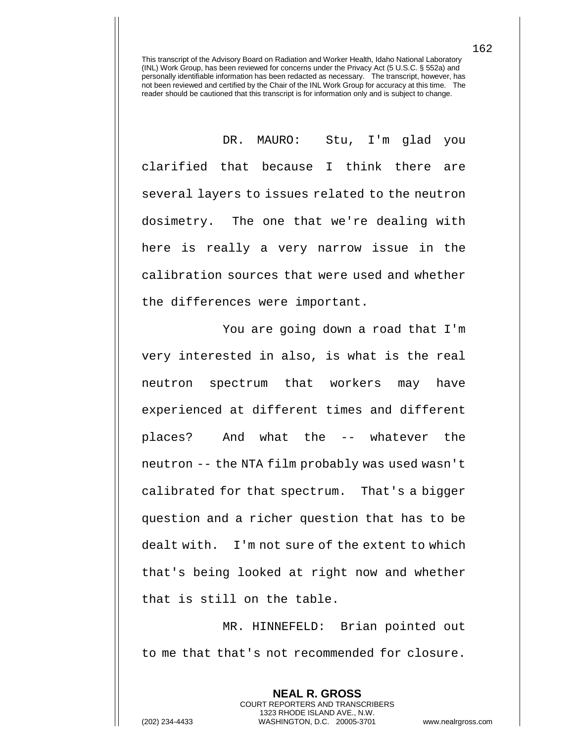DR. MAURO: Stu, I'm glad you clarified that because I think there are several layers to issues related to the neutron dosimetry. The one that we're dealing with here is really a very narrow issue in the calibration sources that were used and whether the differences were important.

You are going down a road that I'm very interested in also, is what is the real neutron spectrum that workers may have experienced at different times and different places? And what the -- whatever the neutron -- the NTA film probably was used wasn't calibrated for that spectrum. That's a bigger question and a richer question that has to be dealt with. I'm not sure of the extent to which that's being looked at right now and whether that is still on the table.

MR. HINNEFELD: Brian pointed out to me that that's not recommended for closure.

> **NEAL R. GROSS** COURT REPORTERS AND TRANSCRIBERS 1323 RHODE ISLAND AVE., N.W.

162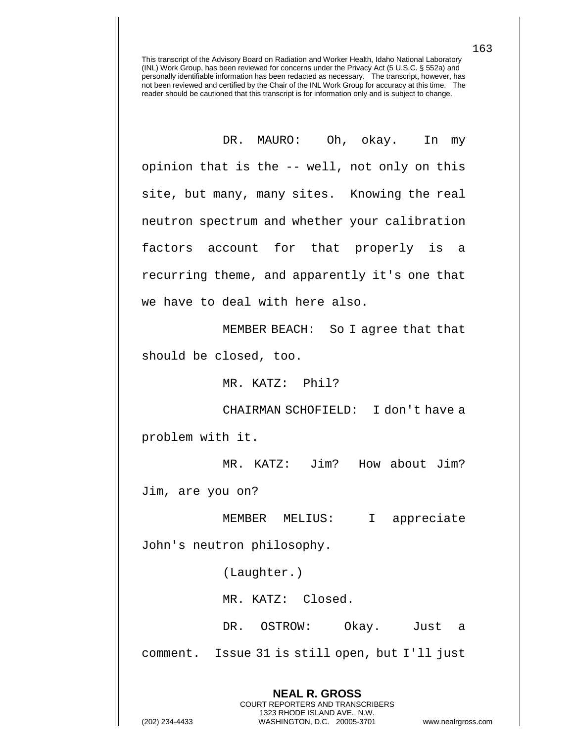DR. MAURO: Oh, okay. In my opinion that is the -- well, not only on this site, but many, many sites. Knowing the real neutron spectrum and whether your calibration factors account for that properly is a recurring theme, and apparently it's one that we have to deal with here also.

MEMBER BEACH: So I agree that that should be closed, too.

MR. KATZ: Phil?

CHAIRMAN SCHOFIELD: I don't have a problem with it.

MR. KATZ: Jim? How about Jim? Jim, are you on?

MEMBER MELIUS: I appreciate John's neutron philosophy.

(Laughter.)

MR. KATZ: Closed.

DR. OSTROW: Okay. Just a comment. Issue 31 is still open, but I'll just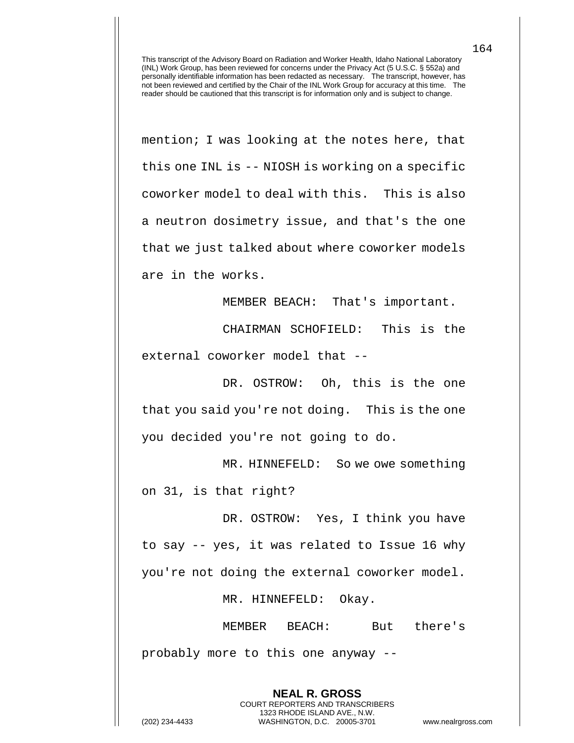mention; I was looking at the notes here, that this one INL is -- NIOSH is working on a specific coworker model to deal with this. This is also a neutron dosimetry issue, and that's the one that we just talked about where coworker models are in the works.

MEMBER BEACH: That's important.

CHAIRMAN SCHOFIELD: This is the external coworker model that --

DR. OSTROW: Oh, this is the one that you said you're not doing. This is the one you decided you're not going to do.

MR. HINNEFELD: So we owe something on 31, is that right?

DR. OSTROW: Yes, I think you have to say -- yes, it was related to Issue 16 why you're not doing the external coworker model.

MR. HINNEFELD: Okay.

MEMBER BEACH: But there's probably more to this one anyway --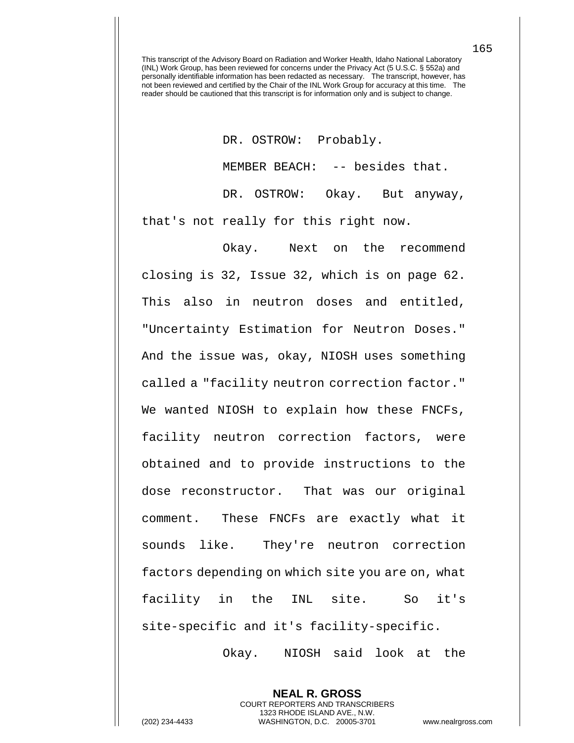DR. OSTROW: Probably. MEMBER BEACH: -- besides that. DR. OSTROW: Okay. But anyway, that's not really for this right now.

Okay. Next on the recommend closing is 32, Issue 32, which is on page 62. This also in neutron doses and entitled, "Uncertainty Estimation for Neutron Doses." And the issue was, okay, NIOSH uses something called a "facility neutron correction factor." We wanted NIOSH to explain how these FNCFs, facility neutron correction factors, were obtained and to provide instructions to the dose reconstructor. That was our original comment. These FNCFs are exactly what it sounds like. They're neutron correction factors depending on which site you are on, what facility in the INL site. So it's site-specific and it's facility-specific.

Okay. NIOSH said look at the

**NEAL R. GROSS** COURT REPORTERS AND TRANSCRIBERS 1323 RHODE ISLAND AVE., N.W.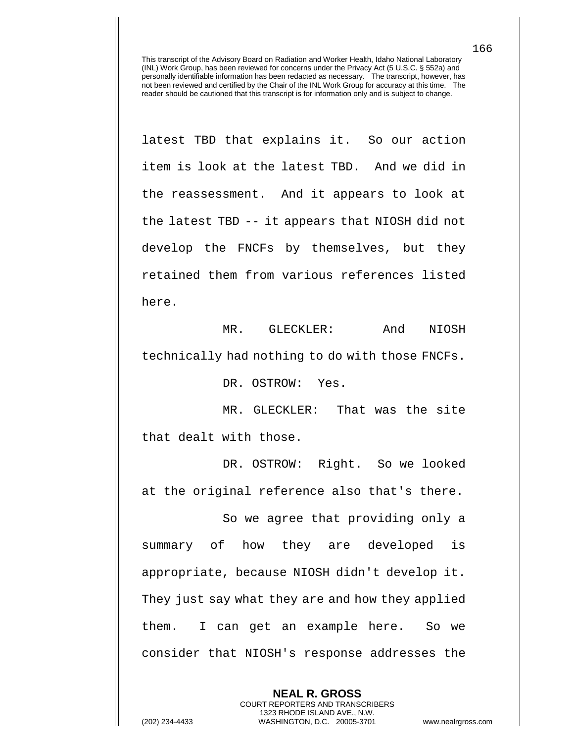latest TBD that explains it. So our action item is look at the latest TBD. And we did in the reassessment. And it appears to look at the latest TBD -- it appears that NIOSH did not develop the FNCFs by themselves, but they retained them from various references listed here.

MR. GLECKLER: And NIOSH technically had nothing to do with those FNCFs.

DR. OSTROW: Yes.

MR. GLECKLER: That was the site that dealt with those.

DR. OSTROW: Right. So we looked at the original reference also that's there.

So we agree that providing only a summary of how they are developed is appropriate, because NIOSH didn't develop it. They just say what they are and how they applied them. I can get an example here. So we consider that NIOSH's response addresses the

> **NEAL R. GROSS** COURT REPORTERS AND TRANSCRIBERS 1323 RHODE ISLAND AVE., N.W.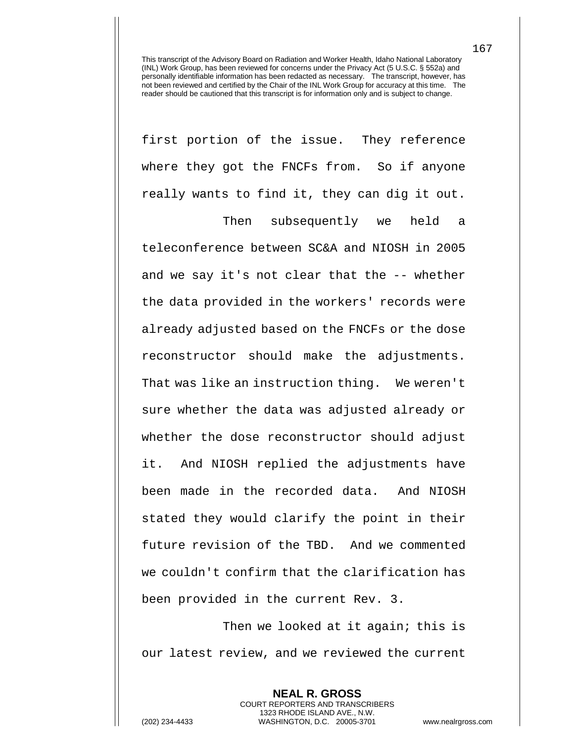first portion of the issue. They reference where they got the FNCFs from. So if anyone really wants to find it, they can dig it out.

Then subsequently we held a teleconference between SC&A and NIOSH in 2005 and we say it's not clear that the -- whether the data provided in the workers' records were already adjusted based on the FNCFs or the dose reconstructor should make the adjustments. That was like an instruction thing. We weren't sure whether the data was adjusted already or whether the dose reconstructor should adjust it. And NIOSH replied the adjustments have been made in the recorded data. And NIOSH stated they would clarify the point in their future revision of the TBD. And we commented we couldn't confirm that the clarification has been provided in the current Rev. 3.

Then we looked at it again; this is our latest review, and we reviewed the current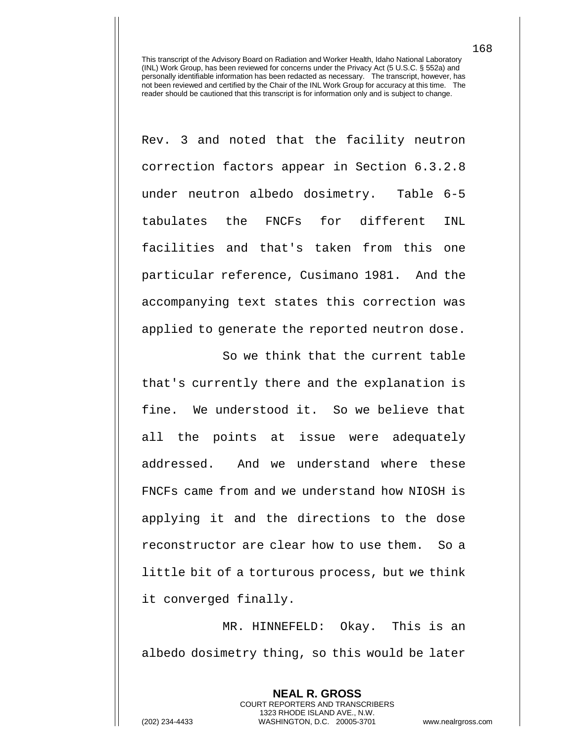Rev. 3 and noted that the facility neutron correction factors appear in Section 6.3.2.8 under neutron albedo dosimetry. Table 6-5 tabulates the FNCFs for different INL facilities and that's taken from this one particular reference, Cusimano 1981. And the accompanying text states this correction was applied to generate the reported neutron dose.

So we think that the current table that's currently there and the explanation is fine. We understood it. So we believe that all the points at issue were adequately addressed. And we understand where these FNCFs came from and we understand how NIOSH is applying it and the directions to the dose reconstructor are clear how to use them. So a little bit of a torturous process, but we think it converged finally.

MR. HINNEFELD: Okay. This is an albedo dosimetry thing, so this would be later

**NEAL R. GROSS** COURT REPORTERS AND TRANSCRIBERS 1323 RHODE ISLAND AVE., N.W. (202) 234-4433 WASHINGTON, D.C. 20005-3701 www.nealrgross.com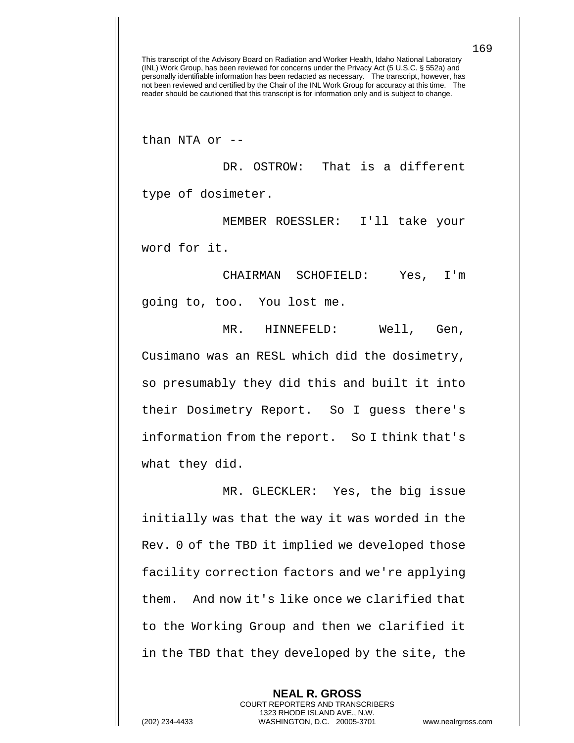than NTA or --

DR. OSTROW: That is a different type of dosimeter.

MEMBER ROESSLER: I'll take your word for it.

CHAIRMAN SCHOFIELD: Yes, I'm going to, too. You lost me.

MR. HINNEFELD: Well, Gen, Cusimano was an RESL which did the dosimetry, so presumably they did this and built it into their Dosimetry Report. So I guess there's information from the report. So I think that's what they did.

MR. GLECKLER: Yes, the big issue initially was that the way it was worded in the Rev. 0 of the TBD it implied we developed those facility correction factors and we're applying them. And now it's like once we clarified that to the Working Group and then we clarified it in the TBD that they developed by the site, the

> **NEAL R. GROSS** COURT REPORTERS AND TRANSCRIBERS 1323 RHODE ISLAND AVE., N.W.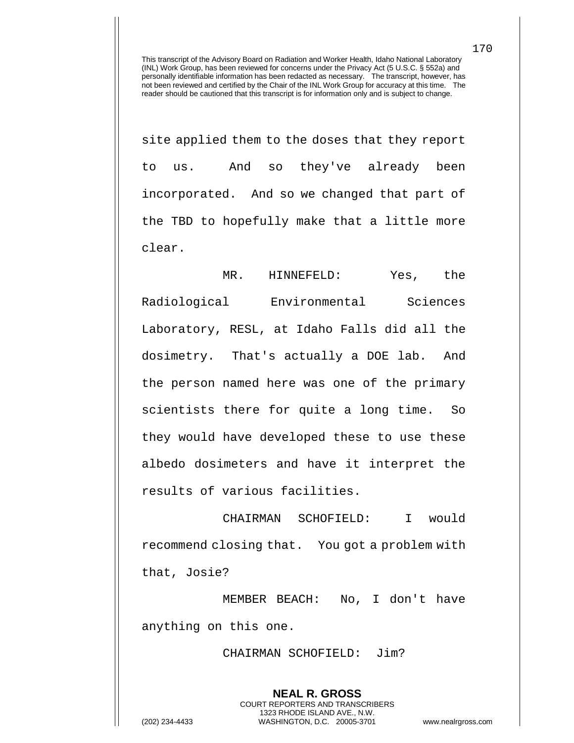site applied them to the doses that they report to us. And so they've already been incorporated. And so we changed that part of the TBD to hopefully make that a little more clear.

MR. HINNEFELD: Yes, the Radiological Environmental Sciences Laboratory, RESL, at Idaho Falls did all the dosimetry. That's actually a DOE lab. And the person named here was one of the primary scientists there for quite a long time. So they would have developed these to use these albedo dosimeters and have it interpret the results of various facilities.

CHAIRMAN SCHOFIELD: I would recommend closing that. You got a problem with that, Josie?

MEMBER BEACH: No, I don't have anything on this one.

CHAIRMAN SCHOFIELD: Jim?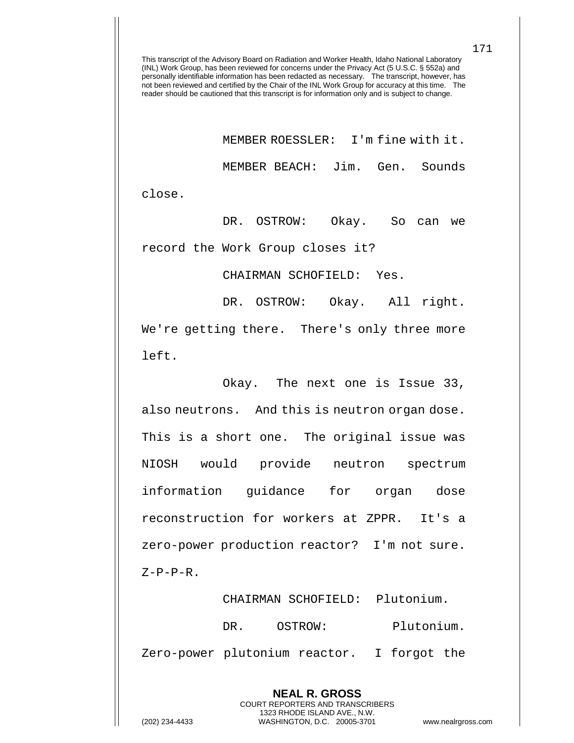MEMBER ROESSLER: I'm fine with it. MEMBER BEACH: Jim. Gen. Sounds close.

DR. OSTROW: Okay. So can we record the Work Group closes it?

CHAIRMAN SCHOFIELD: Yes.

DR. OSTROW: Okay. All right. We're getting there. There's only three more left.

Okay. The next one is Issue 33, also neutrons. And this is neutron organ dose. This is a short one. The original issue was NIOSH would provide neutron spectrum information guidance for organ dose reconstruction for workers at ZPPR. It's a zero-power production reactor? I'm not sure.  $Z-P-P-R$ .

CHAIRMAN SCHOFIELD: Plutonium. DR. OSTROW: Plutonium. Zero-power plutonium reactor. I forgot the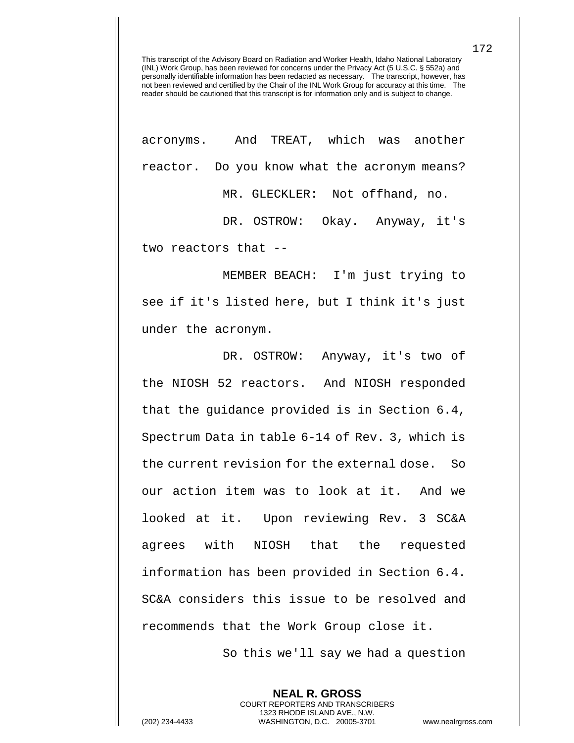acronyms. And TREAT, which was another reactor. Do you know what the acronym means? MR. GLECKLER: Not offhand, no.

DR. OSTROW: Okay. Anyway, it's two reactors that --

MEMBER BEACH: I'm just trying to see if it's listed here, but I think it's just under the acronym.

DR. OSTROW: Anyway, it's two of the NIOSH 52 reactors. And NIOSH responded that the guidance provided is in Section 6.4, Spectrum Data in table 6-14 of Rev. 3, which is the current revision for the external dose. So our action item was to look at it. And we looked at it. Upon reviewing Rev. 3 SC&A agrees with NIOSH that the requested information has been provided in Section 6.4. SC&A considers this issue to be resolved and recommends that the Work Group close it.

So this we'll say we had a question

**NEAL R. GROSS** COURT REPORTERS AND TRANSCRIBERS 1323 RHODE ISLAND AVE., N.W.

172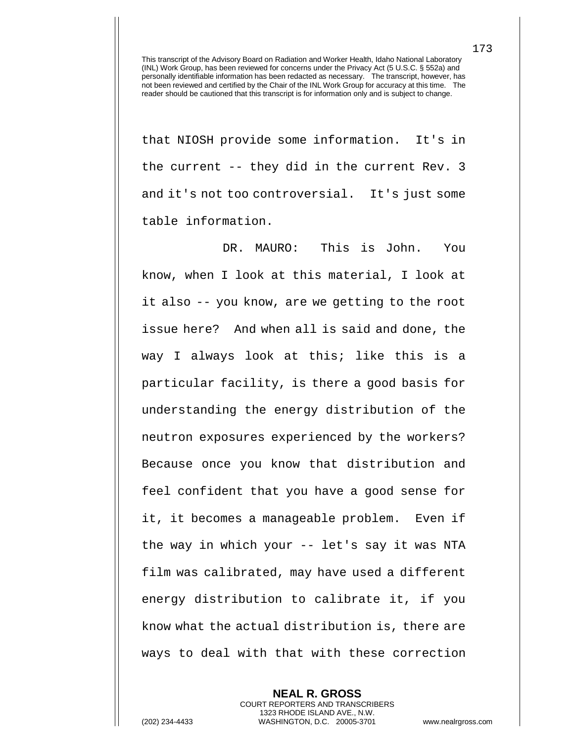that NIOSH provide some information. It's in the current -- they did in the current Rev. 3 and it's not too controversial. It's just some table information.

DR. MAURO: This is John. You know, when I look at this material, I look at it also -- you know, are we getting to the root issue here? And when all is said and done, the way I always look at this; like this is a particular facility, is there a good basis for understanding the energy distribution of the neutron exposures experienced by the workers? Because once you know that distribution and feel confident that you have a good sense for it, it becomes a manageable problem. Even if the way in which your -- let's say it was NTA film was calibrated, may have used a different energy distribution to calibrate it, if you know what the actual distribution is, there are ways to deal with that with these correction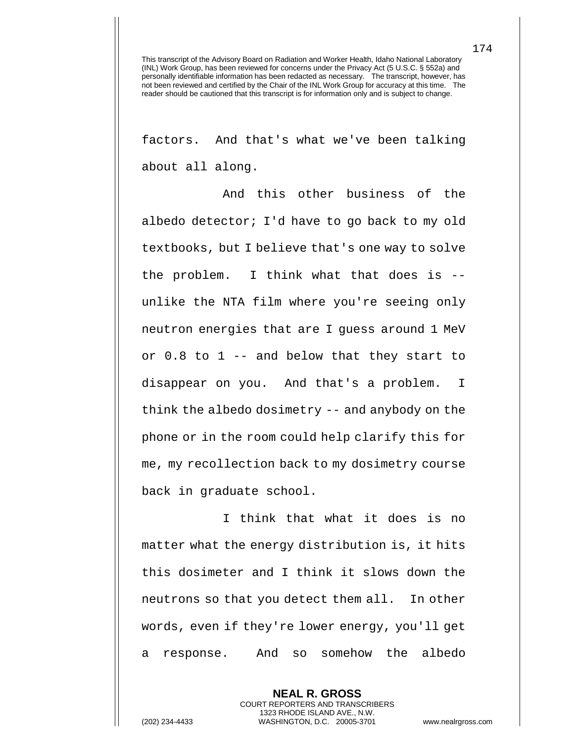factors. And that's what we've been talking about all along.

And this other business of the albedo detector; I'd have to go back to my old textbooks, but I believe that's one way to solve the problem. I think what that does is - unlike the NTA film where you're seeing only neutron energies that are I guess around 1 MeV or 0.8 to 1 -- and below that they start to disappear on you. And that's a problem. I think the albedo dosimetry -- and anybody on the phone or in the room could help clarify this for me, my recollection back to my dosimetry course back in graduate school.

I think that what it does is no matter what the energy distribution is, it hits this dosimeter and I think it slows down the neutrons so that you detect them all. In other words, even if they're lower energy, you'll get a response. And so somehow the albedo

> **NEAL R. GROSS** COURT REPORTERS AND TRANSCRIBERS 1323 RHODE ISLAND AVE., N.W.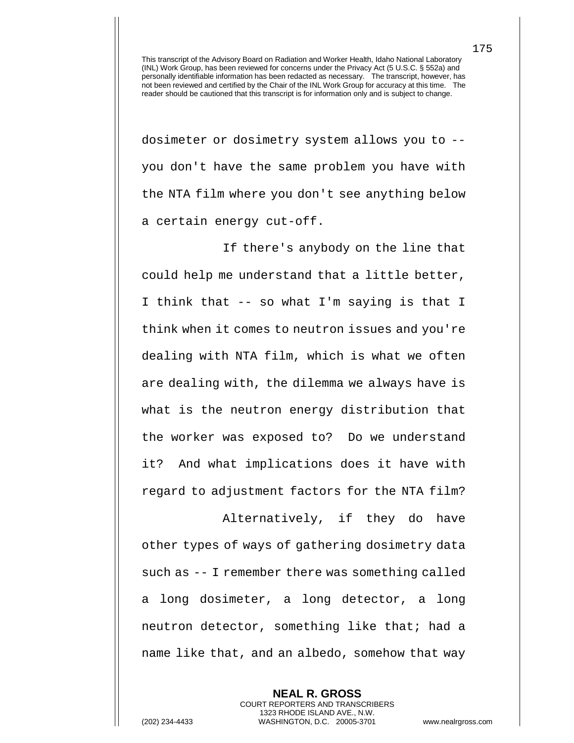dosimeter or dosimetry system allows you to - you don't have the same problem you have with the NTA film where you don't see anything below a certain energy cut-off.

If there's anybody on the line that could help me understand that a little better, I think that -- so what I'm saying is that I think when it comes to neutron issues and you're dealing with NTA film, which is what we often are dealing with, the dilemma we always have is what is the neutron energy distribution that the worker was exposed to? Do we understand it? And what implications does it have with regard to adjustment factors for the NTA film?

Alternatively, if they do have other types of ways of gathering dosimetry data such as -- I remember there was something called a long dosimeter, a long detector, a long neutron detector, something like that; had a name like that, and an albedo, somehow that way

**NEAL R. GROSS** COURT REPORTERS AND TRANSCRIBERS 1323 RHODE ISLAND AVE., N.W. (202) 234-4433 WASHINGTON, D.C. 20005-3701 www.nealrgross.com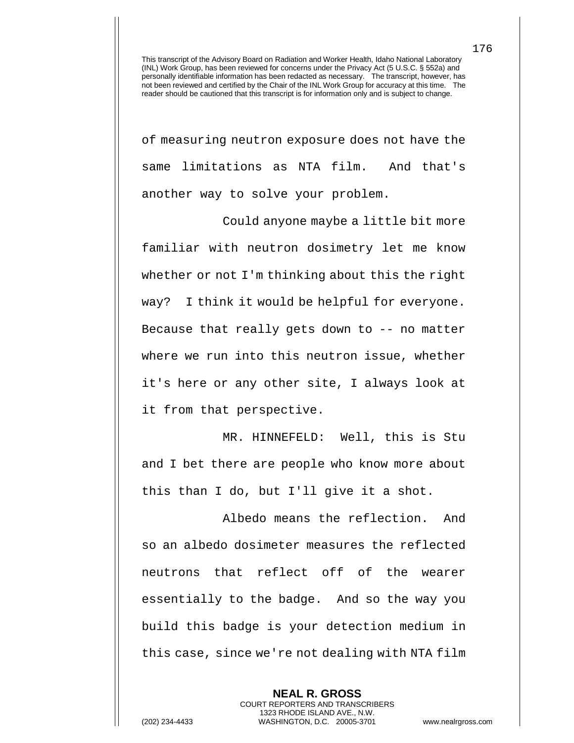of measuring neutron exposure does not have the same limitations as NTA film. And that's another way to solve your problem.

Could anyone maybe a little bit more familiar with neutron dosimetry let me know whether or not I'm thinking about this the right way? I think it would be helpful for everyone. Because that really gets down to -- no matter where we run into this neutron issue, whether it's here or any other site, I always look at it from that perspective.

MR. HINNEFELD: Well, this is Stu and I bet there are people who know more about this than I do, but I'll give it a shot.

Albedo means the reflection. And so an albedo dosimeter measures the reflected neutrons that reflect off of the wearer essentially to the badge. And so the way you build this badge is your detection medium in this case, since we're not dealing with NTA film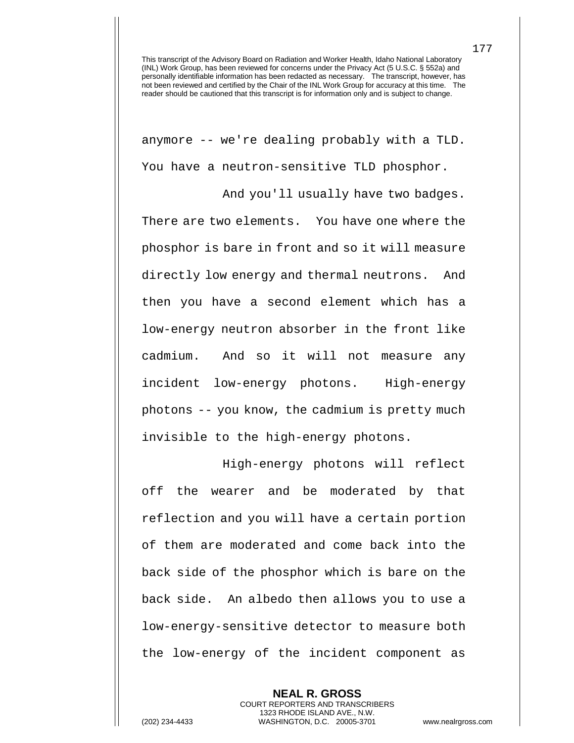anymore -- we're dealing probably with a TLD. You have a neutron-sensitive TLD phosphor.

And you'll usually have two badges. There are two elements. You have one where the phosphor is bare in front and so it will measure directly low energy and thermal neutrons. And then you have a second element which has a low-energy neutron absorber in the front like cadmium. And so it will not measure any incident low-energy photons. High-energy photons -- you know, the cadmium is pretty much invisible to the high-energy photons.

High-energy photons will reflect off the wearer and be moderated by that reflection and you will have a certain portion of them are moderated and come back into the back side of the phosphor which is bare on the back side. An albedo then allows you to use a low-energy-sensitive detector to measure both the low-energy of the incident component as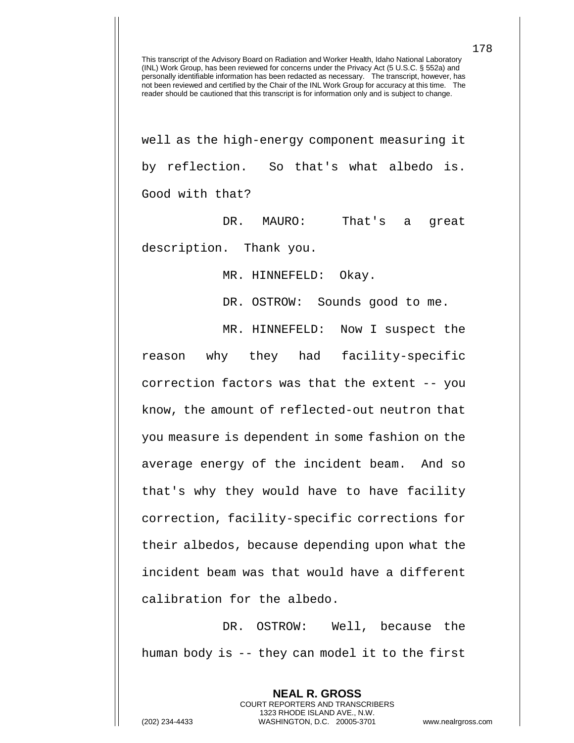well as the high-energy component measuring it by reflection. So that's what albedo is. Good with that?

DR. MAURO: That's a great description. Thank you.

MR. HINNEFELD: Okay.

DR. OSTROW: Sounds good to me.

MR. HINNEFELD: Now I suspect the

reason why they had facility-specific correction factors was that the extent -- you know, the amount of reflected-out neutron that you measure is dependent in some fashion on the average energy of the incident beam. And so that's why they would have to have facility correction, facility-specific corrections for their albedos, because depending upon what the incident beam was that would have a different calibration for the albedo.

DR. OSTROW: Well, because the human body is -- they can model it to the first

> **NEAL R. GROSS** COURT REPORTERS AND TRANSCRIBERS 1323 RHODE ISLAND AVE., N.W.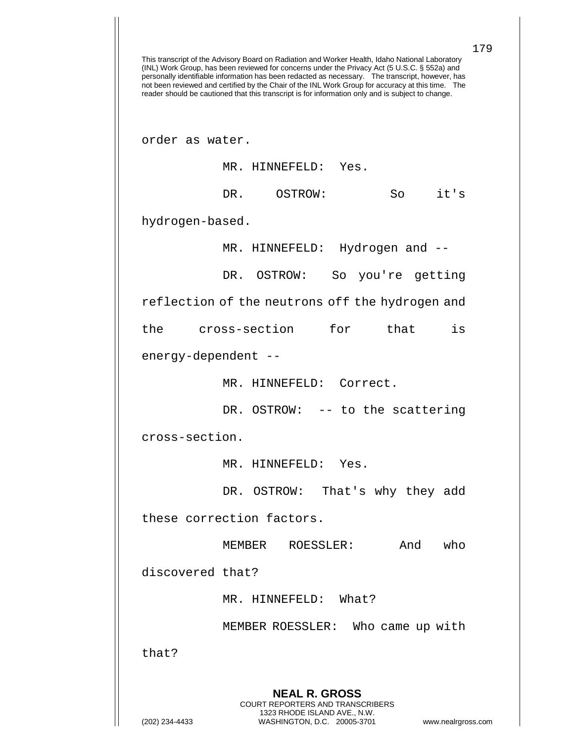179 This transcript of the Advisory Board on Radiation and Worker Health, Idaho National Laboratory (INL) Work Group, has been reviewed for concerns under the Privacy Act (5 U.S.C. § 552a) and personally identifiable information has been redacted as necessary. The transcript, however, has not been reviewed and certified by the Chair of the INL Work Group for accuracy at this time. The reader should be cautioned that this transcript is for information only and is subject to change. **NEAL R. GROSS** COURT REPORTERS AND TRANSCRIBERS 1323 RHODE ISLAND AVE., N.W. order as water. MR. HINNEFELD: Yes. DR. OSTROW: So it's hydrogen-based. MR. HINNEFELD: Hydrogen and --DR. OSTROW: So you're getting reflection of the neutrons off the hydrogen and the cross-section for that is energy-dependent -- MR. HINNEFELD: Correct. DR. OSTROW: -- to the scattering cross-section. MR. HINNEFELD: Yes. DR. OSTROW: That's why they add these correction factors. MEMBER ROESSLER: And who discovered that? MR. HINNEFELD: What? MEMBER ROESSLER: Who came up with that?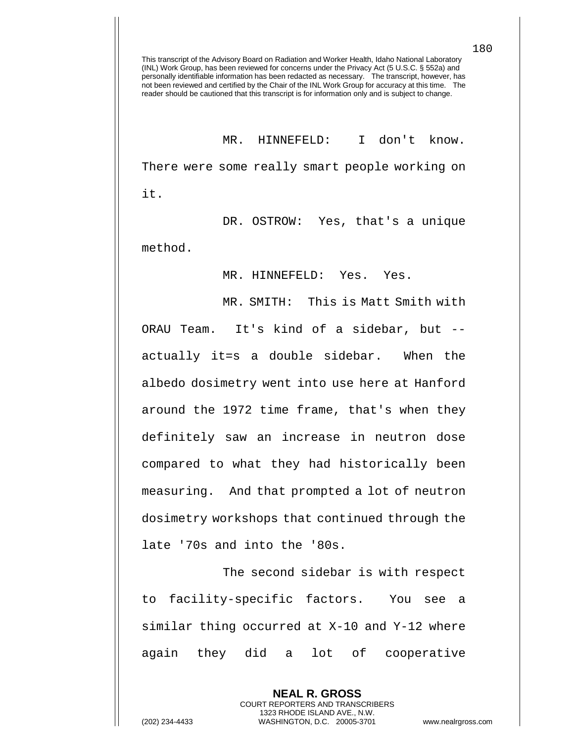MR. HINNEFELD: I don't know. There were some really smart people working on it.

DR. OSTROW: Yes, that's a unique method.

MR. HINNEFELD: Yes. Yes.

MR. SMITH: This is Matt Smith with ORAU Team. It's kind of a sidebar, but - actually it=s a double sidebar. When the albedo dosimetry went into use here at Hanford around the 1972 time frame, that's when they definitely saw an increase in neutron dose compared to what they had historically been measuring. And that prompted a lot of neutron dosimetry workshops that continued through the late '70s and into the '80s.

The second sidebar is with respect to facility-specific factors. You see a similar thing occurred at X-10 and Y-12 where again they did a lot of cooperative

> **NEAL R. GROSS** COURT REPORTERS AND TRANSCRIBERS 1323 RHODE ISLAND AVE., N.W.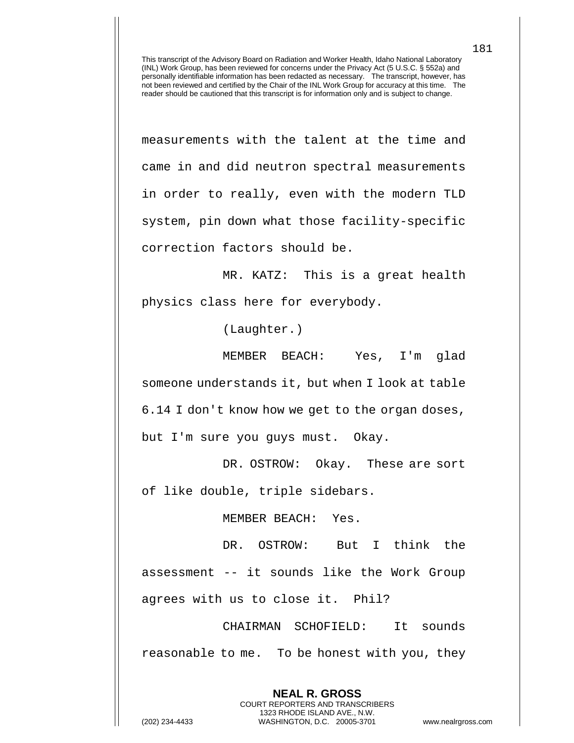measurements with the talent at the time and came in and did neutron spectral measurements in order to really, even with the modern TLD system, pin down what those facility-specific correction factors should be.

MR. KATZ: This is a great health physics class here for everybody.

(Laughter.)

MEMBER BEACH: Yes, I'm glad someone understands it, but when I look at table 6.14 I don't know how we get to the organ doses, but I'm sure you guys must. Okay.

DR. OSTROW: Okay. These are sort of like double, triple sidebars.

MEMBER BEACH: Yes.

DR. OSTROW: But I think the assessment -- it sounds like the Work Group agrees with us to close it. Phil?

CHAIRMAN SCHOFIELD: It sounds reasonable to me. To be honest with you, they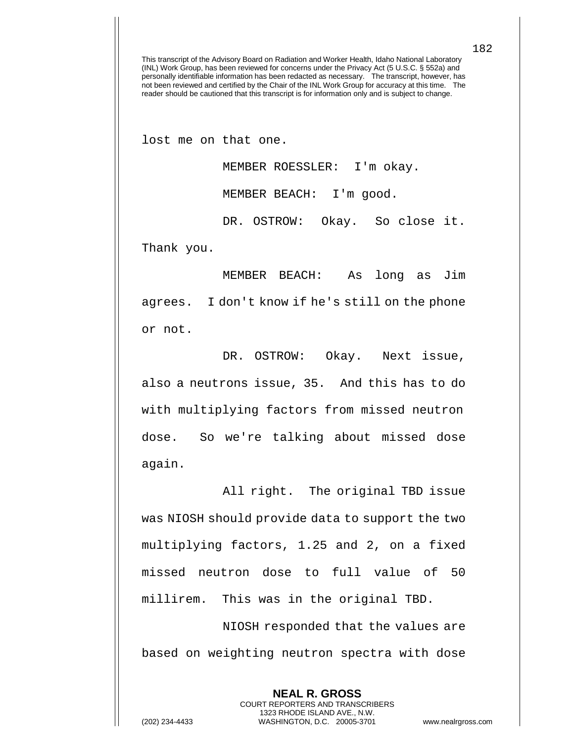lost me on that one.

MEMBER ROESSLER: I'm okay.

MEMBER BEACH: I'm good.

DR. OSTROW: Okay. So close it.

Thank you.

MEMBER BEACH: As long as Jim agrees. I don't know if he's still on the phone or not.

DR. OSTROW: Okay. Next issue, also a neutrons issue, 35. And this has to do with multiplying factors from missed neutron dose. So we're talking about missed dose again.

All right. The original TBD issue was NIOSH should provide data to support the two multiplying factors, 1.25 and 2, on a fixed missed neutron dose to full value of 50 millirem. This was in the original TBD.

NIOSH responded that the values are based on weighting neutron spectra with dose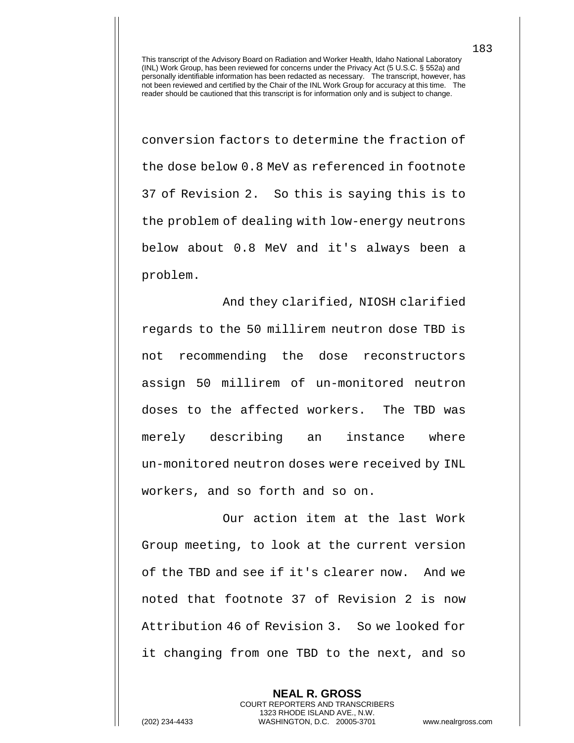conversion factors to determine the fraction of the dose below 0.8 MeV as referenced in footnote 37 of Revision 2. So this is saying this is to the problem of dealing with low-energy neutrons below about 0.8 MeV and it's always been a problem.

And they clarified, NIOSH clarified regards to the 50 millirem neutron dose TBD is not recommending the dose reconstructors assign 50 millirem of un-monitored neutron doses to the affected workers. The TBD was merely describing an instance where un-monitored neutron doses were received by INL workers, and so forth and so on.

Our action item at the last Work Group meeting, to look at the current version of the TBD and see if it's clearer now. And we noted that footnote 37 of Revision 2 is now Attribution 46 of Revision 3. So we looked for it changing from one TBD to the next, and so

**NEAL R. GROSS** COURT REPORTERS AND TRANSCRIBERS 1323 RHODE ISLAND AVE., N.W. (202) 234-4433 WASHINGTON, D.C. 20005-3701 www.nealrgross.com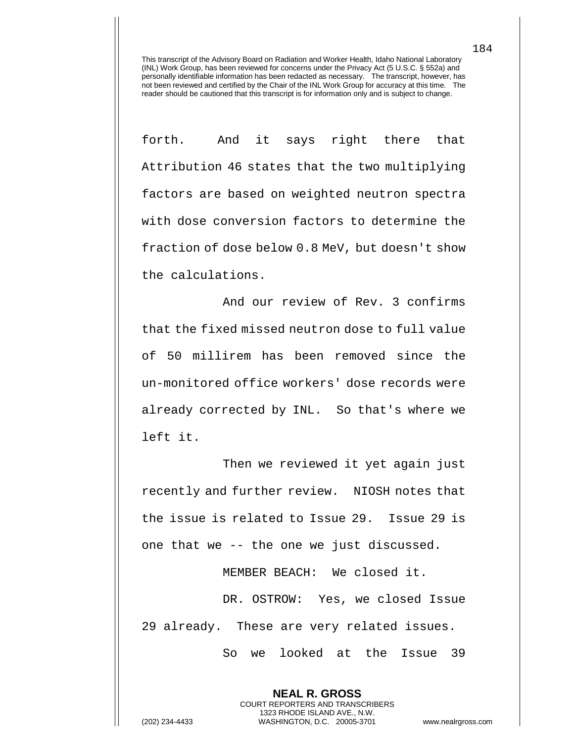forth. And it says right there that Attribution 46 states that the two multiplying factors are based on weighted neutron spectra with dose conversion factors to determine the fraction of dose below 0.8 MeV, but doesn't show the calculations.

And our review of Rev. 3 confirms that the fixed missed neutron dose to full value of 50 millirem has been removed since the un-monitored office workers' dose records were already corrected by INL. So that's where we left it.

Then we reviewed it yet again just recently and further review. NIOSH notes that the issue is related to Issue 29. Issue 29 is one that we -- the one we just discussed.

MEMBER BEACH: We closed it.

DR. OSTROW: Yes, we closed Issue 29 already. These are very related issues. So we looked at the Issue 39

> **NEAL R. GROSS** COURT REPORTERS AND TRANSCRIBERS 1323 RHODE ISLAND AVE., N.W.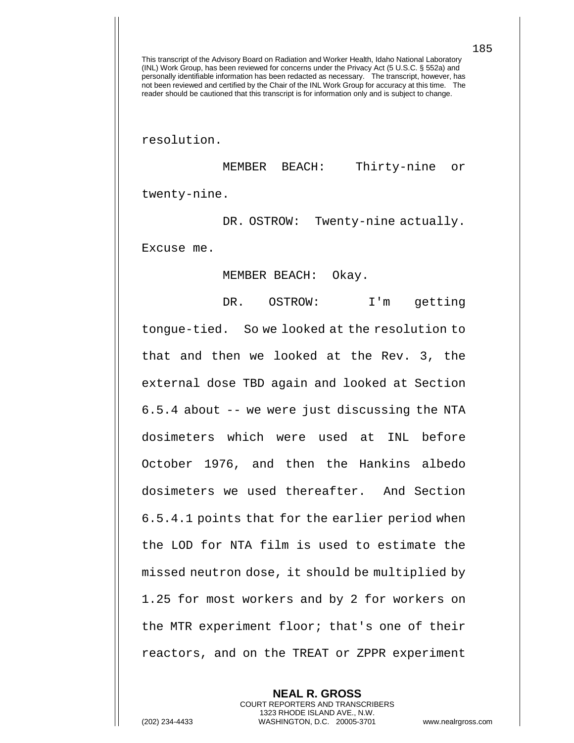resolution.

MEMBER BEACH: Thirty-nine or twenty-nine.

DR. OSTROW: Twenty-nine actually. Excuse me.

MEMBER BEACH: Okay.

DR. OSTROW: I'm getting tongue-tied. So we looked at the resolution to that and then we looked at the Rev. 3, the external dose TBD again and looked at Section 6.5.4 about -- we were just discussing the NTA dosimeters which were used at INL before October 1976, and then the Hankins albedo dosimeters we used thereafter. And Section 6.5.4.1 points that for the earlier period when the LOD for NTA film is used to estimate the missed neutron dose, it should be multiplied by 1.25 for most workers and by 2 for workers on the MTR experiment floor; that's one of their reactors, and on the TREAT or ZPPR experiment

> **NEAL R. GROSS** COURT REPORTERS AND TRANSCRIBERS 1323 RHODE ISLAND AVE., N.W.

(202) 234-4433 WASHINGTON, D.C. 20005-3701 www.nealrgross.com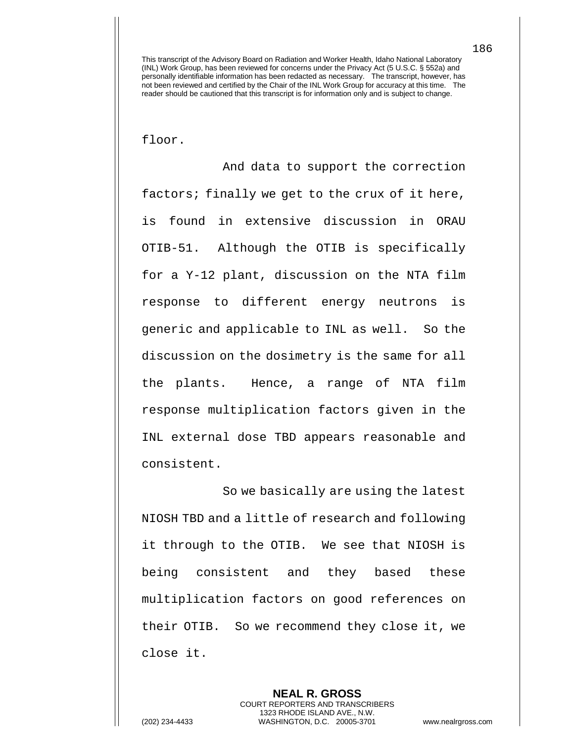floor.

And data to support the correction factors; finally we get to the crux of it here, is found in extensive discussion in ORAU OTIB-51. Although the OTIB is specifically for a Y-12 plant, discussion on the NTA film response to different energy neutrons is generic and applicable to INL as well. So the discussion on the dosimetry is the same for all the plants. Hence, a range of NTA film response multiplication factors given in the INL external dose TBD appears reasonable and consistent.

So we basically are using the latest NIOSH TBD and a little of research and following it through to the OTIB. We see that NIOSH is being consistent and they based these multiplication factors on good references on their OTIB. So we recommend they close it, we close it.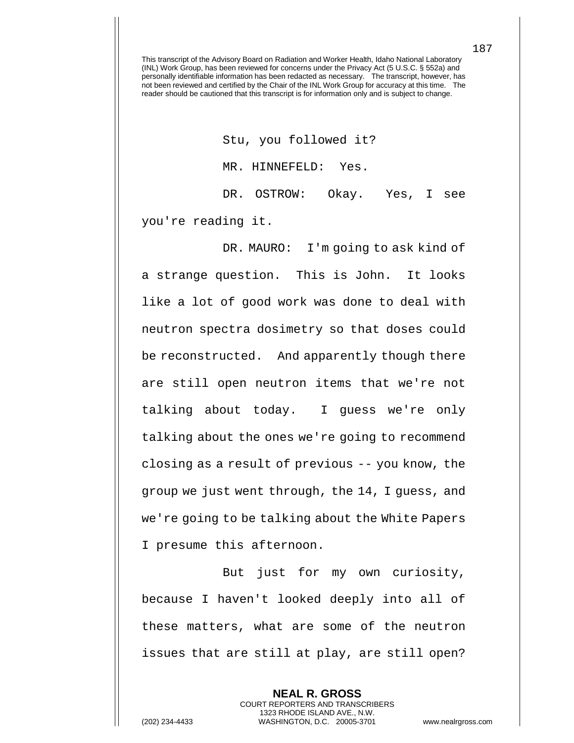Stu, you followed it?

MR. HINNEFELD: Yes.

DR. OSTROW: Okay. Yes, I see you're reading it.

DR. MAURO: I'm going to ask kind of a strange question. This is John. It looks like a lot of good work was done to deal with neutron spectra dosimetry so that doses could be reconstructed. And apparently though there are still open neutron items that we're not talking about today. I guess we're only talking about the ones we're going to recommend closing as a result of previous -- you know, the group we just went through, the 14, I guess, and we're going to be talking about the White Papers I presume this afternoon.

But just for my own curiosity, because I haven't looked deeply into all of these matters, what are some of the neutron issues that are still at play, are still open?

**NEAL R. GROSS** COURT REPORTERS AND TRANSCRIBERS 1323 RHODE ISLAND AVE., N.W. (202) 234-4433 WASHINGTON, D.C. 20005-3701 www.nealrgross.com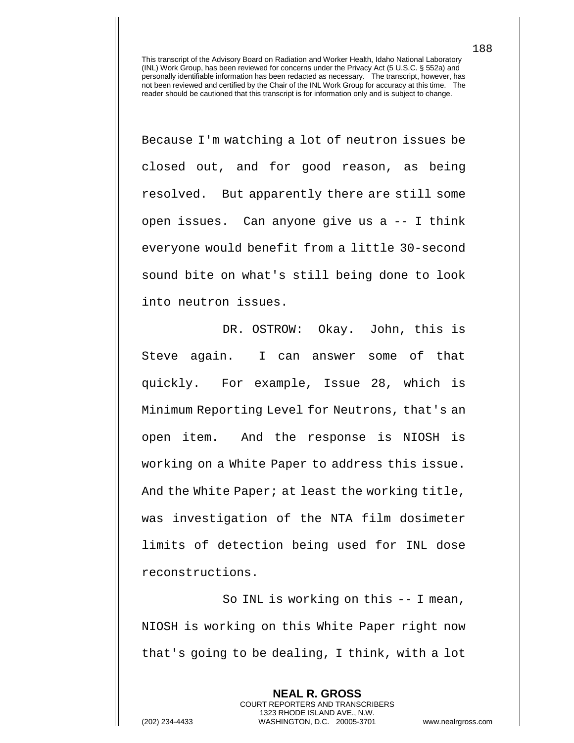Because I'm watching a lot of neutron issues be closed out, and for good reason, as being resolved. But apparently there are still some open issues. Can anyone give us a -- I think everyone would benefit from a little 30-second sound bite on what's still being done to look into neutron issues.

DR. OSTROW: Okay. John, this is Steve again. I can answer some of that quickly. For example, Issue 28, which is Minimum Reporting Level for Neutrons, that's an open item. And the response is NIOSH is working on a White Paper to address this issue. And the White Paper; at least the working title, was investigation of the NTA film dosimeter limits of detection being used for INL dose reconstructions.

So INL is working on this -- I mean, NIOSH is working on this White Paper right now that's going to be dealing, I think, with a lot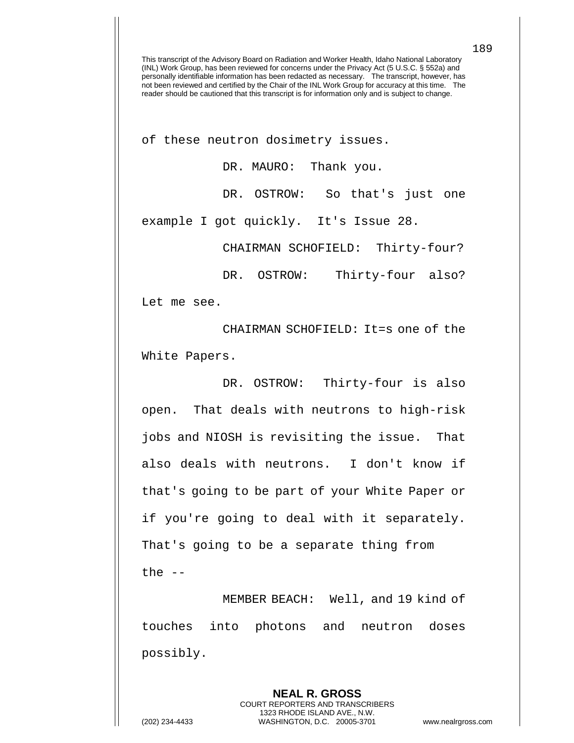of these neutron dosimetry issues.

DR. MAURO: Thank you.

DR. OSTROW: So that's just one

example I got quickly. It's Issue 28.

CHAIRMAN SCHOFIELD: Thirty-four?

DR. OSTROW: Thirty-four also?

Let me see.

CHAIRMAN SCHOFIELD: It=s one of the White Papers.

DR. OSTROW: Thirty-four is also open. That deals with neutrons to high-risk jobs and NIOSH is revisiting the issue. That also deals with neutrons. I don't know if that's going to be part of your White Paper or if you're going to deal with it separately. That's going to be a separate thing from the  $--$ 

MEMBER BEACH: Well, and 19 kind of touches into photons and neutron doses possibly.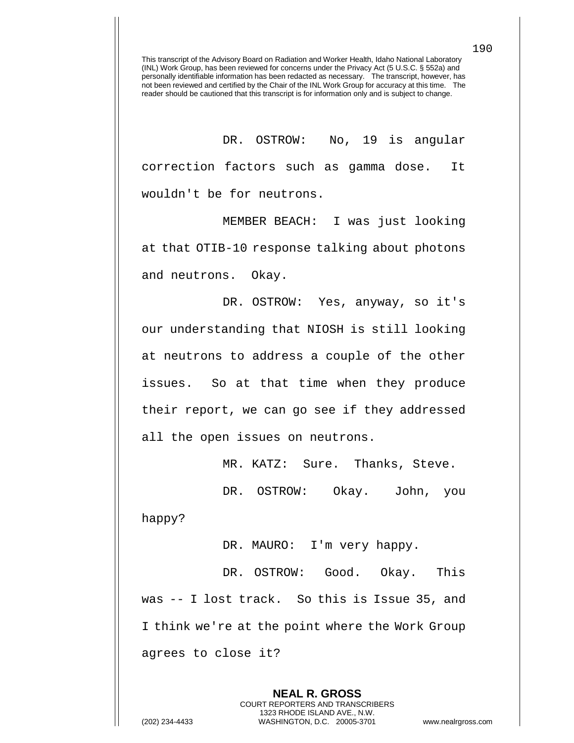DR. OSTROW: No, 19 is angular correction factors such as gamma dose. It wouldn't be for neutrons.

MEMBER BEACH: I was just looking at that OTIB-10 response talking about photons and neutrons. Okay.

DR. OSTROW: Yes, anyway, so it's our understanding that NIOSH is still looking at neutrons to address a couple of the other issues. So at that time when they produce their report, we can go see if they addressed all the open issues on neutrons.

MR. KATZ: Sure. Thanks, Steve.

DR. OSTROW: Okay. John, you happy?

DR. MAURO: I'm very happy.

DR. OSTROW: Good. Okay. This was -- I lost track. So this is Issue 35, and I think we're at the point where the Work Group agrees to close it?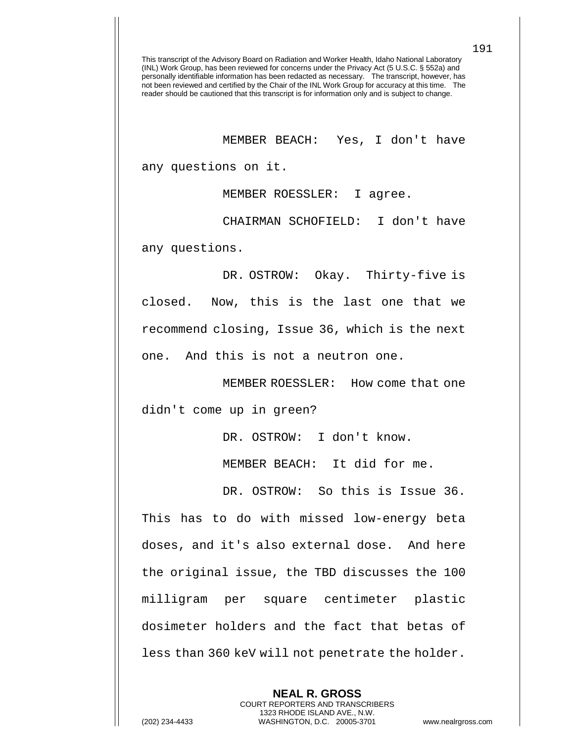MEMBER BEACH: Yes, I don't have

any questions on it.

MEMBER ROESSLER: I agree.

CHAIRMAN SCHOFIELD: I don't have

any questions.

DR. OSTROW: Okay. Thirty-five is closed. Now, this is the last one that we recommend closing, Issue 36, which is the next one. And this is not a neutron one.

MEMBER ROESSLER: How come that one

didn't come up in green?

DR. OSTROW: I don't know.

MEMBER BEACH: It did for me.

DR. OSTROW: So this is Issue 36. This has to do with missed low-energy beta doses, and it's also external dose. And here the original issue, the TBD discusses the 100 milligram per square centimeter plastic dosimeter holders and the fact that betas of less than 360 keV will not penetrate the holder.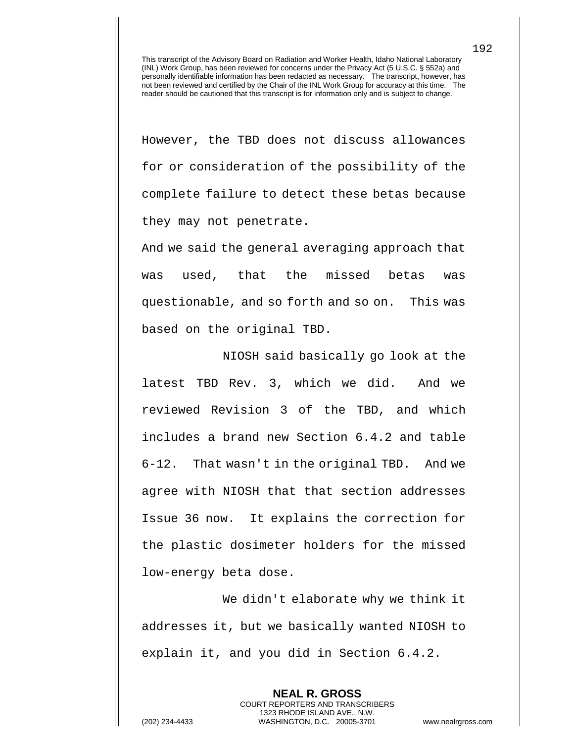However, the TBD does not discuss allowances for or consideration of the possibility of the complete failure to detect these betas because they may not penetrate.

And we said the general averaging approach that was used, that the missed betas was questionable, and so forth and so on. This was based on the original TBD.

NIOSH said basically go look at the latest TBD Rev. 3, which we did. And we reviewed Revision 3 of the TBD, and which includes a brand new Section 6.4.2 and table 6-12. That wasn't in the original TBD. And we agree with NIOSH that that section addresses Issue 36 now. It explains the correction for the plastic dosimeter holders for the missed low-energy beta dose.

We didn't elaborate why we think it addresses it, but we basically wanted NIOSH to explain it, and you did in Section 6.4.2.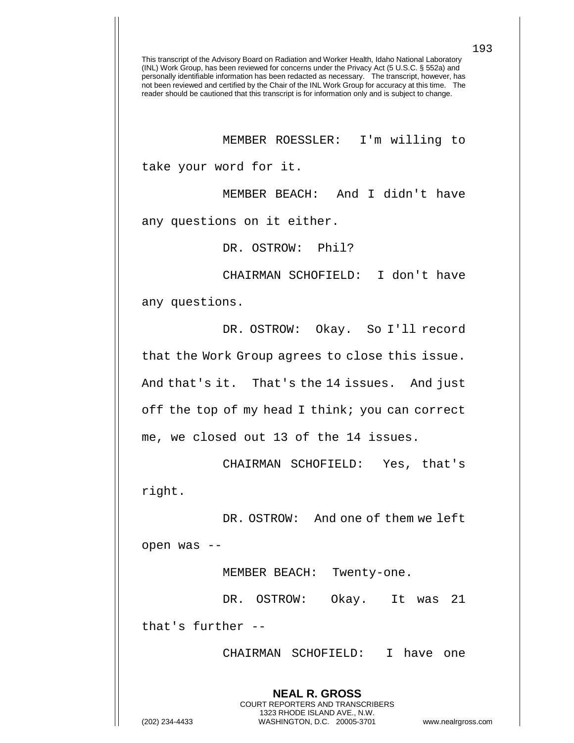MEMBER ROESSLER: I'm willing to

take your word for it.

MEMBER BEACH: And I didn't have

any questions on it either.

DR. OSTROW: Phil?

CHAIRMAN SCHOFIELD: I don't have

any questions.

DR. OSTROW: Okay. So I'll record that the Work Group agrees to close this issue. And that's it. That's the 14 issues. And just off the top of my head I think; you can correct me, we closed out 13 of the 14 issues.

CHAIRMAN SCHOFIELD: Yes, that's right.

DR. OSTROW: And one of them we left open was --

MEMBER BEACH: Twenty-one.

DR. OSTROW: Okay. It was 21 that's further --

> **NEAL R. GROSS** COURT REPORTERS AND TRANSCRIBERS 1323 RHODE ISLAND AVE., N.W.

CHAIRMAN SCHOFIELD: I have one

(202) 234-4433 WASHINGTON, D.C. 20005-3701 www.nealrgross.com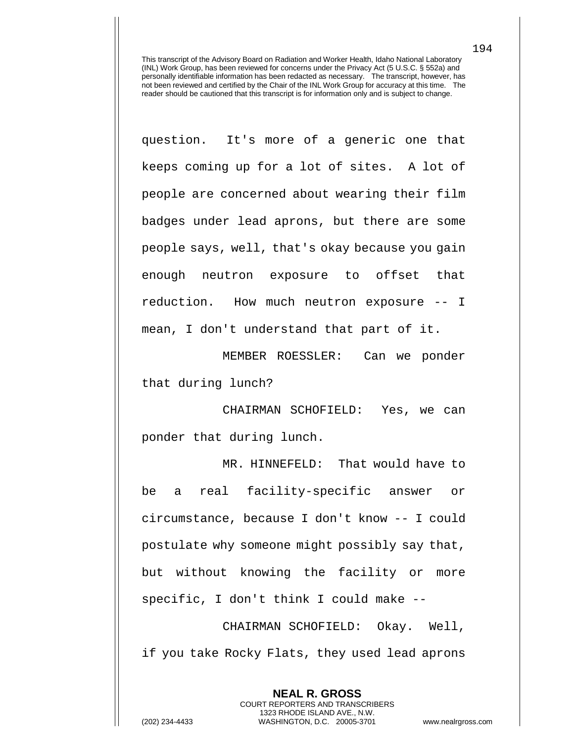question. It's more of a generic one that keeps coming up for a lot of sites. A lot of people are concerned about wearing their film badges under lead aprons, but there are some people says, well, that's okay because you gain enough neutron exposure to offset that reduction. How much neutron exposure -- I mean, I don't understand that part of it.

MEMBER ROESSLER: Can we ponder that during lunch?

CHAIRMAN SCHOFIELD: Yes, we can ponder that during lunch.

MR. HINNEFELD: That would have to be a real facility-specific answer or circumstance, because I don't know -- I could postulate why someone might possibly say that, but without knowing the facility or more specific, I don't think I could make --

CHAIRMAN SCHOFIELD: Okay. Well, if you take Rocky Flats, they used lead aprons

> **NEAL R. GROSS** COURT REPORTERS AND TRANSCRIBERS 1323 RHODE ISLAND AVE., N.W.

(202) 234-4433 WASHINGTON, D.C. 20005-3701 www.nealrgross.com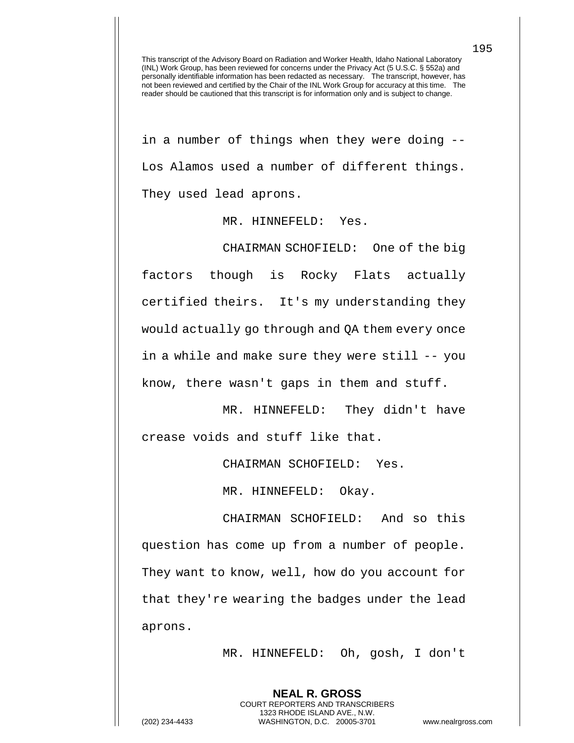in a number of things when they were doing -- Los Alamos used a number of different things. They used lead aprons.

MR. HINNEFELD: Yes.

CHAIRMAN SCHOFIELD: One of the big factors though is Rocky Flats actually certified theirs. It's my understanding they would actually go through and QA them every once in a while and make sure they were still -- you know, there wasn't gaps in them and stuff.

MR. HINNEFELD: They didn't have crease voids and stuff like that.

CHAIRMAN SCHOFIELD: Yes.

MR. HINNEFELD: Okay.

CHAIRMAN SCHOFIELD: And so this question has come up from a number of people. They want to know, well, how do you account for that they're wearing the badges under the lead aprons.

MR. HINNEFELD: Oh, gosh, I don't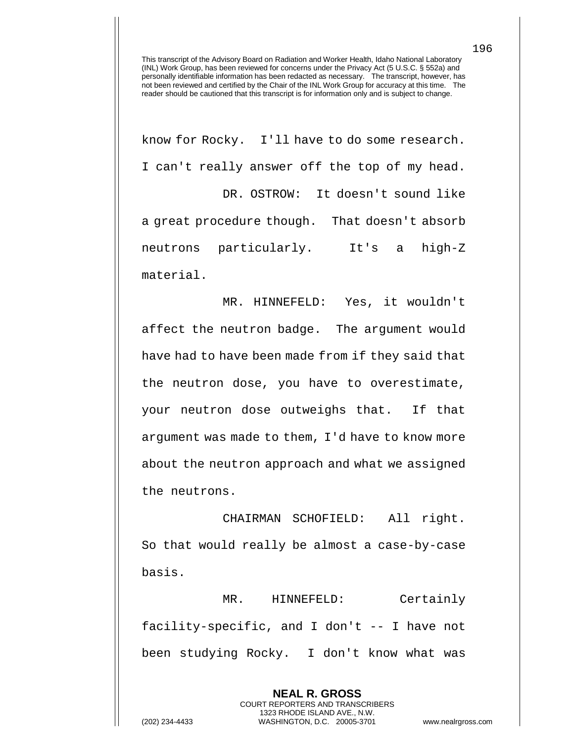know for Rocky. I'll have to do some research. I can't really answer off the top of my head. DR. OSTROW: It doesn't sound like a great procedure though. That doesn't absorb neutrons particularly. It's a high-Z material.

MR. HINNEFELD: Yes, it wouldn't affect the neutron badge. The argument would have had to have been made from if they said that the neutron dose, you have to overestimate, your neutron dose outweighs that. If that argument was made to them, I'd have to know more about the neutron approach and what we assigned the neutrons.

CHAIRMAN SCHOFIELD: All right. So that would really be almost a case-by-case basis.

MR. HINNEFELD: Certainly facility-specific, and I don't -- I have not been studying Rocky. I don't know what was

> **NEAL R. GROSS** COURT REPORTERS AND TRANSCRIBERS 1323 RHODE ISLAND AVE., N.W.

(202) 234-4433 WASHINGTON, D.C. 20005-3701 www.nealrgross.com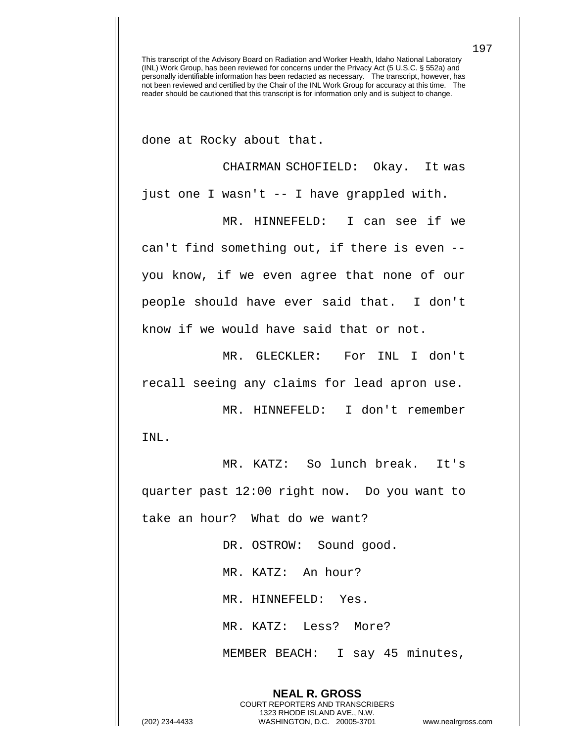done at Rocky about that.

CHAIRMAN SCHOFIELD: Okay. It was just one I wasn't -- I have grappled with.

MR. HINNEFELD: I can see if we can't find something out, if there is even - you know, if we even agree that none of our people should have ever said that. I don't know if we would have said that or not.

MR. GLECKLER: For INL I don't recall seeing any claims for lead apron use.

MR. HINNEFELD: I don't remember INL.

MR. KATZ: So lunch break. It's quarter past 12:00 right now. Do you want to take an hour? What do we want?

> DR. OSTROW: Sound good. MR. KATZ: An hour? MR. HINNEFELD: Yes. MR. KATZ: Less? More? MEMBER BEACH: I say 45 minutes,

**NEAL R. GROSS** COURT REPORTERS AND TRANSCRIBERS 1323 RHODE ISLAND AVE., N.W.

(202) 234-4433 WASHINGTON, D.C. 20005-3701 www.nealrgross.com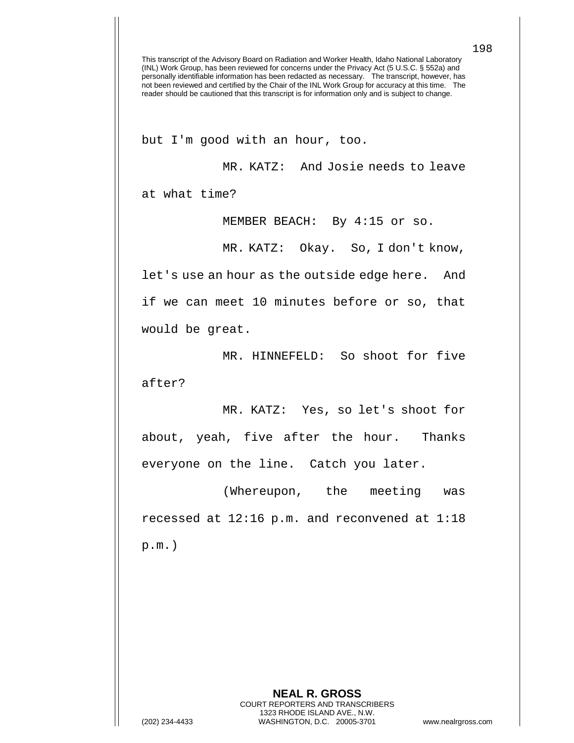but I'm good with an hour, too.

MR. KATZ: And Josie needs to leave at what time?

MEMBER BEACH: By 4:15 or so.

MR. KATZ: Okay. So, I don't know,

let's use an hour as the outside edge here. And if we can meet 10 minutes before or so, that would be great.

MR. HINNEFELD: So shoot for five after?

MR. KATZ: Yes, so let's shoot for about, yeah, five after the hour. Thanks everyone on the line. Catch you later.

(Whereupon, the meeting was recessed at 12:16 p.m. and reconvened at 1:18 p.m.)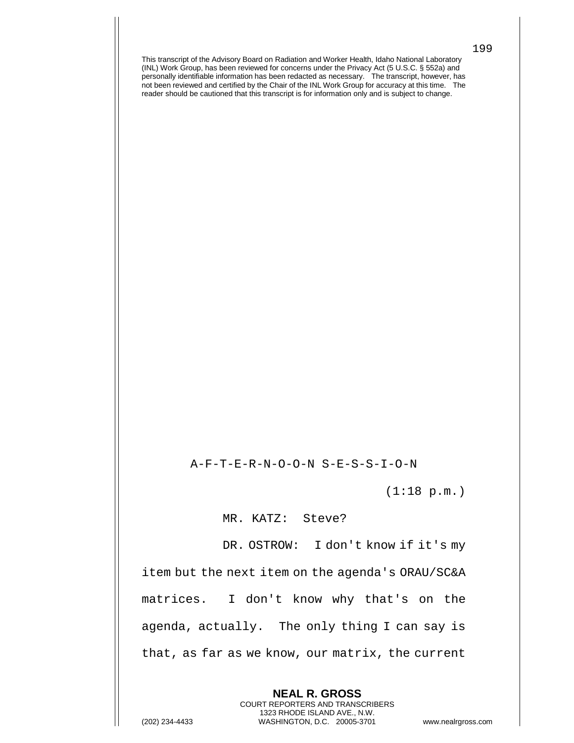A-F-T-E-R-N-O-O-N S-E-S-S-I-O-N

(1:18 p.m.)

MR. KATZ: Steve?

DR. OSTROW: I don't know if it's my item but the next item on the agenda's ORAU/SC&A matrices. I don't know why that's on the agenda, actually. The only thing I can say is that, as far as we know, our matrix, the current

> **NEAL R. GROSS** COURT REPORTERS AND TRANSCRIBERS 1323 RHODE ISLAND AVE., N.W.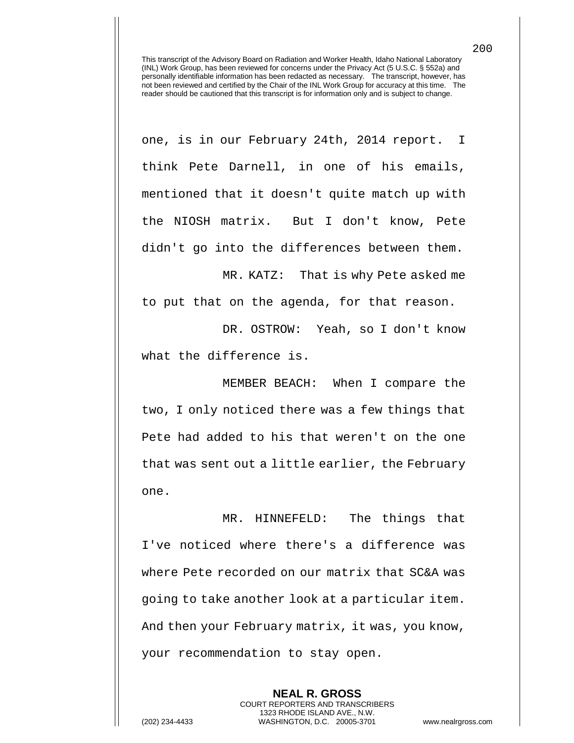one, is in our February 24th, 2014 report. I think Pete Darnell, in one of his emails, mentioned that it doesn't quite match up with the NIOSH matrix. But I don't know, Pete didn't go into the differences between them.

MR. KATZ: That is why Pete asked me to put that on the agenda, for that reason.

DR. OSTROW: Yeah, so I don't know what the difference is.

MEMBER BEACH: When I compare the two, I only noticed there was a few things that Pete had added to his that weren't on the one that was sent out a little earlier, the February one.

MR. HINNEFELD: The things that I've noticed where there's a difference was where Pete recorded on our matrix that SC&A was going to take another look at a particular item. And then your February matrix, it was, you know, your recommendation to stay open.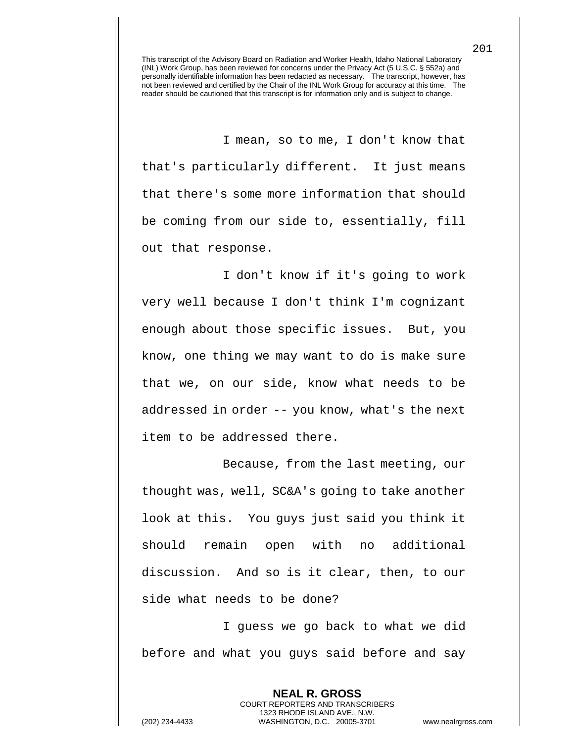I mean, so to me, I don't know that that's particularly different. It just means that there's some more information that should be coming from our side to, essentially, fill out that response.

I don't know if it's going to work very well because I don't think I'm cognizant enough about those specific issues. But, you know, one thing we may want to do is make sure that we, on our side, know what needs to be addressed in order -- you know, what's the next item to be addressed there.

Because, from the last meeting, our thought was, well, SC&A's going to take another look at this. You guys just said you think it should remain open with no additional discussion. And so is it clear, then, to our side what needs to be done?

I guess we go back to what we did before and what you guys said before and say

> **NEAL R. GROSS** COURT REPORTERS AND TRANSCRIBERS 1323 RHODE ISLAND AVE., N.W.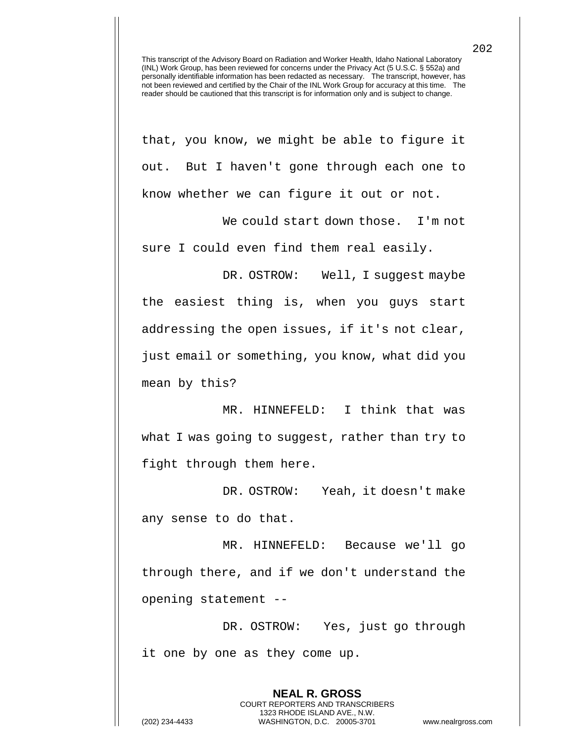that, you know, we might be able to figure it out. But I haven't gone through each one to know whether we can figure it out or not.

We could start down those. I'm not sure I could even find them real easily.

DR. OSTROW: Well, I suggest maybe the easiest thing is, when you guys start addressing the open issues, if it's not clear, just email or something, you know, what did you mean by this?

MR. HINNEFELD: I think that was what I was going to suggest, rather than try to fight through them here.

DR. OSTROW: Yeah, it doesn't make any sense to do that.

MR. HINNEFELD: Because we'll go through there, and if we don't understand the opening statement --

DR. OSTROW: Yes, just go through it one by one as they come up.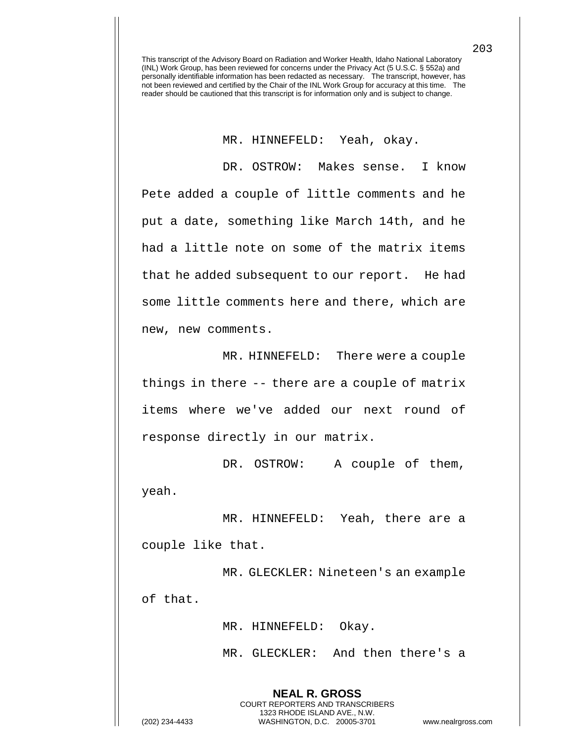MR. HINNEFELD: Yeah, okay.

DR. OSTROW: Makes sense. I know Pete added a couple of little comments and he put a date, something like March 14th, and he had a little note on some of the matrix items that he added subsequent to our report. He had some little comments here and there, which are new, new comments.

MR. HINNEFELD: There were a couple things in there -- there are a couple of matrix items where we've added our next round of response directly in our matrix.

DR. OSTROW: A couple of them, yeah.

MR. HINNEFELD: Yeah, there are a couple like that.

MR. GLECKLER: Nineteen's an example of that.

MR. HINNEFELD: Okay.

**NEAL R. GROSS** COURT REPORTERS AND TRANSCRIBERS 1323 RHODE ISLAND AVE., N.W.

MR. GLECKLER: And then there's a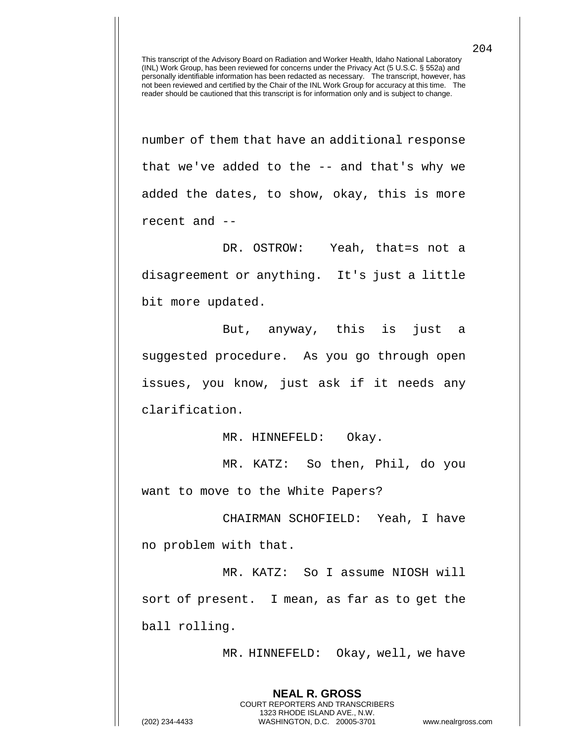number of them that have an additional response that we've added to the -- and that's why we added the dates, to show, okay, this is more recent and --

DR. OSTROW: Yeah, that=s not a disagreement or anything. It's just a little bit more updated.

But, anyway, this is just a suggested procedure. As you go through open issues, you know, just ask if it needs any clarification.

MR. HINNEFELD: Okay.

MR. KATZ: So then, Phil, do you want to move to the White Papers?

CHAIRMAN SCHOFIELD: Yeah, I have no problem with that.

MR. KATZ: So I assume NIOSH will sort of present. I mean, as far as to get the ball rolling.

> **NEAL R. GROSS** COURT REPORTERS AND TRANSCRIBERS 1323 RHODE ISLAND AVE., N.W.

MR. HINNEFELD: Okay, well, we have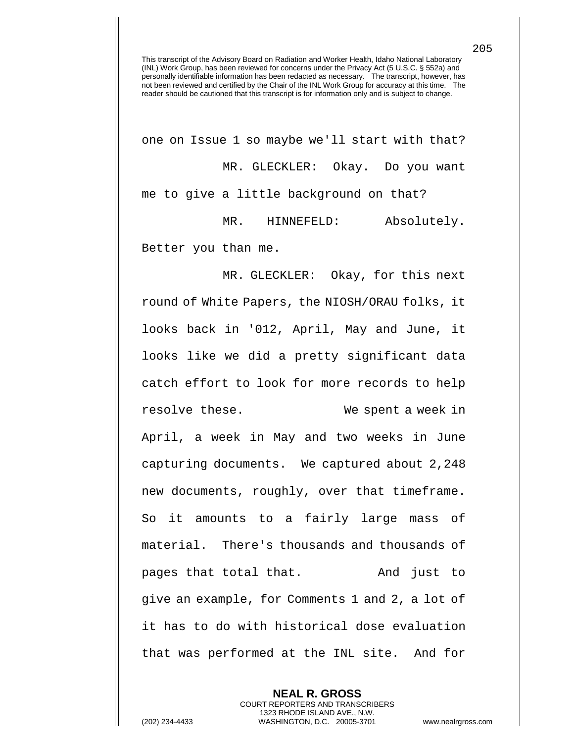one on Issue 1 so maybe we'll start with that? MR. GLECKLER: Okay. Do you want me to give a little background on that?

MR. HINNEFELD: Absolutely. Better you than me.

MR. GLECKLER: Okay, for this next round of White Papers, the NIOSH/ORAU folks, it looks back in '012, April, May and June, it looks like we did a pretty significant data catch effort to look for more records to help resolve these. We spent a week in April, a week in May and two weeks in June capturing documents. We captured about 2,248 new documents, roughly, over that timeframe. So it amounts to a fairly large mass of material. There's thousands and thousands of pages that total that. And just to give an example, for Comments 1 and 2, a lot of it has to do with historical dose evaluation that was performed at the INL site. And for

**NEAL R. GROSS** COURT REPORTERS AND TRANSCRIBERS 1323 RHODE ISLAND AVE., N.W. (202) 234-4433 WASHINGTON, D.C. 20005-3701 www.nealrgross.com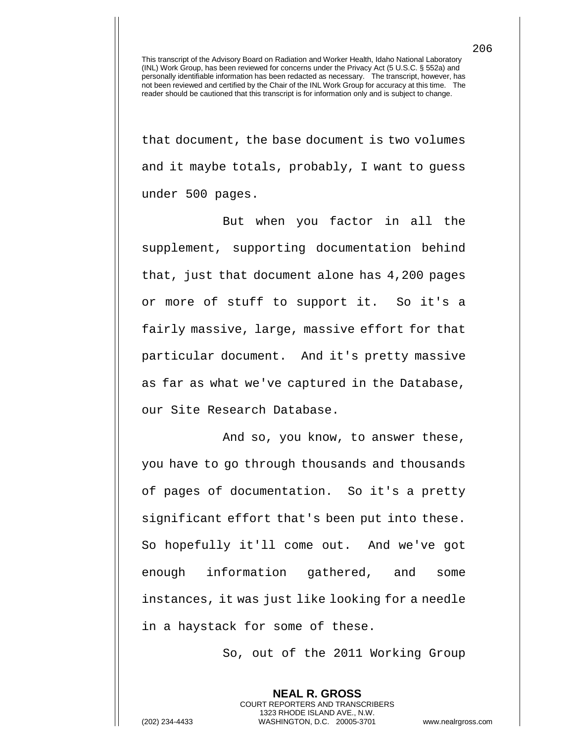that document, the base document is two volumes and it maybe totals, probably, I want to guess under 500 pages.

But when you factor in all the supplement, supporting documentation behind that, just that document alone has 4,200 pages or more of stuff to support it. So it's a fairly massive, large, massive effort for that particular document. And it's pretty massive as far as what we've captured in the Database, our Site Research Database.

And so, you know, to answer these, you have to go through thousands and thousands of pages of documentation. So it's a pretty significant effort that's been put into these. So hopefully it'll come out. And we've got enough information gathered, and some instances, it was just like looking for a needle in a haystack for some of these.

So, out of the 2011 Working Group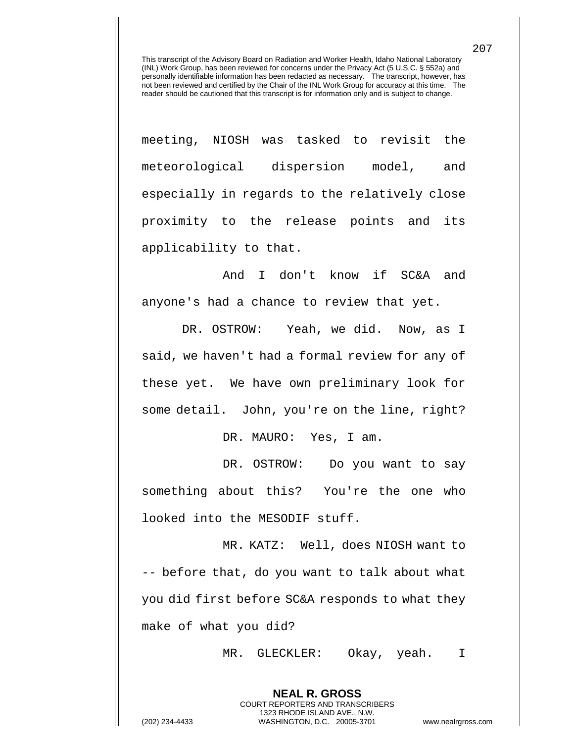meeting, NIOSH was tasked to revisit the meteorological dispersion model, and especially in regards to the relatively close proximity to the release points and its applicability to that.

And I don't know if SC&A and anyone's had a chance to review that yet.

DR. OSTROW: Yeah, we did. Now, as I said, we haven't had a formal review for any of these yet. We have own preliminary look for some detail. John, you're on the line, right?

DR. MAURO: Yes, I am.

DR. OSTROW: Do you want to say something about this? You're the one who looked into the MESODIF stuff.

MR. KATZ: Well, does NIOSH want to -- before that, do you want to talk about what you did first before SC&A responds to what they make of what you did?

> **NEAL R. GROSS** COURT REPORTERS AND TRANSCRIBERS 1323 RHODE ISLAND AVE., N.W.

MR. GLECKLER: Okay, yeah. I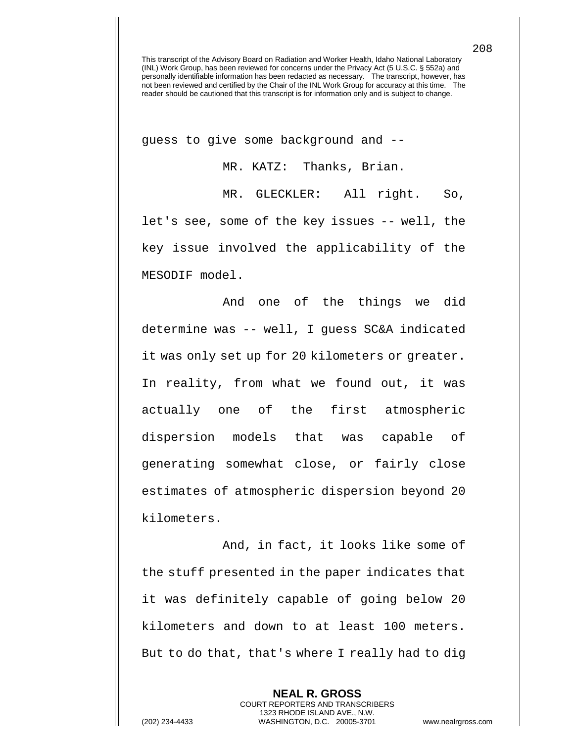guess to give some background and --

MR. KATZ: Thanks, Brian.

MR. GLECKLER: All right. So, let's see, some of the key issues -- well, the key issue involved the applicability of the MESODIF model.

And one of the things we did determine was -- well, I guess SC&A indicated it was only set up for 20 kilometers or greater. In reality, from what we found out, it was actually one of the first atmospheric dispersion models that was capable of generating somewhat close, or fairly close estimates of atmospheric dispersion beyond 20 kilometers.

And, in fact, it looks like some of the stuff presented in the paper indicates that it was definitely capable of going below 20 kilometers and down to at least 100 meters. But to do that, that's where I really had to dig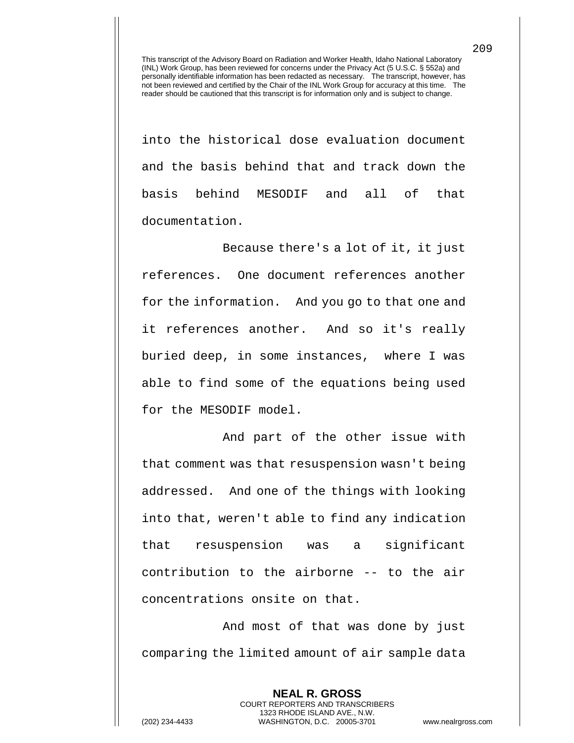into the historical dose evaluation document and the basis behind that and track down the basis behind MESODIF and all of that documentation.

Because there's a lot of it, it just references. One document references another for the information. And you go to that one and it references another. And so it's really buried deep, in some instances, where I was able to find some of the equations being used for the MESODIF model.

And part of the other issue with that comment was that resuspension wasn't being addressed. And one of the things with looking into that, weren't able to find any indication that resuspension was a significant contribution to the airborne -- to the air concentrations onsite on that.

And most of that was done by just comparing the limited amount of air sample data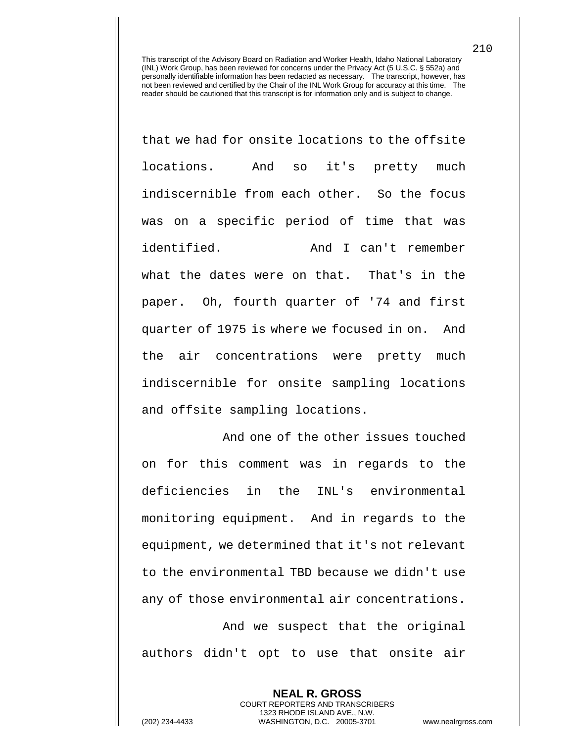that we had for onsite locations to the offsite locations. And so it's pretty much indiscernible from each other. So the focus was on a specific period of time that was identified. And I can't remember what the dates were on that. That's in the paper. Oh, fourth quarter of '74 and first quarter of 1975 is where we focused in on. And the air concentrations were pretty much indiscernible for onsite sampling locations and offsite sampling locations.

And one of the other issues touched on for this comment was in regards to the deficiencies in the INL's environmental monitoring equipment. And in regards to the equipment, we determined that it's not relevant to the environmental TBD because we didn't use any of those environmental air concentrations.

And we suspect that the original authors didn't opt to use that onsite air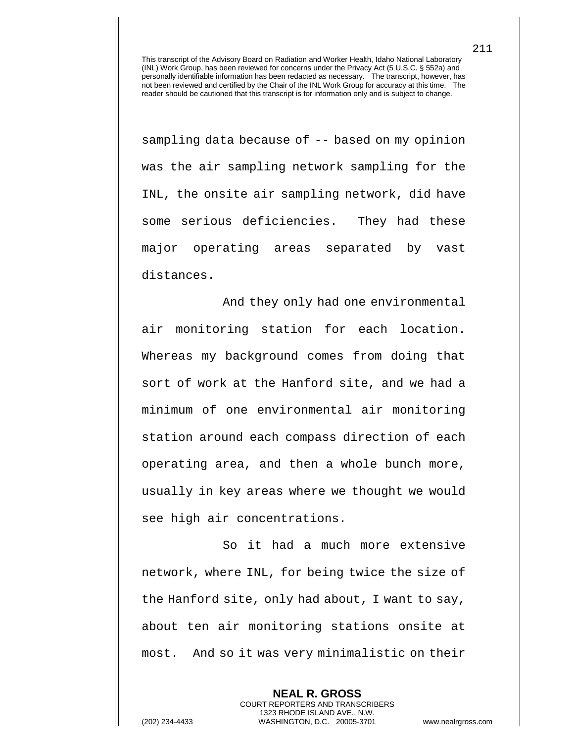sampling data because of -- based on my opinion was the air sampling network sampling for the INL, the onsite air sampling network, did have some serious deficiencies. They had these major operating areas separated by vast distances.

And they only had one environmental air monitoring station for each location. Whereas my background comes from doing that sort of work at the Hanford site, and we had a minimum of one environmental air monitoring station around each compass direction of each operating area, and then a whole bunch more, usually in key areas where we thought we would see high air concentrations.

So it had a much more extensive network, where INL, for being twice the size of the Hanford site, only had about, I want to say, about ten air monitoring stations onsite at most. And so it was very minimalistic on their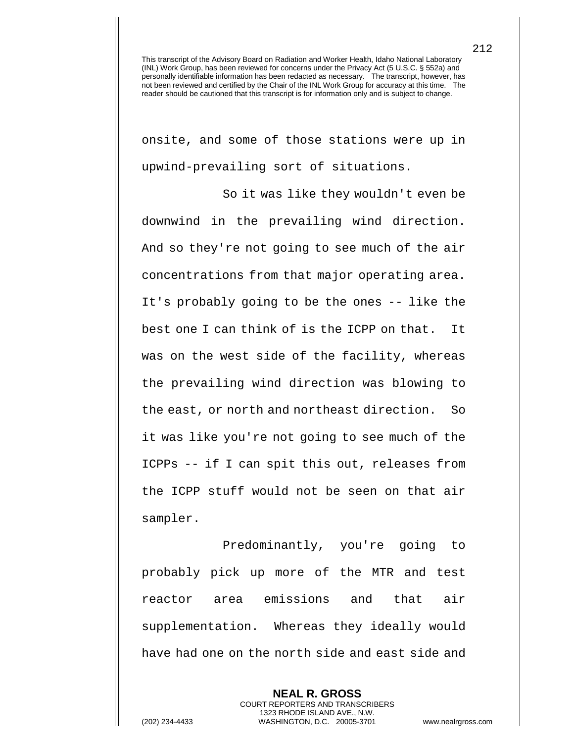onsite, and some of those stations were up in upwind-prevailing sort of situations.

So it was like they wouldn't even be downwind in the prevailing wind direction. And so they're not going to see much of the air concentrations from that major operating area. It's probably going to be the ones -- like the best one I can think of is the ICPP on that. It was on the west side of the facility, whereas the prevailing wind direction was blowing to the east, or north and northeast direction. So it was like you're not going to see much of the ICPPs -- if I can spit this out, releases from the ICPP stuff would not be seen on that air sampler.

Predominantly, you're going to probably pick up more of the MTR and test reactor area emissions and that air supplementation. Whereas they ideally would have had one on the north side and east side and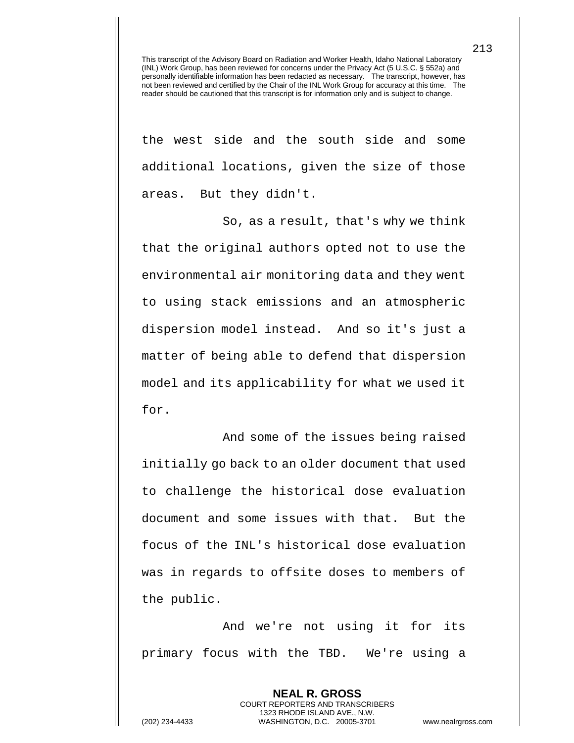the west side and the south side and some additional locations, given the size of those areas. But they didn't.

So, as a result, that's why we think that the original authors opted not to use the environmental air monitoring data and they went to using stack emissions and an atmospheric dispersion model instead. And so it's just a matter of being able to defend that dispersion model and its applicability for what we used it for.

And some of the issues being raised initially go back to an older document that used to challenge the historical dose evaluation document and some issues with that. But the focus of the INL's historical dose evaluation was in regards to offsite doses to members of the public.

And we're not using it for its primary focus with the TBD. We're using a

> **NEAL R. GROSS** COURT REPORTERS AND TRANSCRIBERS 1323 RHODE ISLAND AVE., N.W.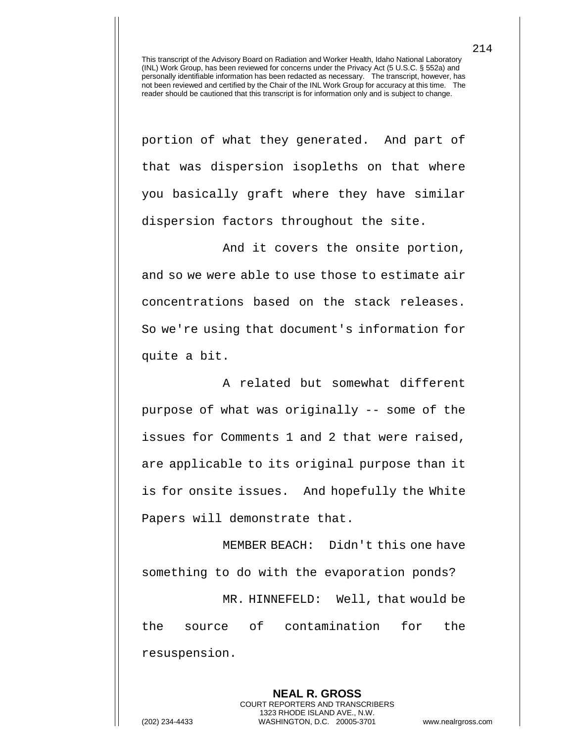portion of what they generated. And part of that was dispersion isopleths on that where you basically graft where they have similar dispersion factors throughout the site.

And it covers the onsite portion, and so we were able to use those to estimate air concentrations based on the stack releases. So we're using that document's information for quite a bit.

A related but somewhat different purpose of what was originally -- some of the issues for Comments 1 and 2 that were raised, are applicable to its original purpose than it is for onsite issues. And hopefully the White Papers will demonstrate that.

MEMBER BEACH: Didn't this one have something to do with the evaporation ponds? MR. HINNEFELD: Well, that would be the source of contamination for the resuspension.

**NEAL R. GROSS** COURT REPORTERS AND TRANSCRIBERS 1323 RHODE ISLAND AVE., N.W. (202) 234-4433 WASHINGTON, D.C. 20005-3701 www.nealrgross.com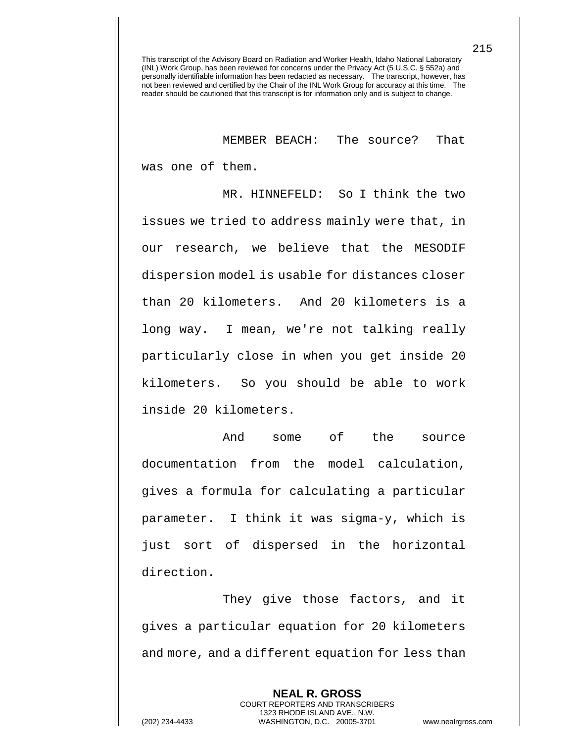MEMBER BEACH: The source? That

was one of them.

MR. HINNEFELD: So I think the two issues we tried to address mainly were that, in our research, we believe that the MESODIF dispersion model is usable for distances closer than 20 kilometers. And 20 kilometers is a long way. I mean, we're not talking really particularly close in when you get inside 20 kilometers. So you should be able to work inside 20 kilometers.

And some of the source documentation from the model calculation, gives a formula for calculating a particular parameter. I think it was sigma-y, which is just sort of dispersed in the horizontal direction.

They give those factors, and it gives a particular equation for 20 kilometers and more, and a different equation for less than

**NEAL R. GROSS** COURT REPORTERS AND TRANSCRIBERS 1323 RHODE ISLAND AVE., N.W. (202) 234-4433 WASHINGTON, D.C. 20005-3701 www.nealrgross.com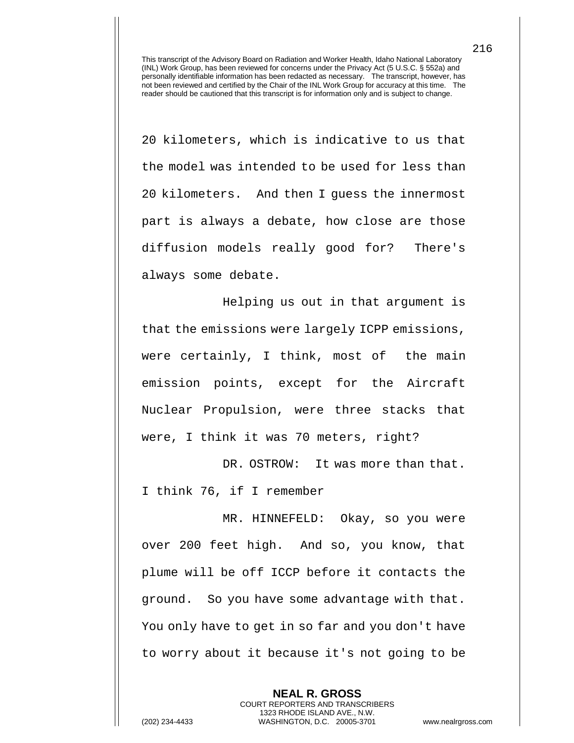20 kilometers, which is indicative to us that the model was intended to be used for less than 20 kilometers. And then I guess the innermost part is always a debate, how close are those diffusion models really good for? There's always some debate.

Helping us out in that argument is that the emissions were largely ICPP emissions, were certainly, I think, most of the main emission points, except for the Aircraft Nuclear Propulsion, were three stacks that were, I think it was 70 meters, right?

DR. OSTROW: It was more than that. I think 76, if I remember

MR. HINNEFELD: Okay, so you were over 200 feet high. And so, you know, that plume will be off ICCP before it contacts the ground. So you have some advantage with that. You only have to get in so far and you don't have to worry about it because it's not going to be

> **NEAL R. GROSS** COURT REPORTERS AND TRANSCRIBERS

1323 RHODE ISLAND AVE., N.W. (202) 234-4433 WASHINGTON, D.C. 20005-3701 www.nealrgross.com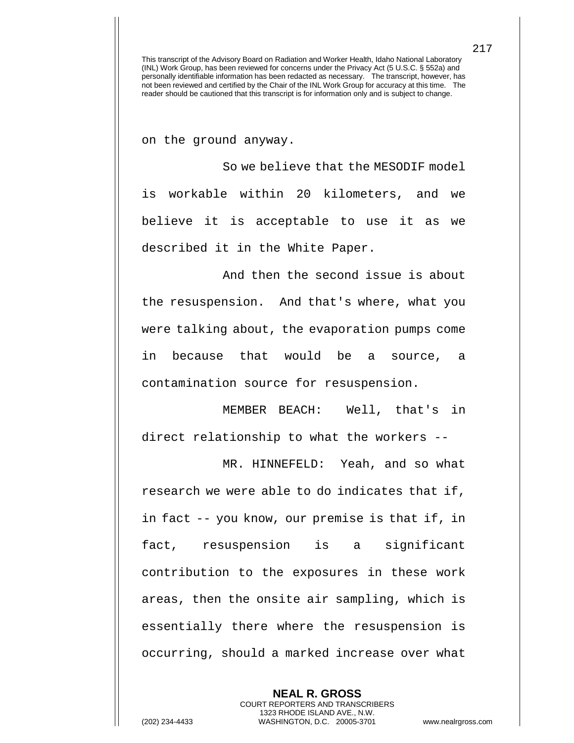on the ground anyway.

So we believe that the MESODIF model is workable within 20 kilometers, and we believe it is acceptable to use it as we described it in the White Paper.

And then the second issue is about the resuspension. And that's where, what you were talking about, the evaporation pumps come in because that would be a source, a contamination source for resuspension.

MEMBER BEACH: Well, that's in direct relationship to what the workers --

MR. HINNEFELD: Yeah, and so what research we were able to do indicates that if, in fact -- you know, our premise is that if, in fact, resuspension is a significant contribution to the exposures in these work areas, then the onsite air sampling, which is essentially there where the resuspension is occurring, should a marked increase over what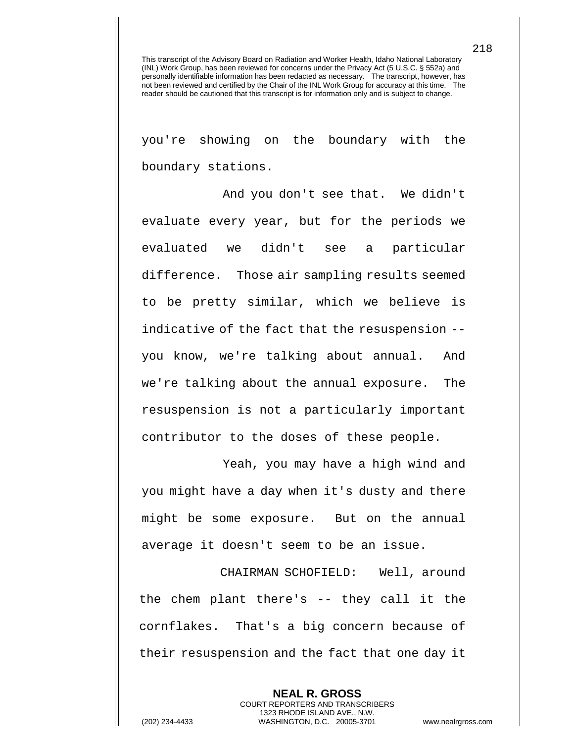you're showing on the boundary with the boundary stations.

And you don't see that. We didn't evaluate every year, but for the periods we evaluated we didn't see a particular difference. Those air sampling results seemed to be pretty similar, which we believe is indicative of the fact that the resuspension - you know, we're talking about annual. And we're talking about the annual exposure. The resuspension is not a particularly important contributor to the doses of these people.

Yeah, you may have a high wind and you might have a day when it's dusty and there might be some exposure. But on the annual average it doesn't seem to be an issue.

CHAIRMAN SCHOFIELD: Well, around the chem plant there's -- they call it the cornflakes. That's a big concern because of their resuspension and the fact that one day it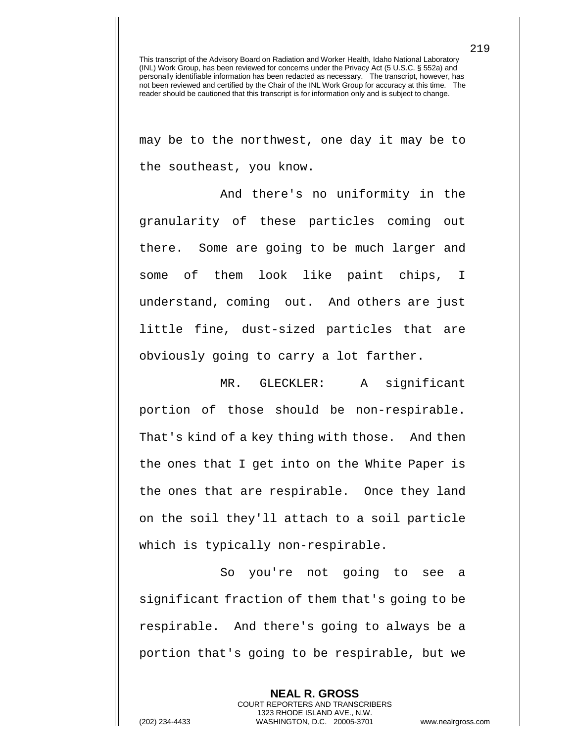may be to the northwest, one day it may be to the southeast, you know.

And there's no uniformity in the granularity of these particles coming out there. Some are going to be much larger and some of them look like paint chips, I understand, coming out. And others are just little fine, dust-sized particles that are obviously going to carry a lot farther.

MR. GLECKLER: A significant portion of those should be non-respirable. That's kind of a key thing with those. And then the ones that I get into on the White Paper is the ones that are respirable. Once they land on the soil they'll attach to a soil particle which is typically non-respirable.

So you're not going to see a significant fraction of them that's going to be respirable. And there's going to always be a portion that's going to be respirable, but we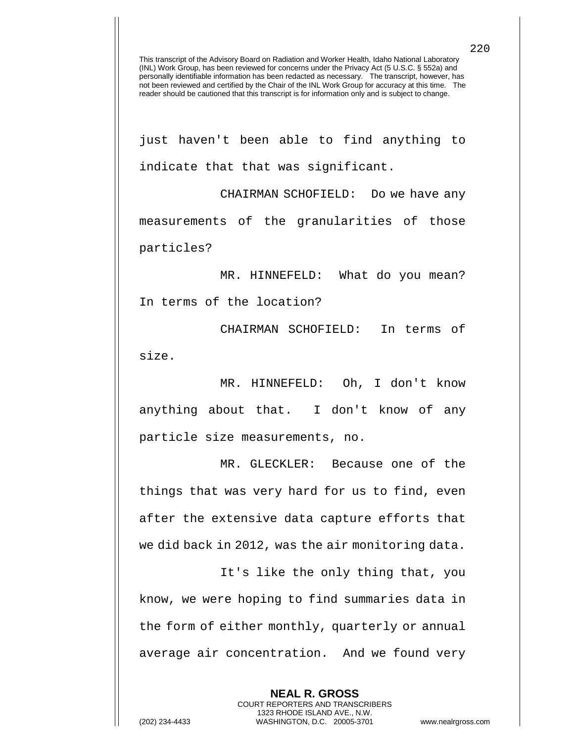just haven't been able to find anything to indicate that that was significant.

CHAIRMAN SCHOFIELD: Do we have any measurements of the granularities of those particles?

MR. HINNEFELD: What do you mean? In terms of the location?

CHAIRMAN SCHOFIELD: In terms of size.

MR. HINNEFELD: Oh, I don't know anything about that. I don't know of any particle size measurements, no.

MR. GLECKLER: Because one of the things that was very hard for us to find, even after the extensive data capture efforts that we did back in 2012, was the air monitoring data.

It's like the only thing that, you know, we were hoping to find summaries data in the form of either monthly, quarterly or annual average air concentration. And we found very

> **NEAL R. GROSS** COURT REPORTERS AND TRANSCRIBERS 1323 RHODE ISLAND AVE., N.W.

220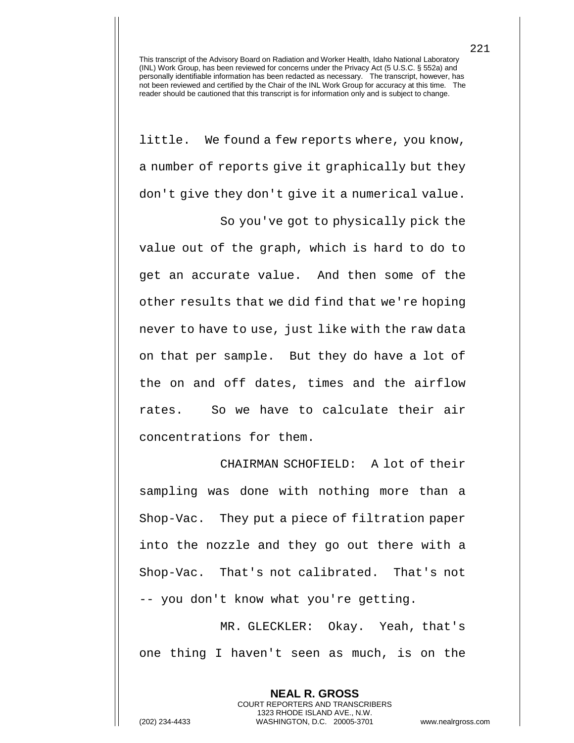little. We found a few reports where, you know, a number of reports give it graphically but they don't give they don't give it a numerical value.

So you've got to physically pick the value out of the graph, which is hard to do to get an accurate value. And then some of the other results that we did find that we're hoping never to have to use, just like with the raw data on that per sample. But they do have a lot of the on and off dates, times and the airflow rates. So we have to calculate their air concentrations for them.

CHAIRMAN SCHOFIELD: A lot of their sampling was done with nothing more than a Shop-Vac. They put a piece of filtration paper into the nozzle and they go out there with a Shop-Vac. That's not calibrated. That's not -- you don't know what you're getting.

MR. GLECKLER: Okay. Yeah, that's one thing I haven't seen as much, is on the

> **NEAL R. GROSS** COURT REPORTERS AND TRANSCRIBERS 1323 RHODE ISLAND AVE., N.W.

221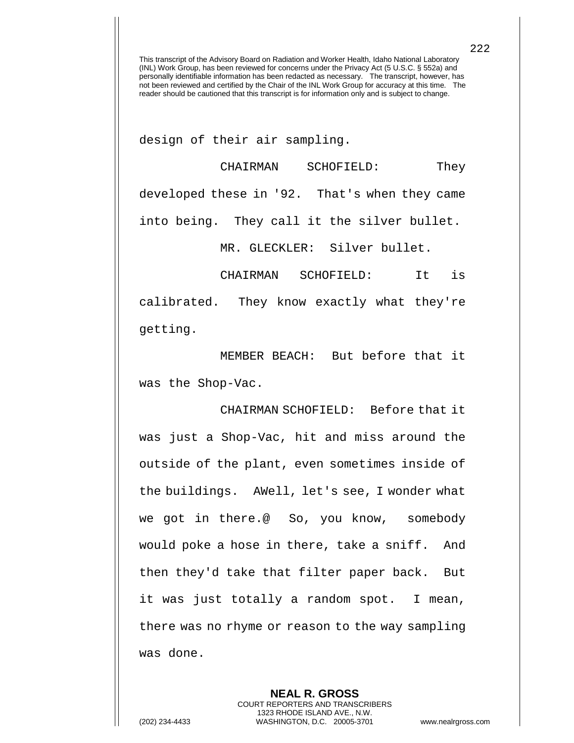design of their air sampling.

CHAIRMAN SCHOFIELD: They developed these in '92. That's when they came into being. They call it the silver bullet.

MR. GLECKLER: Silver bullet.

CHAIRMAN SCHOFIELD: It is calibrated. They know exactly what they're getting.

MEMBER BEACH: But before that it was the Shop-Vac.

CHAIRMAN SCHOFIELD: Before that it was just a Shop-Vac, hit and miss around the outside of the plant, even sometimes inside of the buildings. AWell, let's see, I wonder what we got in there.@ So, you know, somebody would poke a hose in there, take a sniff. And then they'd take that filter paper back. But it was just totally a random spot. I mean, there was no rhyme or reason to the way sampling was done.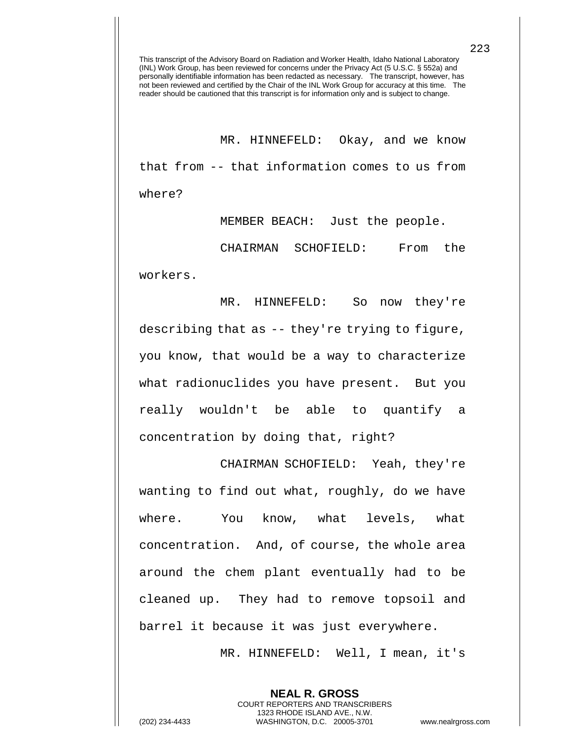MR. HINNEFELD: Okay, and we know that from -- that information comes to us from where?

MEMBER BEACH: Just the people.

CHAIRMAN SCHOFIELD: From the workers.

MR. HINNEFELD: So now they're describing that as -- they're trying to figure, you know, that would be a way to characterize what radionuclides you have present. But you really wouldn't be able to quantify a concentration by doing that, right?

CHAIRMAN SCHOFIELD: Yeah, they're wanting to find out what, roughly, do we have where. You know, what levels, what concentration. And, of course, the whole area around the chem plant eventually had to be cleaned up. They had to remove topsoil and barrel it because it was just everywhere.

MR. HINNEFELD: Well, I mean, it's

**NEAL R. GROSS** COURT REPORTERS AND TRANSCRIBERS 1323 RHODE ISLAND AVE., N.W.

(202) 234-4433 WASHINGTON, D.C. 20005-3701 www.nealrgross.com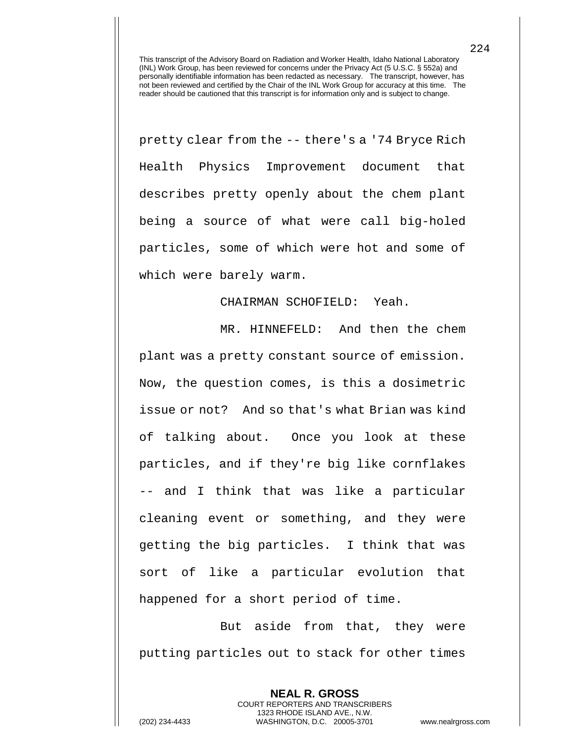pretty clear from the -- there's a '74 Bryce Rich Health Physics Improvement document that describes pretty openly about the chem plant being a source of what were call big-holed particles, some of which were hot and some of which were barely warm.

## CHAIRMAN SCHOFIELD: Yeah.

MR. HINNEFELD: And then the chem plant was a pretty constant source of emission. Now, the question comes, is this a dosimetric issue or not? And so that's what Brian was kind of talking about. Once you look at these particles, and if they're big like cornflakes -- and I think that was like a particular cleaning event or something, and they were getting the big particles. I think that was sort of like a particular evolution that happened for a short period of time.

But aside from that, they were putting particles out to stack for other times

> **NEAL R. GROSS** COURT REPORTERS AND TRANSCRIBERS 1323 RHODE ISLAND AVE., N.W.

224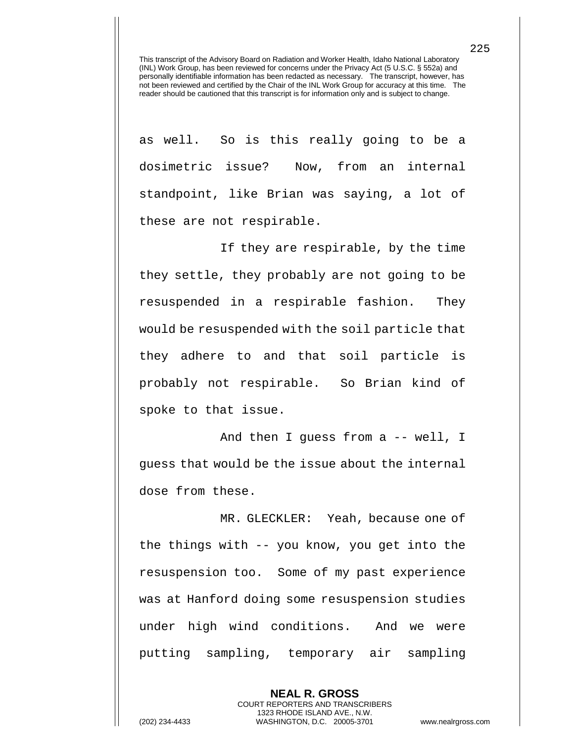as well. So is this really going to be a dosimetric issue? Now, from an internal standpoint, like Brian was saying, a lot of these are not respirable.

If they are respirable, by the time they settle, they probably are not going to be resuspended in a respirable fashion. They would be resuspended with the soil particle that they adhere to and that soil particle is probably not respirable. So Brian kind of spoke to that issue.

And then I guess from a -- well, I guess that would be the issue about the internal dose from these.

MR. GLECKLER: Yeah, because one of the things with -- you know, you get into the resuspension too. Some of my past experience was at Hanford doing some resuspension studies under high wind conditions. And we were putting sampling, temporary air sampling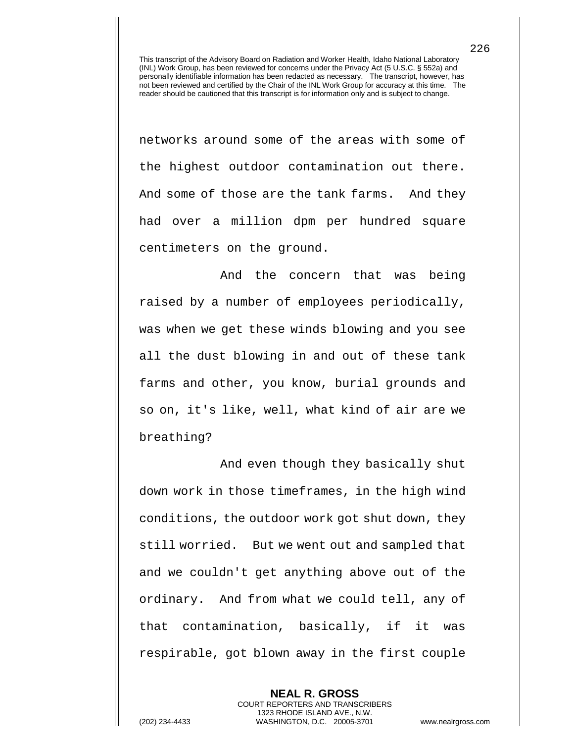networks around some of the areas with some of the highest outdoor contamination out there. And some of those are the tank farms. And they had over a million dpm per hundred square centimeters on the ground.

And the concern that was being raised by a number of employees periodically, was when we get these winds blowing and you see all the dust blowing in and out of these tank farms and other, you know, burial grounds and so on, it's like, well, what kind of air are we breathing?

And even though they basically shut down work in those timeframes, in the high wind conditions, the outdoor work got shut down, they still worried. But we went out and sampled that and we couldn't get anything above out of the ordinary. And from what we could tell, any of that contamination, basically, if it was respirable, got blown away in the first couple

**NEAL R. GROSS** COURT REPORTERS AND TRANSCRIBERS 1323 RHODE ISLAND AVE., N.W. (202) 234-4433 WASHINGTON, D.C. 20005-3701 www.nealrgross.com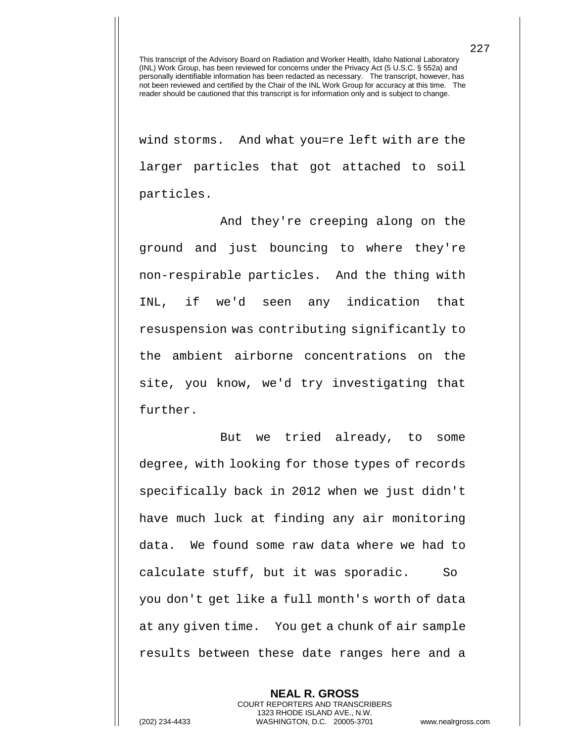wind storms. And what you=re left with are the larger particles that got attached to soil particles.

And they're creeping along on the ground and just bouncing to where they're non-respirable particles. And the thing with INL, if we'd seen any indication that resuspension was contributing significantly to the ambient airborne concentrations on the site, you know, we'd try investigating that further.

But we tried already, to some degree, with looking for those types of records specifically back in 2012 when we just didn't have much luck at finding any air monitoring data. We found some raw data where we had to calculate stuff, but it was sporadic. So you don't get like a full month's worth of data at any given time. You get a chunk of air sample results between these date ranges here and a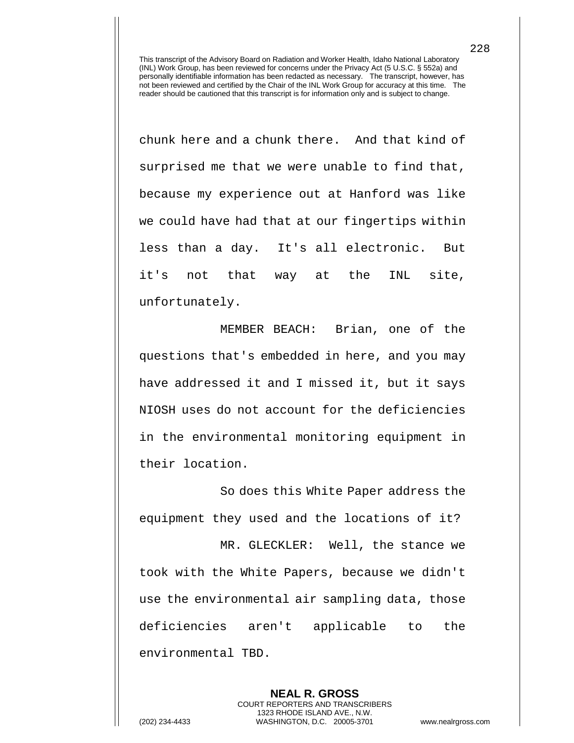chunk here and a chunk there. And that kind of surprised me that we were unable to find that, because my experience out at Hanford was like we could have had that at our fingertips within less than a day. It's all electronic. But it's not that way at the INL site, unfortunately.

MEMBER BEACH: Brian, one of the questions that's embedded in here, and you may have addressed it and I missed it, but it says NIOSH uses do not account for the deficiencies in the environmental monitoring equipment in their location.

So does this White Paper address the equipment they used and the locations of it?

MR. GLECKLER: Well, the stance we took with the White Papers, because we didn't use the environmental air sampling data, those deficiencies aren't applicable to the environmental TBD.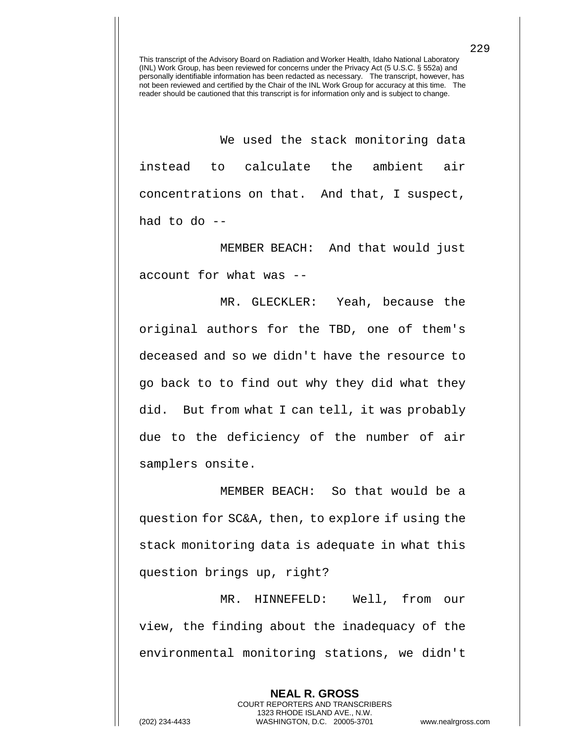We used the stack monitoring data instead to calculate the ambient air concentrations on that. And that, I suspect, had to do --

MEMBER BEACH: And that would just account for what was --

MR. GLECKLER: Yeah, because the original authors for the TBD, one of them's deceased and so we didn't have the resource to go back to to find out why they did what they did. But from what I can tell, it was probably due to the deficiency of the number of air samplers onsite.

MEMBER BEACH: So that would be a question for SC&A, then, to explore if using the stack monitoring data is adequate in what this question brings up, right?

MR. HINNEFELD: Well, from our view, the finding about the inadequacy of the environmental monitoring stations, we didn't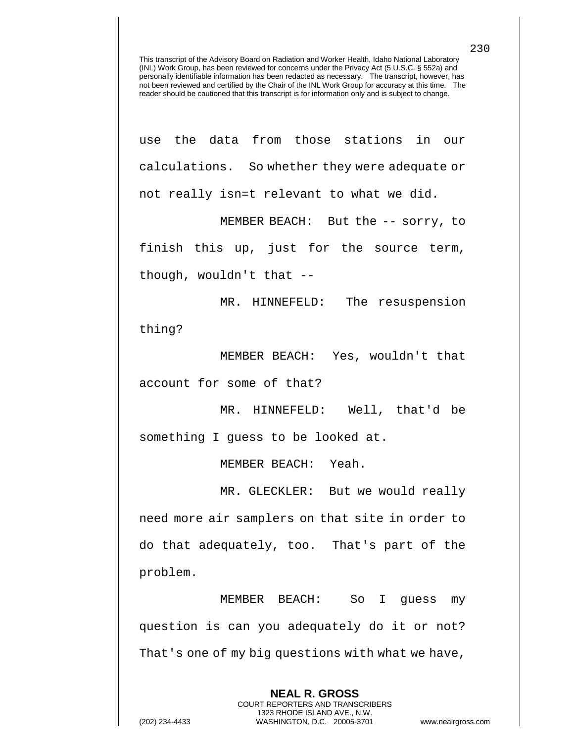use the data from those stations in our calculations. So whether they were adequate or not really isn=t relevant to what we did.

MEMBER BEACH: But the -- sorry, to finish this up, just for the source term, though, wouldn't that --

MR. HINNEFELD: The resuspension thing?

MEMBER BEACH: Yes, wouldn't that account for some of that?

MR. HINNEFELD: Well, that'd be something I guess to be looked at.

MEMBER BEACH: Yeah.

MR. GLECKLER: But we would really need more air samplers on that site in order to do that adequately, too. That's part of the problem.

MEMBER BEACH: So I guess my question is can you adequately do it or not? That's one of my big questions with what we have,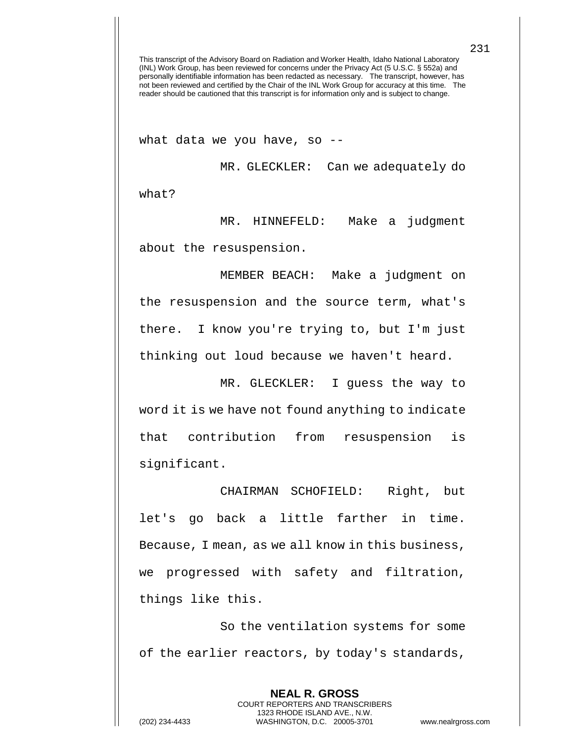what data we you have, so --

MR. GLECKLER: Can we adequately do what?

MR. HINNEFELD: Make a judgment about the resuspension.

MEMBER BEACH: Make a judgment on the resuspension and the source term, what's there. I know you're trying to, but I'm just thinking out loud because we haven't heard.

MR. GLECKLER: I guess the way to word it is we have not found anything to indicate that contribution from resuspension is significant.

CHAIRMAN SCHOFIELD: Right, but let's go back a little farther in time. Because, I mean, as we all know in this business, we progressed with safety and filtration, things like this.

So the ventilation systems for some of the earlier reactors, by today's standards,

> **NEAL R. GROSS** COURT REPORTERS AND TRANSCRIBERS 1323 RHODE ISLAND AVE., N.W.

231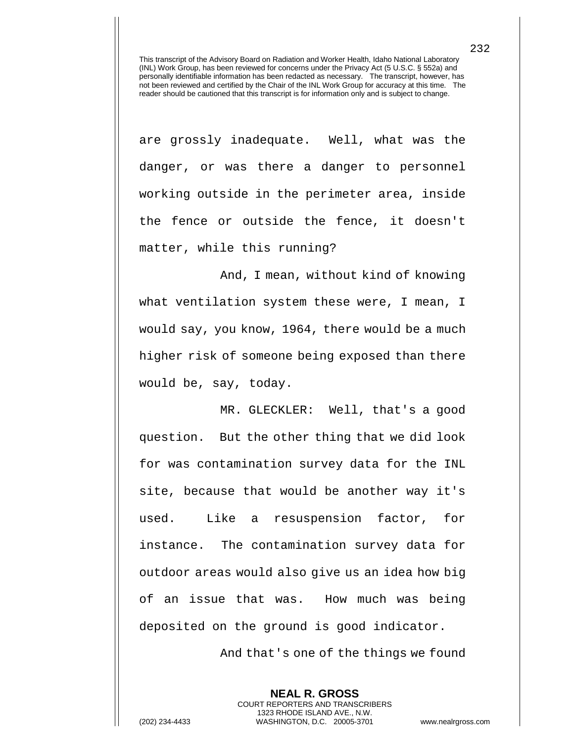are grossly inadequate. Well, what was the danger, or was there a danger to personnel working outside in the perimeter area, inside the fence or outside the fence, it doesn't matter, while this running?

And, I mean, without kind of knowing what ventilation system these were, I mean, I would say, you know, 1964, there would be a much higher risk of someone being exposed than there would be, say, today.

MR. GLECKLER: Well, that's a good question. But the other thing that we did look for was contamination survey data for the INL site, because that would be another way it's used. Like a resuspension factor, for instance. The contamination survey data for outdoor areas would also give us an idea how big of an issue that was. How much was being deposited on the ground is good indicator.

And that's one of the things we found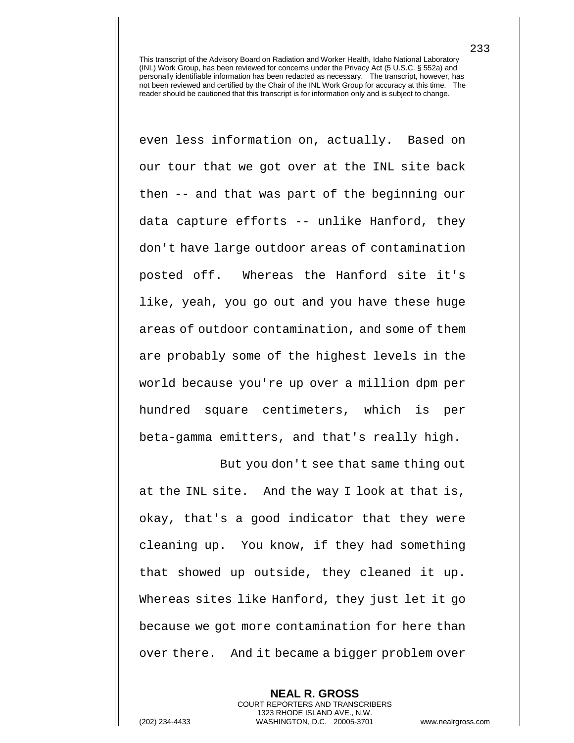even less information on, actually. Based on our tour that we got over at the INL site back then -- and that was part of the beginning our data capture efforts -- unlike Hanford, they don't have large outdoor areas of contamination posted off. Whereas the Hanford site it's like, yeah, you go out and you have these huge areas of outdoor contamination, and some of them are probably some of the highest levels in the world because you're up over a million dpm per hundred square centimeters, which is per beta-gamma emitters, and that's really high.

But you don't see that same thing out at the INL site. And the way I look at that is, okay, that's a good indicator that they were cleaning up. You know, if they had something that showed up outside, they cleaned it up. Whereas sites like Hanford, they just let it go because we got more contamination for here than over there. And it became a bigger problem over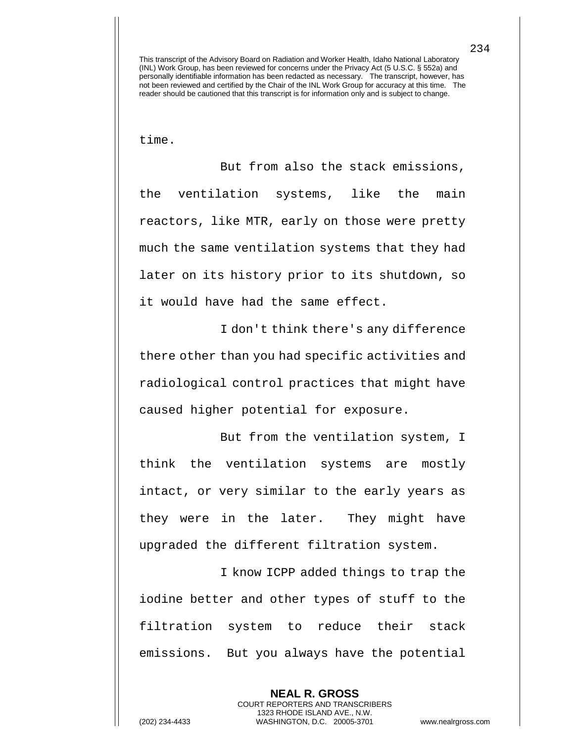time.

But from also the stack emissions, the ventilation systems, like the main reactors, like MTR, early on those were pretty much the same ventilation systems that they had later on its history prior to its shutdown, so it would have had the same effect.

I don't think there's any difference there other than you had specific activities and radiological control practices that might have caused higher potential for exposure.

But from the ventilation system, I think the ventilation systems are mostly intact, or very similar to the early years as they were in the later. They might have upgraded the different filtration system.

I know ICPP added things to trap the iodine better and other types of stuff to the filtration system to reduce their stack emissions. But you always have the potential

> **NEAL R. GROSS** COURT REPORTERS AND TRANSCRIBERS 1323 RHODE ISLAND AVE., N.W.

(202) 234-4433 WASHINGTON, D.C. 20005-3701 www.nealrgross.com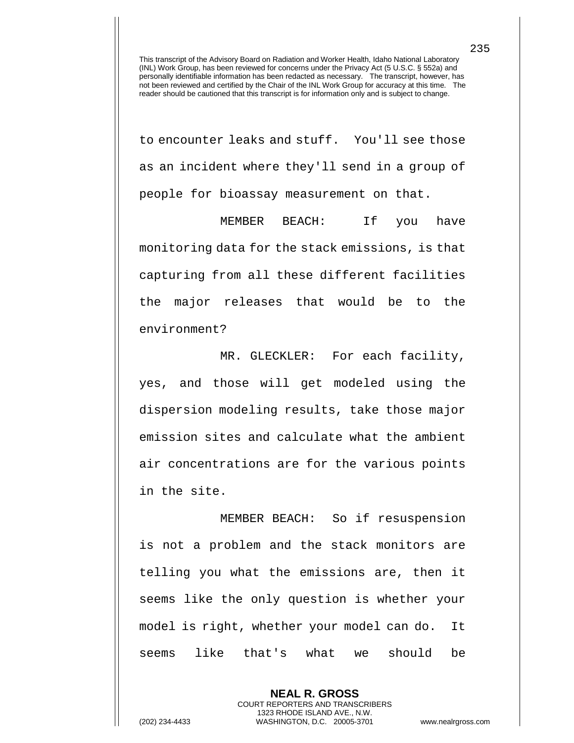to encounter leaks and stuff. You'll see those as an incident where they'll send in a group of people for bioassay measurement on that.

MEMBER BEACH: If you have monitoring data for the stack emissions, is that capturing from all these different facilities the major releases that would be to the environment?

MR. GLECKLER: For each facility, yes, and those will get modeled using the dispersion modeling results, take those major emission sites and calculate what the ambient air concentrations are for the various points in the site.

MEMBER BEACH: So if resuspension is not a problem and the stack monitors are telling you what the emissions are, then it seems like the only question is whether your model is right, whether your model can do. It seems like that's what we should be

> **NEAL R. GROSS** COURT REPORTERS AND TRANSCRIBERS 1323 RHODE ISLAND AVE., N.W.

235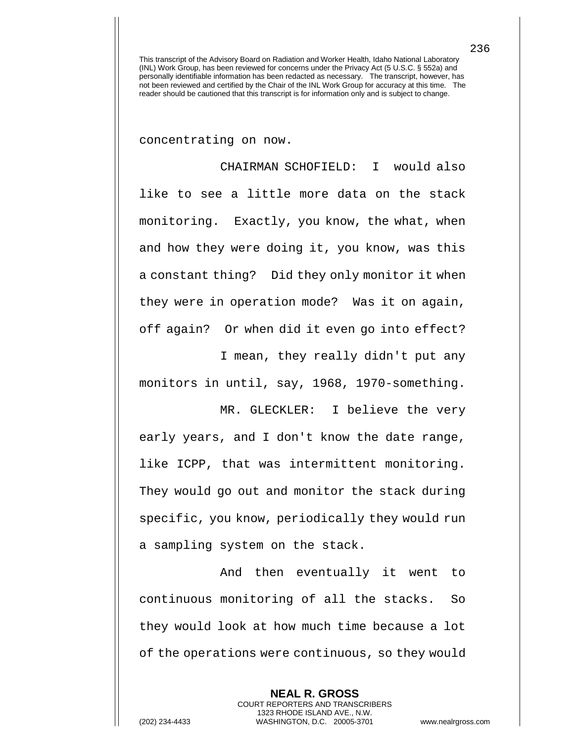concentrating on now.

CHAIRMAN SCHOFIELD: I would also like to see a little more data on the stack monitoring. Exactly, you know, the what, when and how they were doing it, you know, was this a constant thing? Did they only monitor it when they were in operation mode? Was it on again, off again? Or when did it even go into effect?

I mean, they really didn't put any monitors in until, say, 1968, 1970-something.

MR. GLECKLER: I believe the very early years, and I don't know the date range, like ICPP, that was intermittent monitoring. They would go out and monitor the stack during specific, you know, periodically they would run a sampling system on the stack.

And then eventually it went to continuous monitoring of all the stacks. So they would look at how much time because a lot of the operations were continuous, so they would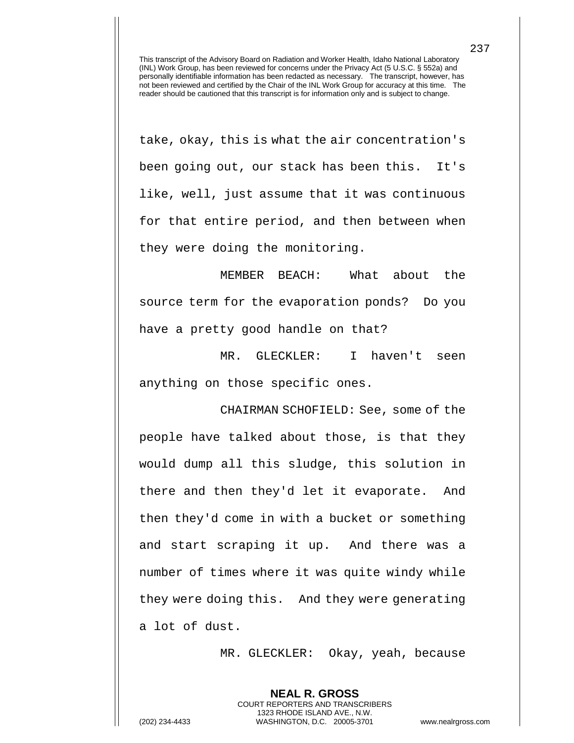take, okay, this is what the air concentration's been going out, our stack has been this. It's like, well, just assume that it was continuous for that entire period, and then between when they were doing the monitoring.

MEMBER BEACH: What about the source term for the evaporation ponds? Do you have a pretty good handle on that?

MR. GLECKLER: I haven't seen anything on those specific ones.

CHAIRMAN SCHOFIELD: See, some of the people have talked about those, is that they would dump all this sludge, this solution in there and then they'd let it evaporate. And then they'd come in with a bucket or something and start scraping it up. And there was a number of times where it was quite windy while they were doing this. And they were generating a lot of dust.

MR. GLECKLER: Okay, yeah, because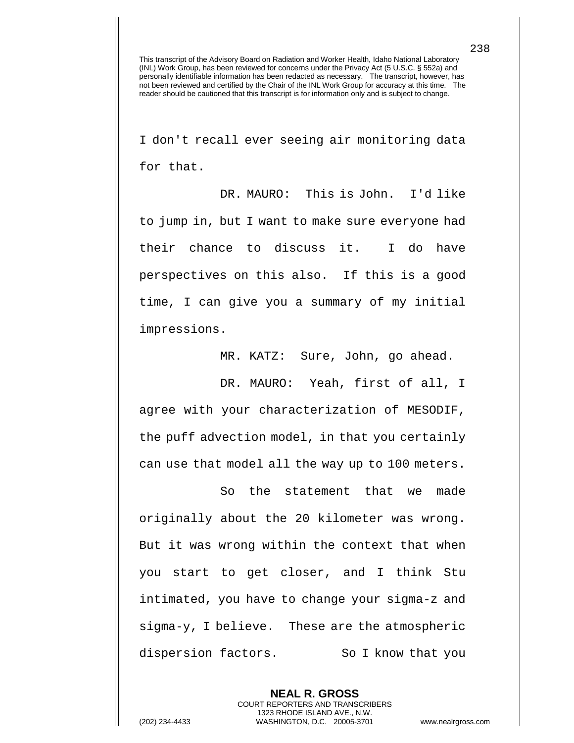I don't recall ever seeing air monitoring data for that.

DR. MAURO: This is John. I'd like to jump in, but I want to make sure everyone had their chance to discuss it. I do have perspectives on this also. If this is a good time, I can give you a summary of my initial impressions.

MR. KATZ: Sure, John, go ahead.

DR. MAURO: Yeah, first of all, I agree with your characterization of MESODIF, the puff advection model, in that you certainly can use that model all the way up to 100 meters.

So the statement that we made originally about the 20 kilometer was wrong. But it was wrong within the context that when you start to get closer, and I think Stu intimated, you have to change your sigma-z and sigma-y, I believe. These are the atmospheric dispersion factors. So I know that you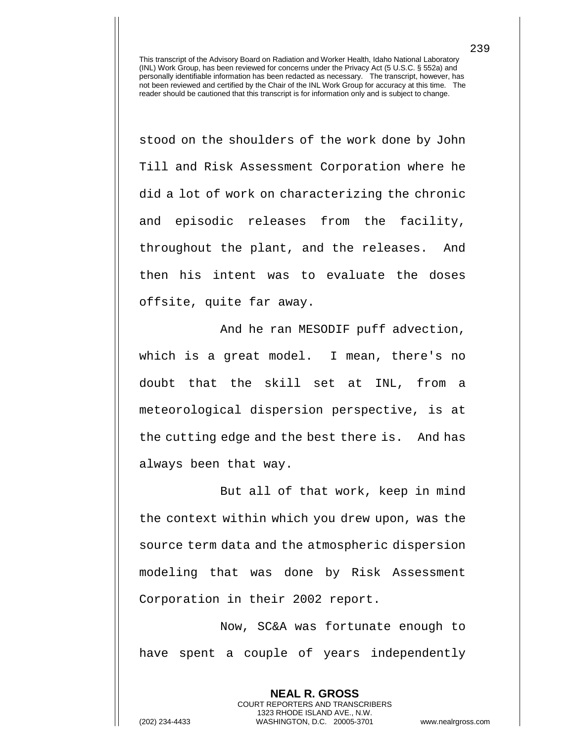stood on the shoulders of the work done by John Till and Risk Assessment Corporation where he did a lot of work on characterizing the chronic and episodic releases from the facility, throughout the plant, and the releases. And then his intent was to evaluate the doses offsite, quite far away.

And he ran MESODIF puff advection, which is a great model. I mean, there's no doubt that the skill set at INL, from a meteorological dispersion perspective, is at the cutting edge and the best there is. And has always been that way.

But all of that work, keep in mind the context within which you drew upon, was the source term data and the atmospheric dispersion modeling that was done by Risk Assessment Corporation in their 2002 report.

Now, SC&A was fortunate enough to have spent a couple of years independently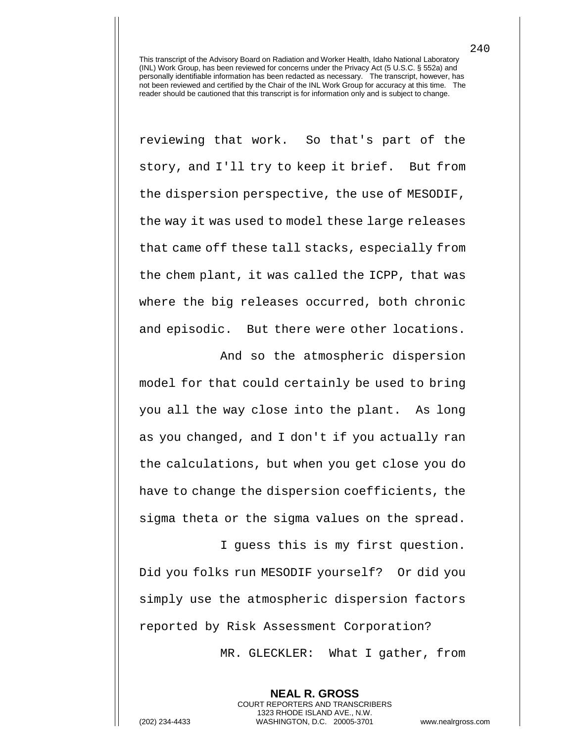reviewing that work. So that's part of the story, and I'll try to keep it brief. But from the dispersion perspective, the use of MESODIF, the way it was used to model these large releases that came off these tall stacks, especially from the chem plant, it was called the ICPP, that was where the big releases occurred, both chronic and episodic. But there were other locations.

And so the atmospheric dispersion model for that could certainly be used to bring you all the way close into the plant. As long as you changed, and I don't if you actually ran the calculations, but when you get close you do have to change the dispersion coefficients, the sigma theta or the sigma values on the spread.

I guess this is my first question. Did you folks run MESODIF yourself? Or did you simply use the atmospheric dispersion factors reported by Risk Assessment Corporation?

> **NEAL R. GROSS** COURT REPORTERS AND TRANSCRIBERS 1323 RHODE ISLAND AVE., N.W.

MR. GLECKLER: What I gather, from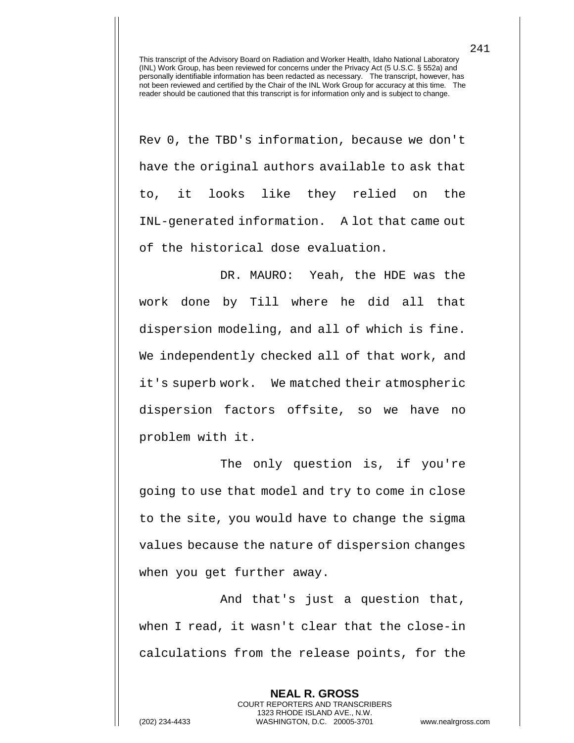Rev 0, the TBD's information, because we don't have the original authors available to ask that to, it looks like they relied on the INL-generated information. A lot that came out of the historical dose evaluation.

DR. MAURO: Yeah, the HDE was the work done by Till where he did all that dispersion modeling, and all of which is fine. We independently checked all of that work, and it's superb work. We matched their atmospheric dispersion factors offsite, so we have no problem with it.

The only question is, if you're going to use that model and try to come in close to the site, you would have to change the sigma values because the nature of dispersion changes when you get further away.

And that's just a question that, when I read, it wasn't clear that the close-in calculations from the release points, for the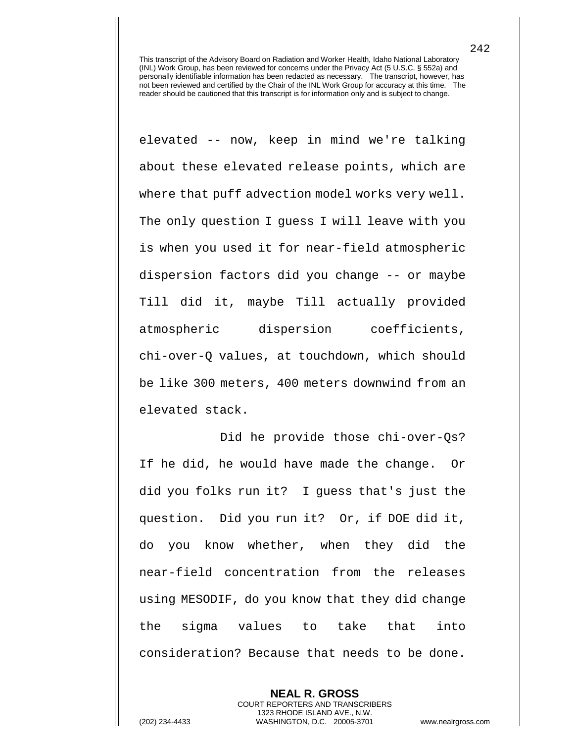elevated -- now, keep in mind we're talking about these elevated release points, which are where that puff advection model works very well. The only question I guess I will leave with you is when you used it for near-field atmospheric dispersion factors did you change -- or maybe Till did it, maybe Till actually provided atmospheric dispersion coefficients, chi-over-Q values, at touchdown, which should be like 300 meters, 400 meters downwind from an elevated stack.

Did he provide those chi-over-Qs? If he did, he would have made the change. Or did you folks run it? I guess that's just the question. Did you run it? Or, if DOE did it, do you know whether, when they did the near-field concentration from the releases using MESODIF, do you know that they did change the sigma values to take that into consideration? Because that needs to be done.

**NEAL R. GROSS** COURT REPORTERS AND TRANSCRIBERS 1323 RHODE ISLAND AVE., N.W. (202) 234-4433 WASHINGTON, D.C. 20005-3701 www.nealrgross.com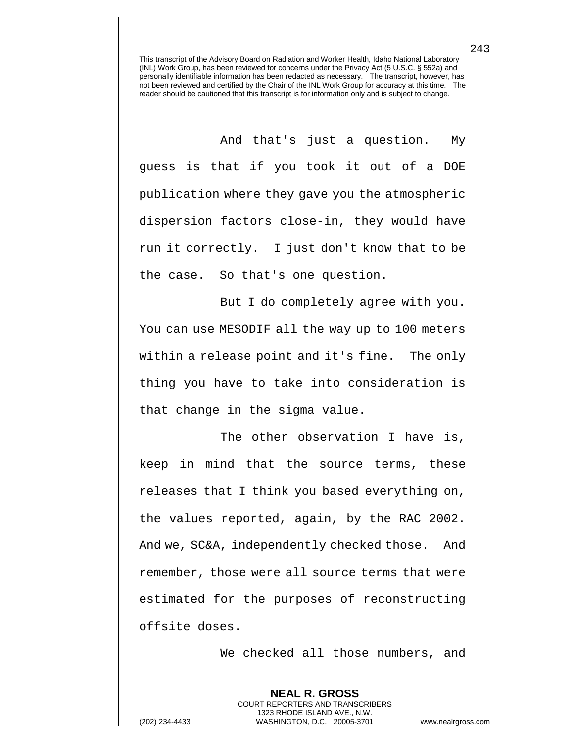And that's just a question. My guess is that if you took it out of a DOE publication where they gave you the atmospheric dispersion factors close-in, they would have run it correctly. I just don't know that to be the case. So that's one question.

But I do completely agree with you. You can use MESODIF all the way up to 100 meters within a release point and it's fine. The only thing you have to take into consideration is that change in the sigma value.

The other observation I have is, keep in mind that the source terms, these releases that I think you based everything on, the values reported, again, by the RAC 2002. And we, SC&A, independently checked those. And remember, those were all source terms that were estimated for the purposes of reconstructing offsite doses.

We checked all those numbers, and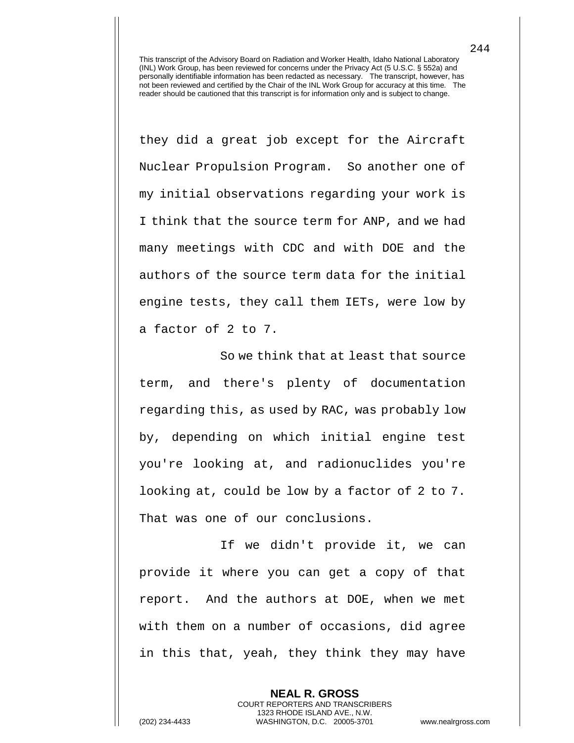they did a great job except for the Aircraft Nuclear Propulsion Program. So another one of my initial observations regarding your work is I think that the source term for ANP, and we had many meetings with CDC and with DOE and the authors of the source term data for the initial engine tests, they call them IETs, were low by a factor of 2 to 7.

So we think that at least that source term, and there's plenty of documentation regarding this, as used by RAC, was probably low by, depending on which initial engine test you're looking at, and radionuclides you're looking at, could be low by a factor of 2 to 7. That was one of our conclusions.

If we didn't provide it, we can provide it where you can get a copy of that report. And the authors at DOE, when we met with them on a number of occasions, did agree in this that, yeah, they think they may have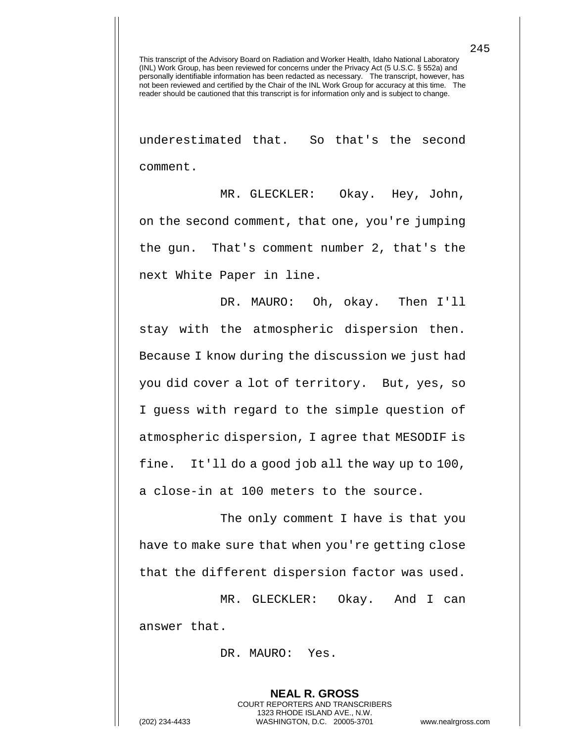underestimated that. So that's the second comment.

MR. GLECKLER: Okay. Hey, John, on the second comment, that one, you're jumping the gun. That's comment number 2, that's the next White Paper in line.

DR. MAURO: Oh, okay. Then I'll stay with the atmospheric dispersion then. Because I know during the discussion we just had you did cover a lot of territory. But, yes, so I guess with regard to the simple question of atmospheric dispersion, I agree that MESODIF is fine. It'll do a good job all the way up to 100, a close-in at 100 meters to the source.

The only comment I have is that you have to make sure that when you're getting close that the different dispersion factor was used.

MR. GLECKLER: Okay. And I can answer that.

> **NEAL R. GROSS** COURT REPORTERS AND TRANSCRIBERS 1323 RHODE ISLAND AVE., N.W.

DR. MAURO: Yes.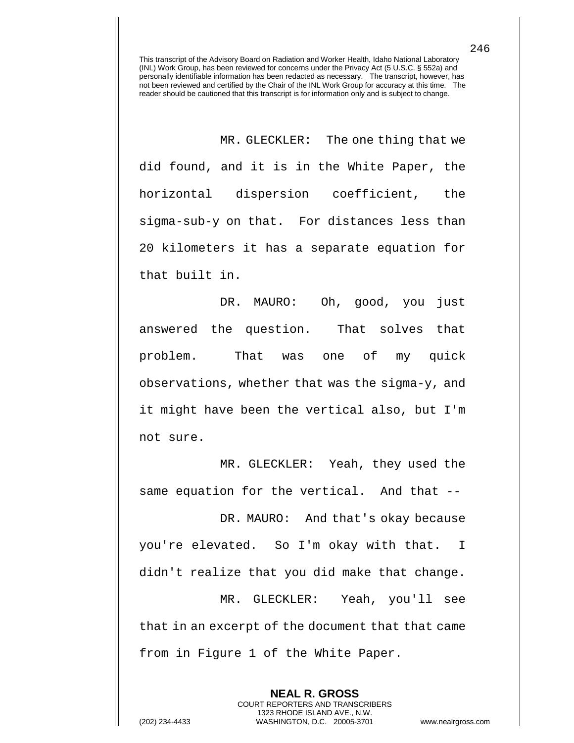MR. GLECKLER: The one thing that we did found, and it is in the White Paper, the horizontal dispersion coefficient, the sigma-sub-y on that. For distances less than 20 kilometers it has a separate equation for that built in.

DR. MAURO: Oh, good, you just answered the question. That solves that problem. That was one of my quick observations, whether that was the sigma-y, and it might have been the vertical also, but I'm not sure.

MR. GLECKLER: Yeah, they used the same equation for the vertical. And that --

DR. MAURO: And that's okay because you're elevated. So I'm okay with that. I didn't realize that you did make that change. MR. GLECKLER: Yeah, you'll see that in an excerpt of the document that that came

> **NEAL R. GROSS** COURT REPORTERS AND TRANSCRIBERS 1323 RHODE ISLAND AVE., N.W.

from in Figure 1 of the White Paper.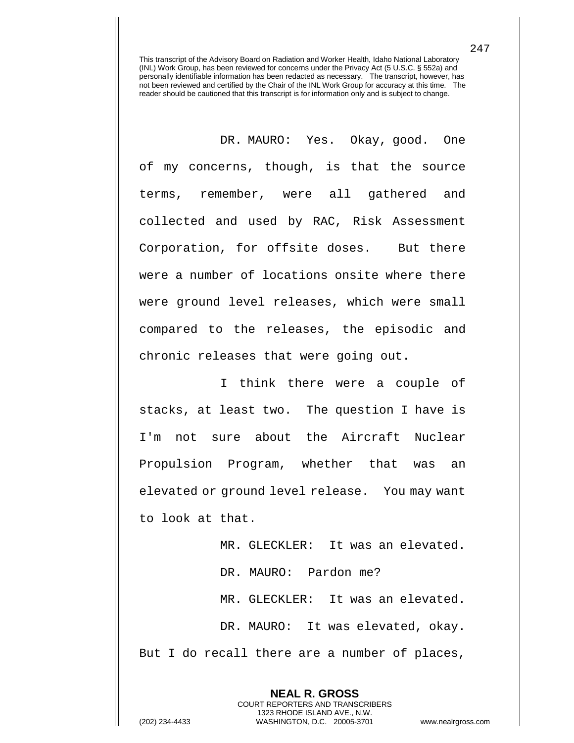DR. MAURO: Yes. Okay, good. One of my concerns, though, is that the source terms, remember, were all gathered and collected and used by RAC, Risk Assessment Corporation, for offsite doses. But there were a number of locations onsite where there were ground level releases, which were small compared to the releases, the episodic and chronic releases that were going out.

I think there were a couple of stacks, at least two. The question I have is I'm not sure about the Aircraft Nuclear Propulsion Program, whether that was an elevated or ground level release. You may want to look at that.

MR. GLECKLER: It was an elevated. DR. MAURO: Pardon me? MR. GLECKLER: It was an elevated. DR. MAURO: It was elevated, okay. But I do recall there are a number of places,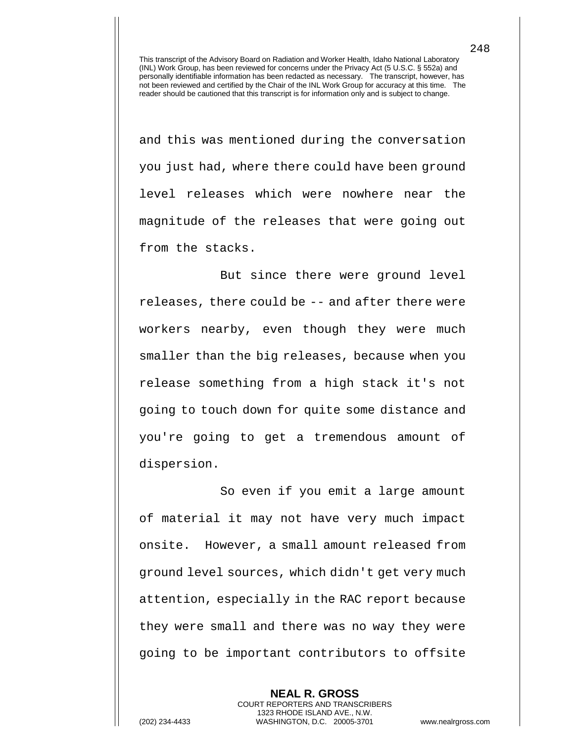and this was mentioned during the conversation you just had, where there could have been ground level releases which were nowhere near the magnitude of the releases that were going out from the stacks.

But since there were ground level releases, there could be -- and after there were workers nearby, even though they were much smaller than the big releases, because when you release something from a high stack it's not going to touch down for quite some distance and you're going to get a tremendous amount of dispersion.

So even if you emit a large amount of material it may not have very much impact onsite. However, a small amount released from ground level sources, which didn't get very much attention, especially in the RAC report because they were small and there was no way they were going to be important contributors to offsite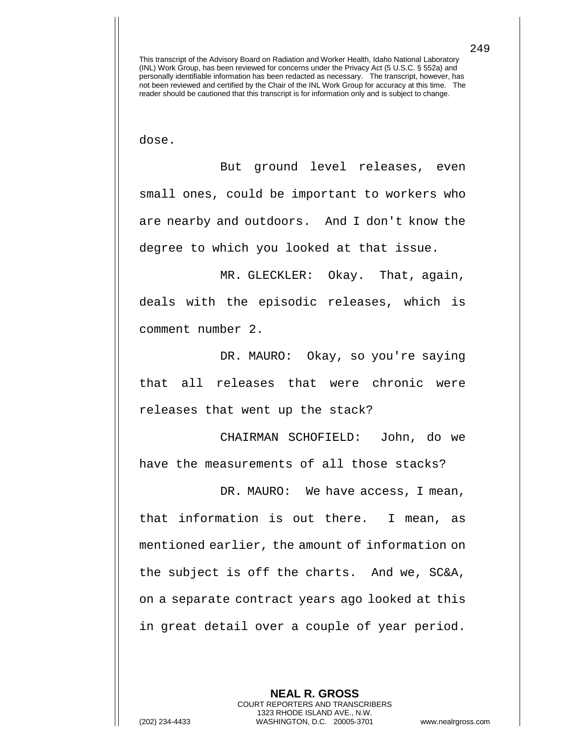dose.

But ground level releases, even small ones, could be important to workers who are nearby and outdoors. And I don't know the degree to which you looked at that issue.

MR. GLECKLER: Okay. That, again, deals with the episodic releases, which is comment number 2.

DR. MAURO: Okay, so you're saying that all releases that were chronic were releases that went up the stack?

CHAIRMAN SCHOFIELD: John, do we have the measurements of all those stacks?

DR. MAURO: We have access, I mean, that information is out there. I mean, as mentioned earlier, the amount of information on the subject is off the charts. And we, SC&A, on a separate contract years ago looked at this in great detail over a couple of year period.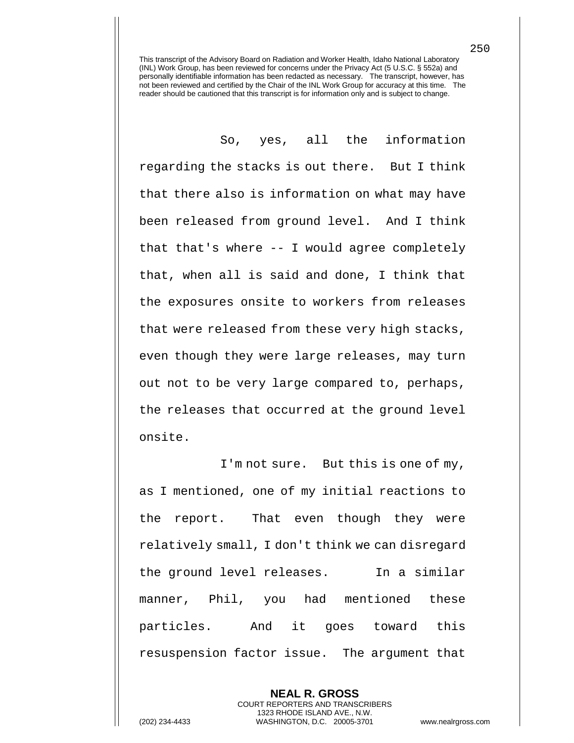So, yes, all the information regarding the stacks is out there. But I think that there also is information on what may have been released from ground level. And I think that that's where -- I would agree completely that, when all is said and done, I think that the exposures onsite to workers from releases that were released from these very high stacks, even though they were large releases, may turn out not to be very large compared to, perhaps, the releases that occurred at the ground level onsite.

I'm not sure. But this is one of my, as I mentioned, one of my initial reactions to the report. That even though they were relatively small, I don't think we can disregard the ground level releases. In a similar manner, Phil, you had mentioned these particles. And it goes toward this resuspension factor issue. The argument that

> **NEAL R. GROSS** COURT REPORTERS AND TRANSCRIBERS 1323 RHODE ISLAND AVE., N.W.

250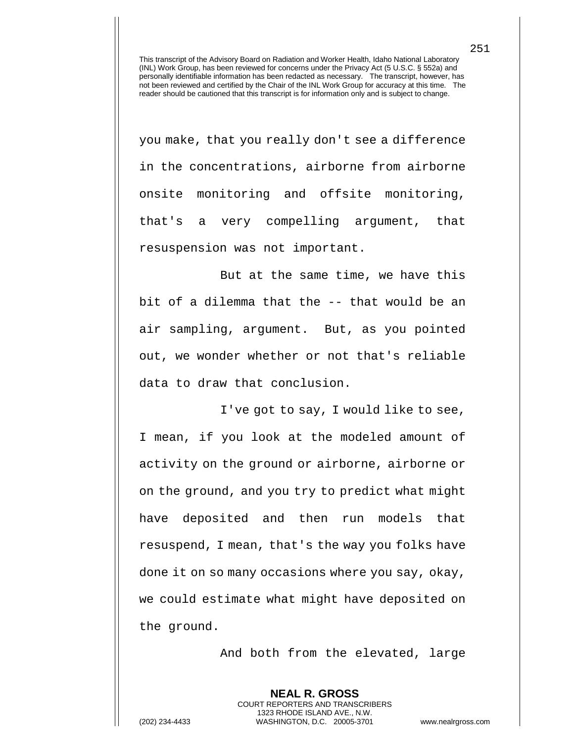you make, that you really don't see a difference in the concentrations, airborne from airborne onsite monitoring and offsite monitoring, that's a very compelling argument, that resuspension was not important.

But at the same time, we have this bit of a dilemma that the -- that would be an air sampling, argument. But, as you pointed out, we wonder whether or not that's reliable data to draw that conclusion.

I've got to say, I would like to see, I mean, if you look at the modeled amount of activity on the ground or airborne, airborne or on the ground, and you try to predict what might have deposited and then run models that resuspend, I mean, that's the way you folks have done it on so many occasions where you say, okay, we could estimate what might have deposited on the ground.

And both from the elevated, large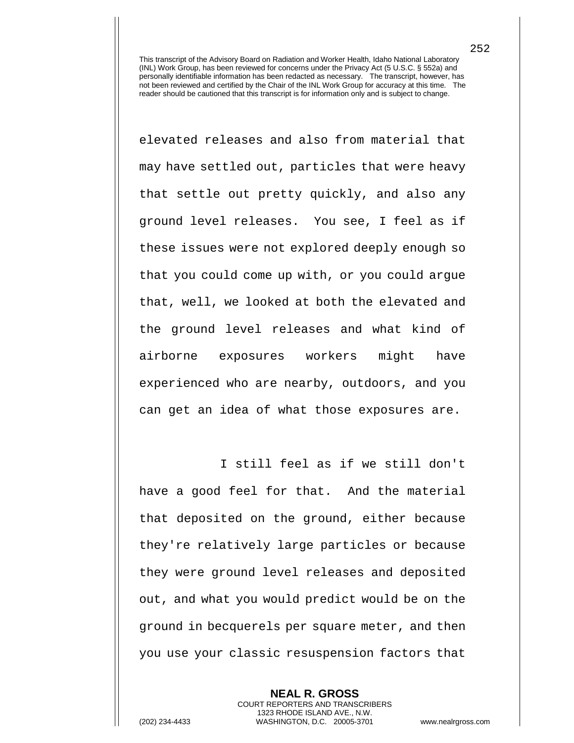elevated releases and also from material that may have settled out, particles that were heavy that settle out pretty quickly, and also any ground level releases. You see, I feel as if these issues were not explored deeply enough so that you could come up with, or you could argue that, well, we looked at both the elevated and the ground level releases and what kind of airborne exposures workers might have experienced who are nearby, outdoors, and you can get an idea of what those exposures are.

I still feel as if we still don't have a good feel for that. And the material that deposited on the ground, either because they're relatively large particles or because they were ground level releases and deposited out, and what you would predict would be on the ground in becquerels per square meter, and then you use your classic resuspension factors that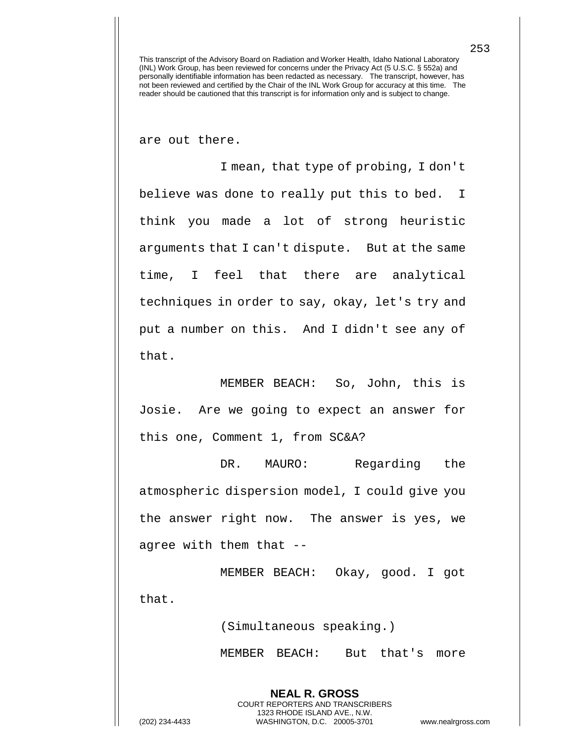are out there.

I mean, that type of probing, I don't believe was done to really put this to bed. I think you made a lot of strong heuristic arguments that I can't dispute. But at the same time, I feel that there are analytical techniques in order to say, okay, let's try and put a number on this. And I didn't see any of that.

MEMBER BEACH: So, John, this is Josie. Are we going to expect an answer for this one, Comment 1, from SC&A?

DR. MAURO: Regarding the atmospheric dispersion model, I could give you the answer right now. The answer is yes, we agree with them that --

MEMBER BEACH: Okay, good. I got that.

(Simultaneous speaking.)

**NEAL R. GROSS** COURT REPORTERS AND TRANSCRIBERS 1323 RHODE ISLAND AVE., N.W.

MEMBER BEACH: But that's more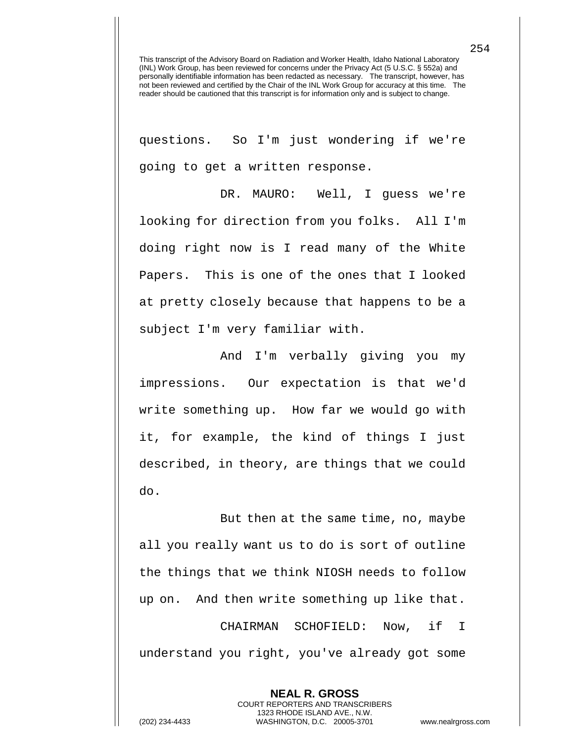questions. So I'm just wondering if we're going to get a written response.

DR. MAURO: Well, I guess we're looking for direction from you folks. All I'm doing right now is I read many of the White Papers. This is one of the ones that I looked at pretty closely because that happens to be a subject I'm very familiar with.

And I'm verbally giving you my impressions. Our expectation is that we'd write something up. How far we would go with it, for example, the kind of things I just described, in theory, are things that we could do.

But then at the same time, no, maybe all you really want us to do is sort of outline the things that we think NIOSH needs to follow up on. And then write something up like that. CHAIRMAN SCHOFIELD: Now, if I understand you right, you've already got some

> **NEAL R. GROSS** COURT REPORTERS AND TRANSCRIBERS 1323 RHODE ISLAND AVE., N.W.

254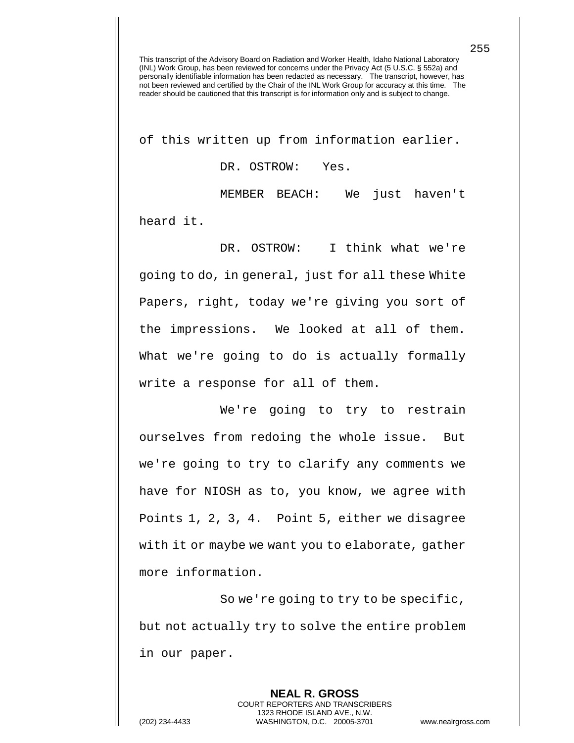of this written up from information earlier.

DR. OSTROW: Yes.

MEMBER BEACH: We just haven't heard it.

DR. OSTROW: I think what we're going to do, in general, just for all these White Papers, right, today we're giving you sort of the impressions. We looked at all of them. What we're going to do is actually formally write a response for all of them.

We're going to try to restrain ourselves from redoing the whole issue. But we're going to try to clarify any comments we have for NIOSH as to, you know, we agree with Points 1, 2, 3, 4. Point 5, either we disagree with it or maybe we want you to elaborate, gather more information.

So we're going to try to be specific, but not actually try to solve the entire problem in our paper.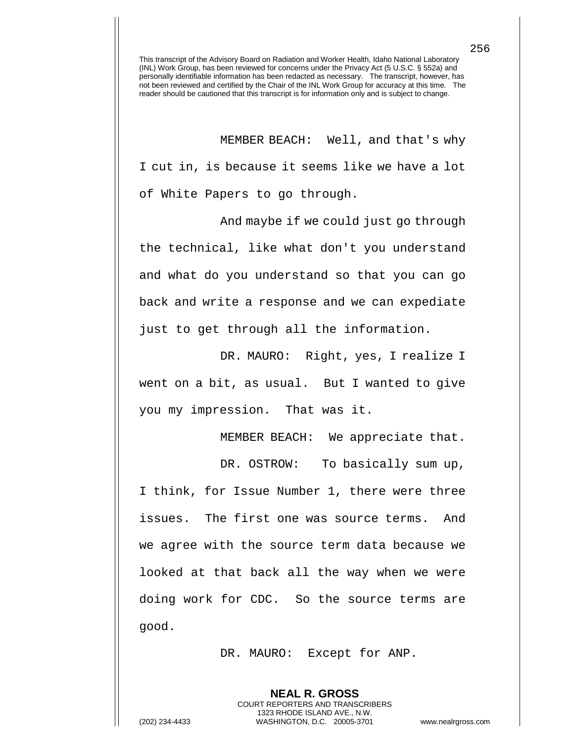MEMBER BEACH: Well, and that's why I cut in, is because it seems like we have a lot of White Papers to go through.

And maybe if we could just go through the technical, like what don't you understand and what do you understand so that you can go back and write a response and we can expediate just to get through all the information.

DR. MAURO: Right, yes, I realize I went on a bit, as usual. But I wanted to give you my impression. That was it.

MEMBER BEACH: We appreciate that.

DR. OSTROW: To basically sum up, I think, for Issue Number 1, there were three issues. The first one was source terms. And we agree with the source term data because we looked at that back all the way when we were doing work for CDC. So the source terms are good.

DR. MAURO: Except for ANP.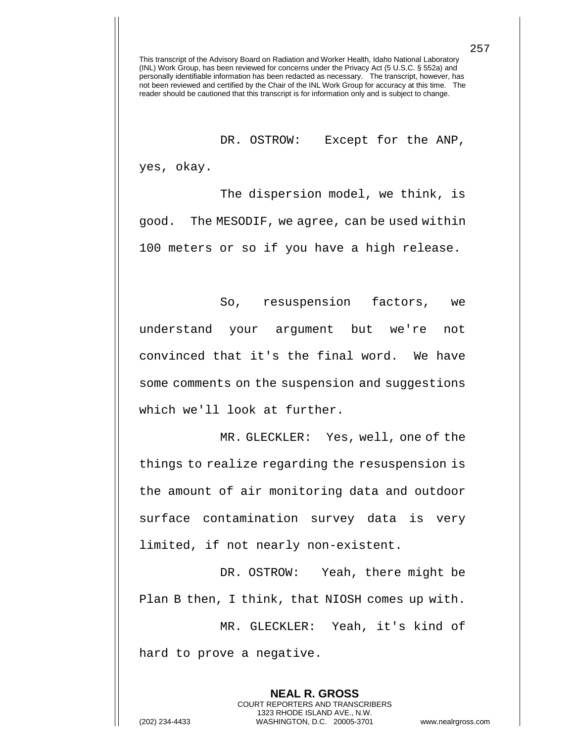DR. OSTROW: Except for the ANP,

yes, okay.

The dispersion model, we think, is good. The MESODIF, we agree, can be used within 100 meters or so if you have a high release.

So, resuspension factors, we understand your argument but we're not convinced that it's the final word. We have some comments on the suspension and suggestions which we'll look at further.

MR. GLECKLER: Yes, well, one of the things to realize regarding the resuspension is the amount of air monitoring data and outdoor surface contamination survey data is very limited, if not nearly non-existent.

DR. OSTROW: Yeah, there might be Plan B then, I think, that NIOSH comes up with.

MR. GLECKLER: Yeah, it's kind of hard to prove a negative.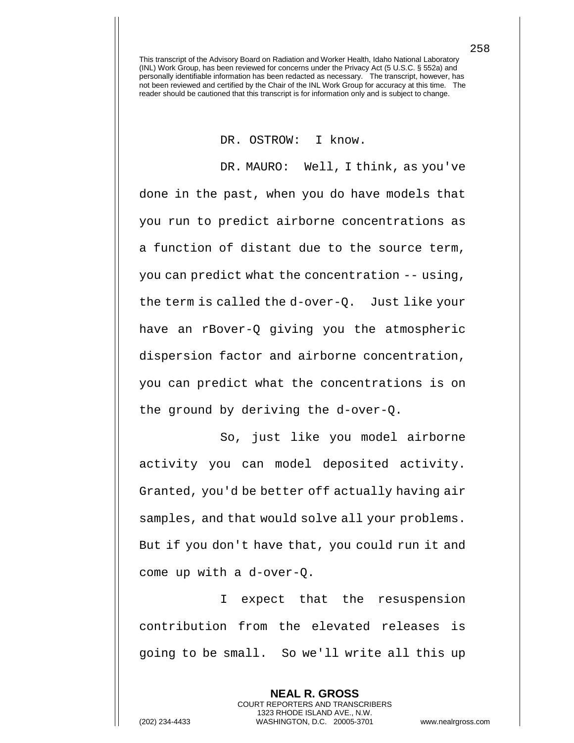DR. OSTROW: I know.

DR. MAURO: Well, I think, as you've done in the past, when you do have models that you run to predict airborne concentrations as a function of distant due to the source term, you can predict what the concentration -- using, the term is called the d-over-Q. Just like your have an rBover-Q giving you the atmospheric dispersion factor and airborne concentration, you can predict what the concentrations is on the ground by deriving the d-over-Q.

So, just like you model airborne activity you can model deposited activity. Granted, you'd be better off actually having air samples, and that would solve all your problems. But if you don't have that, you could run it and come up with a d-over-Q.

I expect that the resuspension contribution from the elevated releases is going to be small. So we'll write all this up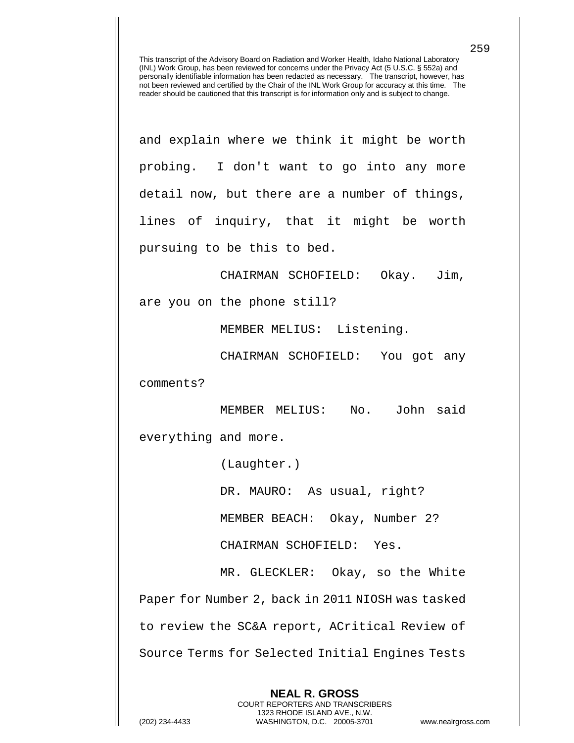and explain where we think it might be worth probing. I don't want to go into any more detail now, but there are a number of things, lines of inquiry, that it might be worth pursuing to be this to bed.

CHAIRMAN SCHOFIELD: Okay. Jim,

are you on the phone still?

MEMBER MELIUS: Listening.

CHAIRMAN SCHOFIELD: You got any comments?

MEMBER MELIUS: No. John said everything and more.

(Laughter.)

DR. MAURO: As usual, right?

MEMBER BEACH: Okay, Number 2?

CHAIRMAN SCHOFIELD: Yes.

MR. GLECKLER: Okay, so the White Paper for Number 2, back in 2011 NIOSH was tasked to review the SC&A report, ACritical Review of Source Terms for Selected Initial Engines Tests

**NEAL R. GROSS**

259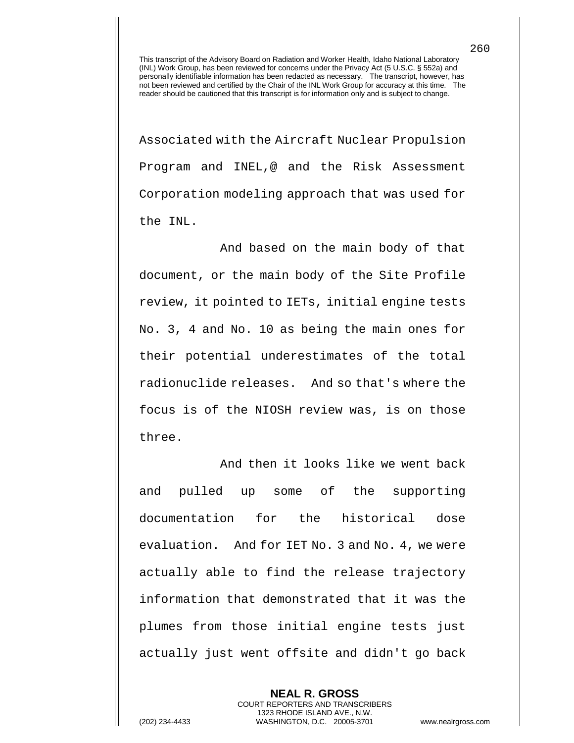Associated with the Aircraft Nuclear Propulsion Program and INEL,@ and the Risk Assessment Corporation modeling approach that was used for the INL.

And based on the main body of that document, or the main body of the Site Profile review, it pointed to IETs, initial engine tests No. 3, 4 and No. 10 as being the main ones for their potential underestimates of the total radionuclide releases. And so that's where the focus is of the NIOSH review was, is on those three.

And then it looks like we went back and pulled up some of the supporting documentation for the historical dose evaluation. And for IET No. 3 and No. 4, we were actually able to find the release trajectory information that demonstrated that it was the plumes from those initial engine tests just actually just went offsite and didn't go back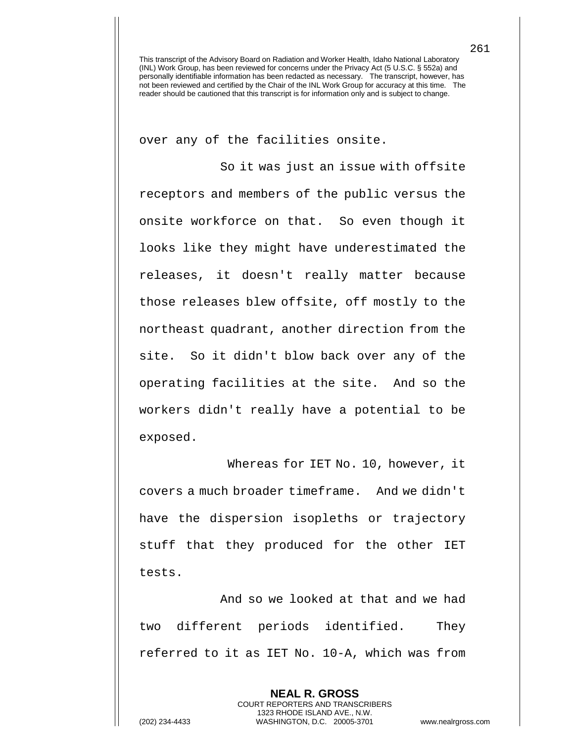over any of the facilities onsite.

So it was just an issue with offsite receptors and members of the public versus the onsite workforce on that. So even though it looks like they might have underestimated the releases, it doesn't really matter because those releases blew offsite, off mostly to the northeast quadrant, another direction from the site. So it didn't blow back over any of the operating facilities at the site. And so the workers didn't really have a potential to be exposed.

Whereas for IET No. 10, however, it covers a much broader timeframe. And we didn't have the dispersion isopleths or trajectory stuff that they produced for the other IET tests.

And so we looked at that and we had two different periods identified. They referred to it as IET No. 10-A, which was from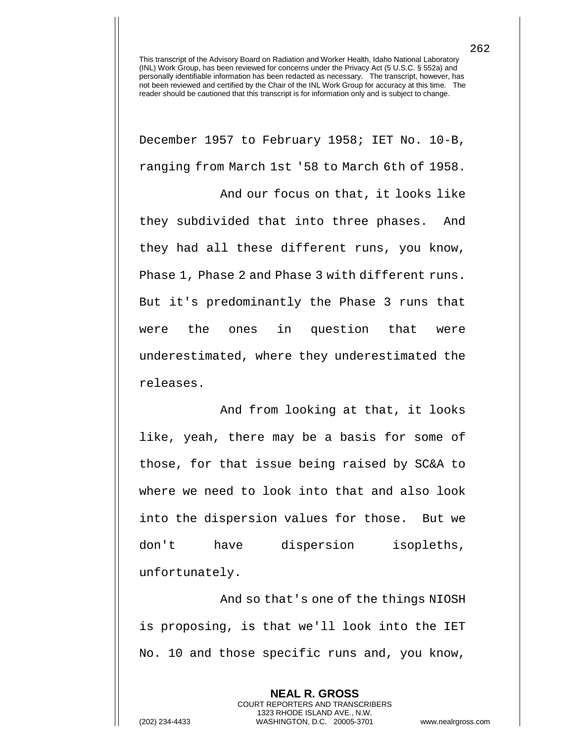December 1957 to February 1958; IET No. 10-B, ranging from March 1st '58 to March 6th of 1958.

And our focus on that, it looks like they subdivided that into three phases. And they had all these different runs, you know, Phase 1, Phase 2 and Phase 3 with different runs. But it's predominantly the Phase 3 runs that were the ones in question that were underestimated, where they underestimated the releases.

And from looking at that, it looks like, yeah, there may be a basis for some of those, for that issue being raised by SC&A to where we need to look into that and also look into the dispersion values for those. But we don't have dispersion isopleths, unfortunately.

And so that's one of the things NIOSH is proposing, is that we'll look into the IET No. 10 and those specific runs and, you know,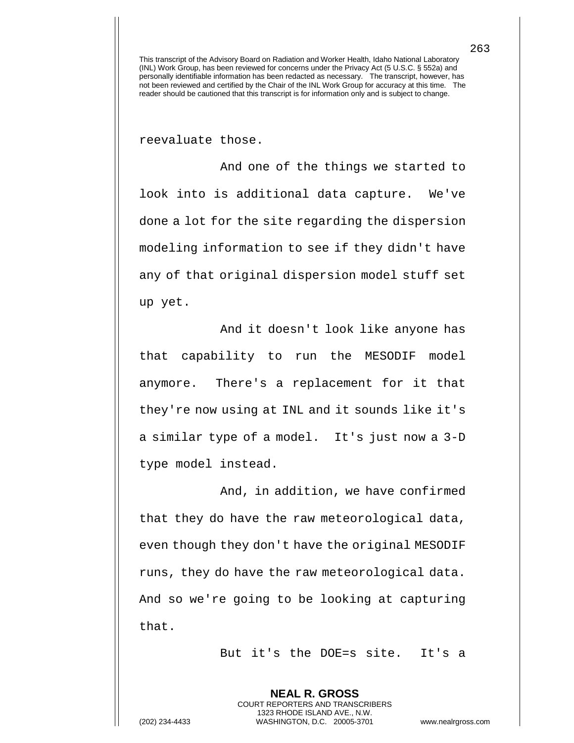reevaluate those.

And one of the things we started to look into is additional data capture. We've done a lot for the site regarding the dispersion modeling information to see if they didn't have any of that original dispersion model stuff set up yet.

And it doesn't look like anyone has that capability to run the MESODIF model anymore. There's a replacement for it that they're now using at INL and it sounds like it's a similar type of a model. It's just now a 3-D type model instead.

And, in addition, we have confirmed that they do have the raw meteorological data, even though they don't have the original MESODIF runs, they do have the raw meteorological data. And so we're going to be looking at capturing that.

But it's the DOE=s site. It's a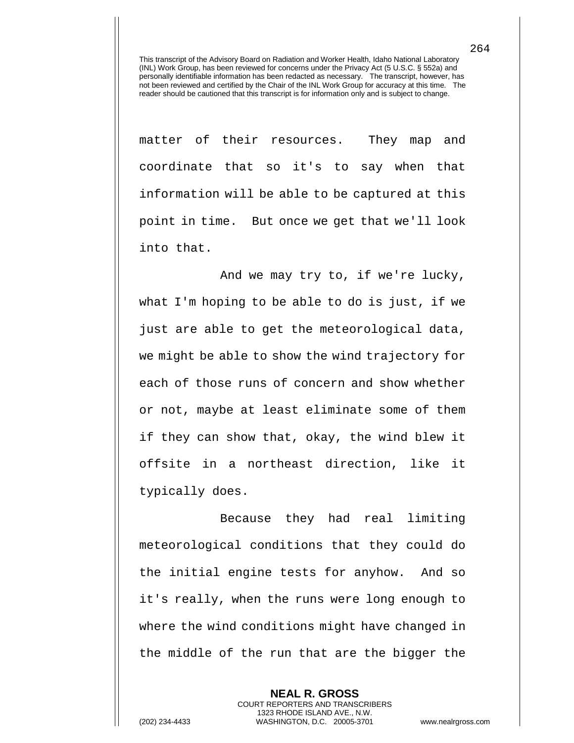matter of their resources. They map and coordinate that so it's to say when that information will be able to be captured at this point in time. But once we get that we'll look into that.

And we may try to, if we're lucky, what I'm hoping to be able to do is just, if we just are able to get the meteorological data, we might be able to show the wind trajectory for each of those runs of concern and show whether or not, maybe at least eliminate some of them if they can show that, okay, the wind blew it offsite in a northeast direction, like it typically does.

 Because they had real limiting meteorological conditions that they could do the initial engine tests for anyhow. And so it's really, when the runs were long enough to where the wind conditions might have changed in the middle of the run that are the bigger the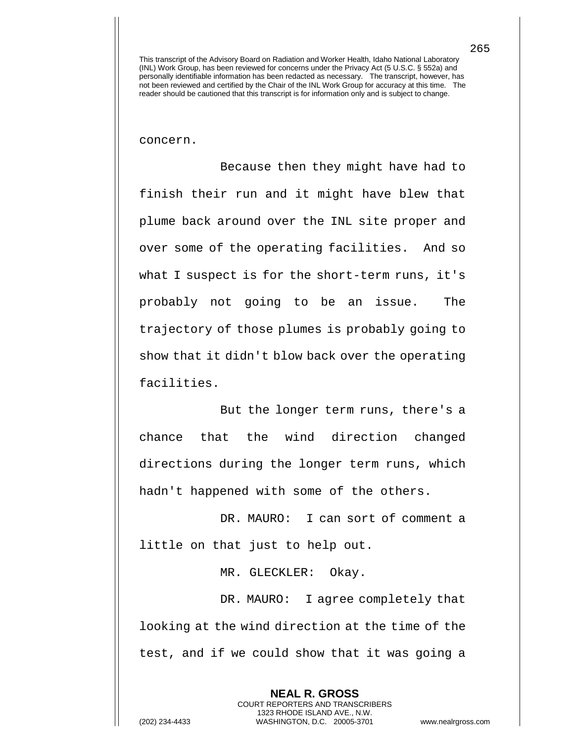concern.

Because then they might have had to finish their run and it might have blew that plume back around over the INL site proper and over some of the operating facilities. And so what I suspect is for the short-term runs, it's probably not going to be an issue. The trajectory of those plumes is probably going to show that it didn't blow back over the operating facilities.

But the longer term runs, there's a chance that the wind direction changed directions during the longer term runs, which hadn't happened with some of the others.

DR. MAURO: I can sort of comment a little on that just to help out.

MR. GLECKLER: Okay.

DR. MAURO: I agree completely that looking at the wind direction at the time of the test, and if we could show that it was going a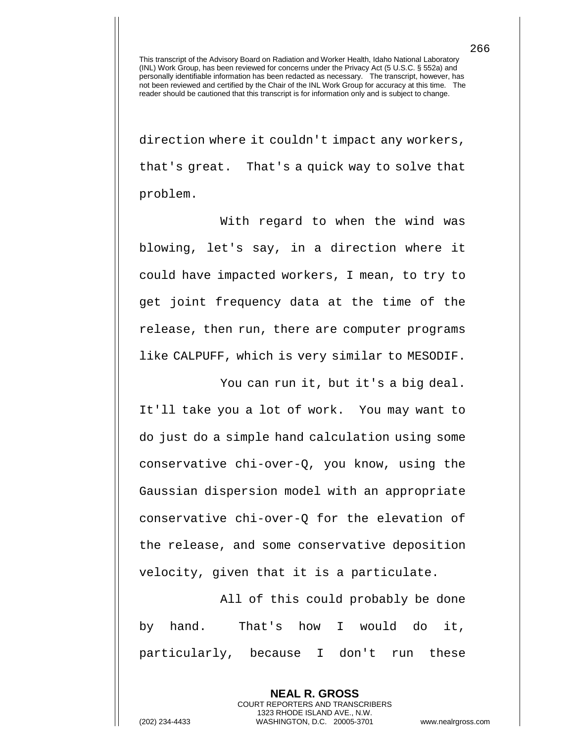direction where it couldn't impact any workers, that's great. That's a quick way to solve that problem.

With regard to when the wind was blowing, let's say, in a direction where it could have impacted workers, I mean, to try to get joint frequency data at the time of the release, then run, there are computer programs like CALPUFF, which is very similar to MESODIF.

You can run it, but it's a big deal.

It'll take you a lot of work. You may want to do just do a simple hand calculation using some conservative chi-over-Q, you know, using the Gaussian dispersion model with an appropriate conservative chi-over-Q for the elevation of the release, and some conservative deposition velocity, given that it is a particulate.

All of this could probably be done by hand. That's how I would do it, particularly, because I don't run these

> **NEAL R. GROSS** COURT REPORTERS AND TRANSCRIBERS 1323 RHODE ISLAND AVE., N.W.

(202) 234-4433 WASHINGTON, D.C. 20005-3701 www.nealrgross.com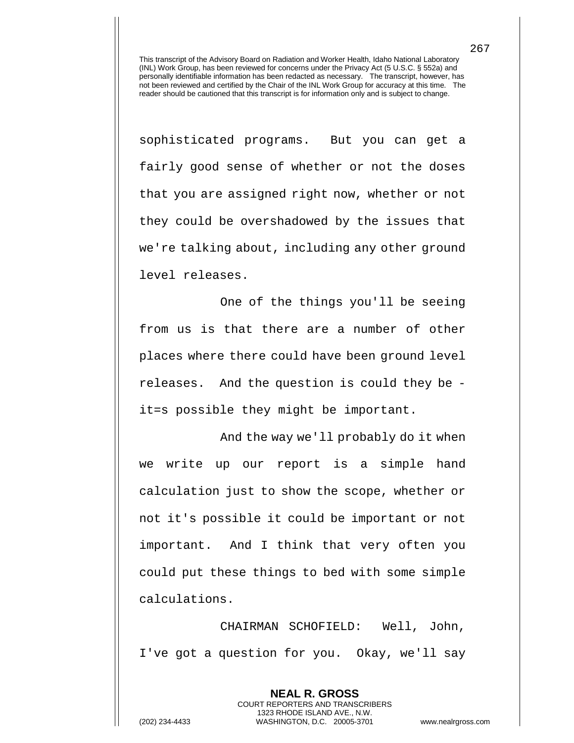sophisticated programs. But you can get a fairly good sense of whether or not the doses that you are assigned right now, whether or not they could be overshadowed by the issues that we're talking about, including any other ground level releases.

One of the things you'll be seeing from us is that there are a number of other places where there could have been ground level releases. And the question is could they be it=s possible they might be important.

And the way we'll probably do it when we write up our report is a simple hand calculation just to show the scope, whether or not it's possible it could be important or not important. And I think that very often you could put these things to bed with some simple calculations.

CHAIRMAN SCHOFIELD: Well, John, I've got a question for you. Okay, we'll say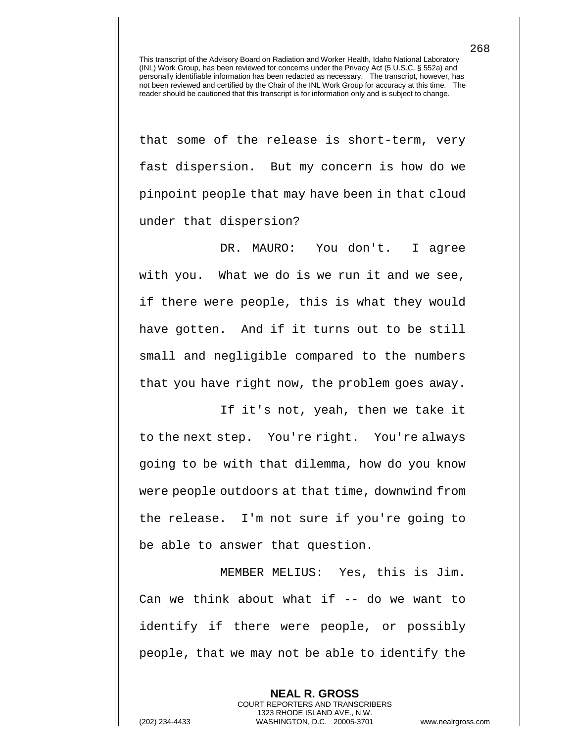that some of the release is short-term, very fast dispersion. But my concern is how do we pinpoint people that may have been in that cloud under that dispersion?

DR. MAURO: You don't. I agree with you. What we do is we run it and we see, if there were people, this is what they would have gotten. And if it turns out to be still small and negligible compared to the numbers that you have right now, the problem goes away.

If it's not, yeah, then we take it to the next step. You're right. You're always going to be with that dilemma, how do you know were people outdoors at that time, downwind from the release. I'm not sure if you're going to be able to answer that question.

MEMBER MELIUS: Yes, this is Jim. Can we think about what if -- do we want to identify if there were people, or possibly people, that we may not be able to identify the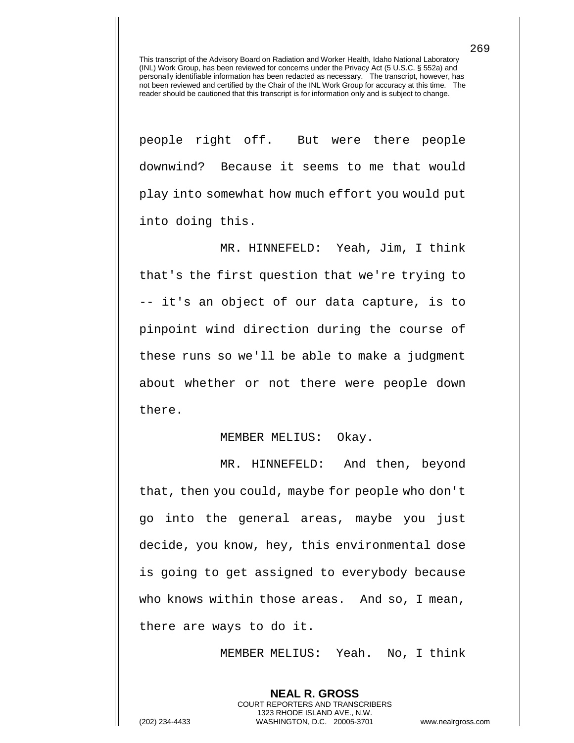people right off. But were there people downwind? Because it seems to me that would play into somewhat how much effort you would put into doing this.

MR. HINNEFELD: Yeah, Jim, I think that's the first question that we're trying to -- it's an object of our data capture, is to pinpoint wind direction during the course of these runs so we'll be able to make a judgment about whether or not there were people down there.

## MEMBER MELIUS: Okay.

MR. HINNEFELD: And then, beyond that, then you could, maybe for people who don't go into the general areas, maybe you just decide, you know, hey, this environmental dose is going to get assigned to everybody because who knows within those areas. And so, I mean, there are ways to do it.

MEMBER MELIUS: Yeah. No, I think

**NEAL R. GROSS**

COURT REPORTERS AND TRANSCRIBERS 1323 RHODE ISLAND AVE., N.W. (202) 234-4433 WASHINGTON, D.C. 20005-3701 www.nealrgross.com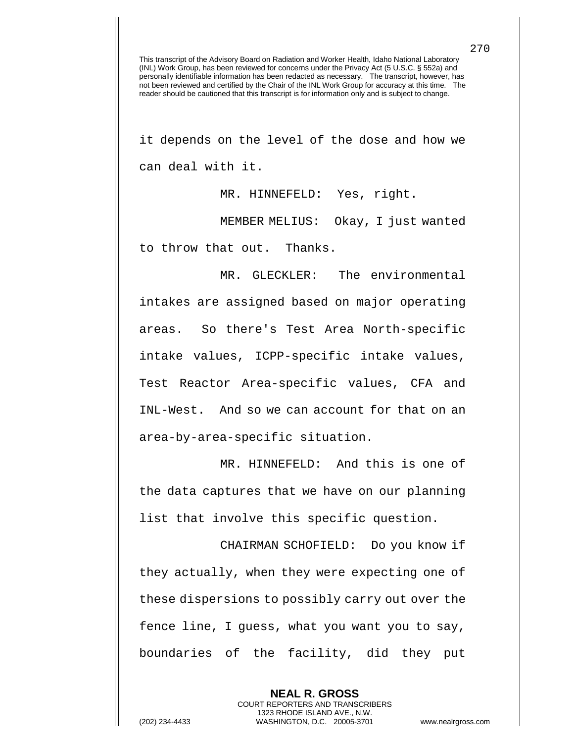it depends on the level of the dose and how we can deal with it.

MR. HINNEFELD: Yes, right.

MEMBER MELIUS: Okay, I just wanted to throw that out. Thanks.

MR. GLECKLER: The environmental intakes are assigned based on major operating areas. So there's Test Area North-specific intake values, ICPP-specific intake values, Test Reactor Area-specific values, CFA and INL-West. And so we can account for that on an area-by-area-specific situation.

MR. HINNEFELD: And this is one of the data captures that we have on our planning list that involve this specific question.

CHAIRMAN SCHOFIELD: Do you know if they actually, when they were expecting one of these dispersions to possibly carry out over the fence line, I guess, what you want you to say, boundaries of the facility, did they put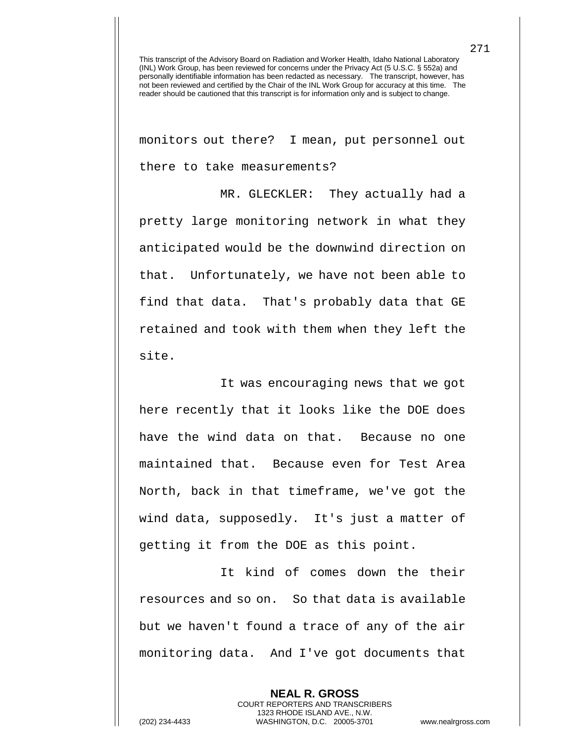monitors out there? I mean, put personnel out there to take measurements?

MR. GLECKLER: They actually had a pretty large monitoring network in what they anticipated would be the downwind direction on that. Unfortunately, we have not been able to find that data. That's probably data that GE retained and took with them when they left the site.

It was encouraging news that we got here recently that it looks like the DOE does have the wind data on that. Because no one maintained that. Because even for Test Area North, back in that timeframe, we've got the wind data, supposedly. It's just a matter of getting it from the DOE as this point.

It kind of comes down the their resources and so on. So that data is available but we haven't found a trace of any of the air monitoring data. And I've got documents that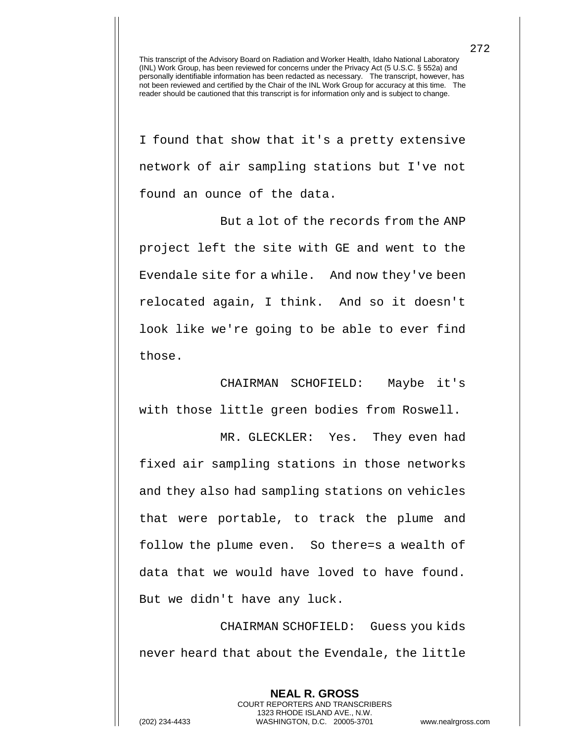I found that show that it's a pretty extensive network of air sampling stations but I've not found an ounce of the data.

But a lot of the records from the ANP project left the site with GE and went to the Evendale site for a while. And now they've been relocated again, I think. And so it doesn't look like we're going to be able to ever find those.

CHAIRMAN SCHOFIELD: Maybe it's with those little green bodies from Roswell.

MR. GLECKLER: Yes. They even had fixed air sampling stations in those networks and they also had sampling stations on vehicles that were portable, to track the plume and follow the plume even. So there=s a wealth of data that we would have loved to have found. But we didn't have any luck.

CHAIRMAN SCHOFIELD: Guess you kids never heard that about the Evendale, the little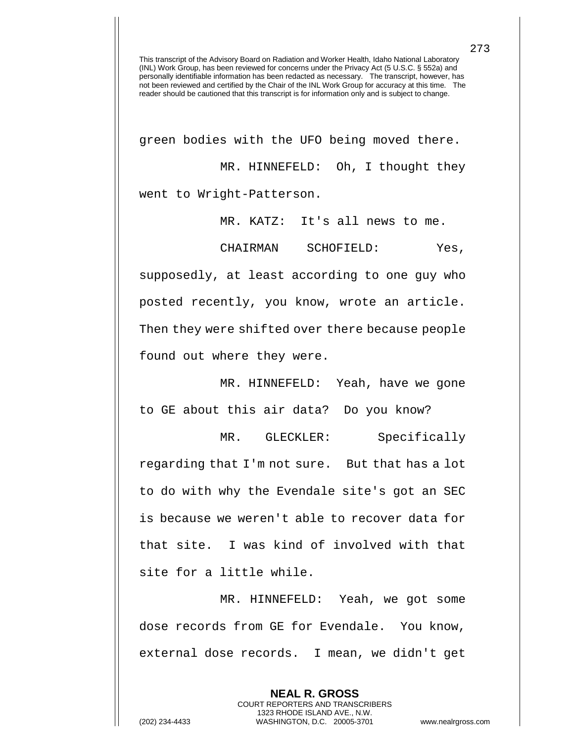green bodies with the UFO being moved there. MR. HINNEFELD: Oh, I thought they went to Wright-Patterson.

MR. KATZ: It's all news to me.

CHAIRMAN SCHOFIELD: Yes,

supposedly, at least according to one guy who posted recently, you know, wrote an article. Then they were shifted over there because people found out where they were.

MR. HINNEFELD: Yeah, have we gone to GE about this air data? Do you know?

MR. GLECKLER: Specifically regarding that I'm not sure. But that has a lot to do with why the Evendale site's got an SEC is because we weren't able to recover data for that site. I was kind of involved with that site for a little while.

MR. HINNEFELD: Yeah, we got some dose records from GE for Evendale. You know, external dose records. I mean, we didn't get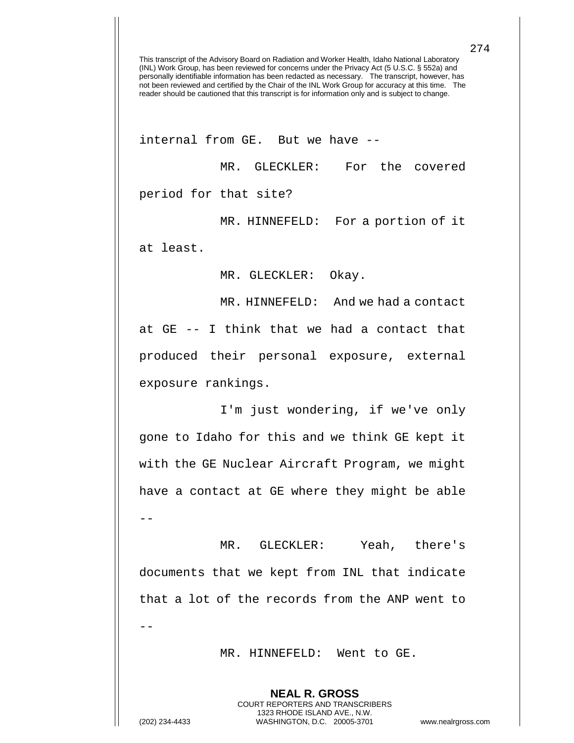internal from GE. But we have --

MR. GLECKLER: For the covered period for that site?

MR. HINNEFELD: For a portion of it

at least.

MR. GLECKLER: Okay.

MR. HINNEFELD: And we had a contact at GE -- I think that we had a contact that produced their personal exposure, external exposure rankings.

I'm just wondering, if we've only gone to Idaho for this and we think GE kept it with the GE Nuclear Aircraft Program, we might have a contact at GE where they might be able --

MR. GLECKLER: Yeah, there's documents that we kept from INL that indicate that a lot of the records from the ANP went to --

MR. HINNEFELD: Went to GE.

**NEAL R. GROSS** COURT REPORTERS AND TRANSCRIBERS 1323 RHODE ISLAND AVE., N.W.

274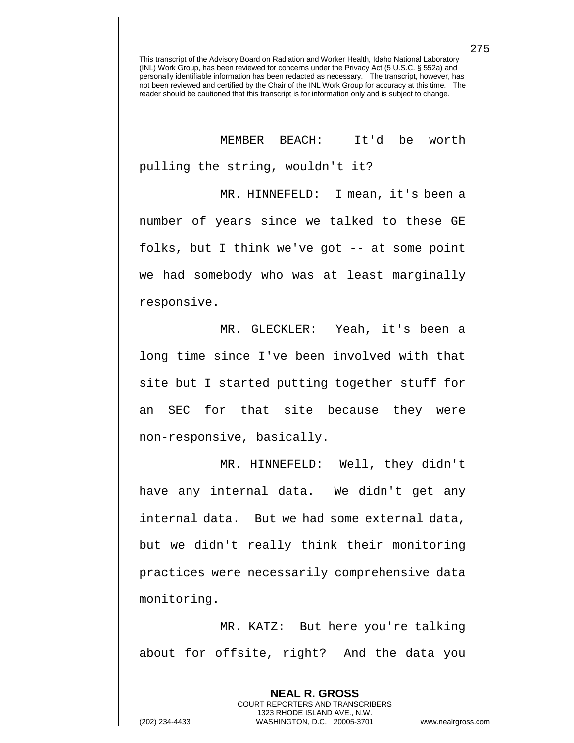MEMBER BEACH: It'd be worth pulling the string, wouldn't it?

MR. HINNEFELD: I mean, it's been a number of years since we talked to these GE folks, but I think we've got -- at some point we had somebody who was at least marginally responsive.

MR. GLECKLER: Yeah, it's been a long time since I've been involved with that site but I started putting together stuff for an SEC for that site because they were non-responsive, basically.

MR. HINNEFELD: Well, they didn't have any internal data. We didn't get any internal data. But we had some external data, but we didn't really think their monitoring practices were necessarily comprehensive data monitoring.

MR. KATZ: But here you're talking about for offsite, right? And the data you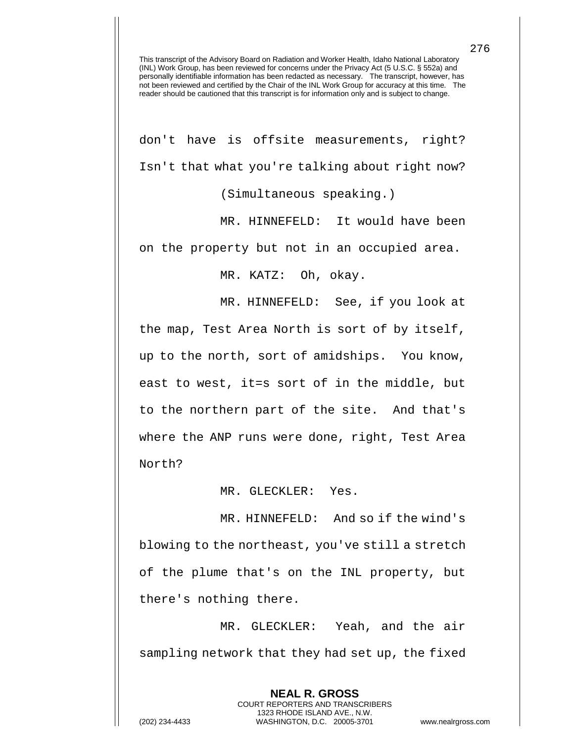don't have is offsite measurements, right? Isn't that what you're talking about right now? (Simultaneous speaking.)

MR. HINNEFELD: It would have been on the property but not in an occupied area.

MR. KATZ: Oh, okay.

MR. HINNEFELD: See, if you look at the map, Test Area North is sort of by itself, up to the north, sort of amidships. You know, east to west, it=s sort of in the middle, but to the northern part of the site. And that's where the ANP runs were done, right, Test Area North?

MR. GLECKLER: Yes.

MR. HINNEFELD: And so if the wind's blowing to the northeast, you've still a stretch of the plume that's on the INL property, but there's nothing there.

MR. GLECKLER: Yeah, and the air sampling network that they had set up, the fixed

> **NEAL R. GROSS** COURT REPORTERS AND TRANSCRIBERS 1323 RHODE ISLAND AVE., N.W.

276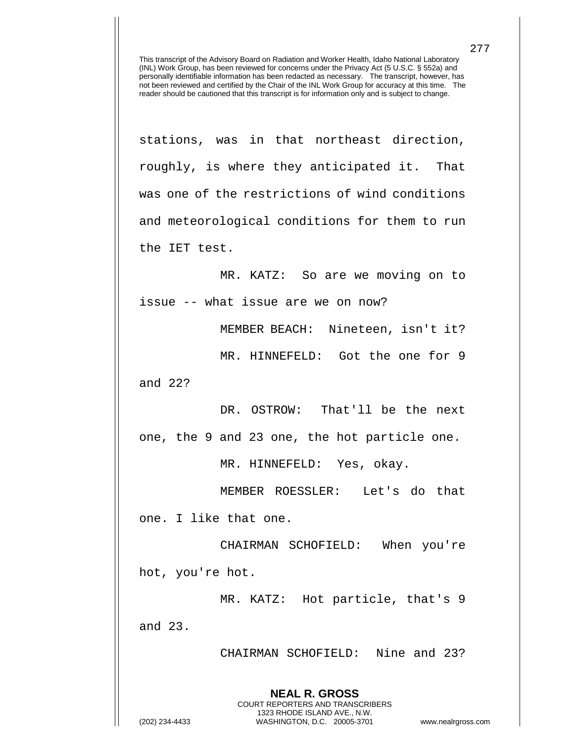stations, was in that northeast direction, roughly, is where they anticipated it. That was one of the restrictions of wind conditions and meteorological conditions for them to run the IET test.

MR. KATZ: So are we moving on to issue -- what issue are we on now?

MEMBER BEACH: Nineteen, isn't it?

MR. HINNEFELD: Got the one for 9

and 22?

DR. OSTROW: That'll be the next one, the 9 and 23 one, the hot particle one.

MR. HINNEFELD: Yes, okay.

MEMBER ROESSLER: Let's do that one. I like that one.

CHAIRMAN SCHOFIELD: When you're hot, you're hot.

MR. KATZ: Hot particle, that's 9 and 23.

> **NEAL R. GROSS** COURT REPORTERS AND TRANSCRIBERS 1323 RHODE ISLAND AVE., N.W.

CHAIRMAN SCHOFIELD: Nine and 23?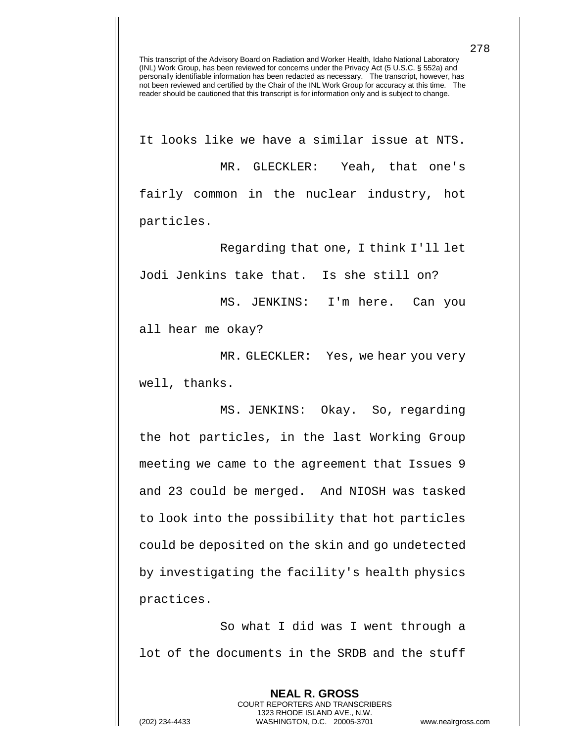It looks like we have a similar issue at NTS. MR. GLECKLER: Yeah, that one's fairly common in the nuclear industry, hot particles.

Regarding that one, I think I'll let Jodi Jenkins take that. Is she still on?

MS. JENKINS: I'm here. Can you

all hear me okay?

MR. GLECKLER: Yes, we hear you very well, thanks.

MS. JENKINS: Okay. So, regarding the hot particles, in the last Working Group meeting we came to the agreement that Issues 9 and 23 could be merged. And NIOSH was tasked to look into the possibility that hot particles could be deposited on the skin and go undetected by investigating the facility's health physics practices.

So what I did was I went through a lot of the documents in the SRDB and the stuff

> **NEAL R. GROSS** COURT REPORTERS AND TRANSCRIBERS 1323 RHODE ISLAND AVE., N.W.

278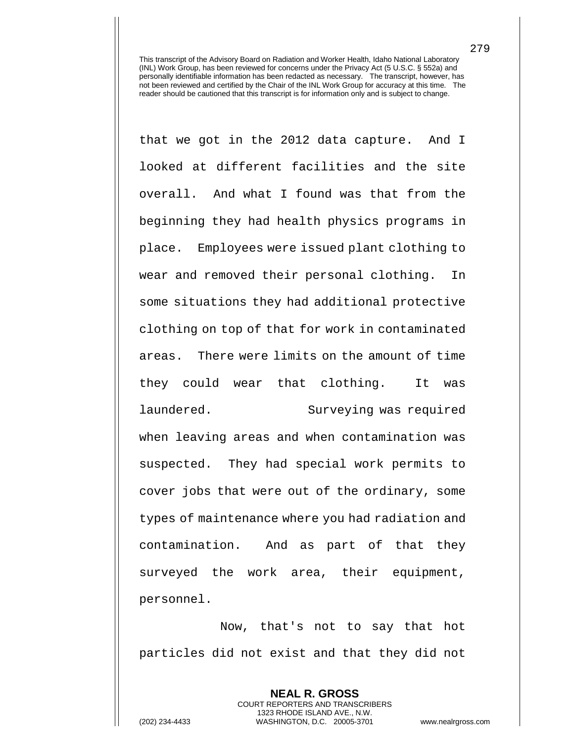that we got in the 2012 data capture. And I looked at different facilities and the site overall. And what I found was that from the beginning they had health physics programs in place. Employees were issued plant clothing to wear and removed their personal clothing. In some situations they had additional protective clothing on top of that for work in contaminated areas. There were limits on the amount of time they could wear that clothing. It was laundered. Surveying was required when leaving areas and when contamination was suspected. They had special work permits to cover jobs that were out of the ordinary, some types of maintenance where you had radiation and contamination. And as part of that they surveyed the work area, their equipment, personnel.

Now, that's not to say that hot particles did not exist and that they did not

> **NEAL R. GROSS** COURT REPORTERS AND TRANSCRIBERS 1323 RHODE ISLAND AVE., N.W.

279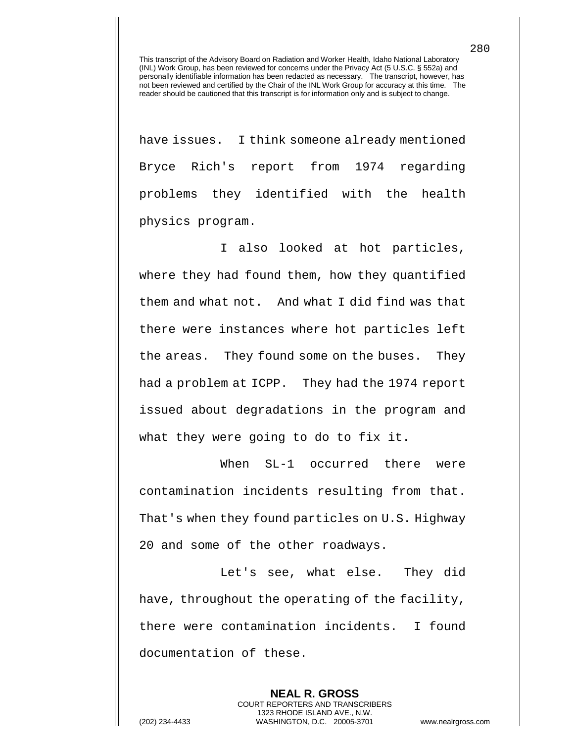have issues. I think someone already mentioned Bryce Rich's report from 1974 regarding problems they identified with the health physics program.

I also looked at hot particles, where they had found them, how they quantified them and what not. And what I did find was that there were instances where hot particles left the areas. They found some on the buses. They had a problem at ICPP. They had the 1974 report issued about degradations in the program and what they were going to do to fix it.

When SL-1 occurred there were contamination incidents resulting from that. That's when they found particles on U.S. Highway 20 and some of the other roadways.

Let's see, what else. They did have, throughout the operating of the facility, there were contamination incidents. I found documentation of these.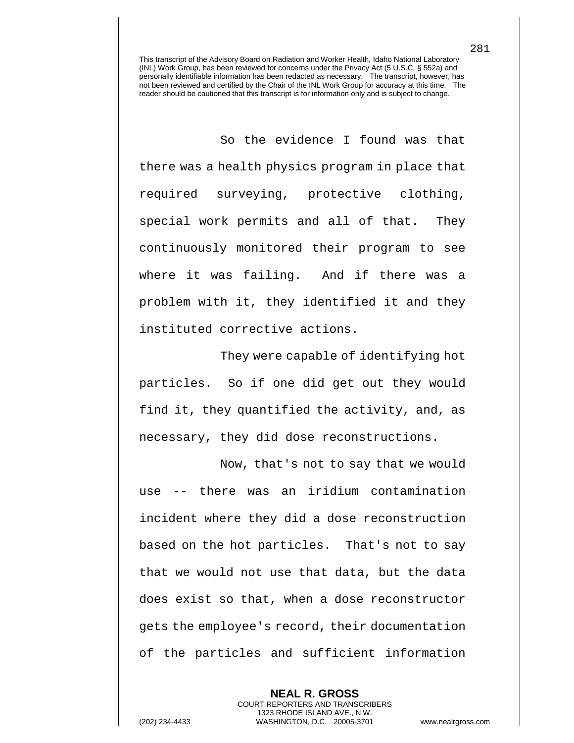So the evidence I found was that there was a health physics program in place that required surveying, protective clothing, special work permits and all of that. They continuously monitored their program to see where it was failing. And if there was a problem with it, they identified it and they instituted corrective actions.

They were capable of identifying hot particles. So if one did get out they would find it, they quantified the activity, and, as necessary, they did dose reconstructions.

Now, that's not to say that we would use -- there was an iridium contamination incident where they did a dose reconstruction based on the hot particles. That's not to say that we would not use that data, but the data does exist so that, when a dose reconstructor gets the employee's record, their documentation of the particles and sufficient information

**NEAL R. GROSS**

COURT REPORTERS AND TRANSCRIBERS 1323 RHODE ISLAND AVE., N.W. (202) 234-4433 WASHINGTON, D.C. 20005-3701 www.nealrgross.com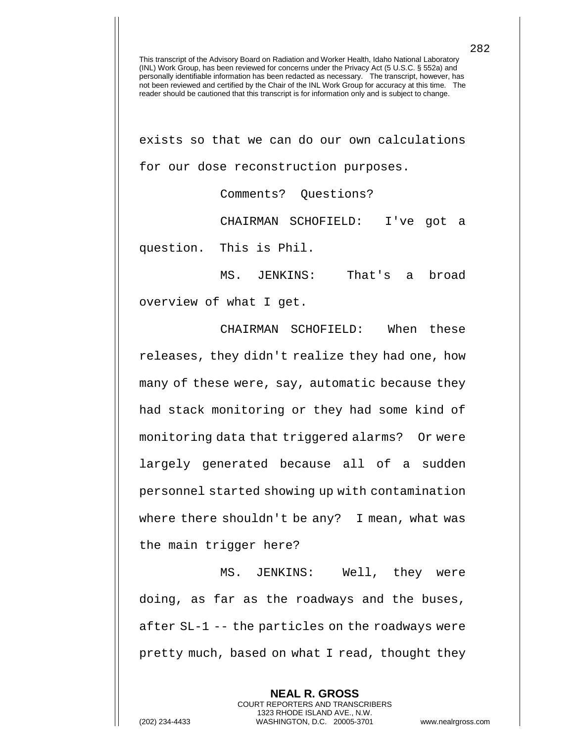exists so that we can do our own calculations for our dose reconstruction purposes.

Comments? Questions?

CHAIRMAN SCHOFIELD: I've got a question. This is Phil.

MS. JENKINS: That's a broad overview of what I get.

CHAIRMAN SCHOFIELD: When these releases, they didn't realize they had one, how many of these were, say, automatic because they had stack monitoring or they had some kind of monitoring data that triggered alarms? Or were largely generated because all of a sudden personnel started showing up with contamination where there shouldn't be any? I mean, what was the main trigger here?

MS. JENKINS: Well, they were doing, as far as the roadways and the buses, after SL-1 -- the particles on the roadways were pretty much, based on what I read, thought they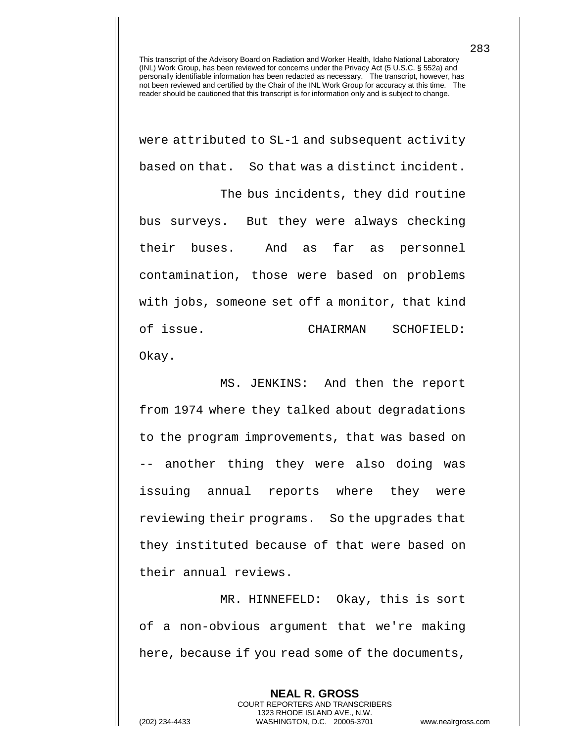were attributed to SL-1 and subsequent activity based on that. So that was a distinct incident.

The bus incidents, they did routine bus surveys. But they were always checking their buses. And as far as personnel contamination, those were based on problems with jobs, someone set off a monitor, that kind of issue. CHAIRMAN SCHOFIELD: Okay.

MS. JENKINS: And then the report from 1974 where they talked about degradations to the program improvements, that was based on -- another thing they were also doing was issuing annual reports where they were reviewing their programs. So the upgrades that they instituted because of that were based on their annual reviews.

MR. HINNEFELD: Okay, this is sort of a non-obvious argument that we're making here, because if you read some of the documents,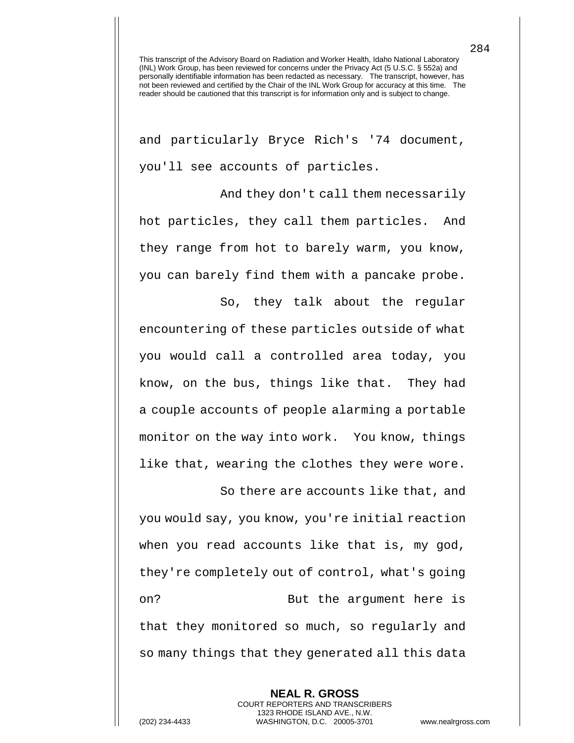and particularly Bryce Rich's '74 document, you'll see accounts of particles.

And they don't call them necessarily hot particles, they call them particles. And they range from hot to barely warm, you know, you can barely find them with a pancake probe.

So, they talk about the regular encountering of these particles outside of what you would call a controlled area today, you know, on the bus, things like that. They had a couple accounts of people alarming a portable monitor on the way into work. You know, things like that, wearing the clothes they were wore.

So there are accounts like that, and you would say, you know, you're initial reaction when you read accounts like that is, my god, they're completely out of control, what's going on? But the argument here is that they monitored so much, so regularly and so many things that they generated all this data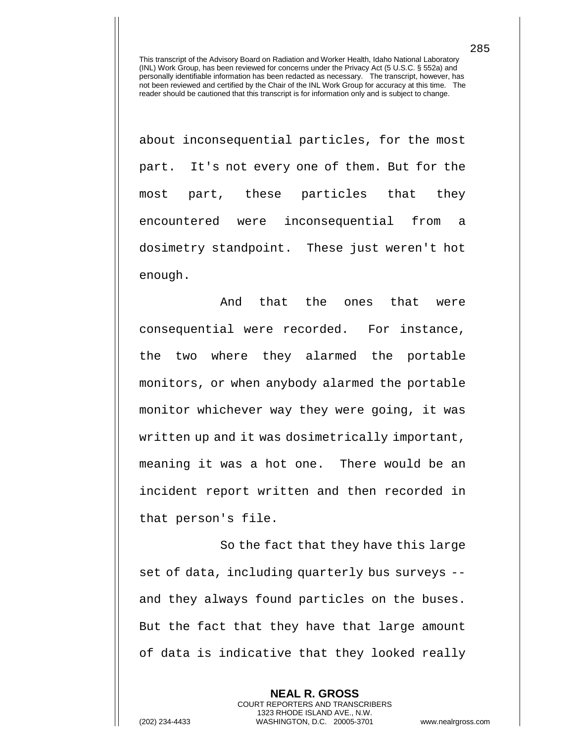about inconsequential particles, for the most part. It's not every one of them. But for the most part, these particles that they encountered were inconsequential from a dosimetry standpoint. These just weren't hot enough.

And that the ones that were consequential were recorded. For instance, the two where they alarmed the portable monitors, or when anybody alarmed the portable monitor whichever way they were going, it was written up and it was dosimetrically important, meaning it was a hot one. There would be an incident report written and then recorded in that person's file.

So the fact that they have this large set of data, including quarterly bus surveys - and they always found particles on the buses. But the fact that they have that large amount of data is indicative that they looked really

> **NEAL R. GROSS** COURT REPORTERS AND TRANSCRIBERS 1323 RHODE ISLAND AVE., N.W.

285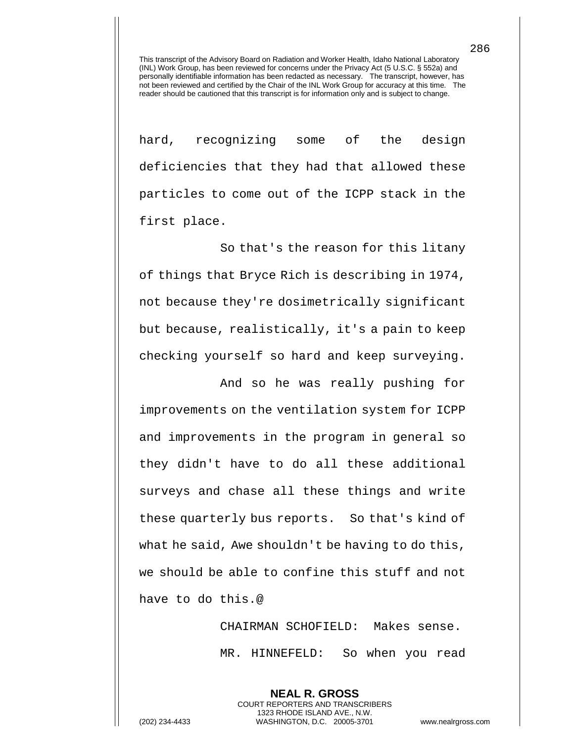hard, recognizing some of the design deficiencies that they had that allowed these particles to come out of the ICPP stack in the first place.

So that's the reason for this litany of things that Bryce Rich is describing in 1974, not because they're dosimetrically significant but because, realistically, it's a pain to keep checking yourself so hard and keep surveying.

And so he was really pushing for improvements on the ventilation system for ICPP and improvements in the program in general so they didn't have to do all these additional surveys and chase all these things and write these quarterly bus reports. So that's kind of what he said, Awe shouldn't be having to do this, we should be able to confine this stuff and not have to do this.@

> CHAIRMAN SCHOFIELD: Makes sense. MR. HINNEFELD: So when you read

**NEAL R. GROSS** COURT REPORTERS AND TRANSCRIBERS 1323 RHODE ISLAND AVE., N.W. (202) 234-4433 WASHINGTON, D.C. 20005-3701 www.nealrgross.com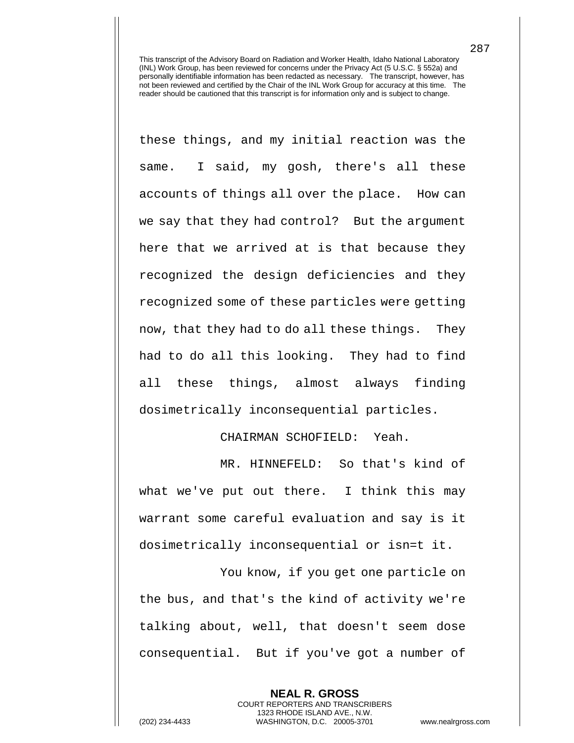these things, and my initial reaction was the same. I said, my gosh, there's all these accounts of things all over the place. How can we say that they had control? But the argument here that we arrived at is that because they recognized the design deficiencies and they recognized some of these particles were getting now, that they had to do all these things. They had to do all this looking. They had to find all these things, almost always finding dosimetrically inconsequential particles.

CHAIRMAN SCHOFIELD: Yeah.

MR. HINNEFELD: So that's kind of what we've put out there. I think this may warrant some careful evaluation and say is it dosimetrically inconsequential or isn=t it.

You know, if you get one particle on the bus, and that's the kind of activity we're talking about, well, that doesn't seem dose consequential. But if you've got a number of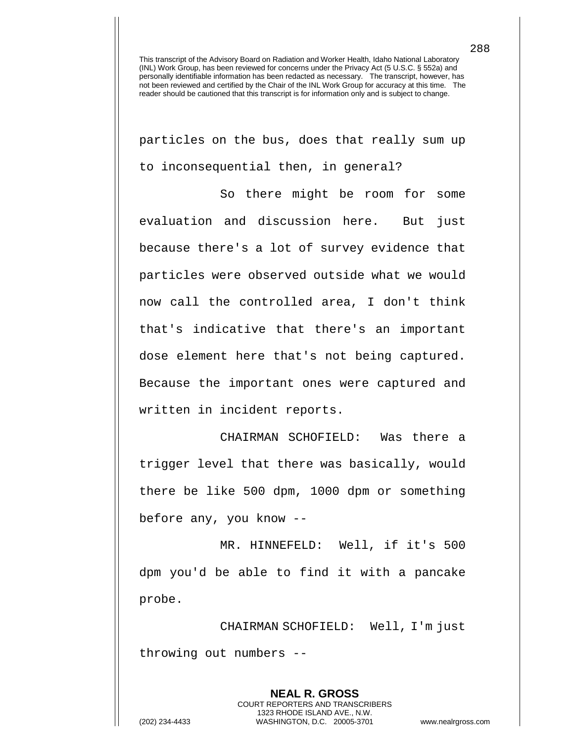particles on the bus, does that really sum up to inconsequential then, in general?

So there might be room for some evaluation and discussion here. But just because there's a lot of survey evidence that particles were observed outside what we would now call the controlled area, I don't think that's indicative that there's an important dose element here that's not being captured. Because the important ones were captured and written in incident reports.

CHAIRMAN SCHOFIELD: Was there a trigger level that there was basically, would there be like 500 dpm, 1000 dpm or something before any, you know --

MR. HINNEFELD: Well, if it's 500 dpm you'd be able to find it with a pancake probe.

CHAIRMAN SCHOFIELD: Well, I'm just throwing out numbers --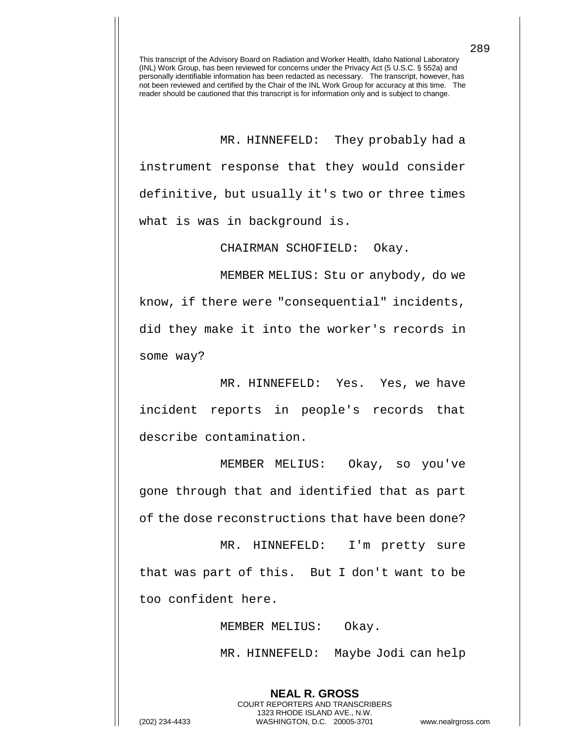MR. HINNEFELD: They probably had a instrument response that they would consider definitive, but usually it's two or three times what is was in background is.

CHAIRMAN SCHOFIELD: Okay.

MEMBER MELIUS: Stu or anybody, do we know, if there were "consequential" incidents, did they make it into the worker's records in some way?

MR. HINNEFELD: Yes. Yes, we have incident reports in people's records that describe contamination.

MEMBER MELIUS: Okay, so you've gone through that and identified that as part of the dose reconstructions that have been done?

MR. HINNEFELD: I'm pretty sure that was part of this. But I don't want to be too confident here.

MEMBER MELIUS: Okay.

**NEAL R. GROSS** COURT REPORTERS AND TRANSCRIBERS 1323 RHODE ISLAND AVE., N.W.

MR. HINNEFELD: Maybe Jodi can help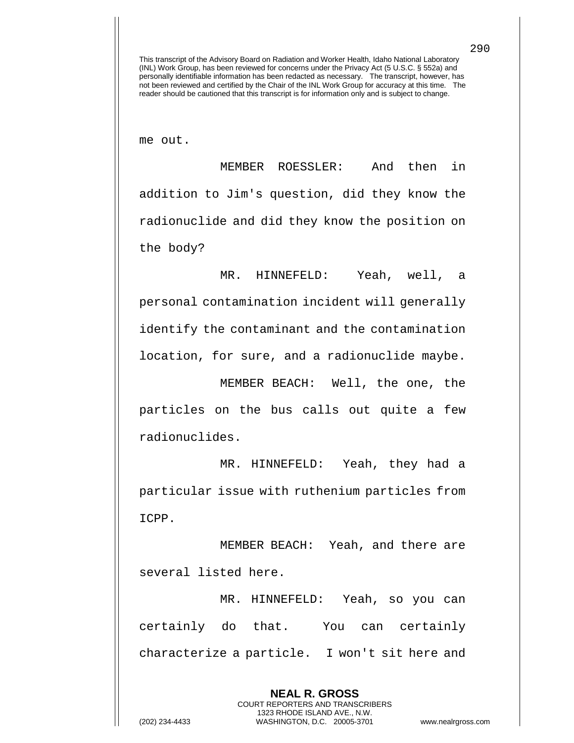me out.

MEMBER ROESSLER: And then in addition to Jim's question, did they know the radionuclide and did they know the position on the body?

MR. HINNEFELD: Yeah, well, a personal contamination incident will generally identify the contaminant and the contamination location, for sure, and a radionuclide maybe.

MEMBER BEACH: Well, the one, the particles on the bus calls out quite a few radionuclides.

MR. HINNEFELD: Yeah, they had a particular issue with ruthenium particles from ICPP.

MEMBER BEACH: Yeah, and there are several listed here.

MR. HINNEFELD: Yeah, so you can certainly do that. You can certainly characterize a particle. I won't sit here and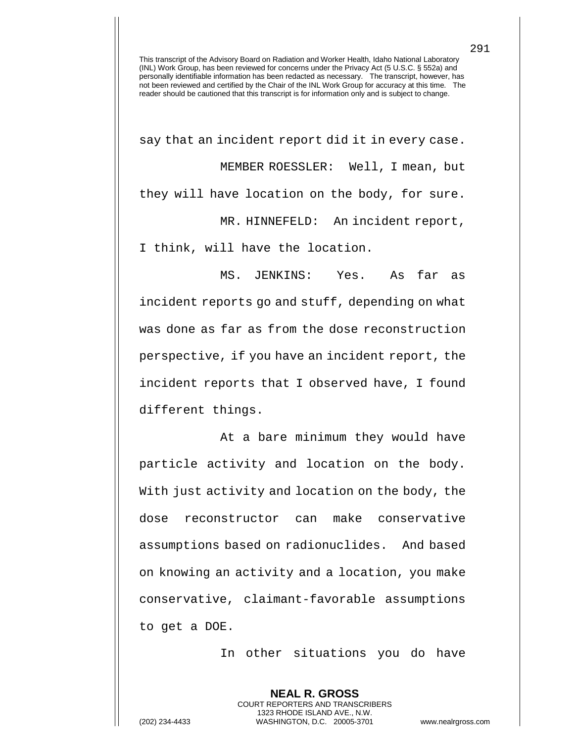say that an incident report did it in every case. MEMBER ROESSLER: Well, I mean, but they will have location on the body, for sure. MR. HINNEFELD: An incident report, I think, will have the location.

MS. JENKINS: Yes. As far as incident reports go and stuff, depending on what was done as far as from the dose reconstruction perspective, if you have an incident report, the incident reports that I observed have, I found different things.

At a bare minimum they would have particle activity and location on the body. With just activity and location on the body, the dose reconstructor can make conservative assumptions based on radionuclides. And based on knowing an activity and a location, you make conservative, claimant-favorable assumptions to get a DOE.

In other situations you do have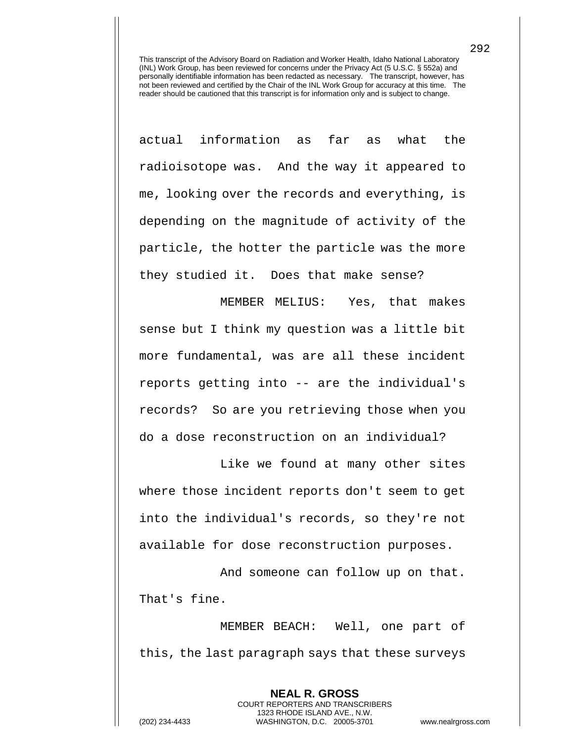actual information as far as what the radioisotope was. And the way it appeared to me, looking over the records and everything, is depending on the magnitude of activity of the particle, the hotter the particle was the more they studied it. Does that make sense?

MEMBER MELIUS: Yes, that makes sense but I think my question was a little bit more fundamental, was are all these incident reports getting into -- are the individual's records? So are you retrieving those when you do a dose reconstruction on an individual?

Like we found at many other sites where those incident reports don't seem to get into the individual's records, so they're not available for dose reconstruction purposes.

And someone can follow up on that. That's fine.

MEMBER BEACH: Well, one part of this, the last paragraph says that these surveys

> **NEAL R. GROSS** COURT REPORTERS AND TRANSCRIBERS 1323 RHODE ISLAND AVE., N.W.

292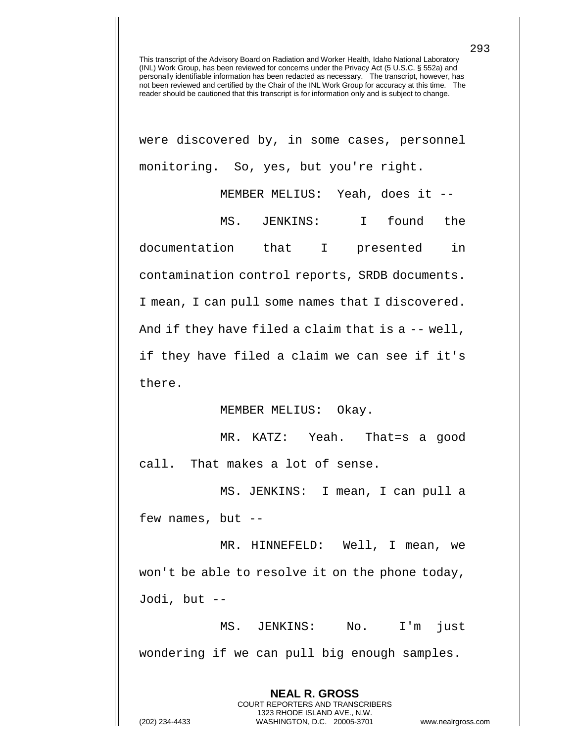were discovered by, in some cases, personnel monitoring. So, yes, but you're right.

MEMBER MELIUS: Yeah, does it --

MS. JENKINS: I found the documentation that I presented in contamination control reports, SRDB documents. I mean, I can pull some names that I discovered. And if they have filed a claim that is a -- well, if they have filed a claim we can see if it's there.

## MEMBER MELIUS: Okay.

MR. KATZ: Yeah. That=s a good call. That makes a lot of sense.

MS. JENKINS: I mean, I can pull a few names, but --

MR. HINNEFELD: Well, I mean, we won't be able to resolve it on the phone today, Jodi, but --

MS. JENKINS: No. I'm just wondering if we can pull big enough samples.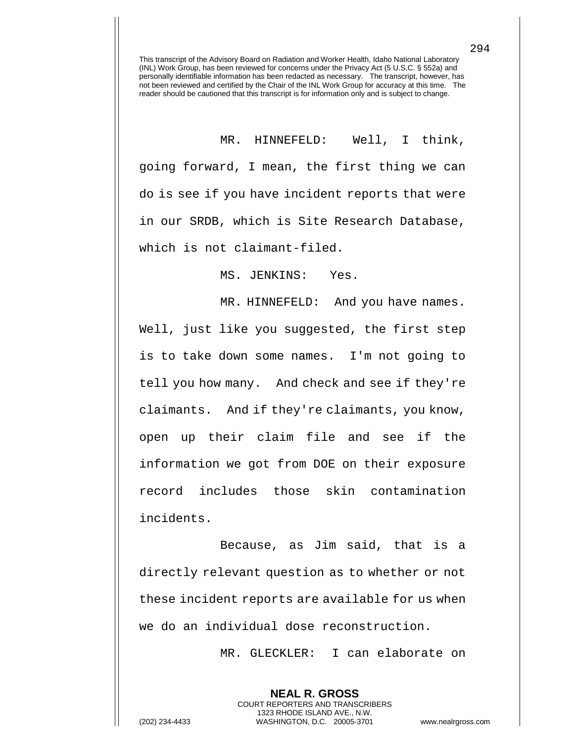MR. HINNEFELD: Well, I think, going forward, I mean, the first thing we can do is see if you have incident reports that were in our SRDB, which is Site Research Database, which is not claimant-filed.

MS. JENKINS: Yes.

MR. HINNEFELD: And you have names. Well, just like you suggested, the first step is to take down some names. I'm not going to tell you how many. And check and see if they're claimants. And if they're claimants, you know, open up their claim file and see if the information we got from DOE on their exposure record includes those skin contamination incidents.

Because, as Jim said, that is a directly relevant question as to whether or not these incident reports are available for us when we do an individual dose reconstruction.

> **NEAL R. GROSS** COURT REPORTERS AND TRANSCRIBERS 1323 RHODE ISLAND AVE., N.W.

MR. GLECKLER: I can elaborate on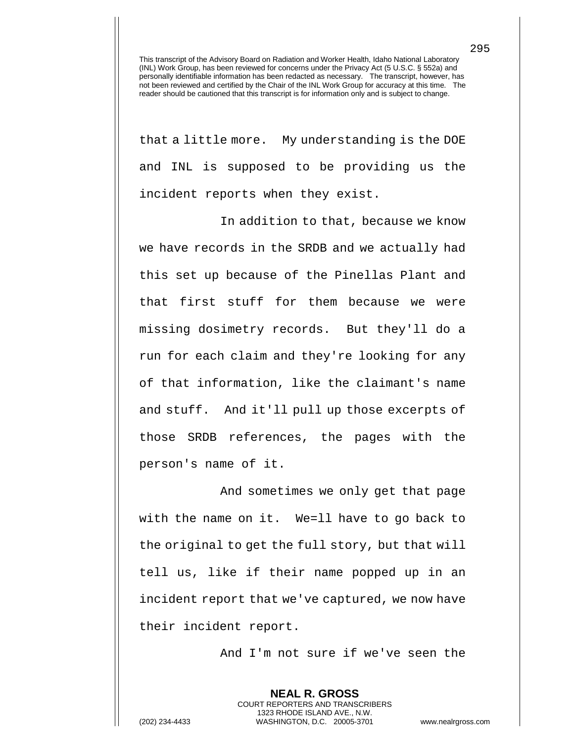that a little more. My understanding is the DOE and INL is supposed to be providing us the incident reports when they exist.

In addition to that, because we know we have records in the SRDB and we actually had this set up because of the Pinellas Plant and that first stuff for them because we were missing dosimetry records. But they'll do a run for each claim and they're looking for any of that information, like the claimant's name and stuff. And it'll pull up those excerpts of those SRDB references, the pages with the person's name of it.

And sometimes we only get that page with the name on it. We=ll have to go back to the original to get the full story, but that will tell us, like if their name popped up in an incident report that we've captured, we now have their incident report.

And I'm not sure if we've seen the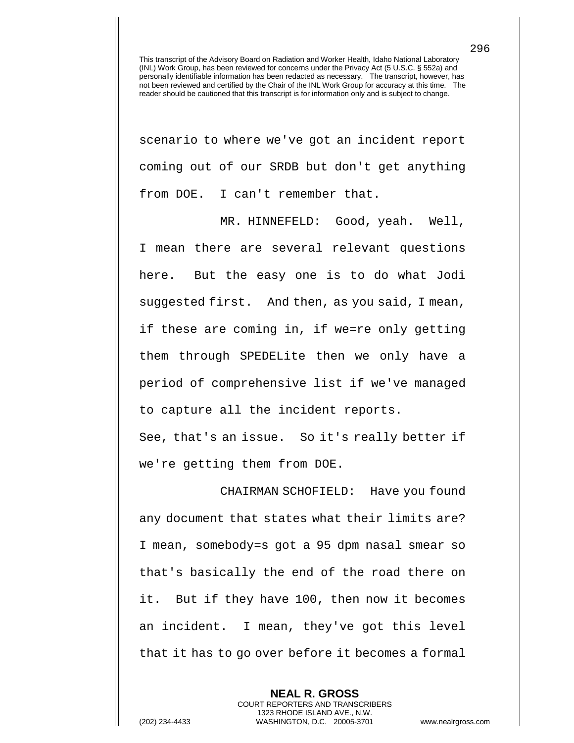scenario to where we've got an incident report coming out of our SRDB but don't get anything from DOE. I can't remember that.

MR. HINNEFELD: Good, yeah. Well, I mean there are several relevant questions here. But the easy one is to do what Jodi suggested first. And then, as you said, I mean, if these are coming in, if we=re only getting them through SPEDELite then we only have a period of comprehensive list if we've managed to capture all the incident reports.

See, that's an issue. So it's really better if we're getting them from DOE.

CHAIRMAN SCHOFIELD: Have you found any document that states what their limits are? I mean, somebody=s got a 95 dpm nasal smear so that's basically the end of the road there on it. But if they have 100, then now it becomes an incident. I mean, they've got this level that it has to go over before it becomes a formal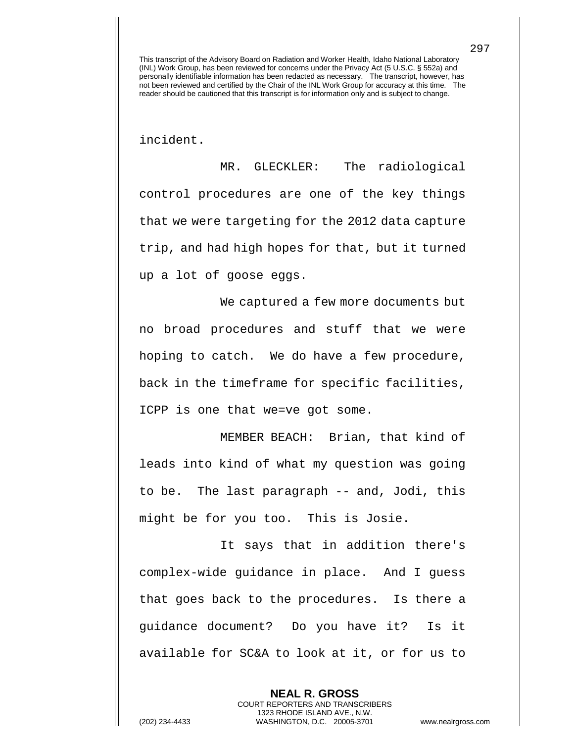incident.

MR. GLECKLER: The radiological control procedures are one of the key things that we were targeting for the 2012 data capture trip, and had high hopes for that, but it turned up a lot of goose eggs.

We captured a few more documents but no broad procedures and stuff that we were hoping to catch. We do have a few procedure, back in the timeframe for specific facilities, ICPP is one that we=ve got some.

MEMBER BEACH: Brian, that kind of leads into kind of what my question was going to be. The last paragraph -- and, Jodi, this might be for you too. This is Josie.

It says that in addition there's complex-wide guidance in place. And I guess that goes back to the procedures. Is there a guidance document? Do you have it? Is it available for SC&A to look at it, or for us to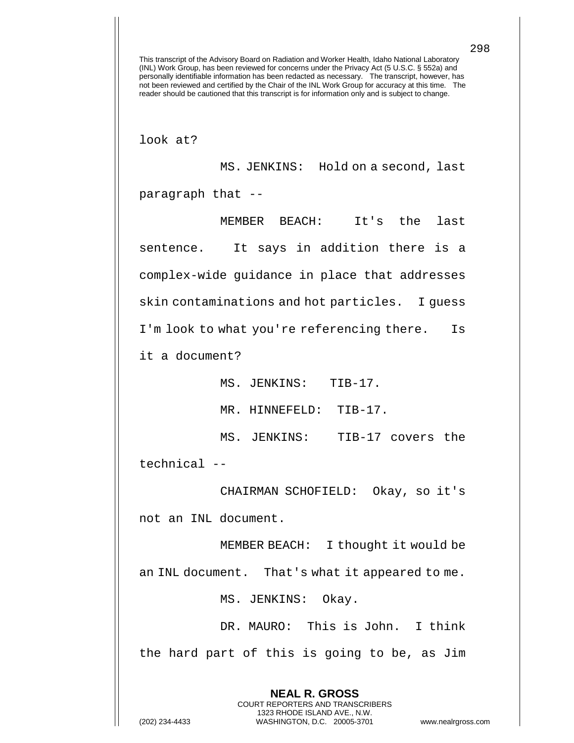look at?

MS. JENKINS: Hold on a second, last paragraph that --

MEMBER BEACH: It's the last sentence. It says in addition there is a complex-wide guidance in place that addresses skin contaminations and hot particles. I guess I'm look to what you're referencing there. Is

it a document?

MS. JENKINS: TIB-17.

MR. HINNEFELD: TIB-17.

MS. JENKINS: TIB-17 covers the technical --

CHAIRMAN SCHOFIELD: Okay, so it's not an INL document.

MEMBER BEACH: I thought it would be an INL document. That's what it appeared to me.

MS. JENKINS: Okay.

DR. MAURO: This is John. I think the hard part of this is going to be, as Jim

> **NEAL R. GROSS** COURT REPORTERS AND TRANSCRIBERS 1323 RHODE ISLAND AVE., N.W.

298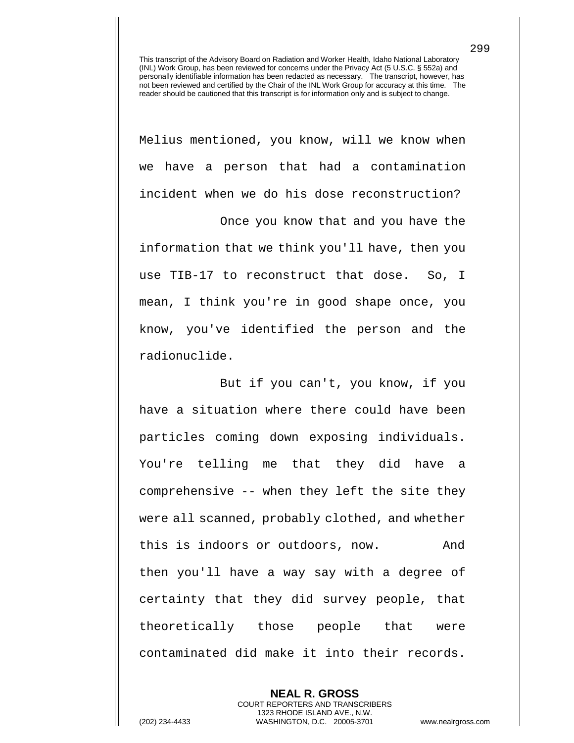Melius mentioned, you know, will we know when we have a person that had a contamination incident when we do his dose reconstruction?

 Once you know that and you have the information that we think you'll have, then you use TIB-17 to reconstruct that dose. So, I mean, I think you're in good shape once, you know, you've identified the person and the radionuclide.

But if you can't, you know, if you have a situation where there could have been particles coming down exposing individuals. You're telling me that they did have a comprehensive -- when they left the site they were all scanned, probably clothed, and whether this is indoors or outdoors, now. And then you'll have a way say with a degree of certainty that they did survey people, that theoretically those people that were contaminated did make it into their records.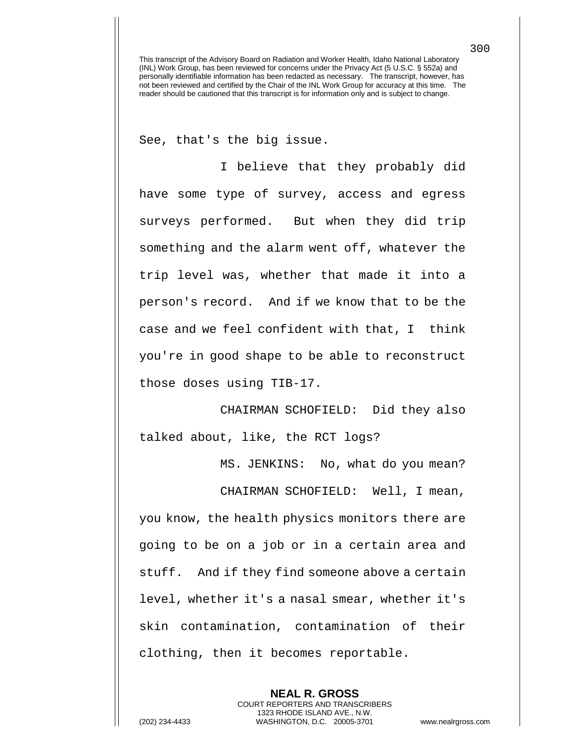See, that's the big issue.

I believe that they probably did have some type of survey, access and egress surveys performed. But when they did trip something and the alarm went off, whatever the trip level was, whether that made it into a person's record. And if we know that to be the case and we feel confident with that, I think you're in good shape to be able to reconstruct those doses using TIB-17.

CHAIRMAN SCHOFIELD: Did they also talked about, like, the RCT logs?

MS. JENKINS: No, what do you mean?

CHAIRMAN SCHOFIELD: Well, I mean, you know, the health physics monitors there are going to be on a job or in a certain area and stuff. And if they find someone above a certain level, whether it's a nasal smear, whether it's skin contamination, contamination of their clothing, then it becomes reportable.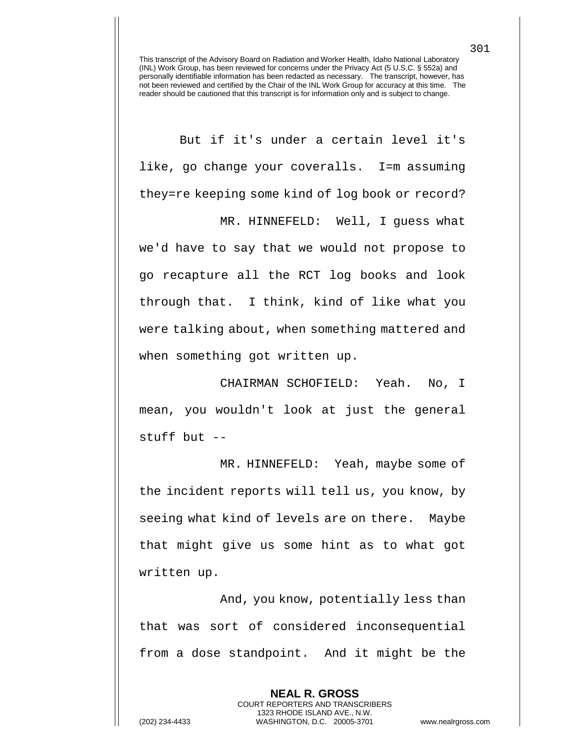But if it's under a certain level it's like, go change your coveralls. I=m assuming they=re keeping some kind of log book or record?

MR. HINNEFELD: Well, I guess what we'd have to say that we would not propose to go recapture all the RCT log books and look through that. I think, kind of like what you were talking about, when something mattered and when something got written up.

CHAIRMAN SCHOFIELD: Yeah. No, I mean, you wouldn't look at just the general stuff but --

MR. HINNEFELD: Yeah, maybe some of the incident reports will tell us, you know, by seeing what kind of levels are on there. Maybe that might give us some hint as to what got written up.

And, you know, potentially less than that was sort of considered inconsequential from a dose standpoint. And it might be the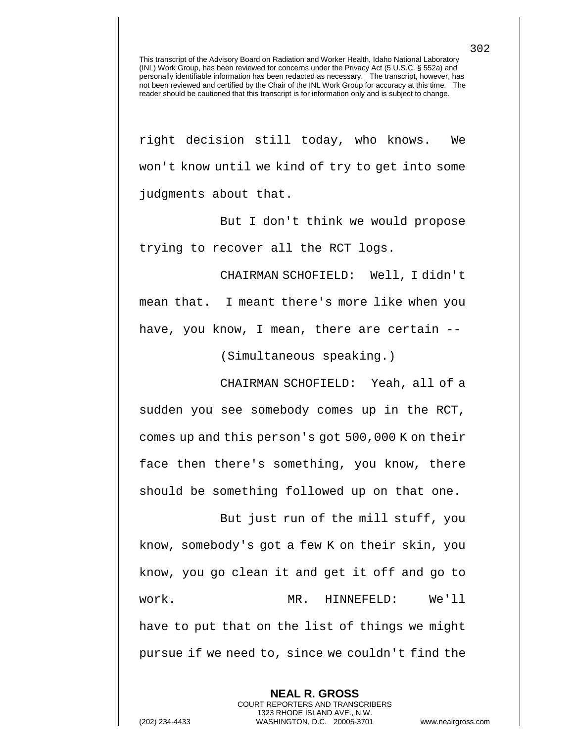right decision still today, who knows. We won't know until we kind of try to get into some judgments about that.

But I don't think we would propose trying to recover all the RCT logs.

CHAIRMAN SCHOFIELD: Well, I didn't mean that. I meant there's more like when you have, you know, I mean, there are certain --

(Simultaneous speaking.)

CHAIRMAN SCHOFIELD: Yeah, all of a sudden you see somebody comes up in the RCT, comes up and this person's got 500,000 K on their face then there's something, you know, there should be something followed up on that one.

But just run of the mill stuff, you know, somebody's got a few K on their skin, you know, you go clean it and get it off and go to work. MR. HINNEFELD: We'll have to put that on the list of things we might pursue if we need to, since we couldn't find the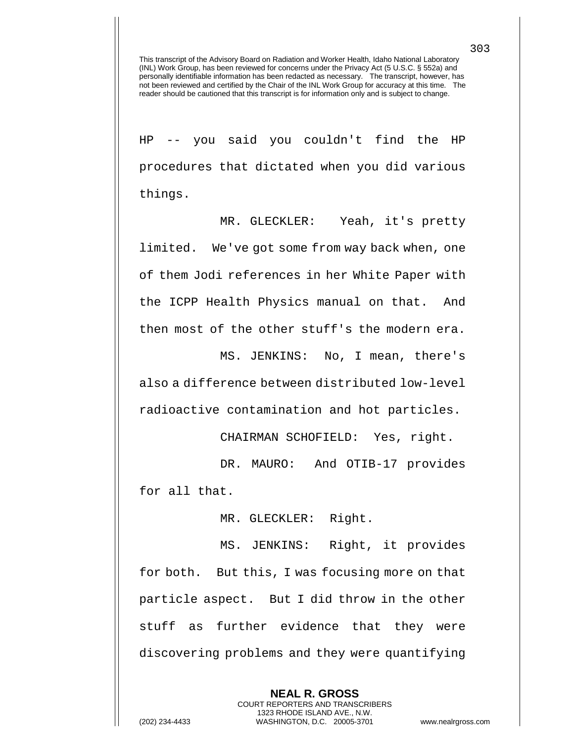HP -- you said you couldn't find the HP procedures that dictated when you did various things.

MR. GLECKLER: Yeah, it's pretty limited. We've got some from way back when, one of them Jodi references in her White Paper with the ICPP Health Physics manual on that. And then most of the other stuff's the modern era.

MS. JENKINS: No, I mean, there's also a difference between distributed low-level radioactive contamination and hot particles.

CHAIRMAN SCHOFIELD: Yes, right.

DR. MAURO: And OTIB-17 provides for all that.

MR. GLECKLER: Right.

MS. JENKINS: Right, it provides for both. But this, I was focusing more on that particle aspect. But I did throw in the other stuff as further evidence that they were discovering problems and they were quantifying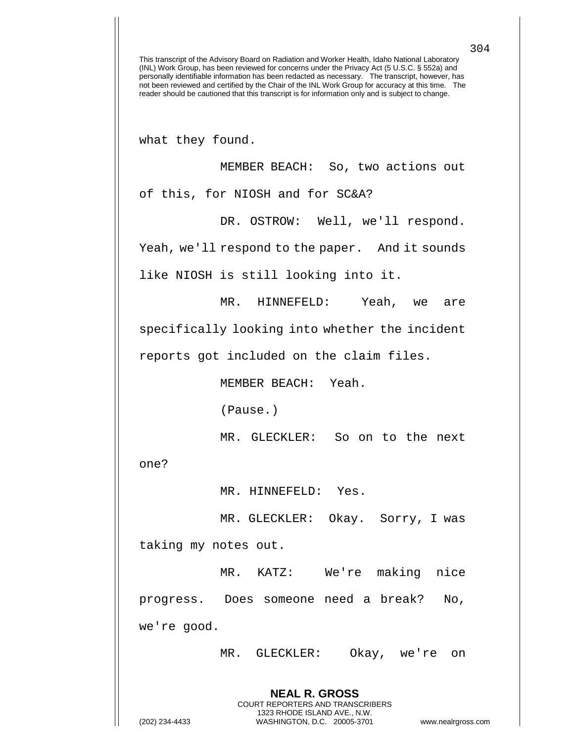what they found.

MEMBER BEACH: So, two actions out of this, for NIOSH and for SC&A?

DR. OSTROW: Well, we'll respond.

Yeah, we'll respond to the paper. And it sounds

like NIOSH is still looking into it.

MR. HINNEFELD: Yeah, we are

specifically looking into whether the incident

reports got included on the claim files.

MEMBER BEACH: Yeah.

(Pause.)

MR. GLECKLER: So on to the next

one?

MR. HINNEFELD: Yes.

MR. GLECKLER: Okay. Sorry, I was taking my notes out.

MR. KATZ: We're making nice progress. Does someone need a break? No, we're good.

> **NEAL R. GROSS** COURT REPORTERS AND TRANSCRIBERS 1323 RHODE ISLAND AVE., N.W.

MR. GLECKLER: Okay, we're on

(202) 234-4433 WASHINGTON, D.C. 20005-3701 www.nealrgross.com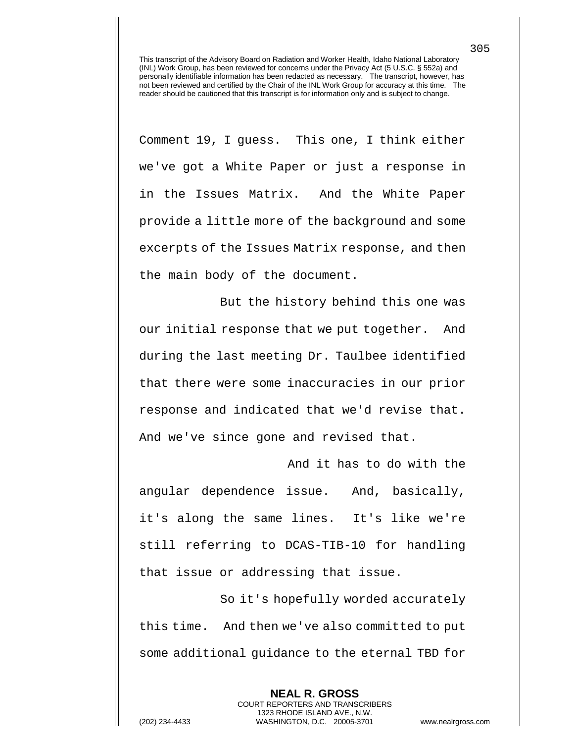Comment 19, I guess. This one, I think either we've got a White Paper or just a response in in the Issues Matrix. And the White Paper provide a little more of the background and some excerpts of the Issues Matrix response, and then the main body of the document.

But the history behind this one was our initial response that we put together. And during the last meeting Dr. Taulbee identified that there were some inaccuracies in our prior response and indicated that we'd revise that. And we've since gone and revised that.

And it has to do with the angular dependence issue. And, basically, it's along the same lines. It's like we're still referring to DCAS-TIB-10 for handling that issue or addressing that issue.

So it's hopefully worded accurately this time. And then we've also committed to put some additional guidance to the eternal TBD for

> **NEAL R. GROSS** COURT REPORTERS AND TRANSCRIBERS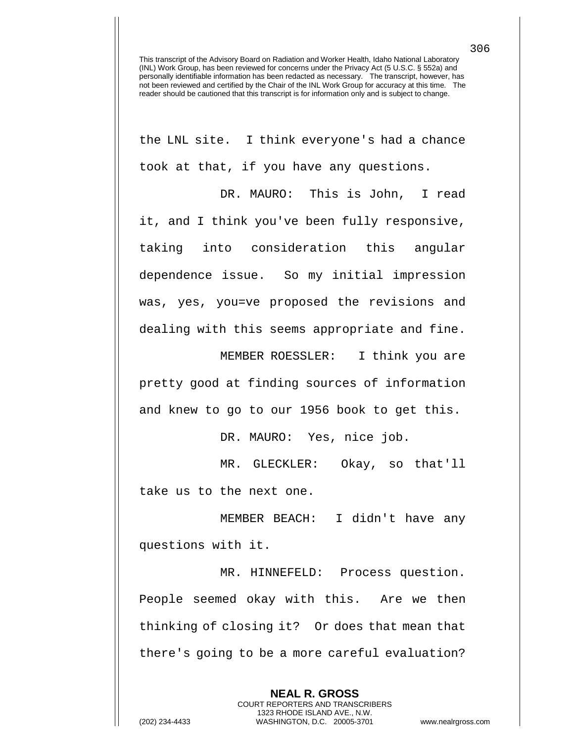the LNL site. I think everyone's had a chance took at that, if you have any questions.

DR. MAURO: This is John, I read it, and I think you've been fully responsive, taking into consideration this angular dependence issue. So my initial impression was, yes, you=ve proposed the revisions and dealing with this seems appropriate and fine.

MEMBER ROESSLER: I think you are pretty good at finding sources of information and knew to go to our 1956 book to get this.

DR. MAURO: Yes, nice job.

MR. GLECKLER: Okay, so that'll take us to the next one.

MEMBER BEACH: I didn't have any questions with it.

MR. HINNEFELD: Process question. People seemed okay with this. Are we then thinking of closing it? Or does that mean that there's going to be a more careful evaluation?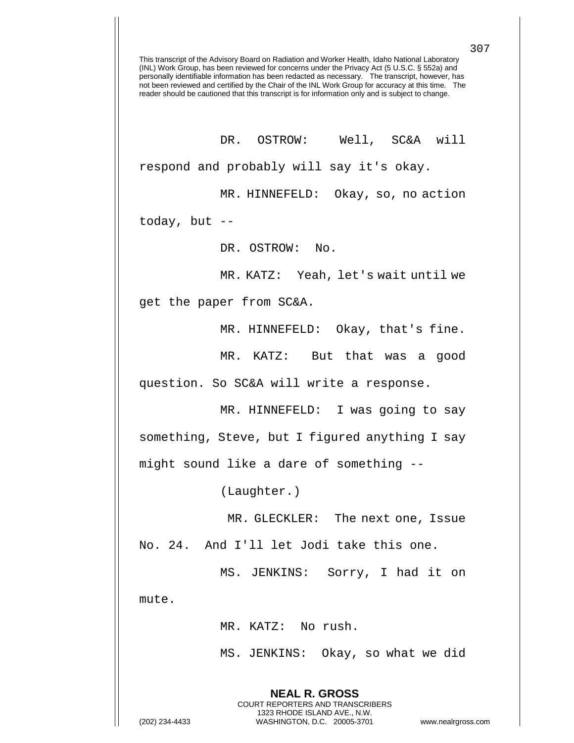This transcript of the Advisory Board on Radiation and Worker Health, Idaho National Laboratory (INL) Work Group, has been reviewed for concerns under the Privacy Act (5 U.S.C. § 552a) and personally identifiable information has been redacted as necessary. The transcript, however, has not been reviewed and certified by the Chair of the INL Work Group for accuracy at this time. The reader should be cautioned that this transcript is for information only and is subject to change. DR. OSTROW: Well, SC&A will respond and probably will say it's okay. MR. HINNEFELD: Okay, so, no action today, but -- DR. OSTROW: No. MR. KATZ: Yeah, let's wait until we get the paper from SC&A. MR. HINNEFELD: Okay, that's fine. MR. KATZ: But that was a good question. So SC&A will write a response. MR. HINNEFELD: I was going to say something, Steve, but I figured anything I say might sound like a dare of something -- (Laughter.) MR. GLECKLER: The next one, Issue No. 24. And I'll let Jodi take this one. MS. JENKINS: Sorry, I had it on mute. MR. KATZ: No rush. MS. JENKINS: Okay, so what we did

> **NEAL R. GROSS** COURT REPORTERS AND TRANSCRIBERS 1323 RHODE ISLAND AVE., N.W.

(202) 234-4433 WASHINGTON, D.C. 20005-3701 www.nealrgross.com

307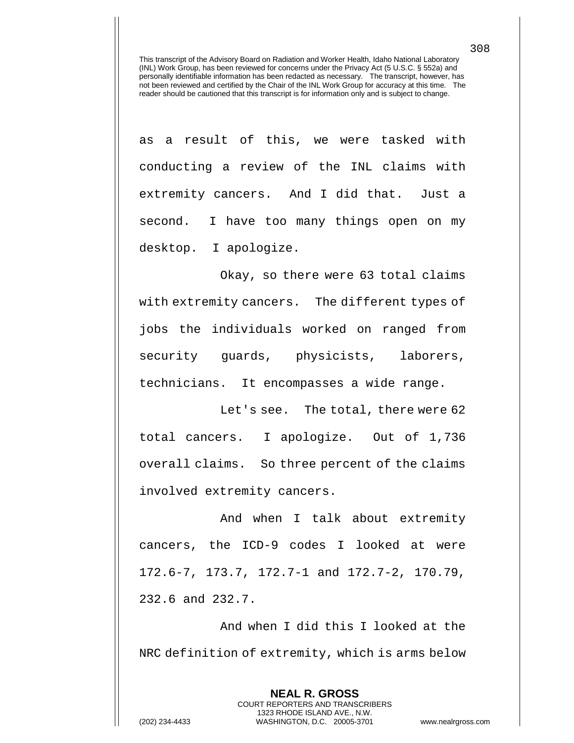as a result of this, we were tasked with conducting a review of the INL claims with extremity cancers. And I did that. Just a second. I have too many things open on my desktop. I apologize.

Okay, so there were 63 total claims with extremity cancers. The different types of jobs the individuals worked on ranged from security guards, physicists, laborers, technicians. It encompasses a wide range.

Let's see. The total, there were 62 total cancers. I apologize. Out of 1,736 overall claims. So three percent of the claims involved extremity cancers.

And when I talk about extremity cancers, the ICD-9 codes I looked at were 172.6-7, 173.7, 172.7-1 and 172.7-2, 170.79, 232.6 and 232.7.

And when I did this I looked at the NRC definition of extremity, which is arms below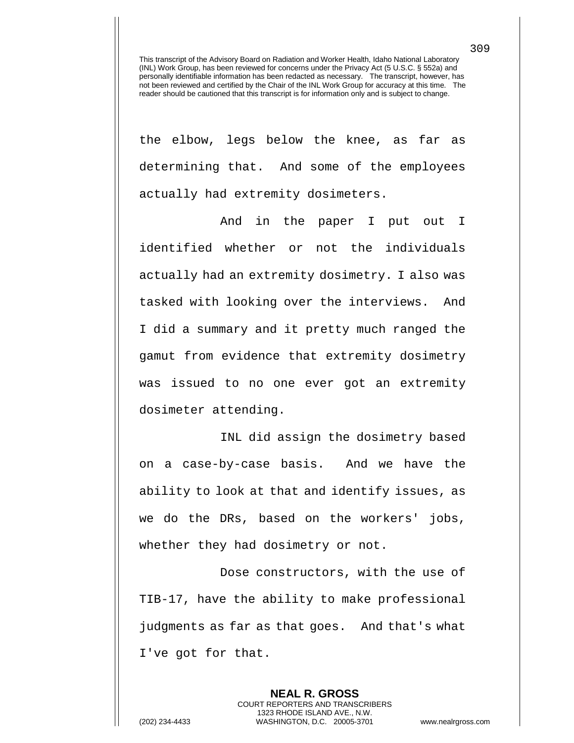the elbow, legs below the knee, as far as determining that. And some of the employees actually had extremity dosimeters.

And in the paper I put out I identified whether or not the individuals actually had an extremity dosimetry. I also was tasked with looking over the interviews. And I did a summary and it pretty much ranged the gamut from evidence that extremity dosimetry was issued to no one ever got an extremity dosimeter attending.

INL did assign the dosimetry based on a case-by-case basis. And we have the ability to look at that and identify issues, as we do the DRs, based on the workers' jobs, whether they had dosimetry or not.

 Dose constructors, with the use of TIB-17, have the ability to make professional judgments as far as that goes. And that's what I've got for that.

**NEAL R. GROSS** COURT REPORTERS AND TRANSCRIBERS 1323 RHODE ISLAND AVE., N.W. (202) 234-4433 WASHINGTON, D.C. 20005-3701 www.nealrgross.com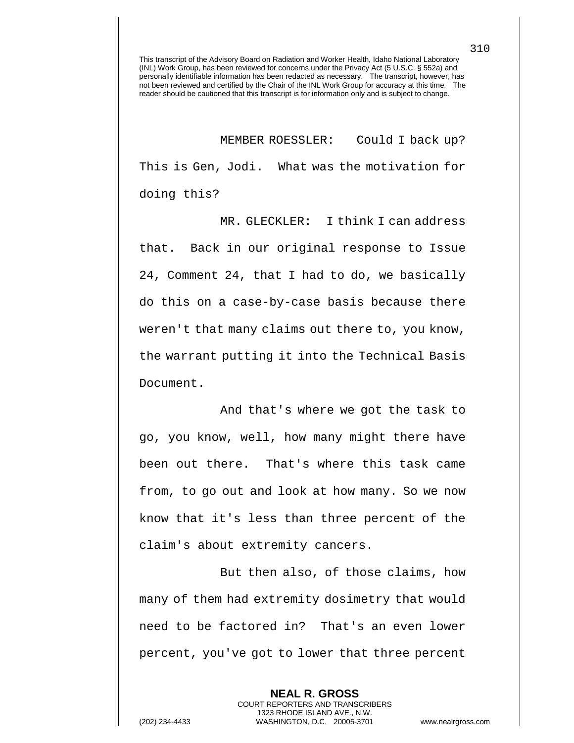MEMBER ROESSLER: Could I back up? This is Gen, Jodi. What was the motivation for doing this?

MR. GLECKLER: I think I can address that. Back in our original response to Issue 24, Comment 24, that I had to do, we basically do this on a case-by-case basis because there weren't that many claims out there to, you know, the warrant putting it into the Technical Basis Document.

And that's where we got the task to go, you know, well, how many might there have been out there. That's where this task came from, to go out and look at how many. So we now know that it's less than three percent of the claim's about extremity cancers.

But then also, of those claims, how many of them had extremity dosimetry that would need to be factored in? That's an even lower percent, you've got to lower that three percent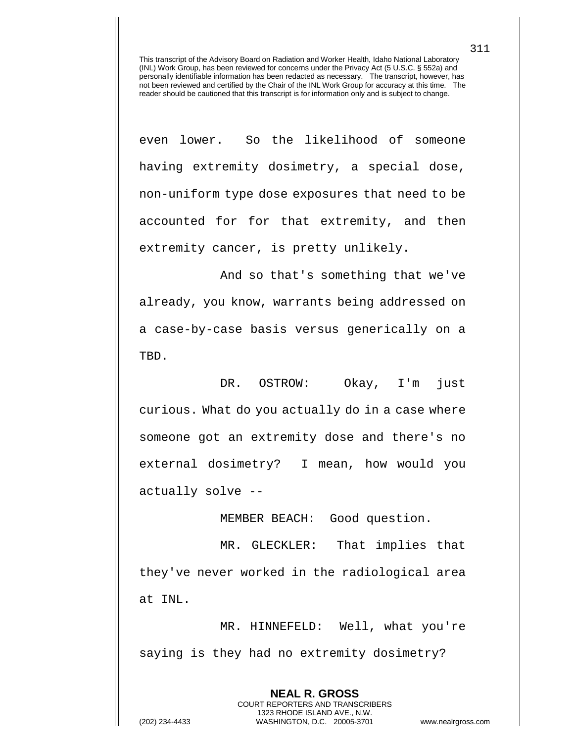even lower. So the likelihood of someone having extremity dosimetry, a special dose, non-uniform type dose exposures that need to be accounted for for that extremity, and then extremity cancer, is pretty unlikely.

And so that's something that we've already, you know, warrants being addressed on a case-by-case basis versus generically on a TBD.

DR. OSTROW: Okay, I'm just curious. What do you actually do in a case where someone got an extremity dose and there's no external dosimetry? I mean, how would you actually solve --

MEMBER BEACH: Good question.

MR. GLECKLER: That implies that they've never worked in the radiological area at INL.

MR. HINNEFELD: Well, what you're saying is they had no extremity dosimetry?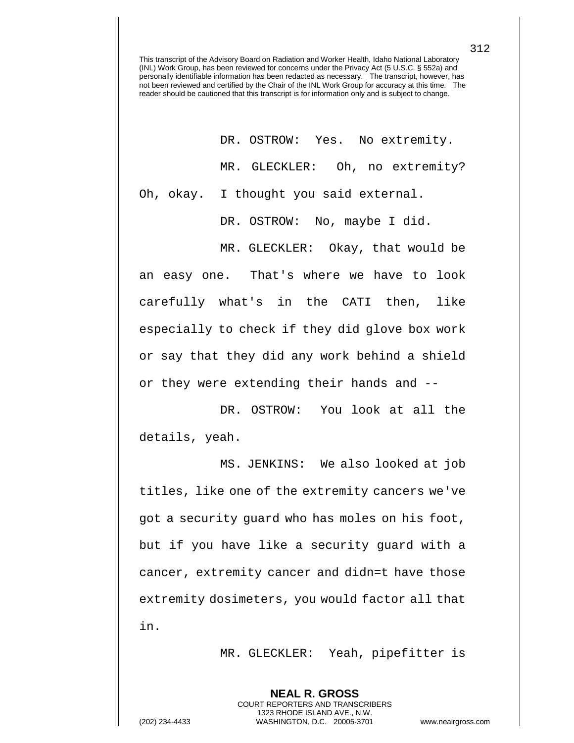DR. OSTROW: Yes. No extremity. MR. GLECKLER: Oh, no extremity?

Oh, okay. I thought you said external.

DR. OSTROW: No, maybe I did.

MR. GLECKLER: Okay, that would be an easy one. That's where we have to look carefully what's in the CATI then, like especially to check if they did glove box work or say that they did any work behind a shield or they were extending their hands and --

DR. OSTROW: You look at all the details, yeah.

MS. JENKINS: We also looked at job titles, like one of the extremity cancers we've got a security guard who has moles on his foot, but if you have like a security guard with a cancer, extremity cancer and didn=t have those extremity dosimeters, you would factor all that in.

MR. GLECKLER: Yeah, pipefitter is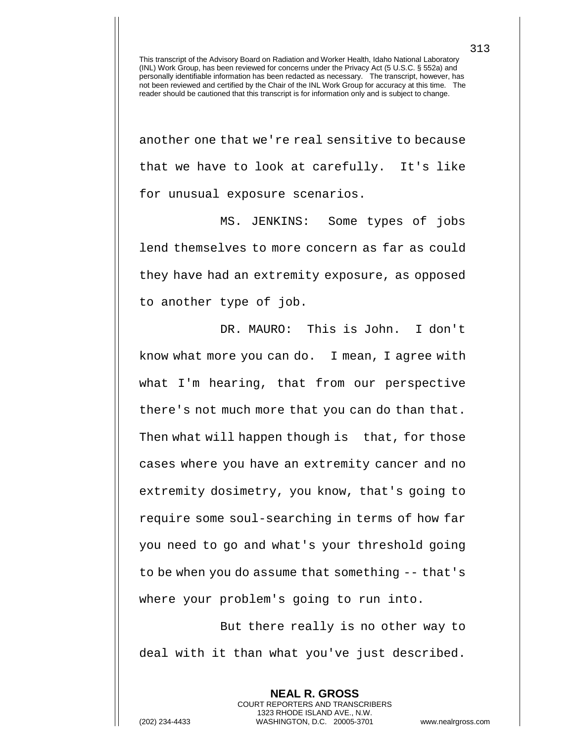another one that we're real sensitive to because that we have to look at carefully. It's like for unusual exposure scenarios.

MS. JENKINS: Some types of jobs lend themselves to more concern as far as could they have had an extremity exposure, as opposed to another type of job.

DR. MAURO: This is John. I don't know what more you can do. I mean, I agree with what I'm hearing, that from our perspective there's not much more that you can do than that. Then what will happen though is that, for those cases where you have an extremity cancer and no extremity dosimetry, you know, that's going to require some soul-searching in terms of how far you need to go and what's your threshold going to be when you do assume that something -- that's where your problem's going to run into.

But there really is no other way to deal with it than what you've just described.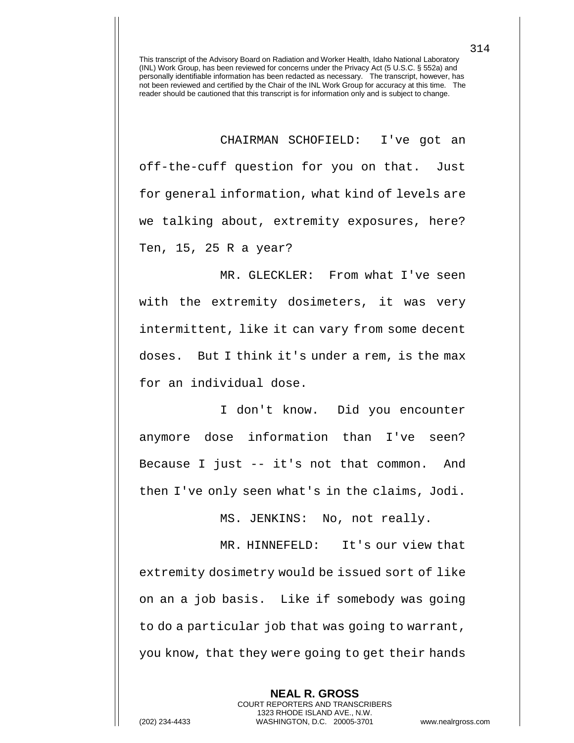CHAIRMAN SCHOFIELD: I've got an off-the-cuff question for you on that. Just for general information, what kind of levels are we talking about, extremity exposures, here? Ten, 15, 25 R a year?

MR. GLECKLER: From what I've seen with the extremity dosimeters, it was very intermittent, like it can vary from some decent doses. But I think it's under a rem, is the max for an individual dose.

I don't know. Did you encounter anymore dose information than I've seen? Because I just -- it's not that common. And then I've only seen what's in the claims, Jodi.

MS. JENKINS: No, not really.

MR. HINNEFELD: It's our view that extremity dosimetry would be issued sort of like on an a job basis. Like if somebody was going to do a particular job that was going to warrant, you know, that they were going to get their hands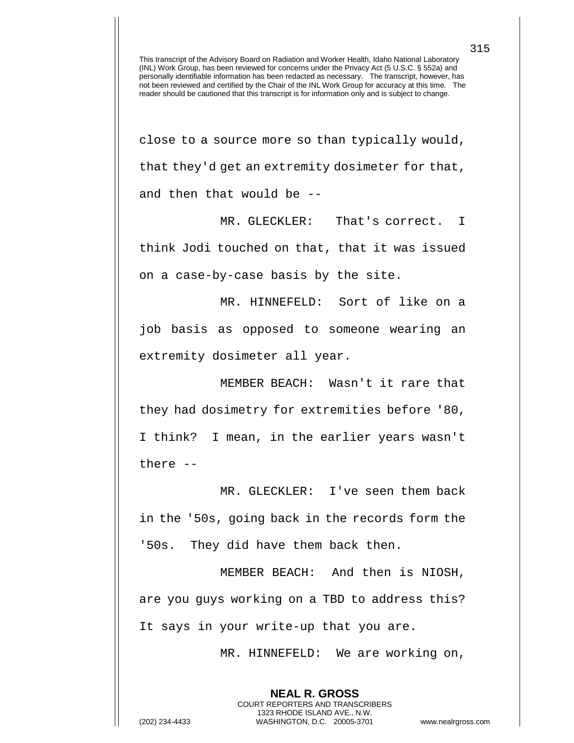close to a source more so than typically would, that they'd get an extremity dosimeter for that, and then that would be --

MR. GLECKLER: That's correct. I think Jodi touched on that, that it was issued on a case-by-case basis by the site.

MR. HINNEFELD: Sort of like on a job basis as opposed to someone wearing an extremity dosimeter all year.

MEMBER BEACH: Wasn't it rare that they had dosimetry for extremities before '80, I think? I mean, in the earlier years wasn't there --

MR. GLECKLER: I've seen them back in the '50s, going back in the records form the '50s. They did have them back then.

MEMBER BEACH: And then is NIOSH, are you guys working on a TBD to address this? It says in your write-up that you are.

> **NEAL R. GROSS** COURT REPORTERS AND TRANSCRIBERS 1323 RHODE ISLAND AVE., N.W.

MR. HINNEFELD: We are working on,

(202) 234-4433 WASHINGTON, D.C. 20005-3701 www.nealrgross.com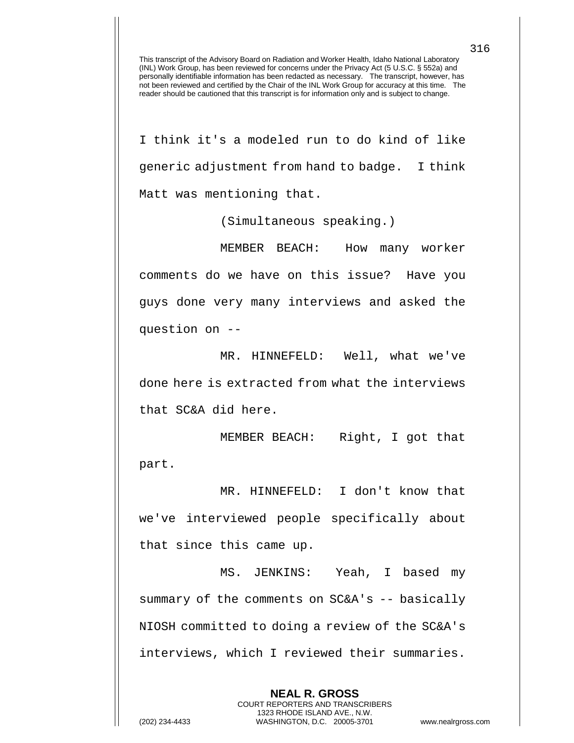I think it's a modeled run to do kind of like generic adjustment from hand to badge. I think Matt was mentioning that.

(Simultaneous speaking.)

MEMBER BEACH: How many worker comments do we have on this issue? Have you guys done very many interviews and asked the question on --

MR. HINNEFELD: Well, what we've done here is extracted from what the interviews that SC&A did here.

MEMBER BEACH: Right, I got that part.

MR. HINNEFELD: I don't know that we've interviewed people specifically about that since this came up.

MS. JENKINS: Yeah, I based my summary of the comments on SC&A's -- basically NIOSH committed to doing a review of the SC&A's interviews, which I reviewed their summaries.

> **NEAL R. GROSS** COURT REPORTERS AND TRANSCRIBERS 1323 RHODE ISLAND AVE., N.W.

(202) 234-4433 WASHINGTON, D.C. 20005-3701 www.nealrgross.com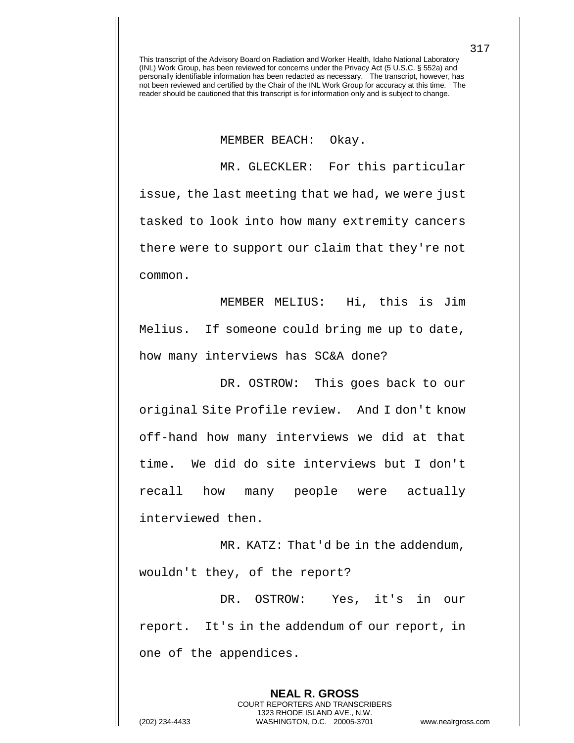## MEMBER BEACH: Okay.

MR. GLECKLER: For this particular issue, the last meeting that we had, we were just tasked to look into how many extremity cancers there were to support our claim that they're not common.

MEMBER MELIUS: Hi, this is Jim Melius. If someone could bring me up to date, how many interviews has SC&A done?

DR. OSTROW: This goes back to our original Site Profile review. And I don't know off-hand how many interviews we did at that time. We did do site interviews but I don't recall how many people were actually interviewed then.

MR. KATZ: That'd be in the addendum, wouldn't they, of the report?

DR. OSTROW: Yes, it's in our report. It's in the addendum of our report, in one of the appendices.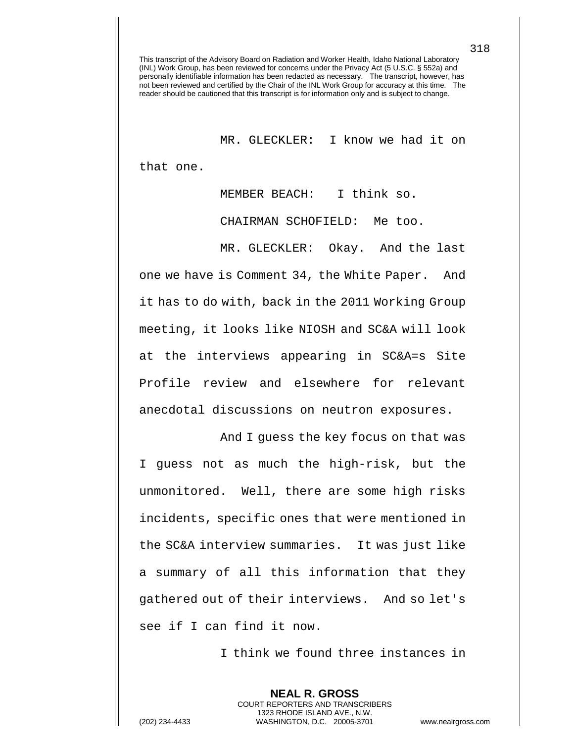MR. GLECKLER: I know we had it on that one.

MEMBER BEACH: I think so.

CHAIRMAN SCHOFIELD: Me too.

MR. GLECKLER: Okay. And the last one we have is Comment 34, the White Paper. And it has to do with, back in the 2011 Working Group meeting, it looks like NIOSH and SC&A will look at the interviews appearing in SC&A=s Site Profile review and elsewhere for relevant anecdotal discussions on neutron exposures.

And I guess the key focus on that was I guess not as much the high-risk, but the unmonitored. Well, there are some high risks incidents, specific ones that were mentioned in the SC&A interview summaries. It was just like a summary of all this information that they gathered out of their interviews. And so let's see if I can find it now.

I think we found three instances in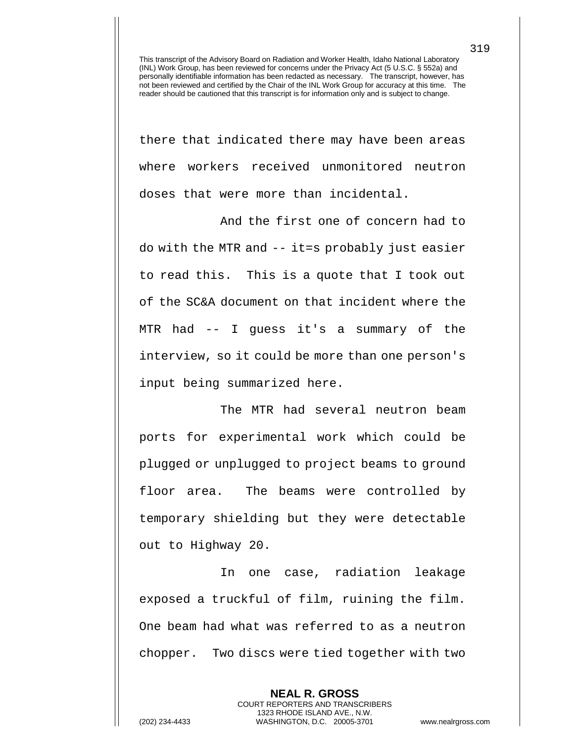there that indicated there may have been areas where workers received unmonitored neutron doses that were more than incidental.

And the first one of concern had to do with the MTR and -- it=s probably just easier to read this. This is a quote that I took out of the SC&A document on that incident where the MTR had -- I guess it's a summary of the interview, so it could be more than one person's input being summarized here.

The MTR had several neutron beam ports for experimental work which could be plugged or unplugged to project beams to ground floor area. The beams were controlled by temporary shielding but they were detectable out to Highway 20.

In one case, radiation leakage exposed a truckful of film, ruining the film. One beam had what was referred to as a neutron chopper. Two discs were tied together with two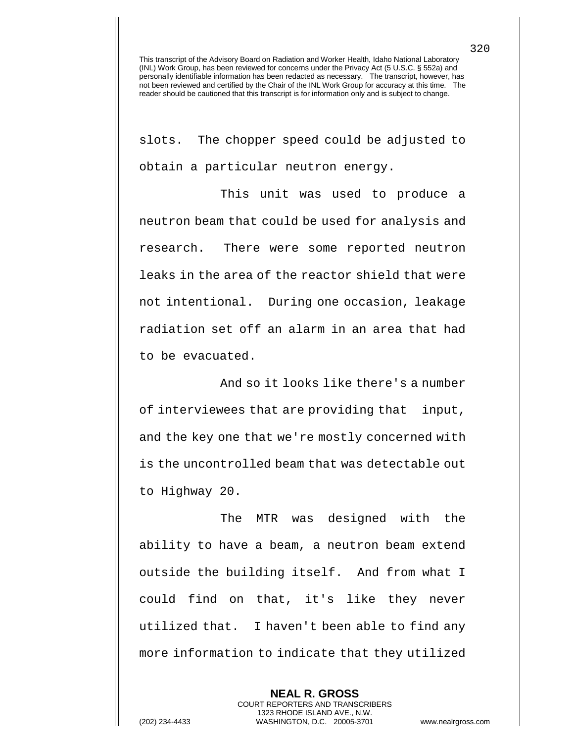slots. The chopper speed could be adjusted to obtain a particular neutron energy.

This unit was used to produce a neutron beam that could be used for analysis and research. There were some reported neutron leaks in the area of the reactor shield that were not intentional. During one occasion, leakage radiation set off an alarm in an area that had to be evacuated.

And so it looks like there's a number of interviewees that are providing that input, and the key one that we're mostly concerned with is the uncontrolled beam that was detectable out to Highway 20.

The MTR was designed with the ability to have a beam, a neutron beam extend outside the building itself. And from what I could find on that, it's like they never utilized that. I haven't been able to find any more information to indicate that they utilized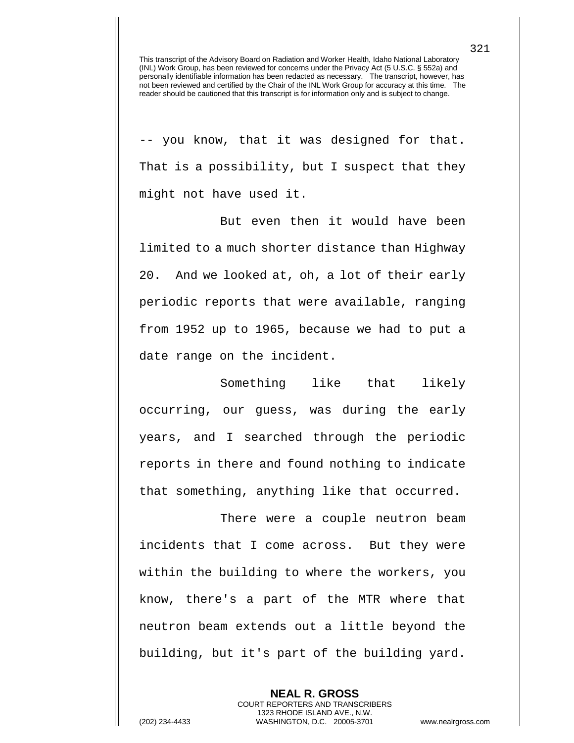-- you know, that it was designed for that. That is a possibility, but I suspect that they might not have used it.

But even then it would have been limited to a much shorter distance than Highway 20. And we looked at, oh, a lot of their early periodic reports that were available, ranging from 1952 up to 1965, because we had to put a date range on the incident.

Something like that likely occurring, our guess, was during the early years, and I searched through the periodic reports in there and found nothing to indicate that something, anything like that occurred.

There were a couple neutron beam incidents that I come across. But they were within the building to where the workers, you know, there's a part of the MTR where that neutron beam extends out a little beyond the building, but it's part of the building yard.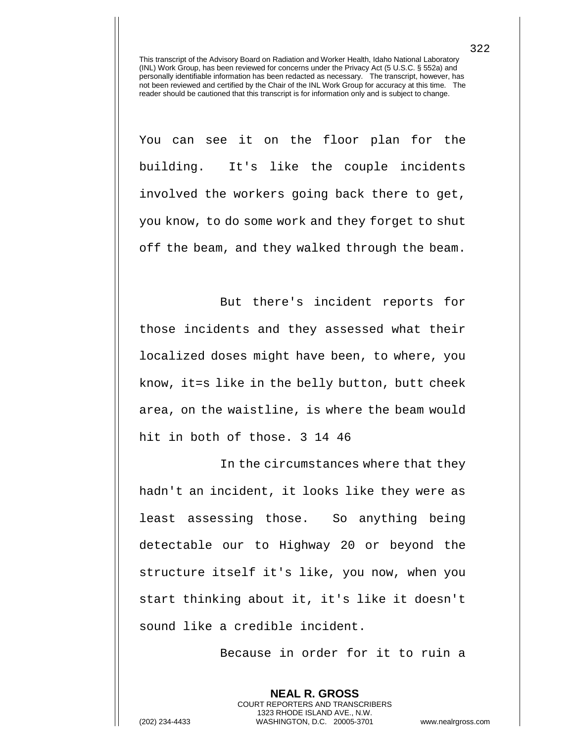You can see it on the floor plan for the building. It's like the couple incidents involved the workers going back there to get, you know, to do some work and they forget to shut off the beam, and they walked through the beam.

But there's incident reports for those incidents and they assessed what their localized doses might have been, to where, you know, it=s like in the belly button, butt cheek area, on the waistline, is where the beam would hit in both of those. 3 14 46

In the circumstances where that they hadn't an incident, it looks like they were as least assessing those. So anything being detectable our to Highway 20 or beyond the structure itself it's like, you now, when you start thinking about it, it's like it doesn't sound like a credible incident.

Because in order for it to ruin a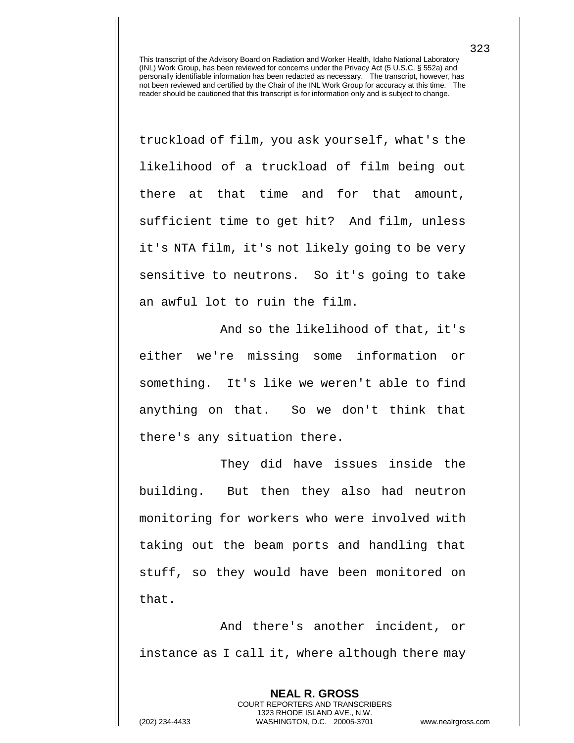truckload of film, you ask yourself, what's the likelihood of a truckload of film being out there at that time and for that amount, sufficient time to get hit? And film, unless it's NTA film, it's not likely going to be very sensitive to neutrons. So it's going to take an awful lot to ruin the film.

And so the likelihood of that, it's either we're missing some information or something. It's like we weren't able to find anything on that. So we don't think that there's any situation there.

They did have issues inside the building. But then they also had neutron monitoring for workers who were involved with taking out the beam ports and handling that stuff, so they would have been monitored on that.

And there's another incident, or instance as I call it, where although there may

> **NEAL R. GROSS** COURT REPORTERS AND TRANSCRIBERS 1323 RHODE ISLAND AVE., N.W.

323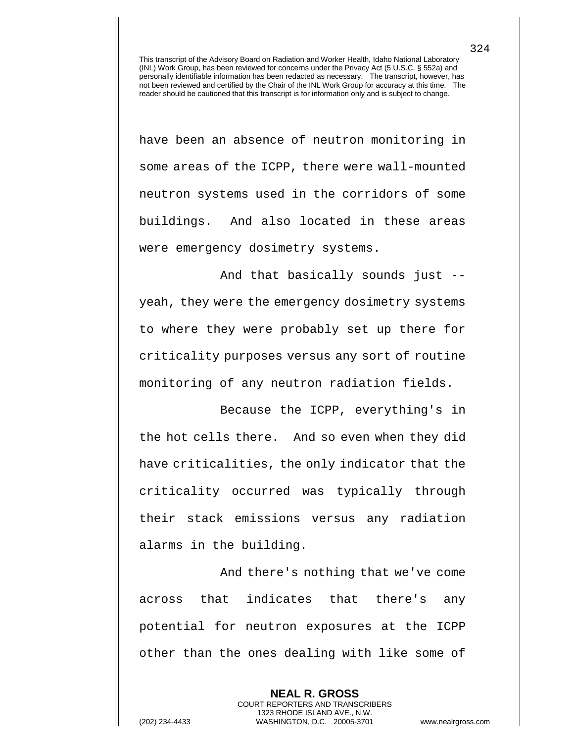have been an absence of neutron monitoring in some areas of the ICPP, there were wall-mounted neutron systems used in the corridors of some buildings. And also located in these areas were emergency dosimetry systems.

And that basically sounds just - yeah, they were the emergency dosimetry systems to where they were probably set up there for criticality purposes versus any sort of routine monitoring of any neutron radiation fields.

Because the ICPP, everything's in the hot cells there. And so even when they did have criticalities, the only indicator that the criticality occurred was typically through their stack emissions versus any radiation alarms in the building.

And there's nothing that we've come across that indicates that there's any potential for neutron exposures at the ICPP other than the ones dealing with like some of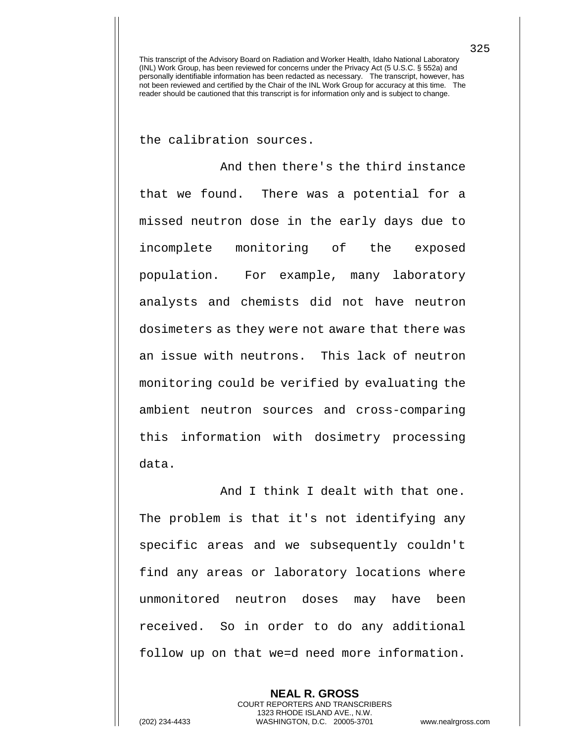the calibration sources.

And then there's the third instance that we found. There was a potential for a missed neutron dose in the early days due to incomplete monitoring of the exposed population. For example, many laboratory analysts and chemists did not have neutron dosimeters as they were not aware that there was an issue with neutrons. This lack of neutron monitoring could be verified by evaluating the ambient neutron sources and cross-comparing this information with dosimetry processing data.

And I think I dealt with that one. The problem is that it's not identifying any specific areas and we subsequently couldn't find any areas or laboratory locations where unmonitored neutron doses may have been received. So in order to do any additional follow up on that we=d need more information.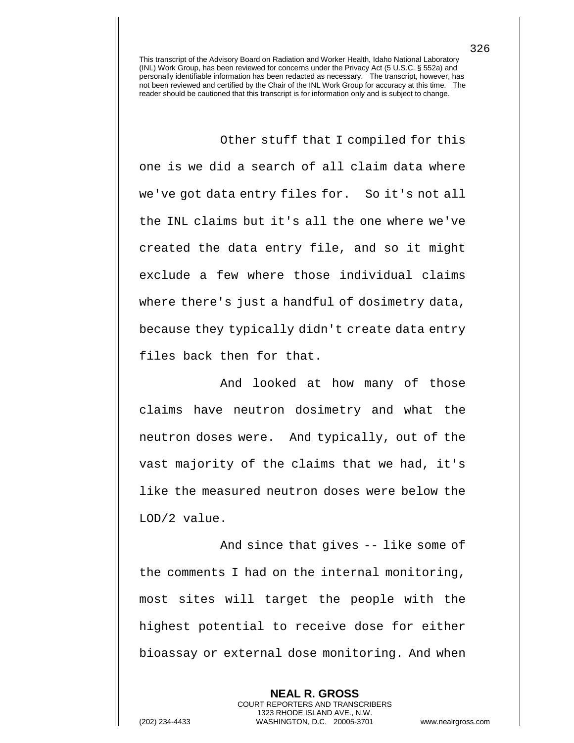Other stuff that I compiled for this one is we did a search of all claim data where we've got data entry files for. So it's not all the INL claims but it's all the one where we've created the data entry file, and so it might exclude a few where those individual claims where there's just a handful of dosimetry data, because they typically didn't create data entry files back then for that.

And looked at how many of those claims have neutron dosimetry and what the neutron doses were. And typically, out of the vast majority of the claims that we had, it's like the measured neutron doses were below the LOD/2 value.

And since that gives -- like some of the comments I had on the internal monitoring, most sites will target the people with the highest potential to receive dose for either bioassay or external dose monitoring. And when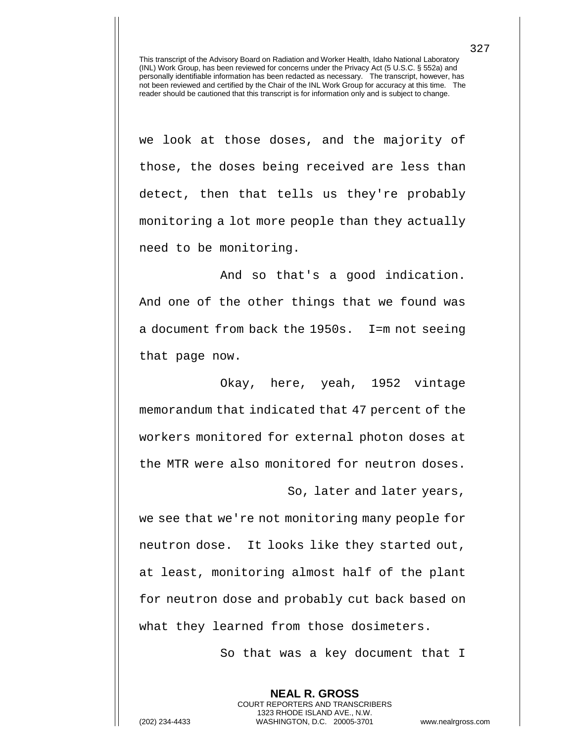we look at those doses, and the majority of those, the doses being received are less than detect, then that tells us they're probably monitoring a lot more people than they actually need to be monitoring.

And so that's a good indication. And one of the other things that we found was a document from back the 1950s. I=m not seeing that page now.

Okay, here, yeah, 1952 vintage memorandum that indicated that 47 percent of the workers monitored for external photon doses at the MTR were also monitored for neutron doses.

So, later and later years,

we see that we're not monitoring many people for neutron dose. It looks like they started out, at least, monitoring almost half of the plant for neutron dose and probably cut back based on what they learned from those dosimeters.

> **NEAL R. GROSS** COURT REPORTERS AND TRANSCRIBERS 1323 RHODE ISLAND AVE., N.W.

So that was a key document that I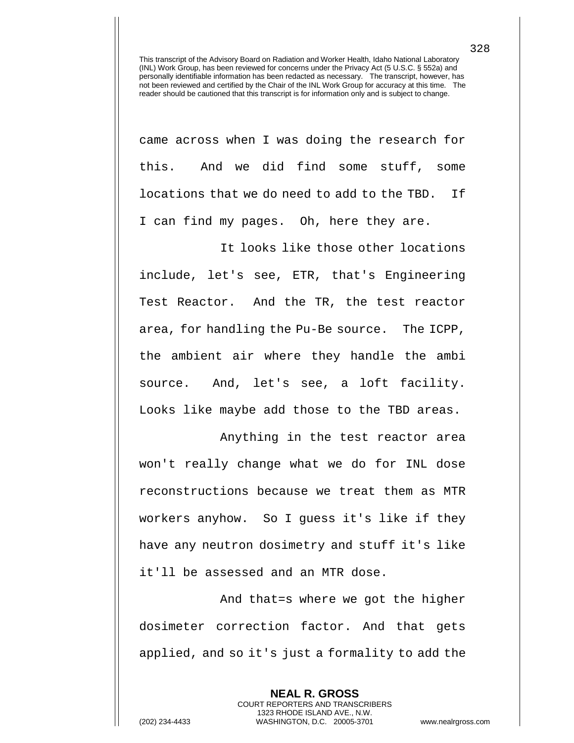came across when I was doing the research for this. And we did find some stuff, some locations that we do need to add to the TBD. If I can find my pages. Oh, here they are.

It looks like those other locations include, let's see, ETR, that's Engineering Test Reactor. And the TR, the test reactor area, for handling the Pu-Be source. The ICPP, the ambient air where they handle the ambi source. And, let's see, a loft facility. Looks like maybe add those to the TBD areas.

Anything in the test reactor area won't really change what we do for INL dose reconstructions because we treat them as MTR workers anyhow. So I guess it's like if they have any neutron dosimetry and stuff it's like it'll be assessed and an MTR dose.

And that=s where we got the higher dosimeter correction factor. And that gets applied, and so it's just a formality to add the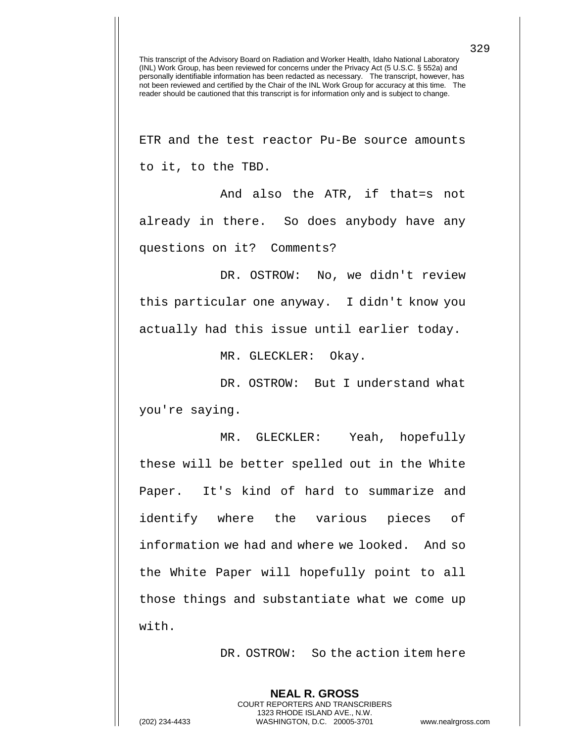ETR and the test reactor Pu-Be source amounts to it, to the TBD.

And also the ATR, if that=s not already in there. So does anybody have any questions on it? Comments?

DR. OSTROW: No, we didn't review this particular one anyway. I didn't know you actually had this issue until earlier today.

MR. GLECKLER: Okay.

DR. OSTROW: But I understand what you're saying.

MR. GLECKLER: Yeah, hopefully these will be better spelled out in the White Paper. It's kind of hard to summarize and identify where the various pieces of information we had and where we looked. And so the White Paper will hopefully point to all those things and substantiate what we come up with.

DR. OSTROW: So the action item here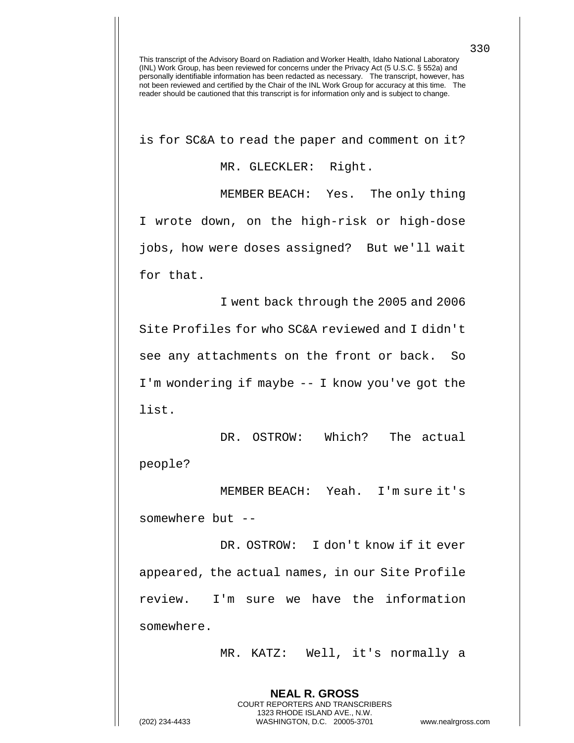is for SC&A to read the paper and comment on it?

MR. GLECKLER: Right.

MEMBER BEACH: Yes. The only thing I wrote down, on the high-risk or high-dose jobs, how were doses assigned? But we'll wait for that.

I went back through the 2005 and 2006 Site Profiles for who SC&A reviewed and I didn't see any attachments on the front or back. So I'm wondering if maybe -- I know you've got the list.

DR. OSTROW: Which? The actual people?

MEMBER BEACH: Yeah. I'm sure it's somewhere but --

DR. OSTROW: I don't know if it ever appeared, the actual names, in our Site Profile review. I'm sure we have the information somewhere.

> **NEAL R. GROSS** COURT REPORTERS AND TRANSCRIBERS 1323 RHODE ISLAND AVE., N.W.

MR. KATZ: Well, it's normally a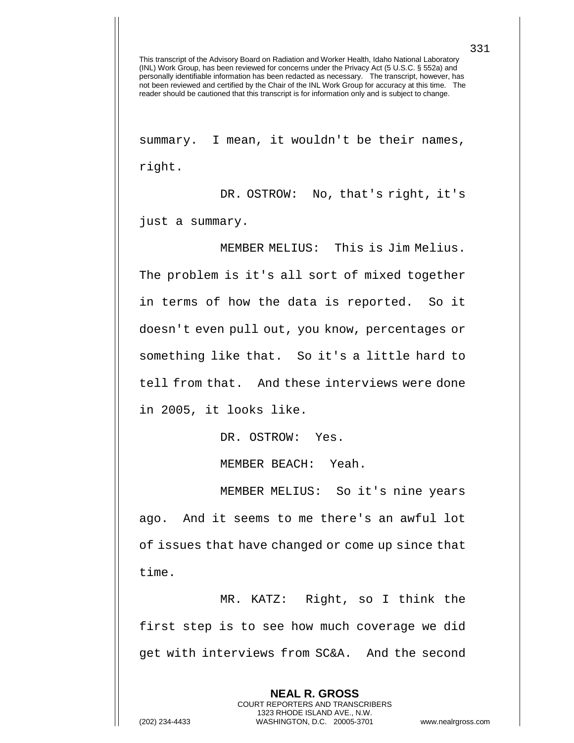summary. I mean, it wouldn't be their names, right.

DR. OSTROW: No, that's right, it's just a summary.

MEMBER MELIUS: This is Jim Melius. The problem is it's all sort of mixed together in terms of how the data is reported. So it doesn't even pull out, you know, percentages or something like that. So it's a little hard to tell from that. And these interviews were done in 2005, it looks like.

DR. OSTROW: Yes.

MEMBER BEACH: Yeah.

MEMBER MELIUS: So it's nine years ago. And it seems to me there's an awful lot of issues that have changed or come up since that time.

MR. KATZ: Right, so I think the first step is to see how much coverage we did get with interviews from SC&A. And the second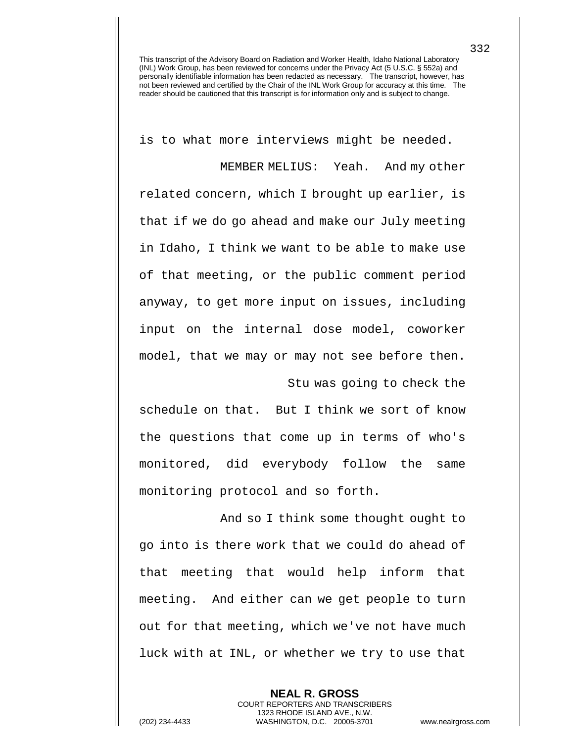is to what more interviews might be needed.

MEMBER MELIUS: Yeah. And my other related concern, which I brought up earlier, is that if we do go ahead and make our July meeting in Idaho, I think we want to be able to make use of that meeting, or the public comment period anyway, to get more input on issues, including input on the internal dose model, coworker model, that we may or may not see before then. Stu was going to check the

schedule on that. But I think we sort of know the questions that come up in terms of who's monitored, did everybody follow the same monitoring protocol and so forth.

And so I think some thought ought to go into is there work that we could do ahead of that meeting that would help inform that meeting. And either can we get people to turn out for that meeting, which we've not have much luck with at INL, or whether we try to use that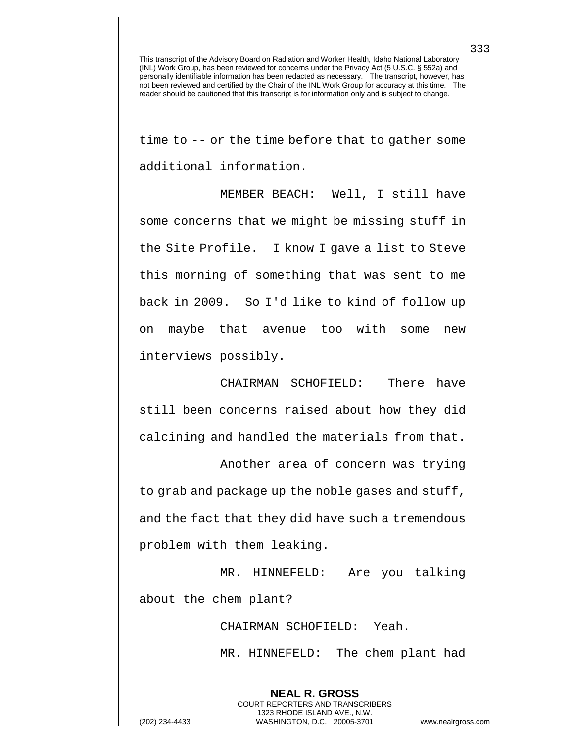time to -- or the time before that to gather some additional information.

MEMBER BEACH: Well, I still have some concerns that we might be missing stuff in the Site Profile. I know I gave a list to Steve this morning of something that was sent to me back in 2009. So I'd like to kind of follow up on maybe that avenue too with some new interviews possibly.

CHAIRMAN SCHOFIELD: There have still been concerns raised about how they did calcining and handled the materials from that.

Another area of concern was trying to grab and package up the noble gases and stuff, and the fact that they did have such a tremendous problem with them leaking.

MR. HINNEFELD: Are you talking about the chem plant?

> CHAIRMAN SCHOFIELD: Yeah. MR. HINNEFELD: The chem plant had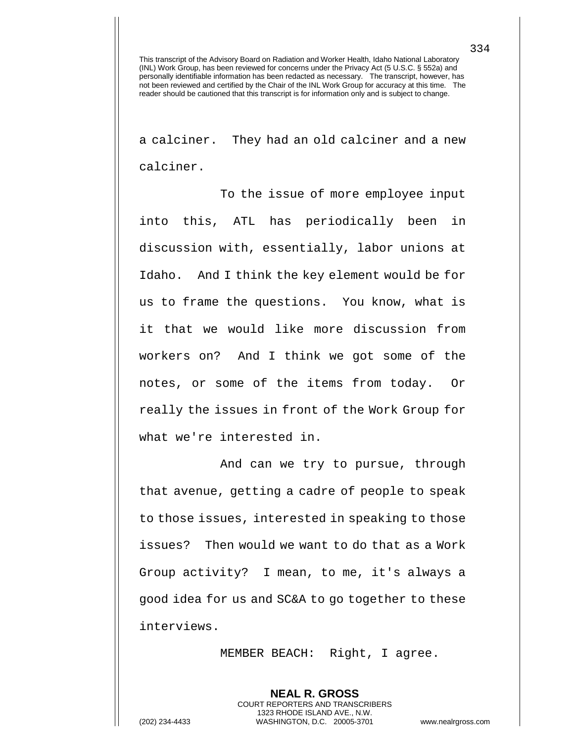a calciner. They had an old calciner and a new calciner.

To the issue of more employee input into this, ATL has periodically been in discussion with, essentially, labor unions at Idaho. And I think the key element would be for us to frame the questions. You know, what is it that we would like more discussion from workers on? And I think we got some of the notes, or some of the items from today. Or really the issues in front of the Work Group for what we're interested in.

And can we try to pursue, through that avenue, getting a cadre of people to speak to those issues, interested in speaking to those issues? Then would we want to do that as a Work Group activity? I mean, to me, it's always a good idea for us and SC&A to go together to these interviews.

MEMBER BEACH: Right, I agree.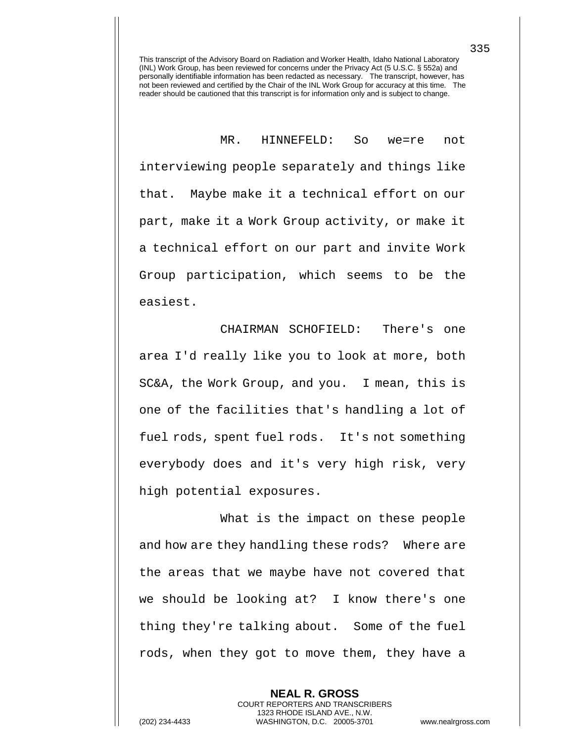MR. HINNEFELD: So we=re not interviewing people separately and things like that. Maybe make it a technical effort on our part, make it a Work Group activity, or make it a technical effort on our part and invite Work Group participation, which seems to be the easiest.

CHAIRMAN SCHOFIELD: There's one area I'd really like you to look at more, both SC&A, the Work Group, and you. I mean, this is one of the facilities that's handling a lot of fuel rods, spent fuel rods. It's not something everybody does and it's very high risk, very high potential exposures.

What is the impact on these people and how are they handling these rods? Where are the areas that we maybe have not covered that we should be looking at? I know there's one thing they're talking about. Some of the fuel rods, when they got to move them, they have a

> **NEAL R. GROSS** COURT REPORTERS AND TRANSCRIBERS 1323 RHODE ISLAND AVE., N.W.

(202) 234-4433 WASHINGTON, D.C. 20005-3701 www.nealrgross.com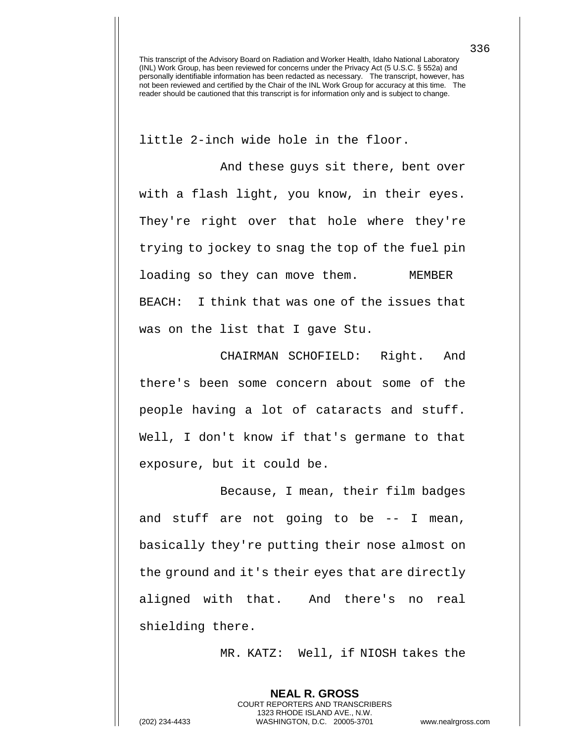little 2-inch wide hole in the floor.

And these guys sit there, bent over with a flash light, you know, in their eyes. They're right over that hole where they're trying to jockey to snag the top of the fuel pin loading so they can move them. MEMBER BEACH: I think that was one of the issues that was on the list that I gave Stu.

CHAIRMAN SCHOFIELD: Right. And there's been some concern about some of the people having a lot of cataracts and stuff. Well, I don't know if that's germane to that exposure, but it could be.

Because, I mean, their film badges and stuff are not going to be -- I mean, basically they're putting their nose almost on the ground and it's their eyes that are directly aligned with that. And there's no real shielding there.

MR. KATZ: Well, if NIOSH takes the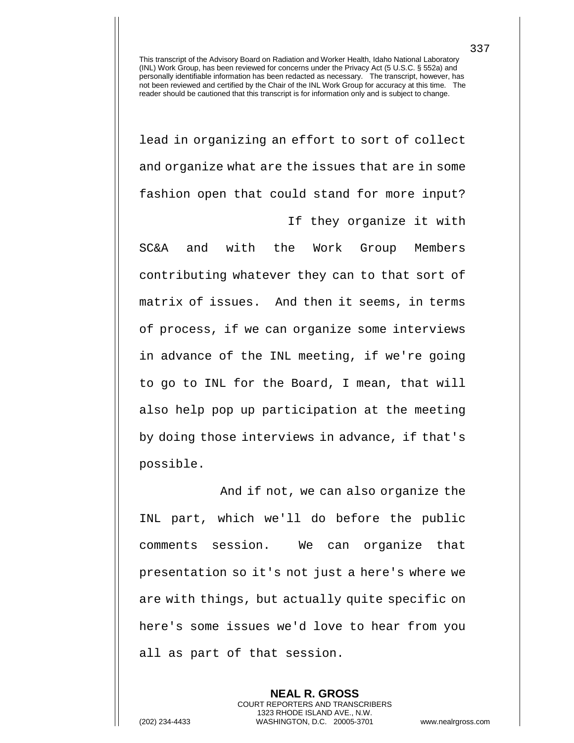lead in organizing an effort to sort of collect and organize what are the issues that are in some fashion open that could stand for more input?

If they organize it with

SC&A and with the Work Group Members contributing whatever they can to that sort of matrix of issues. And then it seems, in terms of process, if we can organize some interviews in advance of the INL meeting, if we're going to go to INL for the Board, I mean, that will also help pop up participation at the meeting by doing those interviews in advance, if that's possible.

And if not, we can also organize the INL part, which we'll do before the public comments session. We can organize that presentation so it's not just a here's where we are with things, but actually quite specific on here's some issues we'd love to hear from you all as part of that session.

**NEAL R. GROSS** COURT REPORTERS AND TRANSCRIBERS 1323 RHODE ISLAND AVE., N.W. (202) 234-4433 WASHINGTON, D.C. 20005-3701 www.nealrgross.com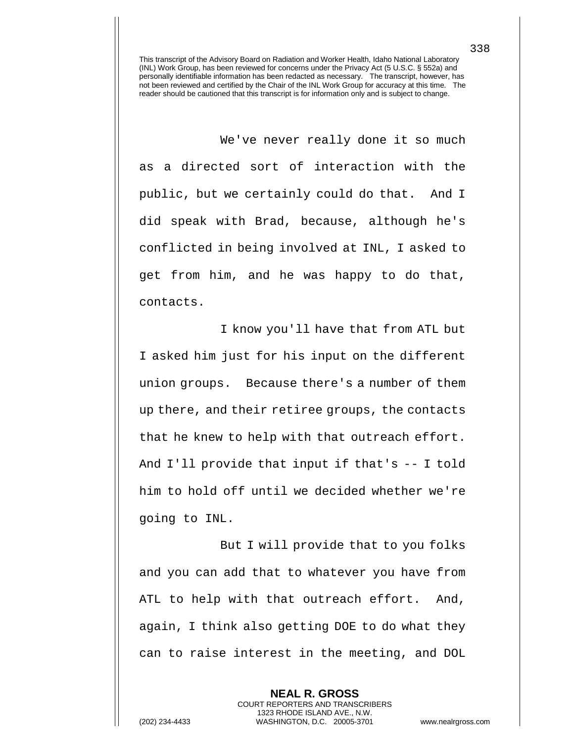We've never really done it so much as a directed sort of interaction with the public, but we certainly could do that. And I did speak with Brad, because, although he's conflicted in being involved at INL, I asked to get from him, and he was happy to do that, contacts.

I know you'll have that from ATL but I asked him just for his input on the different union groups. Because there's a number of them up there, and their retiree groups, the contacts that he knew to help with that outreach effort. And I'll provide that input if that's -- I told him to hold off until we decided whether we're going to INL.

But I will provide that to you folks and you can add that to whatever you have from ATL to help with that outreach effort. And, again, I think also getting DOE to do what they can to raise interest in the meeting, and DOL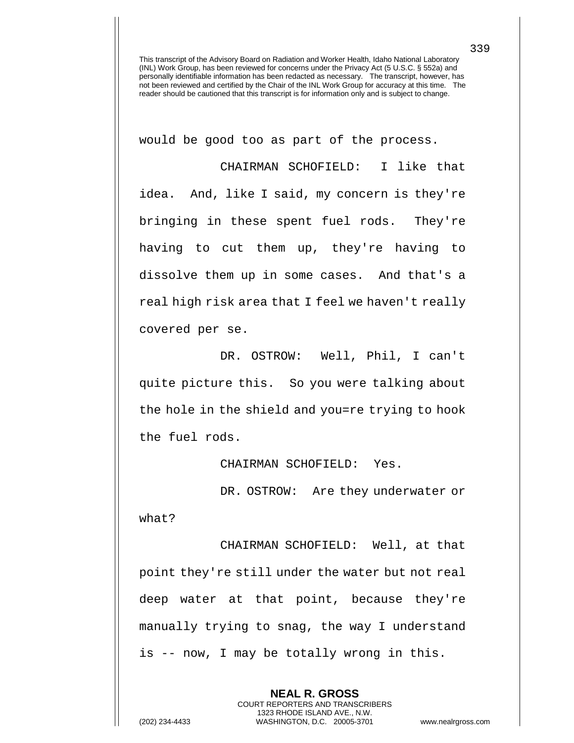would be good too as part of the process.

CHAIRMAN SCHOFIELD: I like that idea. And, like I said, my concern is they're bringing in these spent fuel rods. They're having to cut them up, they're having to dissolve them up in some cases. And that's a real high risk area that I feel we haven't really covered per se.

DR. OSTROW: Well, Phil, I can't quite picture this. So you were talking about the hole in the shield and you=re trying to hook the fuel rods.

CHAIRMAN SCHOFIELD: Yes.

DR. OSTROW: Are they underwater or what?

CHAIRMAN SCHOFIELD: Well, at that point they're still under the water but not real deep water at that point, because they're manually trying to snag, the way I understand is -- now, I may be totally wrong in this.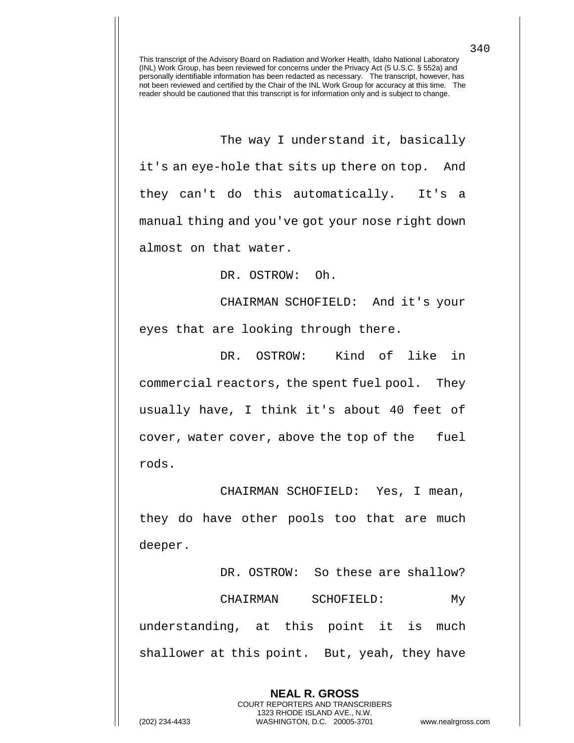The way I understand it, basically it's an eye-hole that sits up there on top. And they can't do this automatically. It's a manual thing and you've got your nose right down almost on that water.

DR. OSTROW: Oh.

CHAIRMAN SCHOFIELD: And it's your eyes that are looking through there.

DR. OSTROW: Kind of like in commercial reactors, the spent fuel pool. They usually have, I think it's about 40 feet of cover, water cover, above the top of the fuel rods.

CHAIRMAN SCHOFIELD: Yes, I mean, they do have other pools too that are much deeper.

DR. OSTROW: So these are shallow? CHAIRMAN SCHOFIELD: My understanding, at this point it is much shallower at this point. But, yeah, they have

> **NEAL R. GROSS** COURT REPORTERS AND TRANSCRIBERS 1323 RHODE ISLAND AVE., N.W.

(202) 234-4433 WASHINGTON, D.C. 20005-3701 www.nealrgross.com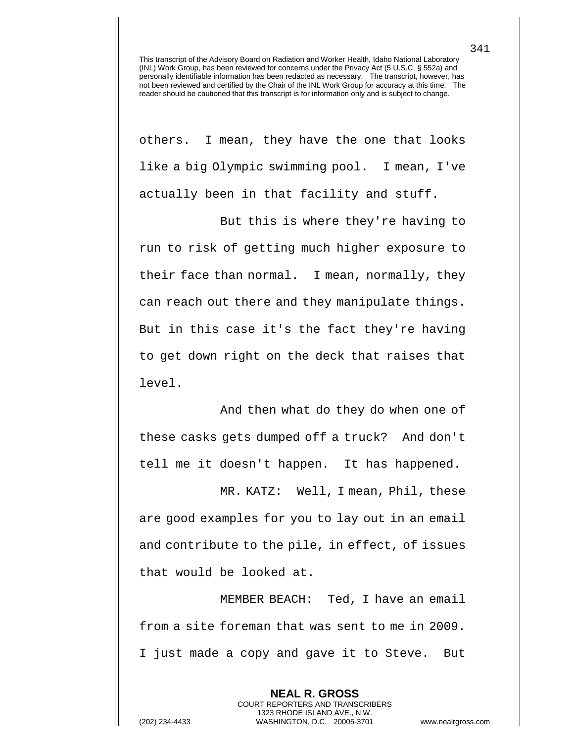others. I mean, they have the one that looks like a big Olympic swimming pool. I mean, I've actually been in that facility and stuff.

But this is where they're having to run to risk of getting much higher exposure to their face than normal. I mean, normally, they can reach out there and they manipulate things. But in this case it's the fact they're having to get down right on the deck that raises that level.

And then what do they do when one of these casks gets dumped off a truck? And don't tell me it doesn't happen. It has happened.

MR. KATZ: Well, I mean, Phil, these are good examples for you to lay out in an email and contribute to the pile, in effect, of issues that would be looked at.

MEMBER BEACH: Ted, I have an email from a site foreman that was sent to me in 2009. I just made a copy and gave it to Steve. But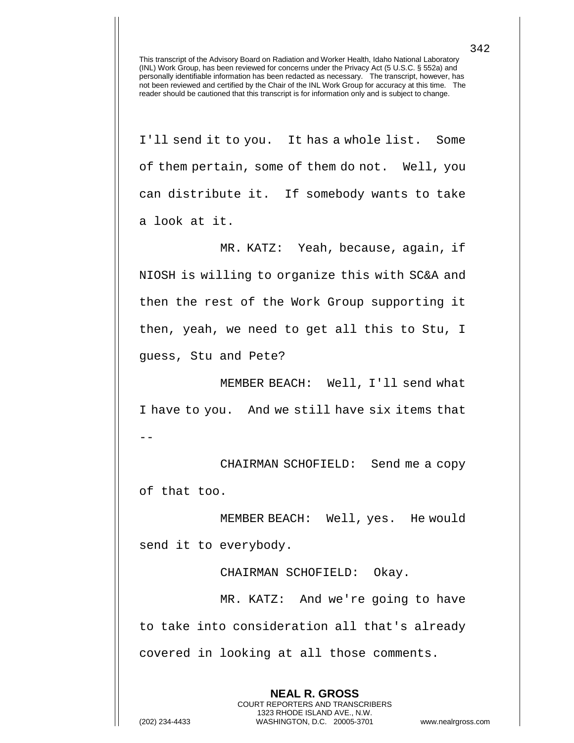I'll send it to you. It has a whole list. Some of them pertain, some of them do not. Well, you can distribute it. If somebody wants to take a look at it.

MR. KATZ: Yeah, because, again, if NIOSH is willing to organize this with SC&A and then the rest of the Work Group supporting it then, yeah, we need to get all this to Stu, I guess, Stu and Pete?

MEMBER BEACH: Well, I'll send what I have to you. And we still have six items that --

CHAIRMAN SCHOFIELD: Send me a copy of that too.

MEMBER BEACH: Well, yes. He would send it to everybody.

CHAIRMAN SCHOFIELD: Okay.

MR. KATZ: And we're going to have to take into consideration all that's already covered in looking at all those comments.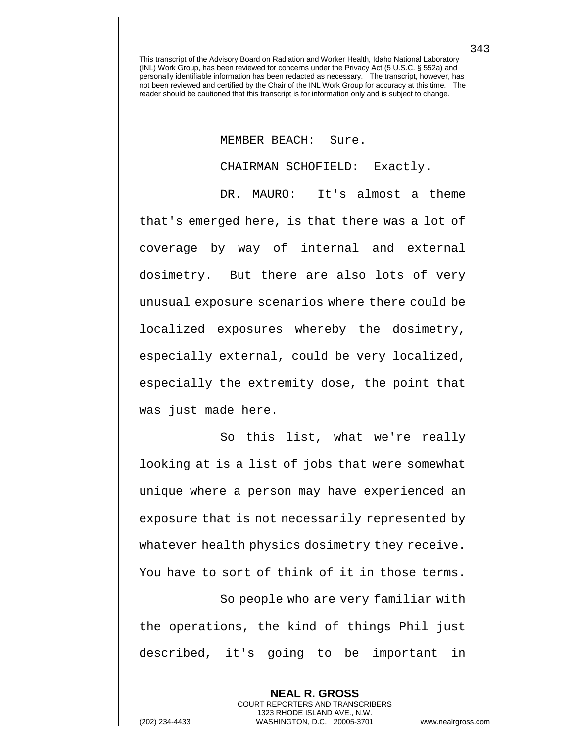## MEMBER BEACH: Sure.

CHAIRMAN SCHOFIELD: Exactly.

DR. MAURO: It's almost a theme that's emerged here, is that there was a lot of coverage by way of internal and external dosimetry. But there are also lots of very unusual exposure scenarios where there could be localized exposures whereby the dosimetry, especially external, could be very localized, especially the extremity dose, the point that was just made here.

So this list, what we're really looking at is a list of jobs that were somewhat unique where a person may have experienced an exposure that is not necessarily represented by whatever health physics dosimetry they receive. You have to sort of think of it in those terms. So people who are very familiar with the operations, the kind of things Phil just described, it's going to be important in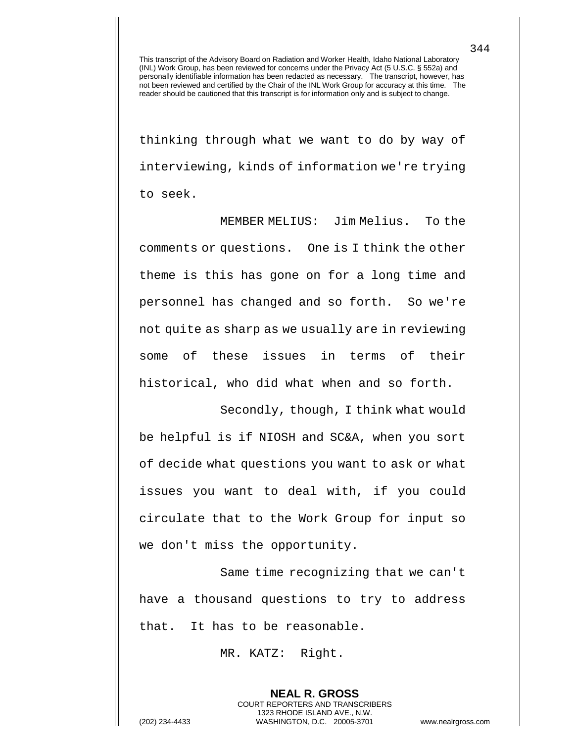thinking through what we want to do by way of interviewing, kinds of information we're trying to seek.

MEMBER MELIUS: Jim Melius. To the comments or questions. One is I think the other theme is this has gone on for a long time and personnel has changed and so forth. So we're not quite as sharp as we usually are in reviewing some of these issues in terms of their historical, who did what when and so forth.

Secondly, though, I think what would be helpful is if NIOSH and SC&A, when you sort of decide what questions you want to ask or what issues you want to deal with, if you could circulate that to the Work Group for input so we don't miss the opportunity.

Same time recognizing that we can't have a thousand questions to try to address that. It has to be reasonable.

> **NEAL R. GROSS** COURT REPORTERS AND TRANSCRIBERS 1323 RHODE ISLAND AVE., N.W.

MR. KATZ: Right.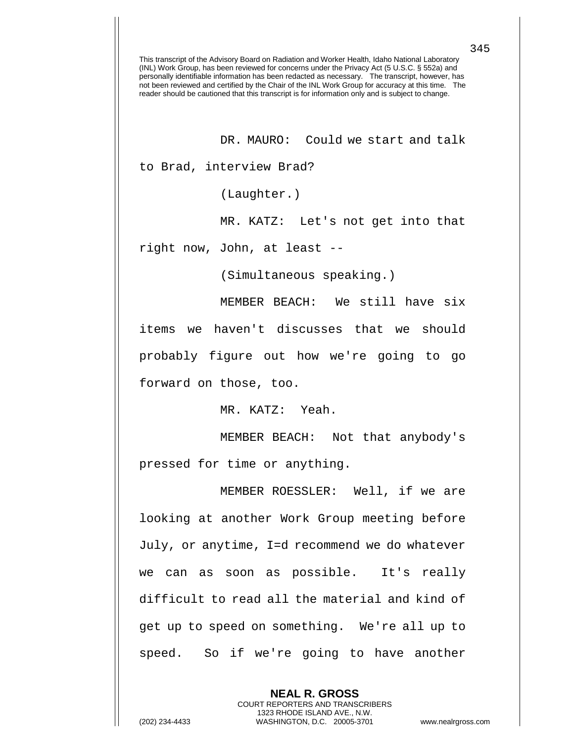DR. MAURO: Could we start and talk

to Brad, interview Brad?

(Laughter.)

MR. KATZ: Let's not get into that

right now, John, at least --

(Simultaneous speaking.)

MEMBER BEACH: We still have six items we haven't discusses that we should probably figure out how we're going to go forward on those, too.

MR. KATZ: Yeah.

MEMBER BEACH: Not that anybody's pressed for time or anything.

MEMBER ROESSLER: Well, if we are looking at another Work Group meeting before July, or anytime, I=d recommend we do whatever we can as soon as possible. It's really difficult to read all the material and kind of get up to speed on something. We're all up to speed. So if we're going to have another

> **NEAL R. GROSS** COURT REPORTERS AND TRANSCRIBERS 1323 RHODE ISLAND AVE., N.W.

(202) 234-4433 WASHINGTON, D.C. 20005-3701 www.nealrgross.com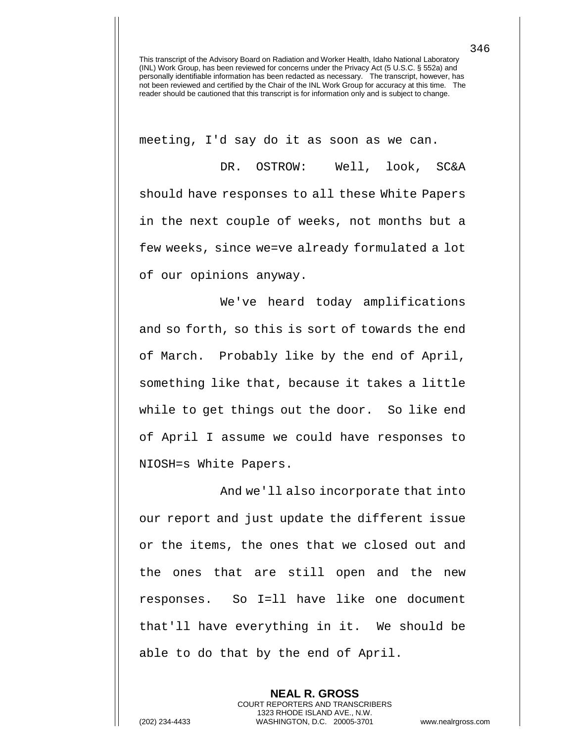meeting, I'd say do it as soon as we can.

DR. OSTROW: Well, look, SC&A should have responses to all these White Papers in the next couple of weeks, not months but a few weeks, since we=ve already formulated a lot of our opinions anyway.

We've heard today amplifications and so forth, so this is sort of towards the end of March. Probably like by the end of April, something like that, because it takes a little while to get things out the door. So like end of April I assume we could have responses to NIOSH=s White Papers.

And we'll also incorporate that into our report and just update the different issue or the items, the ones that we closed out and the ones that are still open and the new responses. So I=ll have like one document that'll have everything in it. We should be able to do that by the end of April.

> **NEAL R. GROSS** COURT REPORTERS AND TRANSCRIBERS 1323 RHODE ISLAND AVE., N.W.

346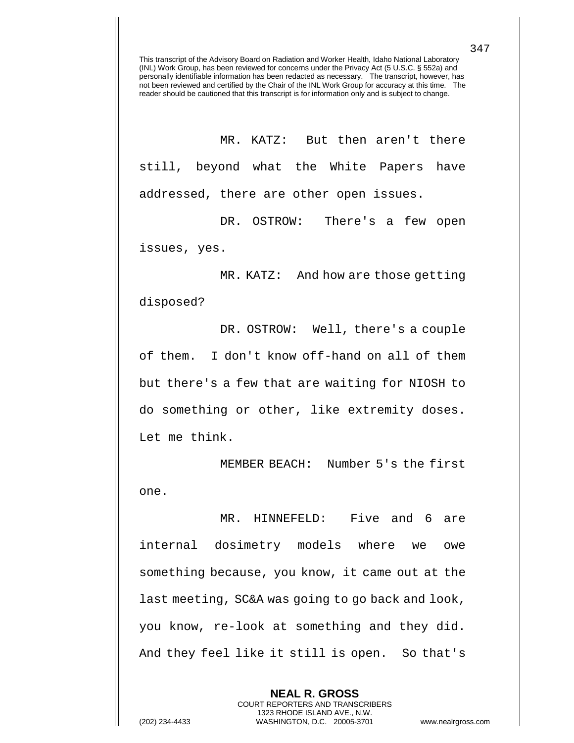MR. KATZ: But then aren't there still, beyond what the White Papers have addressed, there are other open issues.

DR. OSTROW: There's a few open issues, yes.

MR. KATZ: And how are those getting disposed?

DR. OSTROW: Well, there's a couple of them. I don't know off-hand on all of them but there's a few that are waiting for NIOSH to do something or other, like extremity doses. Let me think.

MEMBER BEACH: Number 5's the first one.

MR. HINNEFELD: Five and 6 are internal dosimetry models where we owe something because, you know, it came out at the last meeting, SC&A was going to go back and look, you know, re-look at something and they did. And they feel like it still is open. So that's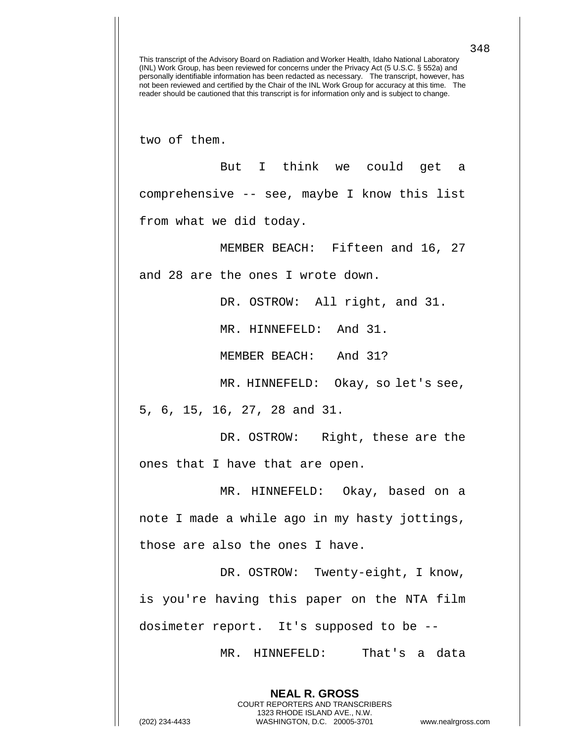two of them.

But I think we could get a comprehensive -- see, maybe I know this list from what we did today.

MEMBER BEACH: Fifteen and 16, 27

and 28 are the ones I wrote down.

DR. OSTROW: All right, and 31.

MR. HINNEFELD: And 31.

MEMBER BEACH: And 31?

MR. HINNEFELD: Okay, so let's see,

5, 6, 15, 16, 27, 28 and 31.

DR. OSTROW: Right, these are the ones that I have that are open.

MR. HINNEFELD: Okay, based on a note I made a while ago in my hasty jottings, those are also the ones I have.

DR. OSTROW: Twenty-eight, I know, is you're having this paper on the NTA film dosimeter report. It's supposed to be --

> **NEAL R. GROSS** COURT REPORTERS AND TRANSCRIBERS 1323 RHODE ISLAND AVE., N.W.

MR. HINNEFELD: That's a data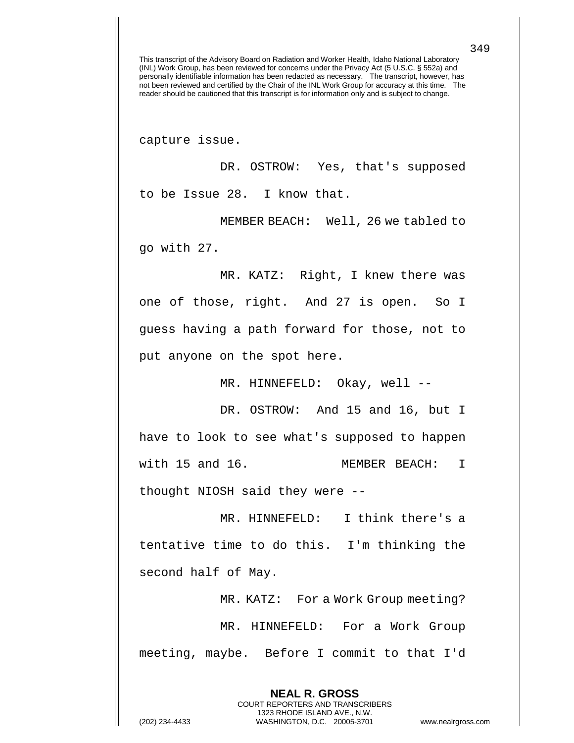capture issue.

DR. OSTROW: Yes, that's supposed to be Issue 28. I know that.

MEMBER BEACH: Well, 26 we tabled to go with 27.

MR. KATZ: Right, I knew there was one of those, right. And 27 is open. So I guess having a path forward for those, not to put anyone on the spot here.

MR. HINNEFELD: Okay, well --

DR. OSTROW: And 15 and 16, but I have to look to see what's supposed to happen with 15 and 16. MEMBER BEACH: I thought NIOSH said they were --

MR. HINNEFELD: I think there's a tentative time to do this. I'm thinking the second half of May.

MR. KATZ: For a Work Group meeting? MR. HINNEFELD: For a Work Group meeting, maybe. Before I commit to that I'd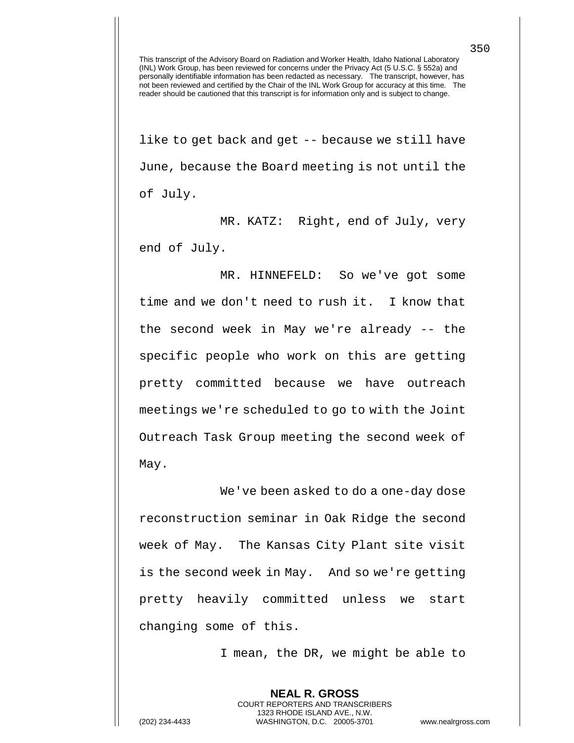like to get back and get -- because we still have June, because the Board meeting is not until the of July.

MR. KATZ: Right, end of July, very end of July.

MR. HINNEFELD: So we've got some time and we don't need to rush it. I know that the second week in May we're already -- the specific people who work on this are getting pretty committed because we have outreach meetings we're scheduled to go to with the Joint Outreach Task Group meeting the second week of May.

We've been asked to do a one-day dose reconstruction seminar in Oak Ridge the second week of May. The Kansas City Plant site visit is the second week in May. And so we're getting pretty heavily committed unless we start changing some of this.

I mean, the DR, we might be able to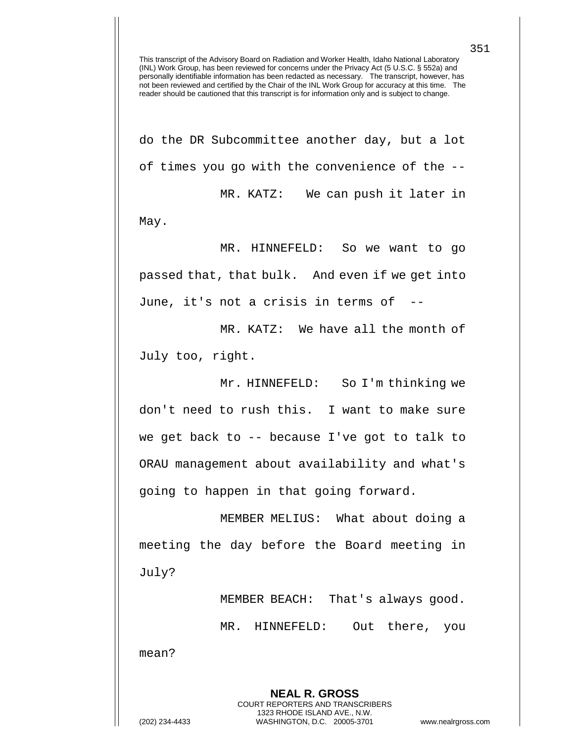do the DR Subcommittee another day, but a lot of times you go with the convenience of the -- MR. KATZ: We can push it later in

May.

MR. HINNEFELD: So we want to go passed that, that bulk. And even if we get into June, it's not a crisis in terms of --

MR. KATZ: We have all the month of July too, right.

Mr. HINNEFELD: So I'm thinking we don't need to rush this. I want to make sure we get back to -- because I've got to talk to ORAU management about availability and what's going to happen in that going forward.

MEMBER MELIUS: What about doing a meeting the day before the Board meeting in July?

MEMBER BEACH: That's always good. MR. HINNEFELD: Out there, you mean?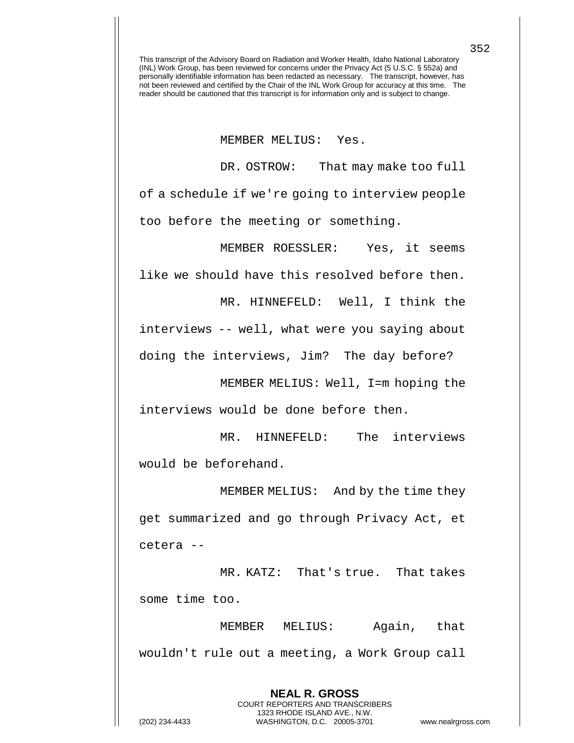MEMBER MELIUS: Yes.

DR. OSTROW: That may make too full of a schedule if we're going to interview people too before the meeting or something.

MEMBER ROESSLER: Yes, it seems like we should have this resolved before then.

interviews -- well, what were you saying about doing the interviews, Jim? The day before?

MR. HINNEFELD: Well, I think the

MEMBER MELIUS: Well, I=m hoping the interviews would be done before then.

MR. HINNEFELD: The interviews would be beforehand.

MEMBER MELIUS: And by the time they get summarized and go through Privacy Act, et cetera --

MR. KATZ: That's true. That takes some time too.

MEMBER MELIUS: Again, that wouldn't rule out a meeting, a Work Group call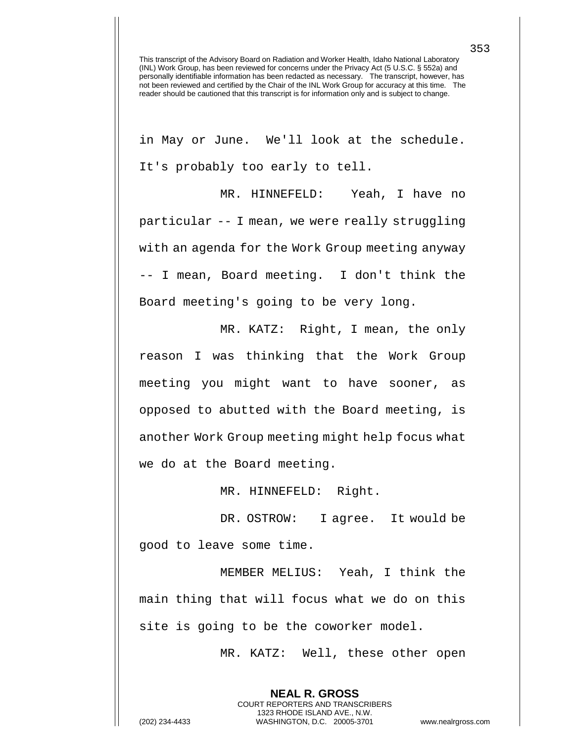in May or June. We'll look at the schedule. It's probably too early to tell.

MR. HINNEFELD: Yeah, I have no particular -- I mean, we were really struggling with an agenda for the Work Group meeting anyway -- I mean, Board meeting. I don't think the Board meeting's going to be very long.

MR. KATZ: Right, I mean, the only reason I was thinking that the Work Group meeting you might want to have sooner, as opposed to abutted with the Board meeting, is another Work Group meeting might help focus what we do at the Board meeting.

MR. HINNEFELD: Right.

DR. OSTROW: I agree. It would be good to leave some time.

MEMBER MELIUS: Yeah, I think the main thing that will focus what we do on this site is going to be the coworker model.

> **NEAL R. GROSS** COURT REPORTERS AND TRANSCRIBERS 1323 RHODE ISLAND AVE., N.W.

MR. KATZ: Well, these other open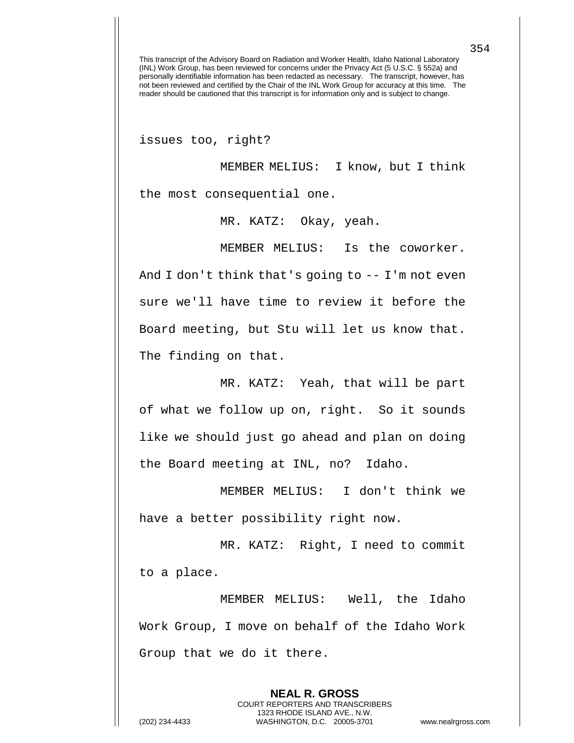issues too, right?

MEMBER MELIUS: I know, but I think the most consequential one.

MR. KATZ: Okay, yeah.

MEMBER MELIUS: Is the coworker. And I don't think that's going to -- I'm not even sure we'll have time to review it before the Board meeting, but Stu will let us know that. The finding on that.

MR. KATZ: Yeah, that will be part of what we follow up on, right. So it sounds like we should just go ahead and plan on doing the Board meeting at INL, no? Idaho.

MEMBER MELIUS: I don't think we have a better possibility right now.

MR. KATZ: Right, I need to commit to a place.

MEMBER MELIUS: Well, the Idaho Work Group, I move on behalf of the Idaho Work Group that we do it there.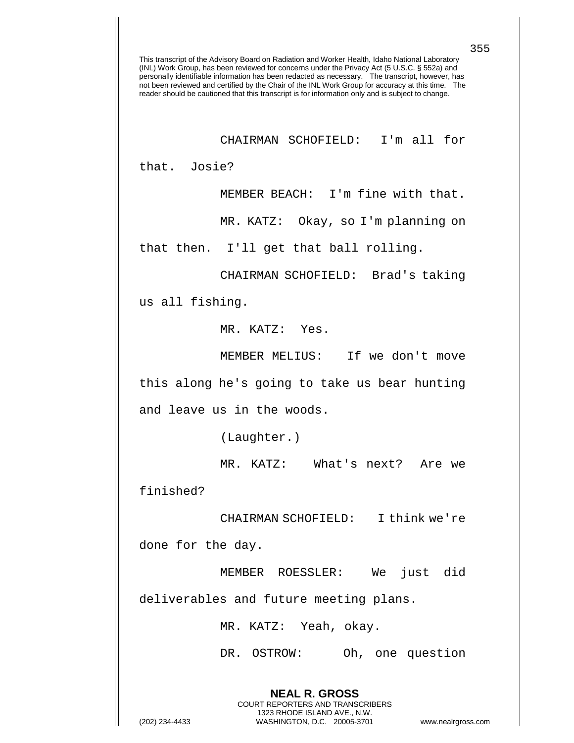## CHAIRMAN SCHOFIELD: I'm all for

that. Josie?

MEMBER BEACH: I'm fine with that.

MR. KATZ: Okay, so I'm planning on

that then. I'll get that ball rolling.

CHAIRMAN SCHOFIELD: Brad's taking

us all fishing.

MR. KATZ: Yes.

MEMBER MELIUS: If we don't move this along he's going to take us bear hunting and leave us in the woods.

(Laughter.)

MR. KATZ: What's next? Are we

finished?

CHAIRMAN SCHOFIELD: I think we're done for the day.

MEMBER ROESSLER: We just did

deliverables and future meeting plans.

MR. KATZ: Yeah, okay.

**NEAL R. GROSS** COURT REPORTERS AND TRANSCRIBERS 1323 RHODE ISLAND AVE., N.W.

DR. OSTROW: Oh, one question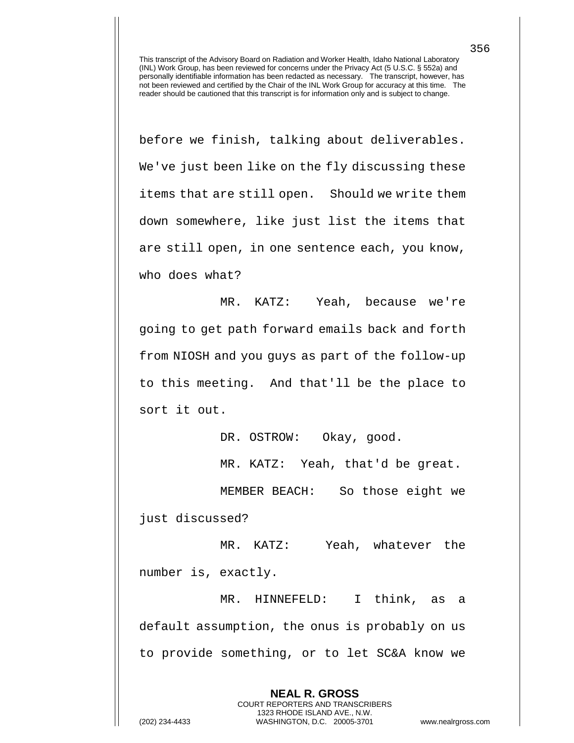before we finish, talking about deliverables. We've just been like on the fly discussing these items that are still open. Should we write them down somewhere, like just list the items that are still open, in one sentence each, you know, who does what?

MR. KATZ: Yeah, because we're going to get path forward emails back and forth from NIOSH and you guys as part of the follow-up to this meeting. And that'll be the place to sort it out.

DR. OSTROW: Okay, good.

MR. KATZ: Yeah, that'd be great.

MEMBER BEACH: So those eight we

just discussed?

MR. KATZ: Yeah, whatever the number is, exactly.

MR. HINNEFELD: I think, as a default assumption, the onus is probably on us to provide something, or to let SC&A know we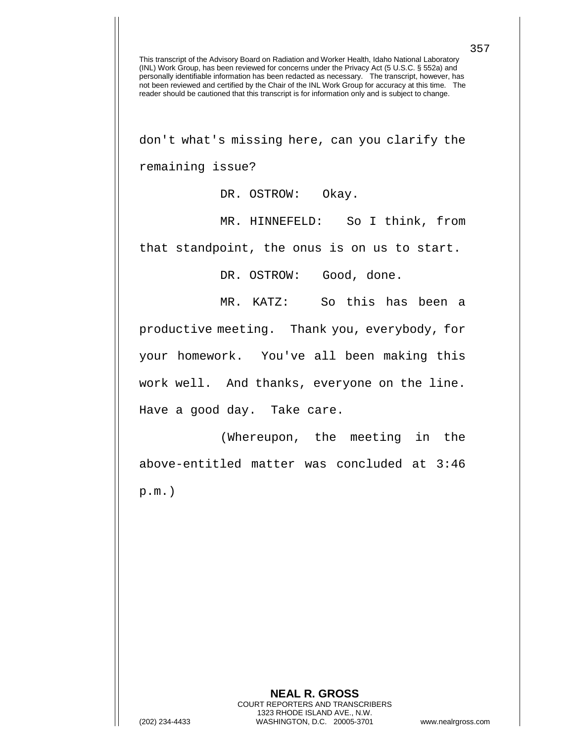don't what's missing here, can you clarify the remaining issue?

DR. OSTROW: Okay.

MR. HINNEFELD: So I think, from that standpoint, the onus is on us to start.

DR. OSTROW: Good, done.

MR. KATZ: So this has been a

productive meeting. Thank you, everybody, for your homework. You've all been making this work well. And thanks, everyone on the line. Have a good day. Take care.

(Whereupon, the meeting in the above-entitled matter was concluded at 3:46 p.m.)